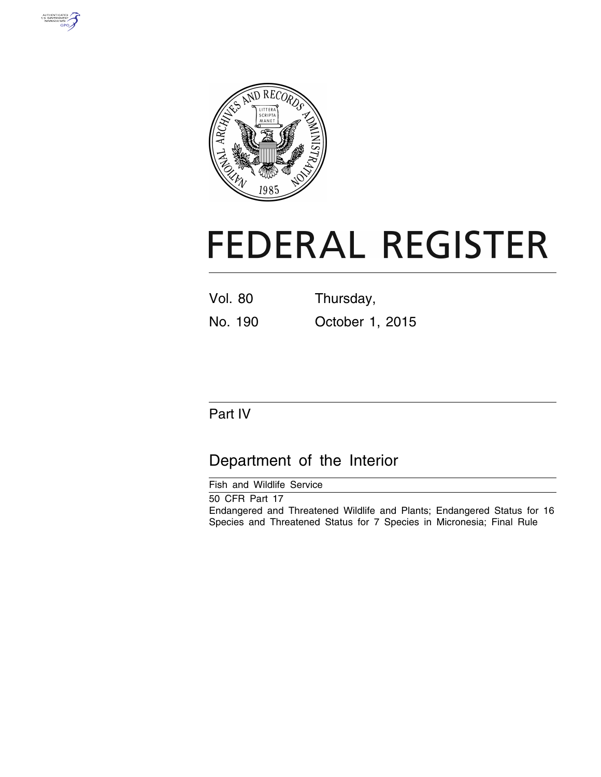



# **FEDERAL REGISTER**

Vol. 80 Thursday,

No. 190 October 1, 2015

# Part IV

# Department of the Interior

Fish and Wildlife Service

50 CFR Part 17 Endangered and Threatened Wildlife and Plants; Endangered Status for 16 Species and Threatened Status for 7 Species in Micronesia; Final Rule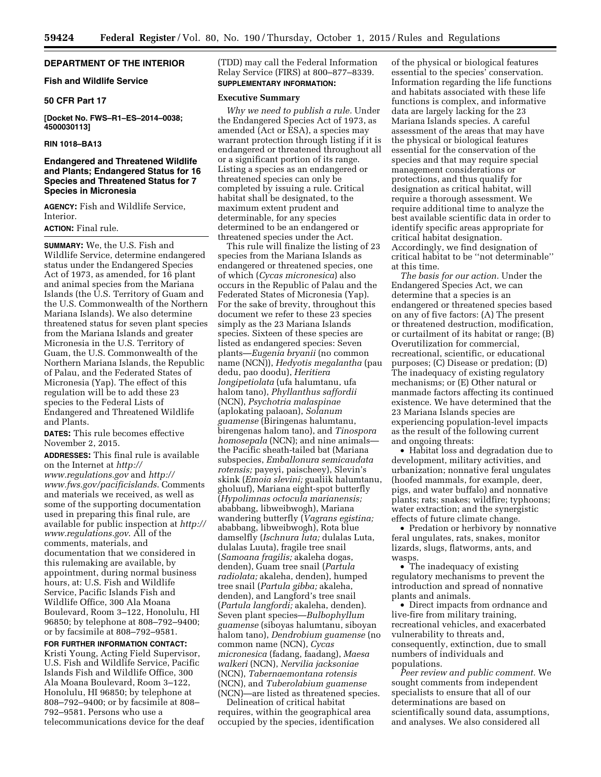# **DEPARTMENT OF THE INTERIOR**

# **Fish and Wildlife Service**

### **50 CFR Part 17**

**[Docket No. FWS–R1–ES–2014–0038; 4500030113]** 

# **RIN 1018–BA13**

# **Endangered and Threatened Wildlife and Plants; Endangered Status for 16 Species and Threatened Status for 7 Species in Micronesia**

**AGENCY:** Fish and Wildlife Service, Interior.

#### **ACTION:** Final rule.

**SUMMARY:** We, the U.S. Fish and Wildlife Service, determine endangered status under the Endangered Species Act of 1973, as amended, for 16 plant and animal species from the Mariana Islands (the U.S. Territory of Guam and the U.S. Commonwealth of the Northern Mariana Islands). We also determine threatened status for seven plant species from the Mariana Islands and greater Micronesia in the U.S. Territory of Guam, the U.S. Commonwealth of the Northern Mariana Islands, the Republic of Palau, and the Federated States of Micronesia (Yap). The effect of this regulation will be to add these 23 species to the Federal Lists of Endangered and Threatened Wildlife and Plants.

**DATES:** This rule becomes effective November 2, 2015.

**ADDRESSES:** This final rule is available on the Internet at *[http://](http://www.regulations.gov) [www.regulations.gov](http://www.regulations.gov)* and *[http://](http://www.fws.gov/pacificislands) [www.fws.gov/pacificislands](http://www.fws.gov/pacificislands)*. Comments and materials we received, as well as some of the supporting documentation used in preparing this final rule, are available for public inspection at *[http://](http://www.regulations.gov)  [www.regulations.gov](http://www.regulations.gov)*. All of the comments, materials, and documentation that we considered in this rulemaking are available, by appointment, during normal business hours, at: U.S. Fish and Wildlife Service, Pacific Islands Fish and Wildlife Office, 300 Ala Moana Boulevard, Room 3–122, Honolulu, HI 96850; by telephone at 808–792–9400; or by facsimile at 808–792–9581.

**FOR FURTHER INFORMATION CONTACT:**  Kristi Young, Acting Field Supervisor, U.S. Fish and Wildlife Service, Pacific Islands Fish and Wildlife Office, 300 Ala Moana Boulevard, Room 3–122, Honolulu, HI 96850; by telephone at 808–792–9400; or by facsimile at 808– 792–9581. Persons who use a telecommunications device for the deaf (TDD) may call the Federal Information Relay Service (FIRS) at 800–877–8339. **SUPPLEMENTARY INFORMATION:** 

#### **Executive Summary**

*Why we need to publish a rule.* Under the Endangered Species Act of 1973, as amended (Act or ESA), a species may warrant protection through listing if it is endangered or threatened throughout all or a significant portion of its range. Listing a species as an endangered or threatened species can only be completed by issuing a rule. Critical habitat shall be designated, to the maximum extent prudent and determinable, for any species determined to be an endangered or threatened species under the Act.

This rule will finalize the listing of 23 species from the Mariana Islands as endangered or threatened species, one of which (*Cycas micronesica*) also occurs in the Republic of Palau and the Federated States of Micronesia (Yap). For the sake of brevity, throughout this document we refer to these 23 species simply as the 23 Mariana Islands species. Sixteen of these species are listed as endangered species: Seven plants—*Eugenia bryanii* (no common name (NCN)), *Hedyotis megalantha* (pau dedu, pao doodu), *Heritiera longipetiolata* (ufa halumtanu, ufa halom tano), *Phyllanthus saffordii*  (NCN), *Psychotria malaspinae*  (aplokating palaoan), *Solanum guamense* (Biringenas halumtanu, birengenas halom tano), and *Tinospora homosepala* (NCN); and nine animals the Pacific sheath-tailed bat (Mariana subspecies, *Emballonura semicaudata rotensis;* payeyi, paischeey), Slevin's skink (*Emoia slevini;* gualiik halumtanu, gholuuf), Mariana eight-spot butterfly (*Hypolimnas octocula marianensis;*  ababbang, libweibwogh), Mariana wandering butterfly (*Vagrans egistina;*  ababbang, libweibwogh), Rota blue damselfly (*Ischnura luta;* dulalas Luta, dulalas Luuta), fragile tree snail (*Samoana fragilis;* akaleha dogas, denden), Guam tree snail (*Partula radiolata;* akaleha, denden), humped tree snail (*Partula gibba;* akaleha, denden), and Langford's tree snail (*Partula langfordi;* akaleha, denden). Seven plant species—*Bulbophyllum guamense* (siboyas halumtanu, siboyan halom tano), *Dendrobium guamense* (no common name (NCN), *Cycas micronesica* (fadang, faadang), *Maesa walkeri* (NCN), *Nervilia jacksoniae*  (NCN), *Tabernaemontana rotensis*  (NCN), and *Tuberolabium guamense*  (NCN)—are listed as threatened species.

Delineation of critical habitat requires, within the geographical area occupied by the species, identification of the physical or biological features essential to the species' conservation. Information regarding the life functions and habitats associated with these life functions is complex, and informative data are largely lacking for the 23 Mariana Islands species. A careful assessment of the areas that may have the physical or biological features essential for the conservation of the species and that may require special management considerations or protections, and thus qualify for designation as critical habitat, will require a thorough assessment. We require additional time to analyze the best available scientific data in order to identify specific areas appropriate for critical habitat designation. Accordingly, we find designation of critical habitat to be ''not determinable'' at this time.

*The basis for our action.* Under the Endangered Species Act, we can determine that a species is an endangered or threatened species based on any of five factors: (A) The present or threatened destruction, modification, or curtailment of its habitat or range; (B) Overutilization for commercial, recreational, scientific, or educational purposes; (C) Disease or predation; (D) The inadequacy of existing regulatory mechanisms; or (E) Other natural or manmade factors affecting its continued existence. We have determined that the 23 Mariana Islands species are experiencing population-level impacts as the result of the following current and ongoing threats:

• Habitat loss and degradation due to development, military activities, and urbanization; nonnative feral ungulates (hoofed mammals, for example, deer, pigs, and water buffalo) and nonnative plants; rats; snakes; wildfire; typhoons; water extraction; and the synergistic effects of future climate change.

• Predation or herbivory by nonnative feral ungulates, rats, snakes, monitor lizards, slugs, flatworms, ants, and wasps.

• The inadequacy of existing regulatory mechanisms to prevent the introduction and spread of nonnative plants and animals.

• Direct impacts from ordnance and live-fire from military training, recreational vehicles, and exacerbated vulnerability to threats and, consequently, extinction, due to small numbers of individuals and populations.

*Peer review and public comment.* We sought comments from independent specialists to ensure that all of our determinations are based on scientifically sound data, assumptions, and analyses. We also considered all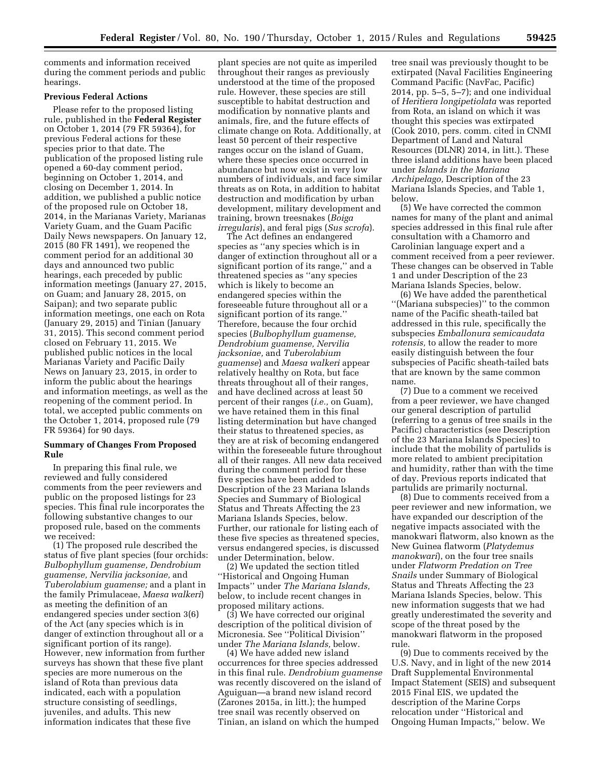comments and information received during the comment periods and public hearings.

# **Previous Federal Actions**

Please refer to the proposed listing rule, published in the **Federal Register**  on October 1, 2014 (79 FR 59364), for previous Federal actions for these species prior to that date. The publication of the proposed listing rule opened a 60-day comment period, beginning on October 1, 2014, and closing on December 1, 2014. In addition, we published a public notice of the proposed rule on October 18, 2014, in the Marianas Variety, Marianas Variety Guam, and the Guam Pacific Daily News newspapers. On January 12, 2015 (80 FR 1491), we reopened the comment period for an additional 30 days and announced two public hearings, each preceded by public information meetings (January 27, 2015, on Guam; and January 28, 2015, on Saipan); and two separate public information meetings, one each on Rota (January 29, 2015) and Tinian (January 31, 2015). This second comment period closed on February 11, 2015. We published public notices in the local Marianas Variety and Pacific Daily News on January 23, 2015, in order to inform the public about the hearings and information meetings, as well as the reopening of the comment period. In total, we accepted public comments on the October 1, 2014, proposed rule (79 FR 59364) for 90 days.

# **Summary of Changes From Proposed Rule**

In preparing this final rule, we reviewed and fully considered comments from the peer reviewers and public on the proposed listings for 23 species. This final rule incorporates the following substantive changes to our proposed rule, based on the comments we received:

(1) The proposed rule described the status of five plant species (four orchids: *Bulbophyllum guamense, Dendrobium guamense, Nervilia jacksoniae,* and *Tuberolabium guamense;* and a plant in the family Primulaceae, *Maesa walkeri*) as meeting the definition of an endangered species under section 3(6) of the Act (any species which is in danger of extinction throughout all or a significant portion of its range). However, new information from further surveys has shown that these five plant species are more numerous on the island of Rota than previous data indicated, each with a population structure consisting of seedlings, juveniles, and adults. This new information indicates that these five

plant species are not quite as imperiled throughout their ranges as previously understood at the time of the proposed rule. However, these species are still susceptible to habitat destruction and modification by nonnative plants and animals, fire, and the future effects of climate change on Rota. Additionally, at least 50 percent of their respective ranges occur on the island of Guam, where these species once occurred in abundance but now exist in very low numbers of individuals, and face similar threats as on Rota, in addition to habitat destruction and modification by urban development, military development and training, brown treesnakes (*Boiga irregularis*), and feral pigs (*Sus scrofa*).

The Act defines an endangered species as ''any species which is in danger of extinction throughout all or a significant portion of its range,'' and a threatened species as ''any species which is likely to become an endangered species within the foreseeable future throughout all or a significant portion of its range.'' Therefore, because the four orchid species (*Bulbophyllum guamense, Dendrobium guamense, Nervilia jacksoniae,* and *Tuberolabium guamense*) and *Maesa walkeri* appear relatively healthy on Rota, but face threats throughout all of their ranges, and have declined across at least 50 percent of their ranges (*i.e.,* on Guam), we have retained them in this final listing determination but have changed their status to threatened species, as they are at risk of becoming endangered within the foreseeable future throughout all of their ranges. All new data received during the comment period for these five species have been added to Description of the 23 Mariana Islands Species and Summary of Biological Status and Threats Affecting the 23 Mariana Islands Species, below. Further, our rationale for listing each of these five species as threatened species, versus endangered species, is discussed under Determination, below.

(2) We updated the section titled ''Historical and Ongoing Human Impacts'' under *The Mariana Islands,*  below, to include recent changes in proposed military actions.

(3) We have corrected our original description of the political division of Micronesia. See ''Political Division'' under *The Mariana Islands,* below.

(4) We have added new island occurrences for three species addressed in this final rule. *Dendrobium guamense*  was recently discovered on the island of Aguiguan—a brand new island record (Zarones 2015a, in litt.); the humped tree snail was recently observed on Tinian, an island on which the humped

tree snail was previously thought to be extirpated (Naval Facilities Engineering Command Pacific (NavFac, Pacific) 2014, pp. 5–5, 5–7); and one individual of *Heritiera longipetiolata* was reported from Rota, an island on which it was thought this species was extirpated (Cook 2010, pers. comm. cited in CNMI Department of Land and Natural Resources (DLNR) 2014, in litt.). These three island additions have been placed under *Islands in the Mariana Archipelago,* Description of the 23 Mariana Islands Species, and Table 1, below.

(5) We have corrected the common names for many of the plant and animal species addressed in this final rule after consultation with a Chamorro and Carolinian language expert and a comment received from a peer reviewer. These changes can be observed in Table 1 and under Description of the 23 Mariana Islands Species, below.

(6) We have added the parenthetical ''(Mariana subspecies)'' to the common name of the Pacific sheath-tailed bat addressed in this rule, specifically the subspecies *Emballonura semicaudata rotensis,* to allow the reader to more easily distinguish between the four subspecies of Pacific sheath-tailed bats that are known by the same common name.

(7) Due to a comment we received from a peer reviewer, we have changed our general description of partulid (referring to a genus of tree snails in the Pacific) characteristics (see Description of the 23 Mariana Islands Species) to include that the mobility of partulids is more related to ambient precipitation and humidity, rather than with the time of day. Previous reports indicated that partulids are primarily nocturnal.

(8) Due to comments received from a peer reviewer and new information, we have expanded our description of the negative impacts associated with the manokwari flatworm, also known as the New Guinea flatworm (*Platydemus manokwari*), on the four tree snails under *Flatworm Predation on Tree Snails* under Summary of Biological Status and Threats Affecting the 23 Mariana Islands Species, below. This new information suggests that we had greatly underestimated the severity and scope of the threat posed by the manokwari flatworm in the proposed rule.

(9) Due to comments received by the U.S. Navy, and in light of the new 2014 Draft Supplemental Environmental Impact Statement (SEIS) and subsequent 2015 Final EIS, we updated the description of the Marine Corps relocation under ''Historical and Ongoing Human Impacts,'' below. We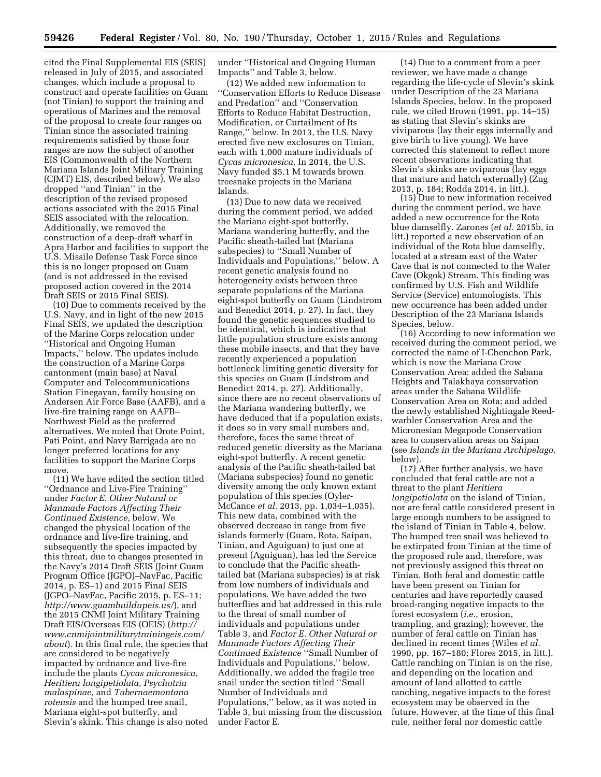cited the Final Supplemental EIS (SEIS) released in July of 2015, and associated changes, which include a proposal to construct and operate facilities on Guam (not Tinian) to support the training and operations of Marines and the removal of the proposal to create four ranges on Tinian since the associated training requirements satisfied by those four ranges are now the subject of another EIS (Commonwealth of the Northern Mariana Islands Joint Military Training (CJMT) EIS, described below). We also dropped ''and Tinian'' in the description of the revised proposed actions associated with the 2015 Final SEIS associated with the relocation. Additionally, we removed the construction of a deep-draft wharf in Apra Harbor and facilities to support the U.S. Missile Defense Task Force since this is no longer proposed on Guam (and is not addressed in the revised proposed action covered in the 2014 Draft SEIS or 2015 Final SEIS).

(10) Due to comments received by the U.S. Navy, and in light of the new 2015 Final SEIS, we updated the description of the Marine Corps relocation under ''Historical and Ongoing Human Impacts,'' below. The updates include the construction of a Marine Corps cantonment (main base) at Naval Computer and Telecommunications Station Finegayan, family housing on Andersen Air Force Base (AAFB), and a live-fire training range on AAFB– Northwest Field as the preferred alternatives. We noted that Orote Point, Pati Point, and Navy Barrigada are no longer preferred locations for any facilities to support the Marine Corps move.

(11) We have edited the section titled ''Ordnance and Live-Fire Training'' under *Factor E. Other Natural or Manmade Factors Affecting Their Continued Existence,* below. We changed the physical location of the ordnance and live-fire training, and subsequently the species impacted by this threat, due to changes presented in the Navy's 2014 Draft SEIS (Joint Guam Program Office (JGPO)–NavFac, Pacific 2014, p. ES–1) and 2015 Final SEIS (JGPO–NavFac, Pacific 2015, p. ES–11; *<http://www.guambuildupeis.us/>*), and the 2015 CNMI Joint Military Training Draft EIS/Overseas EIS (OEIS) (*[http://](http://www.cnmijointmilitarytrainingeis.com/about) [www.cnmijointmilitarytrainingeis.com/](http://www.cnmijointmilitarytrainingeis.com/about) [about](http://www.cnmijointmilitarytrainingeis.com/about)*). In this final rule, the species that are considered to be negatively impacted by ordnance and live-fire include the plants *Cycas micronesica, Heritiera longipetiolata, Psychotria malaspinae,* and *Tabernaemontana rotensis* and the humped tree snail, Mariana eight-spot butterfly, and Slevin's skink. This change is also noted under ''Historical and Ongoing Human Impacts'' and Table 3, below.

(12) We added new information to ''Conservation Efforts to Reduce Disease and Predation'' and ''Conservation Efforts to Reduce Habitat Destruction, Modification, or Curtailment of Its Range,'' below. In 2013, the U.S. Navy erected five new exclosures on Tinian, each with 1,000 mature individuals of *Cycas micronesica.* In 2014, the U.S. Navy funded \$5.1 M towards brown treesnake projects in the Mariana Islands.

(13) Due to new data we received during the comment period, we added the Mariana eight-spot butterfly, Mariana wandering butterfly, and the Pacific sheath-tailed bat (Mariana subspecies) to ''Small Number of Individuals and Populations,'' below. A recent genetic analysis found no heterogeneity exists between three separate populations of the Mariana eight-spot butterfly on Guam (Lindstrom and Benedict 2014, p. 27). In fact, they found the genetic sequences studied to be identical, which is indicative that little population structure exists among these mobile insects, and that they have recently experienced a population bottleneck limiting genetic diversity for this species on Guam (Lindstrom and Benedict 2014, p. 27). Additionally, since there are no recent observations of the Mariana wandering butterfly, we have deduced that if a population exists, it does so in very small numbers and, therefore, faces the same threat of reduced genetic diversity as the Mariana eight-spot butterfly. A recent genetic analysis of the Pacific sheath-tailed bat (Mariana subspecies) found no genetic diversity among the only known extant population of this species (Oyler-McCance *et al.* 2013, pp. 1,034–1,035). This new data, combined with the observed decrease in range from five islands formerly (Guam, Rota, Saipan, Tinian, and Aguiguan) to just one at present (Aguiguan), has led the Service to conclude that the Pacific sheathtailed bat (Mariana subspecies) is at risk from low numbers of individuals and populations. We have added the two butterflies and bat addressed in this rule to the threat of small number of individuals and populations under Table 3, and *Factor E. Other Natural or Manmade Factors Affecting Their Continued Existence* ''Small Number of Individuals and Populations,'' below. Additionally, we added the fragile tree snail under the section titled ''Small Number of Individuals and Populations,'' below, as it was noted in Table 3, but missing from the discussion under Factor E.

(14) Due to a comment from a peer reviewer, we have made a change regarding the life-cycle of Slevin's skink under Description of the 23 Mariana Islands Species, below. In the proposed rule, we cited Brown (1991, pp. 14–15) as stating that Slevin's skinks are viviparous (lay their eggs internally and give birth to live young). We have corrected this statement to reflect more recent observations indicating that Slevin's skinks are oviparous (lay eggs that mature and hatch externally) (Zug 2013, p. 184; Rodda 2014, in litt.).

(15) Due to new information received during the comment period, we have added a new occurrence for the Rota blue damselfly. Zarones (*et al.* 2015b, in litt.) reported a new observation of an individual of the Rota blue damselfly, located at a stream east of the Water Cave that is not connected to the Water Cave (Okgok) Stream. This finding was confirmed by U.S. Fish and Wildlife Service (Service) entomologists. This new occurrence has been added under Description of the 23 Mariana Islands Species, below.

(16) According to new information we received during the comment period, we corrected the name of I-Chenchon Park, which is now the Mariana Crow Conservation Area; added the Sabana Heights and Talakhaya conservation areas under the Sabana Wildlife Conservation Area on Rota; and added the newly established Nightingale Reedwarbler Conservation Area and the Micronesian Megapode Conservation area to conservation areas on Saipan (see *Islands in the Mariana Archipelago,*  below).

(17) After further analysis, we have concluded that feral cattle are not a threat to the plant *Heritiera longipetiolata* on the island of Tinian, nor are feral cattle considered present in large enough numbers to be assigned to the island of Tinian in Table 4, below. The humped tree snail was believed to be extirpated from Tinian at the time of the proposed rule and, therefore, was not previously assigned this threat on Tinian. Both feral and domestic cattle have been present on Tinian for centuries and have reportedly caused broad-ranging negative impacts to the forest ecosystem (*i.e.,* erosion, trampling, and grazing); however, the number of feral cattle on Tinian has declined in recent times (Wiles *et al.*  1990, pp. 167–180; Flores 2015, in litt.). Cattle ranching on Tinian is on the rise, and depending on the location and amount of land allotted to cattle ranching, negative impacts to the forest ecosystem may be observed in the future. However, at the time of this final rule, neither feral nor domestic cattle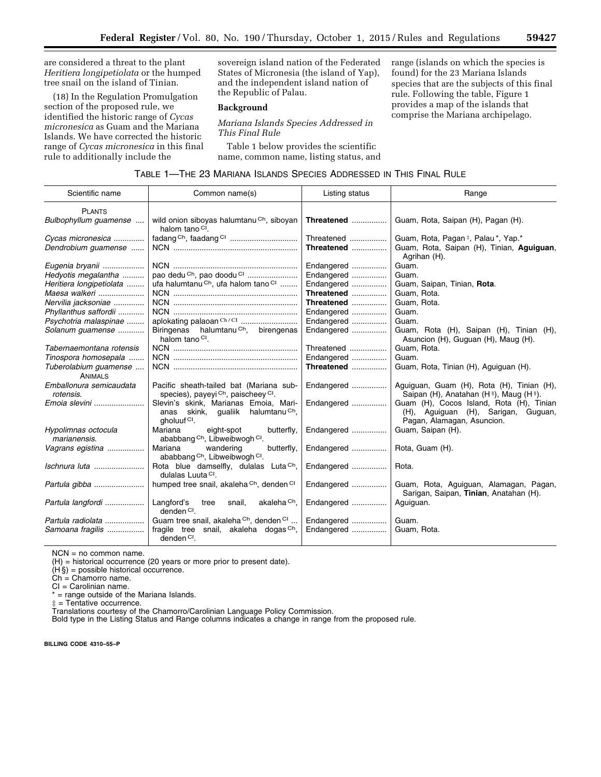are considered a threat to the plant *Heritiera longipetiolata* or the humped tree snail on the island of Tinian.

(18) In the Regulation Promulgation section of the proposed rule, we identified the historic range of *Cycas micronesica* as Guam and the Mariana Islands. We have corrected the historic range of *Cycas micronesica* in this final rule to additionally include the

sovereign island nation of the Federated States of Micronesia (the island of Yap), and the independent island nation of the Republic of Palau.

#### **Background**

*Mariana Islands Species Addressed in This Final Rule* 

Table 1 below provides the scientific name, common name, listing status, and range (islands on which the species is found) for the 23 Mariana Islands species that are the subjects of this final rule. Following the table, Figure 1 provides a map of the islands that comprise the Mariana archipelago.

|  | TABLE 1—THE 23 MARIANA ISLANDS SPECIES ADDRESSED IN THIS FINAL RULE |
|--|---------------------------------------------------------------------|
|--|---------------------------------------------------------------------|

| Scientific name                         | Common name(s)                                                                                                    | Listing status | Range                                                                                                         |
|-----------------------------------------|-------------------------------------------------------------------------------------------------------------------|----------------|---------------------------------------------------------------------------------------------------------------|
| <b>PLANTS</b>                           |                                                                                                                   |                |                                                                                                               |
| Bulbophyllum guamense                   | wild onion siboyas halumtanu <sup>Ch</sup> , siboyan<br>halom tano <sup>CI</sup> .                                | Threatened     | Guam, Rota, Saipan (H), Pagan (H).                                                                            |
| Cycas micronesica                       |                                                                                                                   | Threatened     | Guam, Rota, Pagan <sup>‡</sup> , Palau <sup>*</sup> , Yap.*                                                   |
| Dendrobium guamense                     |                                                                                                                   | Threatened     | Guam, Rota, Saipan (H), Tinian, Aguiguan,<br>Agrihan (H).                                                     |
| Eugenia bryanii                         |                                                                                                                   | Endangered     | Guam.                                                                                                         |
| Hedyotis megalantha                     | pao dedu Ch, pao doodu Cl                                                                                         | Endangered     | Guam.                                                                                                         |
| Heritiera longipetiolata                | ufa halumtanu Ch, ufa halom tano Cl                                                                               | Endangered     | Guam, Saipan, Tinian, Rota.                                                                                   |
| Maesa walkeri                           |                                                                                                                   | Threatened     | Guam, Rota.                                                                                                   |
| Nervilia jacksoniae                     |                                                                                                                   | Threatened     | Guam, Rota.                                                                                                   |
| Phyllanthus saffordii                   |                                                                                                                   | Endangered     | Guam.                                                                                                         |
| Psychotria malaspinae                   |                                                                                                                   | Endangered     | Guam.                                                                                                         |
| Solanum guamense                        | Biringenas halumtanu <sup>Ch</sup> , birengenas<br>halom tano <sup>CI</sup> .                                     | Endangered     | Guam, Rota (H), Saipan (H), Tinian (H),<br>Asuncion (H), Guguan (H), Maug (H).                                |
| Tabernaemontana rotensis                |                                                                                                                   | Threatened     | Guam, Rota.                                                                                                   |
| Tinospora homosepala                    |                                                                                                                   | Endangered     | Guam.                                                                                                         |
| Tuberolabium quamense<br><b>ANIMALS</b> |                                                                                                                   | Threatened     | Guam, Rota, Tinian (H), Aguiguan (H).                                                                         |
| Emballonura semicaudata<br>rotensis.    | Pacific sheath-tailed bat (Mariana sub-<br>species), payeyi Ch, paischeey Cl.                                     | Endangered     | Aguiguan, Guam (H), Rota (H), Tinian (H),<br>Saipan (H), Anatahan (H <sup>§</sup> ), Maug (H§).               |
| Emoia slevini                           | Slevin's skink, Marianas Emoia, Mari-<br>anas skink, gualiik halumtanu <sup>Ch</sup> ,<br>gholuuf <sup>Cl</sup> . | Endangered     | Guam (H), Cocos Island, Rota (H), Tinian<br>(H), Aguiguan (H), Sarigan, Guguan,<br>Pagan, Alamagan, Asuncion. |
| Hypolimnas octocula<br>marianensis.     | Mariana<br>eight-spot<br>butterfly,<br>ababbang Ch, Libweibwogh Cl.                                               | Endangered     | Guam, Saipan (H).                                                                                             |
| Vagrans egistina                        | Mariana<br>wandering<br>butterfly,<br>ababbang Ch, Libweibwogh Cl.                                                | Endangered     | Rota, Guam (H).                                                                                               |
| Ischnura luta                           | Rota blue damselfly, dulalas Luta <sup>Ch</sup> ,<br>dulalas Luuta <sup>CI</sup> .                                | Endangered     | Rota.                                                                                                         |
| Partula gibba                           | humped tree snail, akaleha Ch, denden Cl                                                                          | Endangered     | Guam, Rota, Aguiguan, Alamagan, Pagan,<br>Sarigan, Saipan, Tinian, Anatahan (H).                              |
| Partula langfordi                       | Langford's<br>akaleha <sup>Ch</sup> .<br>tree<br>snail,<br>$dendenCl$ .                                           | Endangered     | Aguiguan.                                                                                                     |
| Partula radiolata                       | Guam tree snail, akaleha Ch, denden Cl                                                                            | Endangered     | Guam.                                                                                                         |
| Samoana fragilis                        | fragile tree snail, akaleha dogas Ch,<br>denden $Cl$ .                                                            | Endangered     | Guam, Rota.                                                                                                   |

NCN = no common name.

(H) = historical occurrence (20 years or more prior to present date).

 $(H<sub>S</sub>)$  = possible historical occurrence.

Ch = Chamorro name.

CI = Carolinian name.

 $=$  range outside of the Mariana Islands.

‡ = Tentative occurrence.

Translations courtesy of the Chamorro/Carolinian Language Policy Commission.

Bold type in the Listing Status and Range columns indicates a change in range from the proposed rule.

**BILLING CODE 4310–55–P**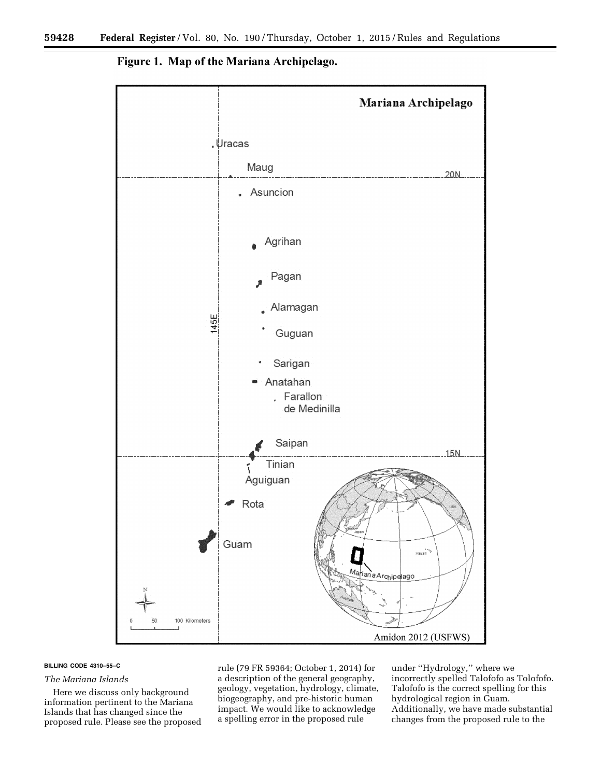



#### **BILLING CODE 4310–55–C**

#### *The Mariana Islands*

Here we discuss only background information pertinent to the Mariana Islands that has changed since the proposed rule. Please see the proposed

rule (79 FR 59364; October 1, 2014) for a description of the general geography, geology, vegetation, hydrology, climate, biogeography, and pre-historic human impact. We would like to acknowledge a spelling error in the proposed rule

under ''Hydrology,'' where we incorrectly spelled Talofofo as Tolofofo. Talofofo is the correct spelling for this hydrological region in Guam. Additionally, we have made substantial changes from the proposed rule to the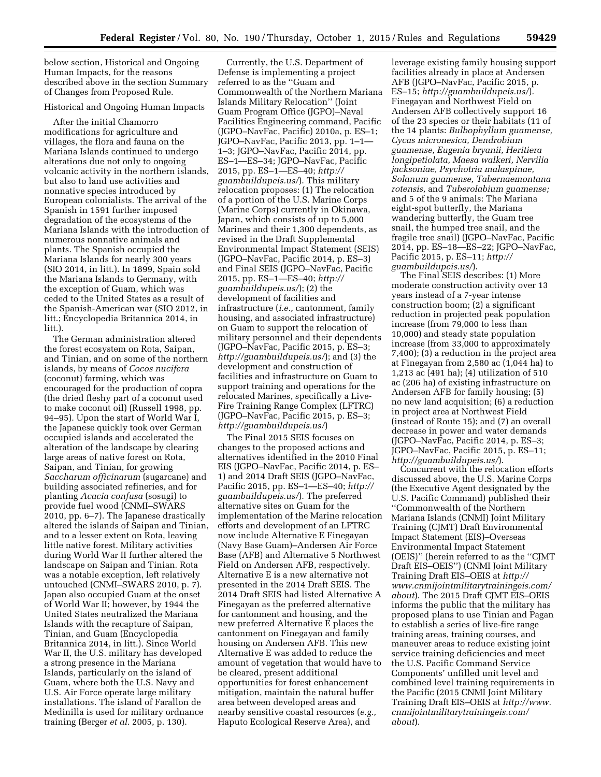below section, Historical and Ongoing Human Impacts, for the reasons described above in the section Summary of Changes from Proposed Rule.

#### Historical and Ongoing Human Impacts

After the initial Chamorro modifications for agriculture and villages, the flora and fauna on the Mariana Islands continued to undergo alterations due not only to ongoing volcanic activity in the northern islands, but also to land use activities and nonnative species introduced by European colonialists. The arrival of the Spanish in 1591 further imposed degradation of the ecosystems of the Mariana Islands with the introduction of numerous nonnative animals and plants. The Spanish occupied the Mariana Islands for nearly 300 years (SIO 2014, in litt.). In 1899, Spain sold the Mariana Islands to Germany, with the exception of Guam, which was ceded to the United States as a result of the Spanish-American war (SIO 2012, in litt.; Encyclopedia Britannica 2014, in litt.).

The German administration altered the forest ecosystem on Rota, Saipan, and Tinian, and on some of the northern islands, by means of *Cocos nucifera*  (coconut) farming, which was encouraged for the production of copra (the dried fleshy part of a coconut used to make coconut oil) (Russell 1998, pp. 94–95). Upon the start of World War I, the Japanese quickly took over German occupied islands and accelerated the alteration of the landscape by clearing large areas of native forest on Rota, Saipan, and Tinian, for growing *Saccharum officinarum* (sugarcane) and building associated refineries, and for planting *Acacia confusa* (sosugi) to provide fuel wood (CNMI–SWARS 2010, pp. 6–7). The Japanese drastically altered the islands of Saipan and Tinian, and to a lesser extent on Rota, leaving little native forest. Military activities during World War II further altered the landscape on Saipan and Tinian. Rota was a notable exception, left relatively untouched (CNMI–SWARS 2010, p. 7). Japan also occupied Guam at the onset of World War II; however, by 1944 the United States neutralized the Mariana Islands with the recapture of Saipan, Tinian, and Guam (Encyclopedia Britannica 2014, in litt.). Since World War II, the U.S. military has developed a strong presence in the Mariana Islands, particularly on the island of Guam, where both the U.S. Navy and U.S. Air Force operate large military installations. The island of Farallon de Medinilla is used for military ordnance training (Berger *et al.* 2005, p. 130).

Currently, the U.S. Department of Defense is implementing a project referred to as the ''Guam and Commonwealth of the Northern Mariana Islands Military Relocation'' (Joint Guam Program Office (JGPO)–Naval Facilities Engineering command, Pacific (JGPO–NavFac, Pacific) 2010a, p. ES–1; JGPO–NavFac, Pacific 2013, pp. 1–1— 1–3; JGPO–NavFac, Pacific 2014, pp. ES–1—ES–34; JGPO–NavFac, Pacific 2015, pp. ES–1—ES–40; *[http://](http://guambuildupeis.us/) [guambuildupeis.us/](http://guambuildupeis.us/)*). This military relocation proposes: (1) The relocation of a portion of the U.S. Marine Corps (Marine Corps) currently in Okinawa, Japan, which consists of up to 5,000 Marines and their 1,300 dependents, as revised in the Draft Supplemental Environmental Impact Statement (SEIS) (JGPO–NavFac, Pacific 2014, p. ES–3) and Final SEIS (JGPO–NavFac, Pacific 2015, pp. ES–1—ES–40; *[http://](http://guambuildupeis.us/) [guambuildupeis.us/](http://guambuildupeis.us/)*); (2) the development of facilities and infrastructure (*i.e.,* cantonment, family housing, and associated infrastructure) on Guam to support the relocation of military personnel and their dependents (JGPO–NavFac, Pacific 2015, p. ES–3; *<http://guambuildupeis.us/>*); and (3) the development and construction of facilities and infrastructure on Guam to support training and operations for the relocated Marines, specifically a Live-Fire Training Range Complex (LFTRC) (JGPO–NavFac, Pacific 2015, p. ES–3; *<http://guambuildupeis.us/>*)

The Final 2015 SEIS focuses on changes to the proposed actions and alternatives identified in the 2010 Final EIS (JGPO–NavFac, Pacific 2014, p. ES– 1) and 2014 Draft SEIS (JGPO–NavFac, Pacific 2015, pp. ES–1—ES–40; *[http://](http://guambuildupeis.us/) [guambuildupeis.us/](http://guambuildupeis.us/)*). The preferred alternative sites on Guam for the implementation of the Marine relocation efforts and development of an LFTRC now include Alternative E Finegayan (Navy Base Guam)–Andersen Air Force Base (AFB) and Alternative 5 Northwest Field on Andersen AFB, respectively. Alternative E is a new alternative not presented in the 2014 Draft SEIS. The 2014 Draft SEIS had listed Alternative A Finegayan as the preferred alternative for cantonment and housing, and the new preferred Alternative E places the cantonment on Finegayan and family housing on Andersen AFB. This new Alternative E was added to reduce the amount of vegetation that would have to be cleared, present additional opportunities for forest enhancement mitigation, maintain the natural buffer area between developed areas and nearby sensitive coastal resources (*e.g.,*  Haputo Ecological Reserve Area), and

leverage existing family housing support facilities already in place at Andersen AFB (JGPO–NavFac, Pacific 2015, p. ES–15; *<http://guambuildupeis.us/>*). Finegayan and Northwest Field on Andersen AFB collectively support 16 of the 23 species or their habitats (11 of the 14 plants: *Bulbophyllum guamense, Cycas micronesica, Dendrobium guamense, Eugenia bryanii, Heritiera longipetiolata, Maesa walkeri, Nervilia jacksoniae, Psychotria malaspinae, Solanum guamense, Tabernaemontana rotensis,* and *Tuberolabium guamense;*  and 5 of the 9 animals: The Mariana eight-spot butterfly, the Mariana wandering butterfly, the Guam tree snail, the humped tree snail, and the fragile tree snail) (JGPO–NavFac, Pacific 2014, pp. ES–18—ES–22; JGPO–NavFac, Pacific 2015, p. ES–11; *[http://](http://guambuildupeis.us/) [guambuildupeis.us/](http://guambuildupeis.us/)*).

The Final SEIS describes: (1) More moderate construction activity over 13 years instead of a 7-year intense construction boom; (2) a significant reduction in projected peak population increase (from 79,000 to less than 10,000) and steady state population increase (from 33,000 to approximately 7,400); (3) a reduction in the project area at Finegayan from 2,580 ac (1,044 ha) to 1,213 ac (491 ha); (4) utilization of 510 ac (206 ha) of existing infrastructure on Andersen AFB for family housing; (5) no new land acquisition; (6) a reduction in project area at Northwest Field (instead of Route 15); and (7) an overall decrease in power and water demands (JGPO–NavFac, Pacific 2014, p. ES–3; JGPO–NavFac, Pacific 2015, p. ES–11; *<http://guambuildupeis.us/>*).

Concurrent with the relocation efforts discussed above, the U.S. Marine Corps (the Executive Agent designated by the U.S. Pacific Command) published their ''Commonwealth of the Northern Mariana Islands (CNMI) Joint Military Training (CJMT) Draft Environmental Impact Statement (EIS)–Overseas Environmental Impact Statement (OEIS)'' (herein referred to as the ''CJMT Draft EIS–OEIS'') (CNMI Joint Military Training Draft EIS–OEIS at *[http://](http://www.cnmijointmilitarytrainingeis.com/about) [www.cnmijointmilitarytrainingeis.com/](http://www.cnmijointmilitarytrainingeis.com/about) [about](http://www.cnmijointmilitarytrainingeis.com/about)*). The 2015 Draft CJMT EIS–OEIS informs the public that the military has proposed plans to use Tinian and Pagan to establish a series of live-fire range training areas, training courses, and maneuver areas to reduce existing joint service training deficiencies and meet the U.S. Pacific Command Service Components' unfilled unit level and combined level training requirements in the Pacific (2015 CNMI Joint Military Training Draft EIS–OEIS at *[http://www.](http://www.cnmijointmilitarytrainingeis.com/about) [cnmijointmilitarytrainingeis.com/](http://www.cnmijointmilitarytrainingeis.com/about) [about](http://www.cnmijointmilitarytrainingeis.com/about)*).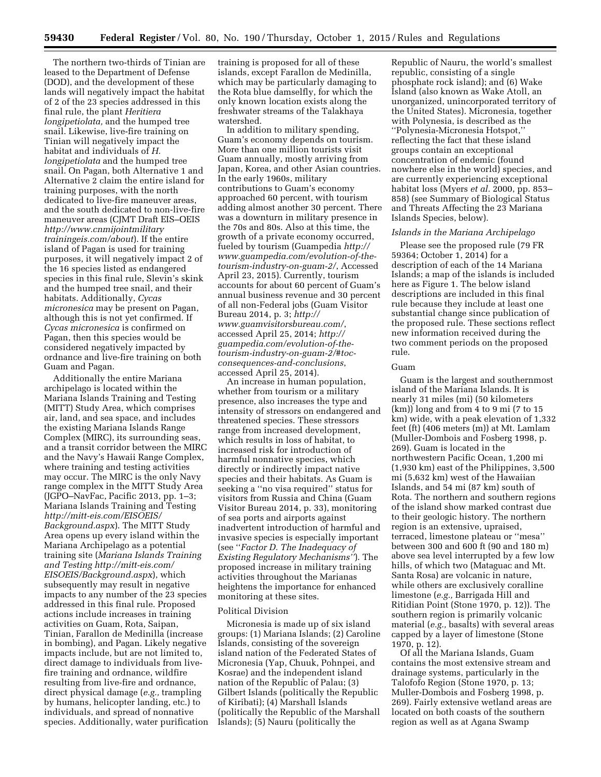The northern two-thirds of Tinian are leased to the Department of Defense (DOD), and the development of these lands will negatively impact the habitat of 2 of the 23 species addressed in this final rule, the plant *Heritiera longipetiolata,* and the humped tree snail. Likewise, live-fire training on Tinian will negatively impact the habitat and individuals of *H. longipetiolata* and the humped tree snail. On Pagan, both Alternative 1 and Alternative 2 claim the entire island for training purposes, with the north dedicated to live-fire maneuver areas, and the south dedicated to non-live-fire maneuver areas (CJMT Draft EIS–OEIS *[http://www.cnmijointmilitary](http://www.cnmijointmilitarytrainingeis.com/about) [trainingeis.com/about](http://www.cnmijointmilitarytrainingeis.com/about)*). If the entire island of Pagan is used for training purposes, it will negatively impact 2 of the 16 species listed as endangered species in this final rule, Slevin's skink and the humped tree snail, and their habitats. Additionally, *Cycas micronesica* may be present on Pagan, although this is not yet confirmed. If *Cycas micronesica* is confirmed on Pagan, then this species would be considered negatively impacted by ordnance and live-fire training on both Guam and Pagan.

Additionally the entire Mariana archipelago is located within the Mariana Islands Training and Testing (MITT) Study Area, which comprises air, land, and sea space, and includes the existing Mariana Islands Range Complex (MIRC), its surrounding seas, and a transit corridor between the MIRC and the Navy's Hawaii Range Complex, where training and testing activities may occur. The MIRC is the only Navy range complex in the MITT Study Area (JGPO–NavFac, Pacific 2013, pp. 1–3; Mariana Islands Training and Testing *[http://mitt-eis.com/EISOEIS/](http://mitt-eis.com/EISOEIS/Background.aspx) [Background.aspx](http://mitt-eis.com/EISOEIS/Background.aspx)*). The MITT Study Area opens up every island within the Mariana Archipelago as a potential training site (*Mariana Islands Training and Testing [http://mitt-eis.com/](http://mitt-eis.com/EISOEIS/Background.aspx) [EISOEIS/Background.aspx](http://mitt-eis.com/EISOEIS/Background.aspx)*), which subsequently may result in negative impacts to any number of the 23 species addressed in this final rule. Proposed actions include increases in training activities on Guam, Rota, Saipan, Tinian, Farallon de Medinilla (increase in bombing), and Pagan. Likely negative impacts include, but are not limited to, direct damage to individuals from livefire training and ordnance, wildfire resulting from live-fire and ordnance, direct physical damage (*e.g.,* trampling by humans, helicopter landing, etc.) to individuals, and spread of nonnative species. Additionally, water purification training is proposed for all of these islands, except Farallon de Medinilla, which may be particularly damaging to the Rota blue damselfly, for which the only known location exists along the freshwater streams of the Talakhaya watershed.

In addition to military spending, Guam's economy depends on tourism. More than one million tourists visit Guam annually, mostly arriving from Japan, Korea, and other Asian countries. In the early 1960s, military contributions to Guam's economy approached 60 percent, with tourism adding almost another 30 percent. There was a downturn in military presence in the 70s and 80s. Also at this time, the growth of a private economy occurred, fueled by tourism (Guampedia *[http://](http://www.guampedia.com/evolution-of-the-tourism-industry-on-guam-2/) [www.guampedia.com/evolution-of-the](http://www.guampedia.com/evolution-of-the-tourism-industry-on-guam-2/)[tourism-industry-on-guam-2/](http://www.guampedia.com/evolution-of-the-tourism-industry-on-guam-2/)*, Accessed April 23, 2015). Currently, tourism accounts for about 60 percent of Guam's annual business revenue and 30 percent of all non-Federal jobs (Guam Visitor Bureau 2014, p. 3; *[http://](http://www.guamvisitorsbureau.com/) [www.guamvisitorsbureau.com/](http://www.guamvisitorsbureau.com/)*, accessed April 25, 2014; *[http://](http://guampedia.com/evolution-of-the-tourism-industry-on-guam-2/#toc-consequences-and-conclusions) [guampedia.com/evolution-of-the](http://guampedia.com/evolution-of-the-tourism-industry-on-guam-2/#toc-consequences-and-conclusions)tourism-industry-on-guam-2/#toc[consequences-and-conclusions](http://guampedia.com/evolution-of-the-tourism-industry-on-guam-2/#toc-consequences-and-conclusions)*, accessed April 25, 2014).

An increase in human population, whether from tourism or a military presence, also increases the type and intensity of stressors on endangered and threatened species. These stressors range from increased development, which results in loss of habitat, to increased risk for introduction of harmful nonnative species, which directly or indirectly impact native species and their habitats. As Guam is seeking a ''no visa required'' status for visitors from Russia and China (Guam Visitor Bureau 2014, p. 33), monitoring of sea ports and airports against inadvertent introduction of harmful and invasive species is especially important (see ''*Factor D. The Inadequacy of Existing Regulatory Mechanisms''*). The proposed increase in military training activities throughout the Marianas heightens the importance for enhanced monitoring at these sites.

#### Political Division

Micronesia is made up of six island groups: (1) Mariana Islands; (2) Caroline Islands, consisting of the sovereign island nation of the Federated States of Micronesia (Yap, Chuuk, Pohnpei, and Kosrae) and the independent island nation of the Republic of Palau; (3) Gilbert Islands (politically the Republic of Kiribati); (4) Marshall Islands (politically the Republic of the Marshall Islands); (5) Nauru (politically the

Republic of Nauru, the world's smallest republic, consisting of a single phosphate rock island); and (6) Wake Island (also known as Wake Atoll, an unorganized, unincorporated territory of the United States). Micronesia, together with Polynesia, is described as the ''Polynesia-Micronesia Hotspot,'' reflecting the fact that these island groups contain an exceptional concentration of endemic (found nowhere else in the world) species, and are currently experiencing exceptional habitat loss (Myers *et al.* 2000, pp. 853– 858) (see Summary of Biological Status and Threats Affecting the 23 Mariana Islands Species, below).

#### *Islands in the Mariana Archipelago*

Please see the proposed rule (79 FR 59364; October 1, 2014) for a description of each of the 14 Mariana Islands; a map of the islands is included here as Figure 1. The below island descriptions are included in this final rule because they include at least one substantial change since publication of the proposed rule. These sections reflect new information received during the two comment periods on the proposed rule.

### Guam

Guam is the largest and southernmost island of the Mariana Islands. It is nearly 31 miles (mi) (50 kilometers (km)) long and from 4 to 9 mi (7 to 15 km) wide, with a peak elevation of 1,332 feet (ft) (406 meters (m)) at Mt. Lamlam (Muller-Dombois and Fosberg 1998, p. 269). Guam is located in the northwestern Pacific Ocean, 1,200 mi (1,930 km) east of the Philippines, 3,500 mi (5,632 km) west of the Hawaiian Islands, and 54 mi (87 km) south of Rota. The northern and southern regions of the island show marked contrast due to their geologic history. The northern region is an extensive, upraised, terraced, limestone plateau or ''mesa'' between 300 and 600 ft (90 and 180 m) above sea level interrupted by a few low hills, of which two (Mataguac and Mt. Santa Rosa) are volcanic in nature, while others are exclusively coralline limestone (*e.g.,* Barrigada Hill and Ritidian Point (Stone 1970, p. 12)). The southern region is primarily volcanic material (*e.g.,* basalts) with several areas capped by a layer of limestone (Stone 1970, p. 12).

Of all the Mariana Islands, Guam contains the most extensive stream and drainage systems, particularly in the Talofofo Region (Stone 1970, p. 13; Muller-Dombois and Fosberg 1998, p. 269). Fairly extensive wetland areas are located on both coasts of the southern region as well as at Agana Swamp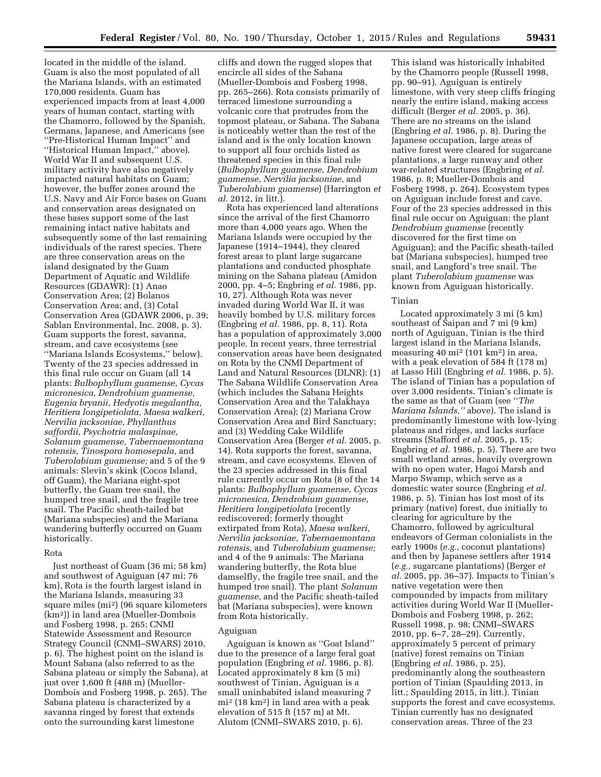located in the middle of the island. Guam is also the most populated of all the Mariana Islands, with an estimated 170,000 residents. Guam has experienced impacts from at least 4,000 years of human contact, starting with the Chamorro, followed by the Spanish, Germans, Japanese, and Americans (see ''Pre-Historical Human Impact'' and ''Historical Human Impact,'' above). World War II and subsequent U.S. military activity have also negatively impacted natural habitats on Guam; however, the buffer zones around the U.S. Navy and Air Force bases on Guam and conservation areas designated on these bases support some of the last remaining intact native habitats and subsequently some of the last remaining individuals of the rarest species. There are three conservation areas on the island designated by the Guam Department of Aquatic and Wildlife Resources (GDAWR): (1) Anao Conservation Area; (2) Bolanos Conservation Area; and, (3) Cotal Conservation Area (GDAWR 2006, p. 39; Sablan Environmental, Inc. 2008, p. 3). Guam supports the forest, savanna, stream, and cave ecosystems (see ''Mariana Islands Ecosystems,'' below). Twenty of the 23 species addressed in this final rule occur on Guam (all 14 plants: *Bulbophyllum guamense, Cycas micronesica, Dendrobium guamense, Eugenia bryanii, Hedyotis megalantha, Heritiera longipetiolata, Maesa walkeri, Nervilia jacksoniae, Phyllanthus saffordii, Psychotria malaspinae, Solanum guamense, Tabernaemontana rotensis, Tinospora homosepala,* and *Tuberolabium guamense;* and 5 of the 9 animals: Slevin's skink (Cocos Island, off Guam), the Mariana eight-spot butterfly, the Guam tree snail, the humped tree snail, and the fragile tree snail. The Pacific sheath-tailed bat (Mariana subspecies) and the Mariana wandering butterfly occurred on Guam historically.

#### Rota

Just northeast of Guam (36 mi; 58 km) and southwest of Aguiguan (47 mi; 76 km), Rota is the fourth largest island in the Mariana Islands, measuring 33 square miles (mi2) (96 square kilometers (km2)) in land area (Mueller-Dombois and Fosberg 1998, p. 265; CNMI Statewide Assessment and Resource Strategy Council (CNMI–SWARS) 2010, p. 6). The highest point on the island is Mount Sabana (also referred to as the Sabana plateau or simply the Sabana), at just over 1,600 ft (488 m) (Mueller-Dombois and Fosberg 1998, p. 265). The Sabana plateau is characterized by a savanna ringed by forest that extends onto the surrounding karst limestone

cliffs and down the rugged slopes that encircle all sides of the Sabana (Mueller-Dombois and Fosberg 1998, pp. 265–266). Rota consists primarily of terraced limestone surrounding a volcanic core that protrudes from the topmost plateau, or Sabana. The Sabana is noticeably wetter than the rest of the island and is the only location known to support all four orchids listed as threatened species in this final rule (*Bulbophyllum guamense, Dendrobium guamense, Nervilia jacksoniae,* and *Tuberolabium guamense*) (Harrington *et al.* 2012, in litt.).

Rota has experienced land alterations since the arrival of the first Chamorro more than 4,000 years ago. When the Mariana Islands were occupied by the Japanese (1914–1944), they cleared forest areas to plant large sugarcane plantations and conducted phosphate mining on the Sabana plateau (Amidon 2000, pp. 4–5; Engbring *et al.* 1986, pp. 10, 27). Although Rota was never invaded during World War II, it was heavily bombed by U.S. military forces (Engbring *et al.* 1986, pp. 8, 11). Rota has a population of approximately 3,000 people. In recent years, three terrestrial conservation areas have been designated on Rota by the CNMI Department of Land and Natural Resources (DLNR): (1) The Sabana Wildlife Conservation Area (which includes the Sabana Heights Conservation Area and the Talakhaya Conservation Area); (2) Mariana Crow Conservation Area and Bird Sanctuary; and (3) Wedding Cake Wildlife Conservation Area (Berger *et al.* 2005, p. 14). Rota supports the forest, savanna, stream, and cave ecosystems. Eleven of the 23 species addressed in this final rule currently occur on Rota (8 of the 14 plants: *Bulbophyllum guamense, Cycas micronesica, Dendrobium guamense, Heritiera longipetiolata* (recently rediscovered; formerly thought extirpated from Rota), *Maesa walkeri, Nervilia jacksoniae, Tabernaemontana rotensis,* and *Tuberolabium guamense;*  and 4 of the 9 animals: The Mariana wandering butterfly, the Rota blue damselfly, the fragile tree snail, and the humped tree snail). The plant *Solanum guamense,* and the Pacific sheath-tailed bat (Mariana subspecies), were known from Rota historically.

#### Aguiguan

Aguiguan is known as ''Goat Island'' due to the presence of a large feral goat population (Engbring *et al.* 1986, p. 8). Located approximately 8 km (5 mi) southwest of Tinian, Aguiguan is a small uninhabited island measuring 7 mi2 (18 km2) in land area with a peak elevation of 515 ft (157 m) at Mt. Alutom (CNMI–SWARS 2010, p. 6).

This island was historically inhabited by the Chamorro people (Russell 1998, pp. 90–91). Aguiguan is entirely limestone, with very steep cliffs fringing nearly the entire island, making access difficult (Berger *et al.* 2005, p. 36). There are no streams on the island (Engbring *et al.* 1986, p. 8). During the Japanese occupation, large areas of native forest were cleared for sugarcane plantations, a large runway and other war-related structures (Engbring *et al.*  1986, p. 8; Mueller-Dombois and Fosberg 1998, p. 264). Ecosystem types on Aguiguan include forest and cave. Four of the 23 species addressed in this final rule occur on Aguiguan: the plant *Dendrobium guamense* (recently discovered for the first time on Aguiguan); and the Pacific sheath-tailed bat (Mariana subspecies), humped tree snail, and Langford's tree snail. The plant *Tuberolabium guamense* was known from Aguiguan historically.

#### Tinian

Located approximately 3 mi (5 km) southeast of Saipan and 7 mi (9 km) north of Aguiguan, Tinian is the third largest island in the Mariana Islands, measuring 40 mi2 (101 km2) in area, with a peak elevation of 584 ft (178 m) at Lasso Hill (Engbring *et al.* 1986, p. 5). The island of Tinian has a population of over 3,000 residents. Tinian's climate is the same as that of Guam (see ''*The Mariana Islands,''* above). The island is predominantly limestone with low-lying plateaus and ridges, and lacks surface streams (Stafford *et al.* 2005, p. 15; Engbring *et al.* 1986, p. 5). There are two small wetland areas, heavily overgrown with no open water, Hagoi Marsh and Marpo Swamp, which serve as a domestic water source (Engbring *et al.*  1986, p. 5). Tinian has lost most of its primary (native) forest, due initially to clearing for agriculture by the Chamorro, followed by agricultural endeavors of German colonialists in the early 1900s (*e.g.,* coconut plantations) and then by Japanese settlers after 1914 (*e.g.,* sugarcane plantations) (Berger *et al.* 2005, pp. 36–37). Impacts to Tinian's native vegetation were then compounded by impacts from military activities during World War II (Mueller-Dombois and Fosberg 1998, p. 262; Russell 1998, p. 98; CNMI–SWARS 2010, pp. 6–7, 28–29). Currently, approximately 5 percent of primary (native) forest remains on Tinian (Engbring *et al.* 1986, p. 25), predominantly along the southeastern portion of Tinian (Spaulding 2013, in litt.; Spaulding 2015, in litt.). Tinian supports the forest and cave ecosystems. Tinian currently has no designated conservation areas. Three of the 23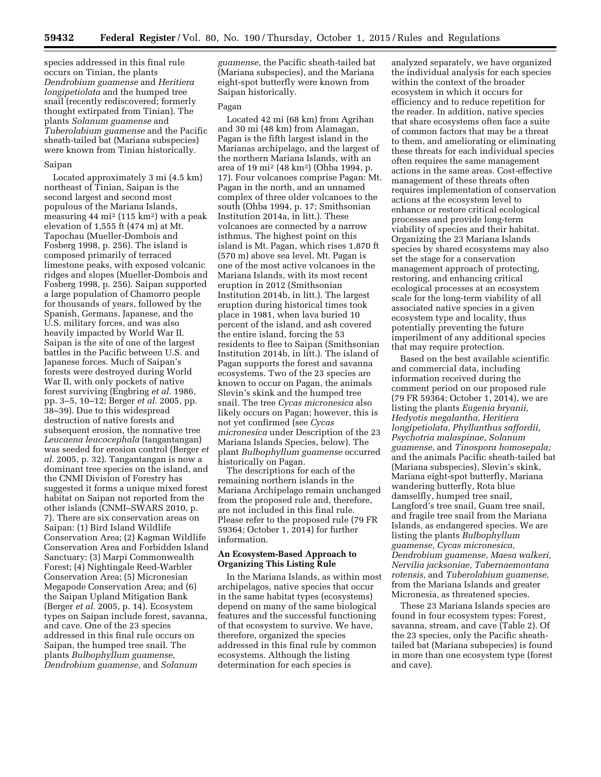species addressed in this final rule occurs on Tinian, the plants *Dendrobium guamense* and *Heritiera longipetiolata* and the humped tree snail (recently rediscovered; formerly thought extirpated from Tinian). The plants *Solanum guamense* and *Tuberolabium guamense* and the Pacific sheath-tailed bat (Mariana subspecies) were known from Tinian historically.

#### Saipan

Located approximately 3 mi (4.5 km) northeast of Tinian, Saipan is the second largest and second most populous of the Mariana Islands, measuring  $44 \text{ mi}^2 (115 \text{ km}^2)$  with a peak elevation of 1,555 ft (474 m) at Mt. Tapochau (Mueller-Dombois and Fosberg 1998, p. 256). The island is composed primarily of terraced limestone peaks, with exposed volcanic ridges and slopes (Mueller-Dombois and Fosberg 1998, p. 256). Saipan supported a large population of Chamorro people for thousands of years, followed by the Spanish, Germans, Japanese, and the U.S. military forces, and was also heavily impacted by World War II. Saipan is the site of one of the largest battles in the Pacific between U.S. and Japanese forces. Much of Saipan's forests were destroyed during World War II, with only pockets of native forest surviving (Engbring *et al.* 1986, pp. 3–5, 10–12; Berger *et al.* 2005, pp. 38–39). Due to this widespread destruction of native forests and subsequent erosion, the nonnative tree *Leucaena leucocephala* (tangantangan) was seeded for erosion control (Berger *et al.* 2005, p. 32). Tangantangan is now a dominant tree species on the island, and the CNMI Division of Forestry has suggested it forms a unique mixed forest habitat on Saipan not reported from the other islands (CNMI–SWARS 2010, p. 7). There are six conservation areas on Saipan: (1) Bird Island Wildlife Conservation Area; (2) Kagman Wildlife Conservation Area and Forbidden Island Sanctuary; (3) Marpi Commonwealth Forest; (4) Nightingale Reed-Warbler Conservation Area; (5) Micronesian Megapode Conservation Area; and (6) the Saipan Upland Mitigation Bank (Berger *et al.* 2005, p. 14). Ecosystem types on Saipan include forest, savanna, and cave. One of the 23 species addressed in this final rule occurs on Saipan, the humped tree snail. The plants *Bulbophyllum guamense, Dendrobium guamense,* and *Solanum* 

*guamense,* the Pacific sheath-tailed bat (Mariana subspecies), and the Mariana eight-spot butterfly were known from Saipan historically.

### Pagan

Located 42 mi (68 km) from Agrihan and 30 mi (48 km) from Alamagan, Pagan is the fifth largest island in the Marianas archipelago, and the largest of the northern Mariana Islands, with an area of 19 mi2 (48 km2) (Ohba 1994, p. 17). Four volcanoes comprise Pagan: Mt. Pagan in the north, and an unnamed complex of three older volcanoes to the south (Ohba 1994, p. 17; Smithsonian Institution 2014a, in litt.). These volcanoes are connected by a narrow isthmus. The highest point on this island is Mt. Pagan, which rises 1,870 ft (570 m) above sea level. Mt. Pagan is one of the most active volcanoes in the Mariana Islands, with its most recent eruption in 2012 (Smithsonian Institution 2014b, in litt.). The largest eruption during historical times took place in 1981, when lava buried 10 percent of the island, and ash covered the entire island, forcing the 53 residents to flee to Saipan (Smithsonian Institution 2014b, in litt.). The island of Pagan supports the forest and savanna ecosystems. Two of the 23 species are known to occur on Pagan, the animals Slevin's skink and the humped tree snail. The tree *Cycas micronesica* also likely occurs on Pagan; however, this is not yet confirmed (see *Cycas micronesica* under Description of the 23 Mariana Islands Species, below). The plant *Bulbophyllum guamense* occurred historically on Pagan.

The descriptions for each of the remaining northern islands in the Mariana Archipelago remain unchanged from the proposed rule and, therefore, are not included in this final rule. Please refer to the proposed rule (79 FR 59364; October 1, 2014) for further information.

### **An Ecosystem-Based Approach to Organizing This Listing Rule**

In the Mariana Islands, as within most archipelagos, native species that occur in the same habitat types (ecosystems) depend on many of the same biological features and the successful functioning of that ecosystem to survive. We have, therefore, organized the species addressed in this final rule by common ecosystems. Although the listing determination for each species is

analyzed separately, we have organized the individual analysis for each species within the context of the broader ecosystem in which it occurs for efficiency and to reduce repetition for the reader. In addition, native species that share ecosystems often face a suite of common factors that may be a threat to them, and ameliorating or eliminating these threats for each individual species often requires the same management actions in the same areas. Cost-effective management of these threats often requires implementation of conservation actions at the ecosystem level to enhance or restore critical ecological processes and provide long-term viability of species and their habitat. Organizing the 23 Mariana Islands species by shared ecosystems may also set the stage for a conservation management approach of protecting, restoring, and enhancing critical ecological processes at an ecosystem scale for the long-term viability of all associated native species in a given ecosystem type and locality, thus potentially preventing the future imperilment of any additional species that may require protection.

Based on the best available scientific and commercial data, including information received during the comment period on our proposed rule (79 FR 59364; October 1, 2014), we are listing the plants *Eugenia bryanii, Hedyotis megalantha, Heritiera longipetiolata, Phyllanthus saffordii, Psychotria malaspinae, Solanum guamense,* and *Tinospora homosepala;*  and the animals Pacific sheath-tailed bat (Mariana subspecies), Slevin's skink, Mariana eight-spot butterfly, Mariana wandering butterfly, Rota blue damselfly, humped tree snail, Langford's tree snail, Guam tree snail, and fragile tree snail from the Mariana Islands, as endangered species. We are listing the plants *Bulbophyllum guamense, Cycas micronesica, Dendrobium guamense, Maesa walkeri, Nervilia jacksoniae, Tabernaemontana rotensis,* and *Tuberolabium guamense,*  from the Mariana Islands and greater Micronesia, as threatened species.

These 23 Mariana Islands species are found in four ecosystem types: Forest, savanna, stream, and cave (Table 2). Of the 23 species, only the Pacific sheathtailed bat (Mariana subspecies) is found in more than one ecosystem type (forest and cave).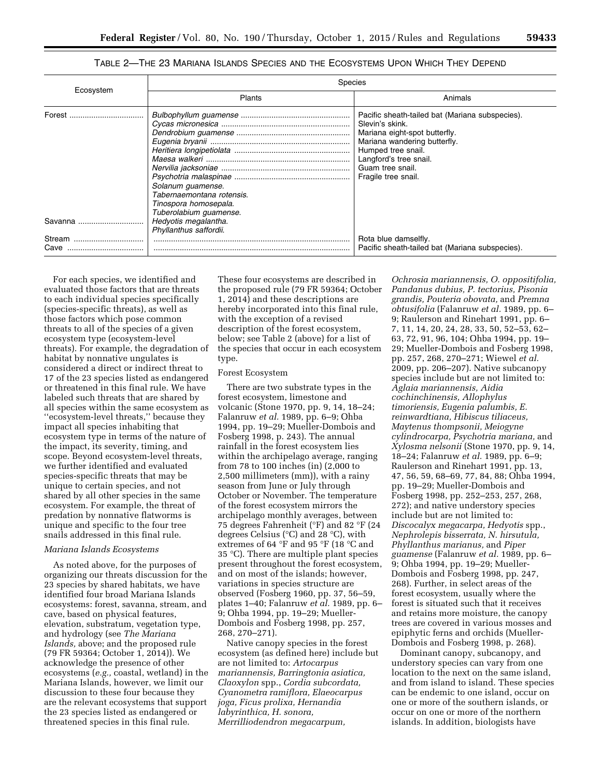|                    | Species                                                                                           |                                                                                                                                                                                                                                |  |  |  |  |  |  |
|--------------------|---------------------------------------------------------------------------------------------------|--------------------------------------------------------------------------------------------------------------------------------------------------------------------------------------------------------------------------------|--|--|--|--|--|--|
| Ecosystem          | Plants                                                                                            | Animals                                                                                                                                                                                                                        |  |  |  |  |  |  |
|                    | Solanum guamense.<br>Tabernaemontana rotensis.<br>Tinospora homosepala.<br>Tuberolabium quamense. | Pacific sheath-tailed bat (Mariana subspecies).<br>Slevin's skink.<br>Mariana eight-spot butterfly.<br>Mariana wandering butterfly.<br>Humped tree snail.<br>Langford's tree snail.<br>Guam tree snail.<br>Fragile tree snail. |  |  |  |  |  |  |
| Savanna            | Hedyotis megalantha.<br>Phyllanthus saffordii.                                                    |                                                                                                                                                                                                                                |  |  |  |  |  |  |
| Stream<br><br>Cave |                                                                                                   | Rota blue damselfly.<br>Pacific sheath-tailed bat (Mariana subspecies).                                                                                                                                                        |  |  |  |  |  |  |

TABLE 2—THE 23 MARIANA ISLANDS SPECIES AND THE ECOSYSTEMS UPON WHICH THEY DEPEND

For each species, we identified and evaluated those factors that are threats to each individual species specifically (species-specific threats), as well as those factors which pose common threats to all of the species of a given ecosystem type (ecosystem-level threats). For example, the degradation of habitat by nonnative ungulates is considered a direct or indirect threat to 17 of the 23 species listed as endangered or threatened in this final rule. We have labeled such threats that are shared by all species within the same ecosystem as ''ecosystem-level threats,'' because they impact all species inhabiting that ecosystem type in terms of the nature of the impact, its severity, timing, and scope. Beyond ecosystem-level threats, we further identified and evaluated species-specific threats that may be unique to certain species, and not shared by all other species in the same ecosystem. For example, the threat of predation by nonnative flatworms is unique and specific to the four tree snails addressed in this final rule.

#### *Mariana Islands Ecosystems*

As noted above, for the purposes of organizing our threats discussion for the 23 species by shared habitats, we have identified four broad Mariana Islands ecosystems: forest, savanna, stream, and cave, based on physical features, elevation, substratum, vegetation type, and hydrology (see *The Mariana Islands,* above; and the proposed rule (79 FR 59364; October 1, 2014)). We acknowledge the presence of other ecosystems (*e.g.,* coastal, wetland) in the Mariana Islands, however, we limit our discussion to these four because they are the relevant ecosystems that support the 23 species listed as endangered or threatened species in this final rule.

These four ecosystems are described in the proposed rule (79 FR 59364; October 1, 2014) and these descriptions are hereby incorporated into this final rule, with the exception of a revised description of the forest ecosystem, below; see Table 2 (above) for a list of the species that occur in each ecosystem type.

#### Forest Ecosystem

There are two substrate types in the forest ecosystem, limestone and volcanic (Stone 1970, pp. 9, 14, 18–24; Falanruw *et al.* 1989, pp. 6–9; Ohba 1994, pp. 19–29; Mueller-Dombois and Fosberg 1998, p. 243). The annual rainfall in the forest ecosystem lies within the archipelago average, ranging from 78 to 100 inches (in) (2,000 to 2,500 millimeters (mm)), with a rainy season from June or July through October or November. The temperature of the forest ecosystem mirrors the archipelago monthly averages, between 75 degrees Fahrenheit (°F) and 82 °F (24 degrees Celsius (°C) and 28 °C), with extremes of 64 °F and 95 °F (18 °C and 35 °C). There are multiple plant species present throughout the forest ecosystem, and on most of the islands; however, variations in species structure are observed (Fosberg 1960, pp. 37, 56–59, plates 1–40; Falanruw *et al.* 1989, pp. 6– 9; Ohba 1994, pp. 19–29; Mueller-Dombois and Fosberg 1998, pp. 257, 268, 270–271).

Native canopy species in the forest ecosystem (as defined here) include but are not limited to: *Artocarpus mariannensis, Barringtonia asiatica, Claoxylon* spp., *Cordia subcordata, Cyanometra ramiflora, Elaeocarpus joga, Ficus prolixa, Hernandia labyrinthica, H. sonora, Merrilliodendron megacarpum,* 

*Ochrosia mariannensis, O. oppositifolia, Pandanus dubius, P. tectorius, Pisonia grandis, Pouteria obovata,* and *Premna obtusifolia* (Falanruw *et al.* 1989, pp. 6– 9; Raulerson and Rinehart 1991, pp. 6– 7, 11, 14, 20, 24, 28, 33, 50, 52–53, 62– 63, 72, 91, 96, 104; Ohba 1994, pp. 19– 29; Mueller-Dombois and Fosberg 1998, pp. 257, 268, 270–271; Wiewel *et al.*  2009, pp. 206–207). Native subcanopy species include but are not limited to: *Aglaia mariannensis, Aidia cochinchinensis, Allophylus timoriensis, Eugenia palumbis, E. reinwardtiana, Hibiscus tiliaceus, Maytenus thompsonii, Meiogyne cylindrocarpa, Psychotria mariana,* and *Xylosma nelsonii* (Stone 1970, pp. 9, 14, 18–24; Falanruw *et al.* 1989, pp. 6–9; Raulerson and Rinehart 1991, pp. 13, 47, 56, 59, 68–69, 77, 84, 88; Ohba 1994, pp. 19–29; Mueller-Dombois and Fosberg 1998, pp. 252–253, 257, 268, 272); and native understory species include but are not limited to: *Discocalyx megacarpa, Hedyotis* spp., *Nephrolepis bisserrata, N. hirsutula, Phyllanthus marianus,* and *Piper guamense* (Falanruw *et al.* 1989, pp. 6– 9; Ohba 1994, pp. 19–29; Mueller-Dombois and Fosberg 1998, pp. 247, 268). Further, in select areas of the forest ecosystem, usually where the forest is situated such that it receives and retains more moisture, the canopy trees are covered in various mosses and epiphytic ferns and orchids (Mueller-Dombois and Fosberg 1998, p. 268).

Dominant canopy, subcanopy, and understory species can vary from one location to the next on the same island, and from island to island. These species can be endemic to one island, occur on one or more of the southern islands, or occur on one or more of the northern islands. In addition, biologists have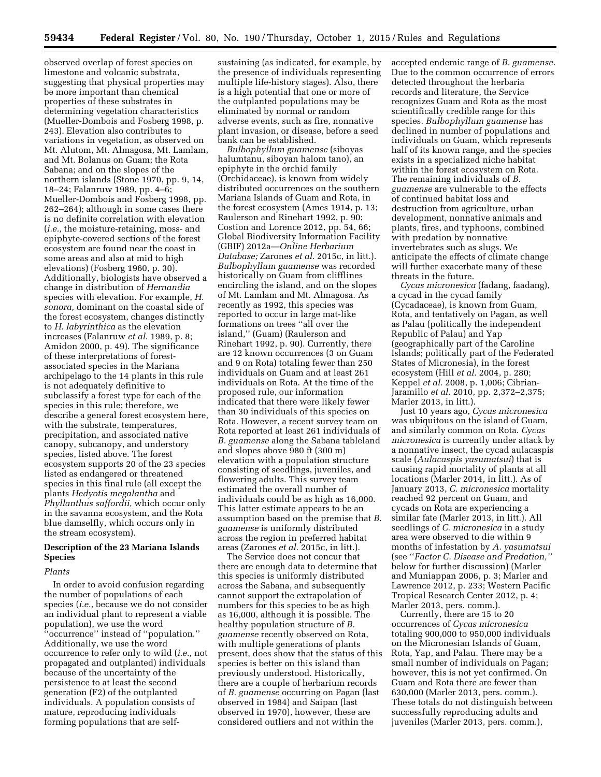observed overlap of forest species on limestone and volcanic substrata, suggesting that physical properties may be more important than chemical properties of these substrates in determining vegetation characteristics (Mueller-Dombois and Fosberg 1998, p. 243). Elevation also contributes to variations in vegetation, as observed on Mt. Alutom, Mt. Almagosa, Mt. Lamlam, and Mt. Bolanus on Guam; the Rota Sabana; and on the slopes of the northern islands (Stone 1970, pp. 9, 14, 18–24; Falanruw 1989, pp. 4–6; Mueller-Dombois and Fosberg 1998, pp. 262–264); although in some cases there is no definite correlation with elevation (*i.e.,* the moisture-retaining, moss- and epiphyte-covered sections of the forest ecosystem are found near the coast in some areas and also at mid to high elevations) (Fosberg 1960, p. 30). Additionally, biologists have observed a change in distribution of *Hernandia*  species with elevation. For example, *H. sonora,* dominant on the coastal side of the forest ecosystem, changes distinctly to *H. labyrinthica* as the elevation increases (Falanruw *et al.* 1989, p. 8; Amidon 2000, p. 49). The significance of these interpretations of forestassociated species in the Mariana archipelago to the 14 plants in this rule is not adequately definitive to subclassify a forest type for each of the species in this rule; therefore, we describe a general forest ecosystem here, with the substrate, temperatures, precipitation, and associated native canopy, subcanopy, and understory species, listed above. The forest ecosystem supports 20 of the 23 species listed as endangered or threatened species in this final rule (all except the plants *Hedyotis megalantha* and *Phyllanthus saffordii,* which occur only in the savanna ecosystem, and the Rota blue damselfly, which occurs only in the stream ecosystem).

# **Description of the 23 Mariana Islands Species**

# *Plants*

In order to avoid confusion regarding the number of populations of each species (*i.e.,* because we do not consider an individual plant to represent a viable population), we use the word ''occurrence'' instead of ''population.'' Additionally, we use the word occurrence to refer only to wild (*i.e.,* not propagated and outplanted) individuals because of the uncertainty of the persistence to at least the second generation (F2) of the outplanted individuals. A population consists of mature, reproducing individuals forming populations that are selfsustaining (as indicated, for example, by the presence of individuals representing multiple life-history stages). Also, there is a high potential that one or more of the outplanted populations may be eliminated by normal or random adverse events, such as fire, nonnative plant invasion, or disease, before a seed bank can be established.

*Bulbophyllum guamense* (siboyas halumtanu, siboyan halom tano), an epiphyte in the orchid family (Orchidaceae), is known from widely distributed occurrences on the southern Mariana Islands of Guam and Rota, in the forest ecosystem (Ames 1914, p. 13; Raulerson and Rinehart 1992, p. 90; Costion and Lorence 2012, pp. 54, 66; Global Biodiversity Information Facility (GBIF) 2012a—*Online Herbarium Database;* Zarones *et al.* 2015c, in litt.). *Bulbophyllum guamense* was recorded historically on Guam from clifflines encircling the island, and on the slopes of Mt. Lamlam and Mt. Almagosa. As recently as 1992, this species was reported to occur in large mat-like formations on trees ''all over the island,'' (Guam) (Raulerson and Rinehart 1992, p. 90). Currently, there are 12 known occurrences (3 on Guam and 9 on Rota) totaling fewer than 250 individuals on Guam and at least 261 individuals on Rota. At the time of the proposed rule, our information indicated that there were likely fewer than 30 individuals of this species on Rota. However, a recent survey team on Rota reported at least 261 individuals of *B. guamense* along the Sabana tableland and slopes above 980 ft (300 m) elevation with a population structure consisting of seedlings, juveniles, and flowering adults. This survey team estimated the overall number of individuals could be as high as 16,000. This latter estimate appears to be an assumption based on the premise that *B. guamense* is uniformly distributed across the region in preferred habitat areas (Zarones *et al.* 2015c, in litt.).

The Service does not concur that there are enough data to determine that this species is uniformly distributed across the Sabana, and subsequently cannot support the extrapolation of numbers for this species to be as high as 16,000, although it is possible. The healthy population structure of *B. guamense* recently observed on Rota, with multiple generations of plants present, does show that the status of this species is better on this island than previously understood. Historically, there are a couple of herbarium records of *B. guamense* occurring on Pagan (last observed in 1984) and Saipan (last observed in 1970), however, these are considered outliers and not within the

accepted endemic range of *B. guamense.*  Due to the common occurrence of errors detected throughout the herbaria records and literature, the Service recognizes Guam and Rota as the most scientifically credible range for this species. *Bulbophyllum guamense* has declined in number of populations and individuals on Guam, which represents half of its known range, and the species exists in a specialized niche habitat within the forest ecosystem on Rota. The remaining individuals of *B. guamense* are vulnerable to the effects of continued habitat loss and destruction from agriculture, urban development, nonnative animals and plants, fires, and typhoons, combined with predation by nonnative invertebrates such as slugs. We anticipate the effects of climate change will further exacerbate many of these threats in the future.

*Cycas micronesica* (fadang, faadang), a cycad in the cycad family (Cycadaceae), is known from Guam, Rota, and tentatively on Pagan, as well as Palau (politically the independent Republic of Palau) and Yap (geographically part of the Caroline Islands; politically part of the Federated States of Micronesia), in the forest ecosystem (Hill *et al.* 2004, p. 280; Keppel *et al.* 2008, p. 1,006; Cibrian-Jaramillo *et al.* 2010, pp. 2,372–2,375; Marler 2013, in litt.).

Just 10 years ago, *Cycas micronesica*  was ubiquitous on the island of Guam, and similarly common on Rota. *Cycas micronesica* is currently under attack by a nonnative insect, the cycad aulacaspis scale (*Aulacaspis yasumatsui*) that is causing rapid mortality of plants at all locations (Marler 2014, in litt.). As of January 2013, *C. micronesica* mortality reached 92 percent on Guam, and cycads on Rota are experiencing a similar fate (Marler 2013, in litt.). All seedlings of *C. micronesica* in a study area were observed to die within 9 months of infestation by *A. yasumatsui*  (see ''*Factor C. Disease and Predation,''*  below for further discussion) (Marler and Muniappan 2006, p. 3; Marler and Lawrence 2012, p. 233; Western Pacific Tropical Research Center 2012, p. 4; Marler 2013, pers. comm.).

Currently, there are 15 to 20 occurrences of *Cycas micronesica*  totaling 900,000 to 950,000 individuals on the Micronesian Islands of Guam, Rota, Yap, and Palau. There may be a small number of individuals on Pagan; however, this is not yet confirmed. On Guam and Rota there are fewer than 630,000 (Marler 2013, pers. comm.). These totals do not distinguish between successfully reproducing adults and juveniles (Marler 2013, pers. comm.),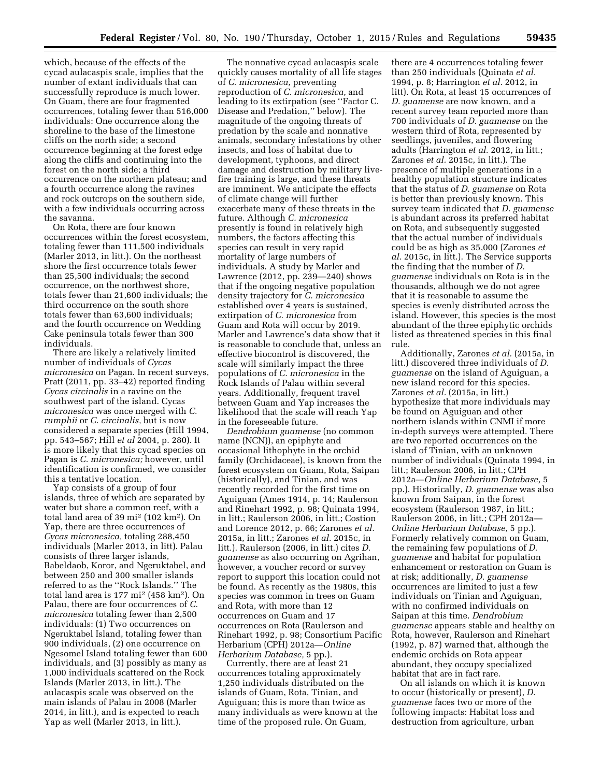which, because of the effects of the cycad aulacaspis scale, implies that the number of extant individuals that can successfully reproduce is much lower. On Guam, there are four fragmented occurrences, totaling fewer than 516,000 individuals: One occurrence along the shoreline to the base of the limestone cliffs on the north side; a second occurrence beginning at the forest edge along the cliffs and continuing into the forest on the north side; a third occurrence on the northern plateau; and a fourth occurrence along the ravines and rock outcrops on the southern side, with a few individuals occurring across the savanna.

On Rota, there are four known occurrences within the forest ecosystem, totaling fewer than 111,500 individuals (Marler 2013, in litt.). On the northeast shore the first occurrence totals fewer than 25,500 individuals; the second occurrence, on the northwest shore, totals fewer than 21,600 individuals; the third occurrence on the south shore totals fewer than 63,600 individuals; and the fourth occurrence on Wedding Cake peninsula totals fewer than 300 individuals.

There are likely a relatively limited number of individuals of *Cycas micronesica* on Pagan. In recent surveys, Pratt (2011, pp. 33–42) reported finding *Cycas circinalis* in a ravine on the southwest part of the island. Cycas *micronesica* was once merged with *C. rumphii* or *C. circinalis,* but is now considered a separate species (Hill 1994, pp. 543–567; Hill *et al* 2004, p. 280). It is more likely that this cycad species on Pagan is *C. micronesica;* however, until identification is confirmed, we consider this a tentative location.

Yap consists of a group of four islands, three of which are separated by water but share a common reef, with a total land area of 39 mi2 (102 km2). On Yap, there are three occurrences of *Cycas micronesica,* totaling 288,450 individuals (Marler 2013, in litt). Palau consists of three larger islands, Babeldaob, Koror, and Ngeruktabel, and between 250 and 300 smaller islands referred to as the ''Rock Islands.'' The total land area is 177 mi2 (458 km2). On Palau, there are four occurrences of *C. micronesica* totaling fewer than 2,500 individuals: (1) Two occurrences on Ngeruktabel Island, totaling fewer than 900 individuals, (2) one occurrence on Ngesomel Island totaling fewer than 600 individuals, and (3) possibly as many as 1,000 individuals scattered on the Rock Islands (Marler 2013, in litt.). The aulacaspis scale was observed on the main islands of Palau in 2008 (Marler 2014, in litt.), and is expected to reach Yap as well (Marler 2013, in litt.).

The nonnative cycad aulacaspis scale quickly causes mortality of all life stages of *C. micronesica,* preventing reproduction of *C. micronesica,* and leading to its extirpation (see ''Factor C. Disease and Predation,'' below). The magnitude of the ongoing threats of predation by the scale and nonnative animals, secondary infestations by other insects, and loss of habitat due to development, typhoons, and direct damage and destruction by military livefire training is large, and these threats are imminent. We anticipate the effects of climate change will further exacerbate many of these threats in the future. Although *C. micronesica*  presently is found in relatively high numbers, the factors affecting this species can result in very rapid mortality of large numbers of individuals. A study by Marler and Lawrence (2012, pp. 239—240) shows that if the ongoing negative population density trajectory for *C. micronesica*  established over 4 years is sustained, extirpation of *C. micronesica* from Guam and Rota will occur by 2019. Marler and Lawrence's data show that it is reasonable to conclude that, unless an effective biocontrol is discovered, the scale will similarly impact the three populations of *C. micronesica* in the Rock Islands of Palau within several years. Additionally, frequent travel between Guam and Yap increases the likelihood that the scale will reach Yap in the foreseeable future.

*Dendrobium guamense* (no common name (NCN)), an epiphyte and occasional lithophyte in the orchid family (Orchidaceae), is known from the forest ecosystem on Guam, Rota, Saipan (historically), and Tinian, and was recently recorded for the first time on Aguiguan (Ames 1914, p. 14; Raulerson and Rinehart 1992, p. 98; Quinata 1994, in litt.; Raulerson 2006, in litt.; Costion and Lorence 2012, p. 66; Zarones *et al.*  2015a, in litt.; Zarones *et al.* 2015c, in litt.). Raulerson (2006, in litt.) cites *D. guamense* as also occurring on Agrihan, however, a voucher record or survey report to support this location could not be found. As recently as the 1980s, this species was common in trees on Guam and Rota, with more than 12 occurrences on Guam and 17 occurrences on Rota (Raulerson and Rinehart 1992, p. 98; Consortium Pacific Herbarium (CPH) 2012a—*Online Herbarium Database,* 5 pp.).

Currently, there are at least 21 occurrences totaling approximately 1,250 individuals distributed on the islands of Guam, Rota, Tinian, and Aguiguan; this is more than twice as many individuals as were known at the time of the proposed rule. On Guam,

there are 4 occurrences totaling fewer than 250 individuals (Quinata *et al.*  1994, p. 8; Harrington *et al.* 2012, in litt). On Rota, at least 15 occurrences of *D. guamense* are now known, and a recent survey team reported more than 700 individuals of *D. guamense* on the western third of Rota, represented by seedlings, juveniles, and flowering adults (Harrington *et al.* 2012, in litt.; Zarones *et al.* 2015c, in litt.). The presence of multiple generations in a healthy population structure indicates that the status of *D. guamense* on Rota is better than previously known. This survey team indicated that *D. guamense*  is abundant across its preferred habitat on Rota, and subsequently suggested that the actual number of individuals could be as high as 35,000 (Zarones *et al.* 2015c, in litt.). The Service supports the finding that the number of *D. guamense* individuals on Rota is in the thousands, although we do not agree that it is reasonable to assume the species is evenly distributed across the island. However, this species is the most abundant of the three epiphytic orchids listed as threatened species in this final rule.

Additionally, Zarones *et al.* (2015a, in litt.) discovered three individuals of *D. guamense* on the island of Aguiguan, a new island record for this species. Zarones *et al.* (2015a, in litt.) hypothesize that more individuals may be found on Aguiguan and other northern islands within CNMI if more in-depth surveys were attempted. There are two reported occurrences on the island of Tinian, with an unknown number of individuals (Quinata 1994, in litt.; Raulerson 2006, in litt.; CPH 2012a—*Online Herbarium Database,* 5 pp.). Historically, *D. guamense* was also known from Saipan, in the forest ecosystem (Raulerson 1987, in litt.; Raulerson 2006, in litt.; CPH 2012a— *Online Herbarium Database,* 5 pp.). Formerly relatively common on Guam, the remaining few populations of *D. guamense* and habitat for population enhancement or restoration on Guam is at risk; additionally, *D. guamense*  occurrences are limited to just a few individuals on Tinian and Aguiguan, with no confirmed individuals on Saipan at this time. *Dendrobium guamense* appears stable and healthy on Rota, however, Raulerson and Rinehart (1992, p. 87) warned that, although the endemic orchids on Rota appear abundant, they occupy specialized habitat that are in fact rare.

On all islands on which it is known to occur (historically or present), *D. guamense* faces two or more of the following impacts: Habitat loss and destruction from agriculture, urban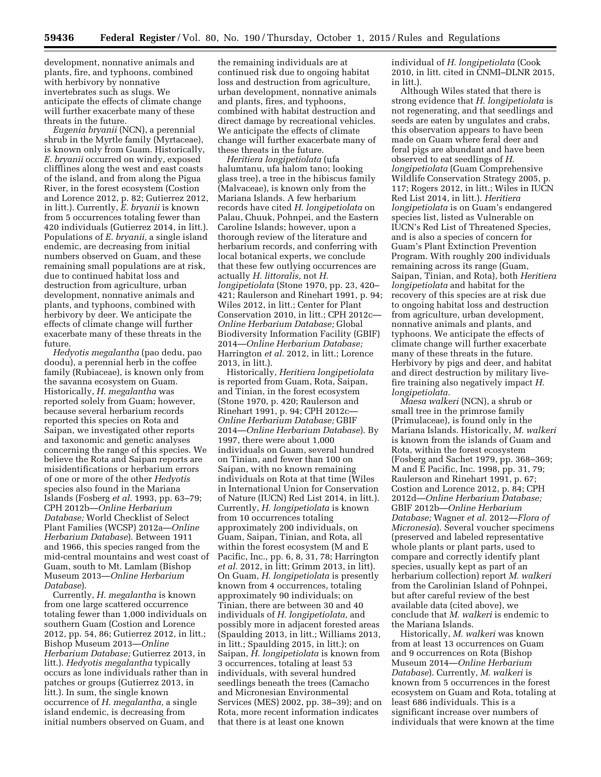development, nonnative animals and plants, fire, and typhoons, combined with herbivory by nonnative invertebrates such as slugs. We anticipate the effects of climate change will further exacerbate many of these threats in the future.

*Eugenia bryanii* (NCN), a perennial shrub in the Myrtle family (Myrtaceae), is known only from Guam. Historically, *E. bryanii* occurred on windy, exposed clifflines along the west and east coasts of the island, and from along the Pigua River, in the forest ecosystem (Costion and Lorence 2012, p. 82; Gutierrez 2012, in litt.). Currently, *E. bryanii* is known from 5 occurrences totaling fewer than 420 individuals (Gutierrez 2014, in litt.). Populations of *E. bryanii,* a single island endemic, are decreasing from initial numbers observed on Guam, and these remaining small populations are at risk, due to continued habitat loss and destruction from agriculture, urban development, nonnative animals and plants, and typhoons, combined with herbivory by deer. We anticipate the effects of climate change will further exacerbate many of these threats in the future.

*Hedyotis megalantha* (pao dedu, pao doodu), a perennial herb in the coffee family (Rubiaceae), is known only from the savanna ecosystem on Guam. Historically, *H. megalantha* was reported solely from Guam; however, because several herbarium records reported this species on Rota and Saipan, we investigated other reports and taxonomic and genetic analyses concerning the range of this species. We believe the Rota and Saipan reports are misidentifications or herbarium errors of one or more of the other *Hedyotis*  species also found in the Mariana Islands (Fosberg *et al.* 1993, pp. 63–79; CPH 2012b—*Online Herbarium Database;* World Checklist of Select Plant Families (WCSP) 2012a—*Online Herbarium Database*). Between 1911 and 1966, this species ranged from the mid-central mountains and west coast of Guam, south to Mt. Lamlam (Bishop Museum 2013—*Online Herbarium Database*).

Currently, *H. megalantha* is known from one large scattered occurrence totaling fewer than 1,000 individuals on southern Guam (Costion and Lorence 2012, pp. 54, 86; Gutierrez 2012, in litt.; Bishop Museum 2013—*Online Herbarium Database;* Gutierrez 2013, in litt.). *Hedyotis megalantha* typically occurs as lone individuals rather than in patches or groups (Gutierrez 2013, in litt.). In sum, the single known occurrence of *H. megalantha,* a single island endemic, is decreasing from initial numbers observed on Guam, and

the remaining individuals are at continued risk due to ongoing habitat loss and destruction from agriculture, urban development, nonnative animals and plants, fires, and typhoons, combined with habitat destruction and direct damage by recreational vehicles. We anticipate the effects of climate change will further exacerbate many of these threats in the future.

*Heritiera longipetiolata* (ufa halumtanu, ufa halom tano; looking glass tree), a tree in the hibiscus family (Malvaceae), is known only from the Mariana Islands. A few herbarium records have cited *H. longipetiolata* on Palau, Chuuk, Pohnpei, and the Eastern Caroline Islands; however, upon a thorough review of the literature and herbarium records, and conferring with local botanical experts, we conclude that these few outlying occurrences are actually *H. littoralis,* not *H. longipetiolata* (Stone 1970, pp. 23, 420– 421; Raulerson and Rinehart 1991, p. 94; Wiles 2012, in litt.; Center for Plant Conservation 2010, in litt.; CPH 2012c— *Online Herbarium Database;* Global Biodiversity Information Facility (GBIF) 2014—*Online Herbarium Database;*  Harrington *et al.* 2012, in litt.; Lorence 2013, in litt.).

Historically, *Heritiera longipetiolata*  is reported from Guam, Rota, Saipan, and Tinian, in the forest ecosystem (Stone 1970, p. 420; Raulerson and Rinehart 1991, p. 94; CPH 2012c— *Online Herbarium Database;* GBIF 2014—*Online Herbarium Database*). By 1997, there were about 1,000 individuals on Guam, several hundred on Tinian, and fewer than 100 on Saipan, with no known remaining individuals on Rota at that time (Wiles in International Union for Conservation of Nature (IUCN) Red List 2014, in litt.). Currently, *H. longipetiolata* is known from 10 occurrences totaling approximately 200 individuals, on Guam, Saipan, Tinian, and Rota, all within the forest ecosystem (M and E Pacific, Inc., pp. 6, 8, 31, 78; Harrington *et al.* 2012, in litt; Grimm 2013, in litt). On Guam, *H. longipetiolata* is presently known from 4 occurrences, totaling approximately 90 individuals; on Tinian, there are between 30 and 40 individuals of *H. longipetiolata,* and possibly more in adjacent forested areas (Spaulding 2013, in litt.; Williams 2013, in litt.; Spaulding 2015, in litt.); on Saipan, *H. longipetiolata* is known from 3 occurrences, totaling at least 53 individuals, with several hundred seedlings beneath the trees (Camacho and Micronesian Environmental Services (MES) 2002, pp. 38–39); and on Rota, more recent information indicates that there is at least one known

individual of *H. longipetiolata* (Cook 2010, in litt. cited in CNMI–DLNR 2015, in litt.).

Although Wiles stated that there is strong evidence that *H. longipetiolata* is not regenerating, and that seedlings and seeds are eaten by ungulates and crabs, this observation appears to have been made on Guam where feral deer and feral pigs are abundant and have been observed to eat seedlings of *H. longipetiolata* (Guam Comprehensive Wildlife Conservation Strategy 2005, p. 117; Rogers 2012, in litt.; Wiles in IUCN Red List 2014, in litt.). *Heritiera longipetiolata* is on Guam's endangered species list, listed as Vulnerable on IUCN's Red List of Threatened Species, and is also a species of concern for Guam's Plant Extinction Prevention Program. With roughly 200 individuals remaining across its range (Guam, Saipan, Tinian, and Rota), both *Heritiera longipetiolata* and habitat for the recovery of this species are at risk due to ongoing habitat loss and destruction from agriculture, urban development, nonnative animals and plants, and typhoons. We anticipate the effects of climate change will further exacerbate many of these threats in the future. Herbivory by pigs and deer, and habitat and direct destruction by military livefire training also negatively impact *H. longipetiolata.* 

*Maesa walkeri* (NCN), a shrub or small tree in the primrose family (Primulaceae), is found only in the Mariana Islands. Historically, *M. walkeri*  is known from the islands of Guam and Rota, within the forest ecosystem (Fosberg and Sachet 1979, pp. 368–369; M and E Pacific, Inc. 1998, pp. 31, 79; Raulerson and Rinehart 1991, p. 67; Costion and Lorence 2012, p. 84; CPH 2012d—*Online Herbarium Database;*  GBIF 2012b—*Online Herbarium Database;* Wagner *et al.* 2012—*Flora of Micronesia*). Several voucher specimens (preserved and labeled representative whole plants or plant parts, used to compare and correctly identify plant species, usually kept as part of an herbarium collection) report *M. walkeri*  from the Carolinian Island of Pohnpei, but after careful review of the best available data (cited above), we conclude that *M. walkeri* is endemic to the Mariana Islands.

Historically, *M. walkeri* was known from at least 13 occurrences on Guam and 9 occurrences on Rota (Bishop Museum 2014—*Online Herbarium Database*). Currently, *M. walkeri* is known from 5 occurrences in the forest ecosystem on Guam and Rota, totaling at least 686 individuals. This is a significant increase over numbers of individuals that were known at the time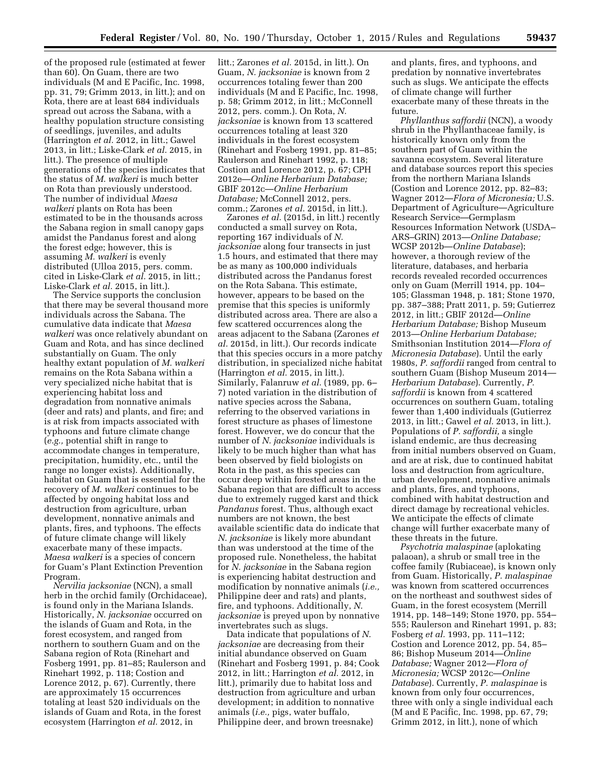of the proposed rule (estimated at fewer than 60). On Guam, there are two individuals (M and E Pacific, Inc. 1998, pp. 31, 79; Grimm 2013, in litt.); and on Rota, there are at least 684 individuals spread out across the Sabana, with a healthy population structure consisting of seedlings, juveniles, and adults (Harrington *et al.* 2012, in litt.; Gawel 2013, in litt.; Liske-Clark *et al.* 2015, in litt.). The presence of multiple generations of the species indicates that the status of *M. walkeri* is much better on Rota than previously understood. The number of individual *Maesa walkeri* plants on Rota has been estimated to be in the thousands across the Sabana region in small canopy gaps amidst the Pandanus forest and along the forest edge; however, this is assuming *M. walkeri* is evenly distributed (Ulloa 2015, pers. comm. cited in Liske-Clark *et al.* 2015, in litt.; Liske-Clark *et al.* 2015, in litt.).

The Service supports the conclusion that there may be several thousand more individuals across the Sabana. The cumulative data indicate that *Maesa walkeri* was once relatively abundant on Guam and Rota, and has since declined substantially on Guam. The only healthy extant population of *M. walkeri*  remains on the Rota Sabana within a very specialized niche habitat that is experiencing habitat loss and degradation from nonnative animals (deer and rats) and plants, and fire; and is at risk from impacts associated with typhoons and future climate change (*e.g.,* potential shift in range to accommodate changes in temperature, precipitation, humidity, etc., until the range no longer exists). Additionally, habitat on Guam that is essential for the recovery of *M. walkeri* continues to be affected by ongoing habitat loss and destruction from agriculture, urban development, nonnative animals and plants, fires, and typhoons. The effects of future climate change will likely exacerbate many of these impacts. *Maesa walkeri* is a species of concern for Guam's Plant Extinction Prevention Program.

*Nervilia jacksoniae* (NCN), a small herb in the orchid family (Orchidaceae), is found only in the Mariana Islands. Historically, *N. jacksoniae* occurred on the islands of Guam and Rota, in the forest ecosystem, and ranged from northern to southern Guam and on the Sabana region of Rota (Rinehart and Fosberg 1991, pp. 81–85; Raulerson and Rinehart 1992, p. 118; Costion and Lorence 2012, p. 67). Currently, there are approximately 15 occurrences totaling at least 520 individuals on the islands of Guam and Rota, in the forest ecosystem (Harrington *et al.* 2012, in

litt.; Zarones *et al.* 2015d, in litt.). On Guam, *N. jacksoniae* is known from 2 occurrences totaling fewer than 200 individuals (M and E Pacific, Inc. 1998, p. 58; Grimm 2012, in litt.; McConnell 2012, pers. comm.). On Rota, *N. jacksoniae* is known from 13 scattered occurrences totaling at least 320 individuals in the forest ecosystem (Rinehart and Fosberg 1991, pp. 81–85; Raulerson and Rinehart 1992, p. 118; Costion and Lorence 2012, p. 67; CPH 2012e—*Online Herbarium Database;*  GBIF 2012c—*Online Herbarium Database;* McConnell 2012, pers. comm.; Zarones *et al.* 2015d, in litt.).

Zarones *et al.* (2015d, in litt.) recently conducted a small survey on Rota, reporting 167 individuals of *N. jacksoniae* along four transects in just 1.5 hours, and estimated that there may be as many as 100,000 individuals distributed across the Pandanus forest on the Rota Sabana. This estimate, however, appears to be based on the premise that this species is uniformly distributed across area. There are also a few scattered occurrences along the areas adjacent to the Sabana (Zarones *et al.* 2015d, in litt.). Our records indicate that this species occurs in a more patchy distribution, in specialized niche habitat (Harrington *et al.* 2015, in litt.). Similarly, Falanruw *et al.* (1989, pp. 6– 7) noted variation in the distribution of native species across the Sabana, referring to the observed variations in forest structure as phases of limestone forest. However, we do concur that the number of *N. jacksoniae* individuals is likely to be much higher than what has been observed by field biologists on Rota in the past, as this species can occur deep within forested areas in the Sabana region that are difficult to access due to extremely rugged karst and thick *Pandanus* forest. Thus, although exact numbers are not known, the best available scientific data do indicate that *N. jacksoniae* is likely more abundant than was understood at the time of the proposed rule. Nonetheless, the habitat for *N. jacksoniae* in the Sabana region is experiencing habitat destruction and modification by nonnative animals (*i.e.,*  Philippine deer and rats) and plants, fire, and typhoons. Additionally, *N. jacksoniae* is preyed upon by nonnative invertebrates such as slugs.

Data indicate that populations of *N. jacksoniae* are decreasing from their initial abundance observed on Guam (Rinehart and Fosberg 1991, p. 84; Cook 2012, in litt.; Harrington *et al.* 2012, in litt.), primarily due to habitat loss and destruction from agriculture and urban development; in addition to nonnative animals (*i.e.,* pigs, water buffalo, Philippine deer, and brown treesnake)

and plants, fires, and typhoons, and predation by nonnative invertebrates such as slugs. We anticipate the effects of climate change will further exacerbate many of these threats in the future.

*Phyllanthus saffordii* (NCN), a woody shrub in the Phyllanthaceae family, is historically known only from the southern part of Guam within the savanna ecosystem. Several literature and database sources report this species from the northern Mariana Islands (Costion and Lorence 2012, pp. 82–83; Wagner 2012—*Flora of Micronesia;* U.S. Department of Agriculture—Agriculture Research Service—Germplasm Resources Information Network (USDA– ARS–GRIN) 2013—*Online Database;*  WCSP 2012b—*Online Database*); however, a thorough review of the literature, databases, and herbaria records revealed recorded occurrences only on Guam (Merrill 1914, pp. 104– 105; Glassman 1948, p. 181; Stone 1970, pp. 387–388; Pratt 2011, p. 59; Gutierrez 2012, in litt.; GBIF 2012d—*Online Herbarium Database;* Bishop Museum 2013—*Online Herbarium Database;*  Smithsonian Institution 2014—*Flora of Micronesia Database*). Until the early 1980s, *P. saffordii* ranged from central to southern Guam (Bishop Museum 2014— *Herbarium Database*). Currently, *P. saffordii* is known from 4 scattered occurrences on southern Guam, totaling fewer than 1,400 individuals (Gutierrez 2013, in litt.; Gawel *et al.* 2013, in litt.). Populations of *P. saffordii,* a single island endemic, are thus decreasing from initial numbers observed on Guam, and are at risk, due to continued habitat loss and destruction from agriculture, urban development, nonnative animals and plants, fires, and typhoons, combined with habitat destruction and direct damage by recreational vehicles. We anticipate the effects of climate change will further exacerbate many of these threats in the future.

*Psychotria malaspinae* (aplokating palaoan), a shrub or small tree in the coffee family (Rubiaceae), is known only from Guam. Historically, *P. malaspinae*  was known from scattered occurrences on the northeast and southwest sides of Guam, in the forest ecosystem (Merrill 1914, pp. 148–149; Stone 1970, pp. 554– 555; Raulerson and Rinehart 1991, p. 83; Fosberg *et al.* 1993, pp. 111–112; Costion and Lorence 2012, pp. 54, 85– 86; Bishop Museum 2014—*Online Database;* Wagner 2012—*Flora of Micronesia;* WCSP 2012c—*Online Database*). Currently, *P. malaspinae* is known from only four occurrences, three with only a single individual each (M and E Pacific, Inc. 1998, pp. 67, 79; Grimm 2012, in litt.), none of which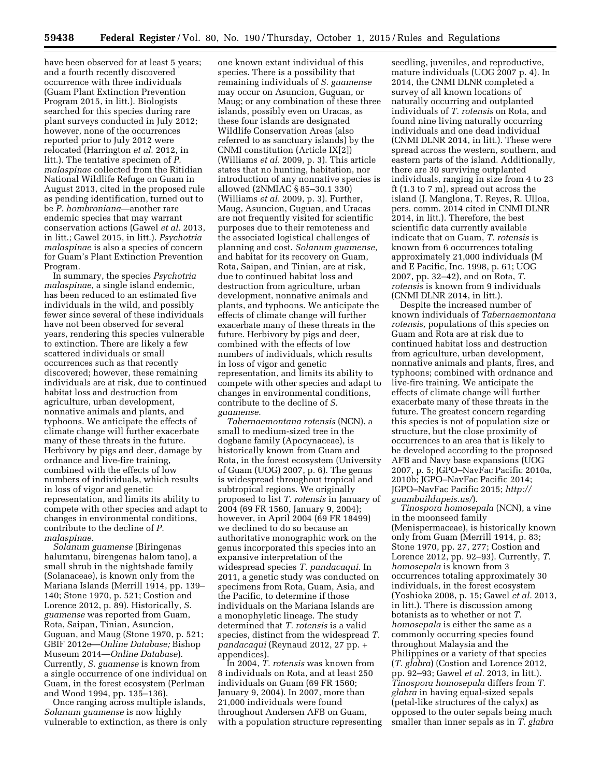have been observed for at least 5 years; and a fourth recently discovered occurrence with three individuals (Guam Plant Extinction Prevention Program 2015, in litt.). Biologists searched for this species during rare plant surveys conducted in July 2012; however, none of the occurrences reported prior to July 2012 were relocated (Harrington *et al.* 2012, in litt.). The tentative specimen of *P. malaspinae* collected from the Ritidian National Wildlife Refuge on Guam in August 2013, cited in the proposed rule as pending identification, turned out to be *P. hombroniana*—another rare endemic species that may warrant conservation actions (Gawel *et al.* 2013, in litt.; Gawel 2015, in litt.). *Psychotria malaspinae* is also a species of concern for Guam's Plant Extinction Prevention Program.

In summary, the species *Psychotria malaspinae,* a single island endemic, has been reduced to an estimated five individuals in the wild, and possibly fewer since several of these individuals have not been observed for several years, rendering this species vulnerable to extinction. There are likely a few scattered individuals or small occurrences such as that recently discovered; however, these remaining individuals are at risk, due to continued habitat loss and destruction from agriculture, urban development, nonnative animals and plants, and typhoons. We anticipate the effects of climate change will further exacerbate many of these threats in the future. Herbivory by pigs and deer, damage by ordnance and live-fire training, combined with the effects of low numbers of individuals, which results in loss of vigor and genetic representation, and limits its ability to compete with other species and adapt to changes in environmental conditions, contribute to the decline of *P. malaspinae.* 

*Solanum guamense* (Biringenas halumtanu, birengenas halom tano), a small shrub in the nightshade family (Solanaceae), is known only from the Mariana Islands (Merrill 1914, pp. 139– 140; Stone 1970, p. 521; Costion and Lorence 2012, p. 89). Historically, *S. guamense* was reported from Guam, Rota, Saipan, Tinian, Asuncion, Guguan, and Maug (Stone 1970, p. 521; GBIF 2012e—*Online Database;* Bishop Museum 2014—*Online Database*). Currently, *S. guamense* is known from a single occurrence of one individual on Guam, in the forest ecosystem (Perlman and Wood 1994, pp. 135–136).

Once ranging across multiple islands, *Solanum guamense* is now highly vulnerable to extinction, as there is only

one known extant individual of this species. There is a possibility that remaining individuals of *S. guamense*  may occur on Asuncion, Guguan, or Maug; or any combination of these three islands, possibly even on Uracas, as these four islands are designated Wildlife Conservation Areas (also referred to as sanctuary islands) by the CNMI constitution (Article IX[2]) (Williams *et al.* 2009, p. 3). This article states that no hunting, habitation, nor introduction of any nonnative species is allowed (2NMIAC § 85–30.1 330) (Williams *et al.* 2009, p. 3). Further, Maug, Asuncion, Guguan, and Uracas are not frequently visited for scientific purposes due to their remoteness and the associated logistical challenges of planning and cost. *Solanum guamense,*  and habitat for its recovery on Guam, Rota, Saipan, and Tinian, are at risk, due to continued habitat loss and destruction from agriculture, urban development, nonnative animals and plants, and typhoons. We anticipate the effects of climate change will further exacerbate many of these threats in the future. Herbivory by pigs and deer, combined with the effects of low numbers of individuals, which results in loss of vigor and genetic representation, and limits its ability to compete with other species and adapt to changes in environmental conditions, contribute to the decline of *S. guamense.* 

*Tabernaemontana rotensis* (NCN), a small to medium-sized tree in the dogbane family (Apocynaceae), is historically known from Guam and Rota, in the forest ecosystem (University of Guam (UOG) 2007, p. 6). The genus is widespread throughout tropical and subtropical regions. We originally proposed to list *T. rotensis* in January of 2004 (69 FR 1560, January 9, 2004); however, in April 2004 (69 FR 18499) we declined to do so because an authoritative monographic work on the genus incorporated this species into an expansive interpretation of the widespread species *T. pandacaqui.* In 2011, a genetic study was conducted on specimens from Rota, Guam, Asia, and the Pacific, to determine if those individuals on the Mariana Islands are a monophyletic lineage. The study determined that *T. rotensis* is a valid species, distinct from the widespread *T. pandacaqui* (Reynaud 2012, 27 pp. + appendices).

In 2004, *T. rotensis* was known from 8 individuals on Rota, and at least 250 individuals on Guam (69 FR 1560; January 9, 2004). In 2007, more than 21,000 individuals were found throughout Andersen AFB on Guam, with a population structure representing

seedling, juveniles, and reproductive, mature individuals (UOG 2007 p. 4). In 2014, the CNMI DLNR completed a survey of all known locations of naturally occurring and outplanted individuals of *T. rotensis* on Rota, and found nine living naturally occurring individuals and one dead individual (CNMI DLNR 2014, in litt.). These were spread across the western, southern, and eastern parts of the island. Additionally, there are 30 surviving outplanted individuals, ranging in size from 4 to 23 ft (1.3 to 7 m), spread out across the island (J. Manglona, T. Reyes, R. Ulloa, pers. comm. 2014 cited in CNMI DLNR 2014, in litt.). Therefore, the best scientific data currently available indicate that on Guam, *T. rotensis* is known from 6 occurrences totaling approximately 21,000 individuals (M and E Pacific, Inc. 1998, p. 61; UOG 2007, pp. 32–42), and on Rota, *T. rotensis* is known from 9 individuals (CNMI DLNR 2014, in litt.).

Despite the increased number of known individuals of *Tabernaemontana rotensis,* populations of this species on Guam and Rota are at risk due to continued habitat loss and destruction from agriculture, urban development, nonnative animals and plants, fires, and typhoons; combined with ordnance and live-fire training. We anticipate the effects of climate change will further exacerbate many of these threats in the future. The greatest concern regarding this species is not of population size or structure, but the close proximity of occurrences to an area that is likely to be developed according to the proposed AFB and Navy base expansions (UOG 2007, p. 5; JGPO–NavFac Pacific 2010a, 2010b; JGPO–NavFac Pacific 2014; JGPO–NavFac Pacific 2015; *[http://](http://guambuildupeis.us/) [guambuildupeis.us/](http://guambuildupeis.us/)*).

*Tinospora homosepala* (NCN), a vine in the moonseed family (Menispermaceae), is historically known only from Guam (Merrill 1914, p. 83; Stone 1970, pp. 27, 277; Costion and Lorence 2012, pp. 92–93). Currently, *T. homosepala* is known from 3 occurrences totaling approximately 30 individuals, in the forest ecosystem (Yoshioka 2008, p. 15; Gawel *et al.* 2013, in litt.). There is discussion among botanists as to whether or not *T. homosepala* is either the same as a commonly occurring species found throughout Malaysia and the Philippines or a variety of that species (*T. glabra*) (Costion and Lorence 2012, pp. 92–93; Gawel *et al.* 2013, in litt.). *Tinospora homosepala* differs from *T. glabra* in having equal-sized sepals (petal-like structures of the calyx) as opposed to the outer sepals being much smaller than inner sepals as in *T. glabra*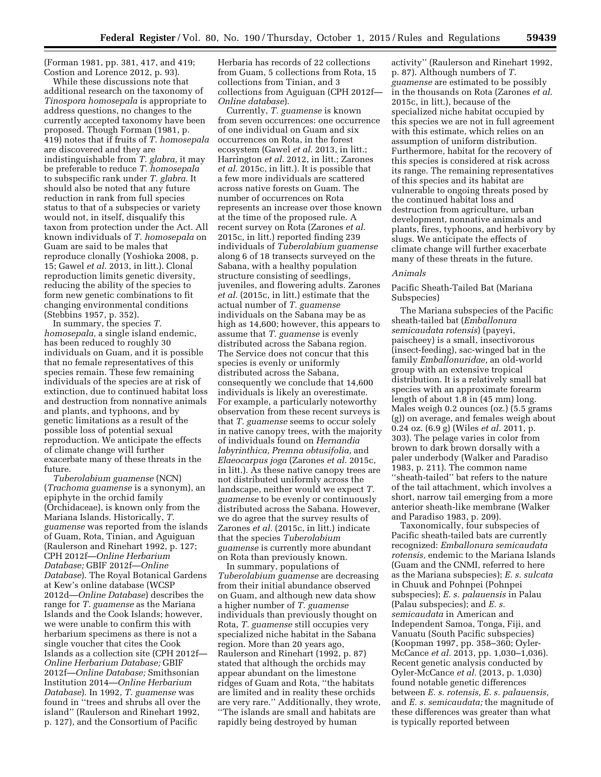(Forman 1981, pp. 381, 417, and 419; Costion and Lorence 2012, p. 93).

While these discussions note that additional research on the taxonomy of *Tinospora homosepala* is appropriate to address questions, no changes to the currently accepted taxonomy have been proposed. Though Forman (1981, p. 419) notes that if fruits of *T. homosepala*  are discovered and they are indistinguishable from *T. glabra,* it may be preferable to reduce *T. homosepala*  to subspecific rank under *T. glabra.* It should also be noted that any future reduction in rank from full species status to that of a subspecies or variety would not, in itself, disqualify this taxon from protection under the Act. All known individuals of *T. homosepala* on Guam are said to be males that reproduce clonally (Yoshioka 2008, p. 15; Gawel *et al.* 2013, in litt.). Clonal reproduction limits genetic diversity, reducing the ability of the species to form new genetic combinations to fit changing environmental conditions (Stebbins 1957, p. 352).

In summary, the species *T. homosepala,* a single island endemic, has been reduced to roughly 30 individuals on Guam, and it is possible that no female representatives of this species remain. These few remaining individuals of the species are at risk of extinction, due to continued habitat loss and destruction from nonnative animals and plants, and typhoons, and by genetic limitations as a result of the possible loss of potential sexual reproduction. We anticipate the effects of climate change will further exacerbate many of these threats in the future.

*Tuberolabium guamense* (NCN) (*Trachoma guamense* is a synonym), an epiphyte in the orchid family (Orchidaceae), is known only from the Mariana Islands. Historically, *T. guamense* was reported from the islands of Guam, Rota, Tinian, and Aguiguan (Raulerson and Rinehart 1992, p. 127; CPH 2012f—*Online Herbarium Database;* GBIF 2012f—*Online Database*). The Royal Botanical Gardens at Kew's online database (WCSP 2012d—*Online Database*) describes the range for *T. guamense* as the Mariana Islands and the Cook Islands; however, we were unable to confirm this with herbarium specimens as there is not a single voucher that cites the Cook Islands as a collection site (CPH 2012f— *Online Herbarium Database;* GBIF 2012f—*Online Database;* Smithsonian Institution 2014—*Online Herbarium Database*). In 1992, *T. guamense* was found in ''trees and shrubs all over the island'' (Raulerson and Rinehart 1992, p. 127), and the Consortium of Pacific

Herbaria has records of 22 collections from Guam, 5 collections from Rota, 15 collections from Tinian, and 3 collections from Aguiguan (CPH 2012f— *Online database*).

Currently, *T. guamense* is known from seven occurrences: one occurrence of one individual on Guam and six occurrences on Rota, in the forest ecosystem (Gawel *et al.* 2013, in litt.; Harrington *et al.* 2012, in litt.; Zarones *et al.* 2015c, in litt.). It is possible that a few more individuals are scattered across native forests on Guam. The number of occurrences on Rota represents an increase over those known at the time of the proposed rule. A recent survey on Rota (Zarones *et al.*  2015c, in litt.) reported finding 239 individuals of *Tuberolabium guamense*  along 6 of 18 transects surveyed on the Sabana, with a healthy population structure consisting of seedlings, juveniles, and flowering adults. Zarones *et al.* (2015c, in litt.) estimate that the actual number of *T. guamense*  individuals on the Sabana may be as high as 14,600; however, this appears to assume that *T. guamense* is evenly distributed across the Sabana region. The Service does not concur that this species is evenly or uniformly distributed across the Sabana, consequently we conclude that 14,600 individuals is likely an overestimate. For example, a particularly noteworthy observation from these recent surveys is that *T. guamense* seems to occur solely in native canopy trees, with the majority of individuals found on *Hernandia labyrinthica, Premna obtusifolia,* and *Elaeocarpus joga* (Zarones *et al.* 2015c, in litt.). As these native canopy trees are not distributed uniformly across the landscape, neither would we expect *T. guamense* to be evenly or continuously distributed across the Sabana. However, we do agree that the survey results of Zarones *et al.* (2015c, in litt.) indicate that the species *Tuberolabium guamense* is currently more abundant on Rota than previously known.

In summary, populations of *Tuberolabium guamense* are decreasing from their initial abundance observed on Guam, and although new data show a higher number of *T. guamense*  individuals than previously thought on Rota, *T. guamense* still occupies very specialized niche habitat in the Sabana region. More than 20 years ago, Raulerson and Rinehart (1992, p. 87) stated that although the orchids may appear abundant on the limestone ridges of Guam and Rota, ''the habitats are limited and in reality these orchids are very rare.'' Additionally, they wrote, ''The islands are small and habitats are rapidly being destroyed by human

activity'' (Raulerson and Rinehart 1992, p. 87). Although numbers of *T. guamense* are estimated to be possibly in the thousands on Rota (Zarones *et al.*  2015c, in litt.), because of the specialized niche habitat occupied by this species we are not in full agreement with this estimate, which relies on an assumption of uniform distribution. Furthermore, habitat for the recovery of this species is considered at risk across its range. The remaining representatives of this species and its habitat are vulnerable to ongoing threats posed by the continued habitat loss and destruction from agriculture, urban development, nonnative animals and plants, fires, typhoons, and herbivory by slugs. We anticipate the effects of climate change will further exacerbate many of these threats in the future.

# *Animals*

Pacific Sheath-Tailed Bat (Mariana Subspecies)

The Mariana subspecies of the Pacific sheath-tailed bat (*Emballonura semicaudata rotensis*) (payeyi, paischeey) is a small, insectivorous (insect-feeding), sac-winged bat in the family *Emballonuridae,* an old-world group with an extensive tropical distribution. It is a relatively small bat species with an approximate forearm length of about 1.8 in (45 mm) long. Males weigh 0.2 ounces (oz.) (5.5 grams (g)) on average, and females weigh about 0.24 oz. (6.9 g) (Wiles *et al.* 2011, p. 303). The pelage varies in color from brown to dark brown dorsally with a paler underbody (Walker and Paradiso 1983, p. 211). The common name ''sheath-tailed'' bat refers to the nature of the tail attachment, which involves a short, narrow tail emerging from a more anterior sheath-like membrane (Walker and Paradiso 1983, p. 209).

Taxonomically, four subspecies of Pacific sheath-tailed bats are currently recognized: *Emballonura semicaudata rotensis,* endemic to the Mariana Islands (Guam and the CNMI, referred to here as the Mariana subspecies); *E. s. sulcata*  in Chuuk and Pohnpei (Pohnpei subspecies); *E. s. palauensis* in Palau (Palau subspecies); and *E. s. semicaudata* in American and Independent Samoa, Tonga, Fiji, and Vanuatu (South Pacific subspecies) (Koopman 1997, pp. 358–360; Oyler-McCance *et al.* 2013, pp. 1,030–1,036). Recent genetic analysis conducted by Oyler-McCance *et al.* (2013, p. 1,030) found notable genetic differences between *E. s. rotensis, E. s. palauensis,*  and *E. s. semicaudata;* the magnitude of these differences was greater than what is typically reported between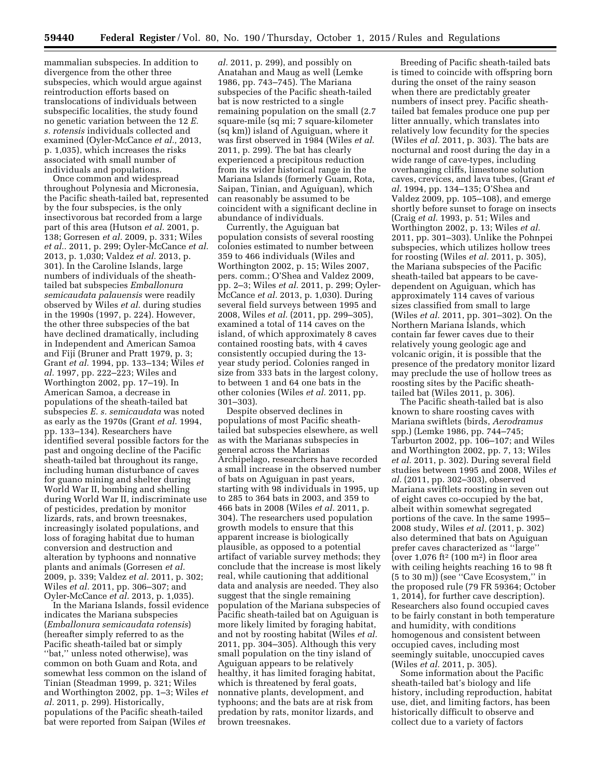mammalian subspecies. In addition to divergence from the other three subspecies, which would argue against reintroduction efforts based on translocations of individuals between subspecific localities, the study found no genetic variation between the 12 *E. s. rotensis* individuals collected and examined (Oyler-McCance *et al.,* 2013, p. 1,035), which increases the risks associated with small number of individuals and populations.

Once common and widespread throughout Polynesia and Micronesia, the Pacific sheath-tailed bat, represented by the four subspecies, is the only insectivorous bat recorded from a large part of this area (Hutson *et al.* 2001, p. 138; Gorresen *et al.* 2009, p. 331; Wiles *et al..* 2011, p. 299; Oyler-McCance *et al.*  2013, p. 1,030; Valdez *et al.* 2013, p. 301). In the Caroline Islands, large numbers of individuals of the sheathtailed bat subspecies *Emballonura semicaudata palauensis* were readily observed by Wiles *et al.* during studies in the 1990s (1997, p. 224). However, the other three subspecies of the bat have declined dramatically, including in Independent and American Samoa and Fiji (Bruner and Pratt 1979, p. 3; Grant *et al.* 1994, pp. 133–134; Wiles *et al.* 1997, pp. 222–223; Wiles and Worthington 2002, pp. 17–19). In American Samoa, a decrease in populations of the sheath-tailed bat subspecies *E. s. semicaudata* was noted as early as the 1970s (Grant *et al.* 1994, pp. 133–134). Researchers have identified several possible factors for the past and ongoing decline of the Pacific sheath-tailed bat throughout its range, including human disturbance of caves for guano mining and shelter during World War II, bombing and shelling during World War II, indiscriminate use of pesticides, predation by monitor lizards, rats, and brown treesnakes, increasingly isolated populations, and loss of foraging habitat due to human conversion and destruction and alteration by typhoons and nonnative plants and animals (Gorresen *et al.*  2009, p. 339; Valdez *et al.* 2011, p. 302; Wiles *et al.* 2011, pp. 306–307; and Oyler-McCance *et al.* 2013, p. 1,035).

In the Mariana Islands, fossil evidence indicates the Mariana subspecies (*Emballonura semicaudata rotensis*) (hereafter simply referred to as the Pacific sheath-tailed bat or simply ''bat,'' unless noted otherwise), was common on both Guam and Rota, and somewhat less common on the island of Tinian (Steadman 1999, p. 321; Wiles and Worthington 2002, pp. 1–3; Wiles *et al.* 2011, p. 299). Historically, populations of the Pacific sheath-tailed bat were reported from Saipan (Wiles *et* 

*al.* 2011, p. 299), and possibly on Anatahan and Maug as well (Lemke 1986, pp. 743–745). The Mariana subspecies of the Pacific sheath-tailed bat is now restricted to a single remaining population on the small (2.7 square-mile (sq mi; 7 square-kilometer (sq km)) island of Aguiguan, where it was first observed in 1984 (Wiles *et al.*  2011, p. 299). The bat has clearly experienced a precipitous reduction from its wider historical range in the Mariana Islands (formerly Guam, Rota, Saipan, Tinian, and Aguiguan), which can reasonably be assumed to be coincident with a significant decline in abundance of individuals.

Currently, the Aguiguan bat population consists of several roosting colonies estimated to number between 359 to 466 individuals (Wiles and Worthington 2002, p. 15; Wiles 2007, pers. comm.; O'Shea and Valdez 2009, pp. 2–3; Wiles *et al.* 2011, p. 299; Oyler-McCance *et al.* 2013, p. 1,030). During several field surveys between 1995 and 2008, Wiles *et al.* (2011, pp. 299–305), examined a total of 114 caves on the island, of which approximately 8 caves contained roosting bats, with 4 caves consistently occupied during the 13 year study period. Colonies ranged in size from 333 bats in the largest colony, to between 1 and 64 one bats in the other colonies (Wiles *et al.* 2011, pp. 301–303).

Despite observed declines in populations of most Pacific sheathtailed bat subspecies elsewhere, as well as with the Marianas subspecies in general across the Marianas Archipelago, researchers have recorded a small increase in the observed number of bats on Aguiguan in past years, starting with 98 individuals in 1995, up to 285 to 364 bats in 2003, and 359 to 466 bats in 2008 (Wiles *et al.* 2011, p. 304). The researchers used population growth models to ensure that this apparent increase is biologically plausible, as opposed to a potential artifact of variable survey methods; they conclude that the increase is most likely real, while cautioning that additional data and analysis are needed. They also suggest that the single remaining population of the Mariana subspecies of Pacific sheath-tailed bat on Aguiguan is more likely limited by foraging habitat, and not by roosting habitat (Wiles *et al.*  2011, pp. 304–305). Although this very small population on the tiny island of Aguiguan appears to be relatively healthy, it has limited foraging habitat, which is threatened by feral goats, nonnative plants, development, and typhoons; and the bats are at risk from predation by rats, monitor lizards, and brown treesnakes.

Breeding of Pacific sheath-tailed bats is timed to coincide with offspring born during the onset of the rainy season when there are predictably greater numbers of insect prey. Pacific sheathtailed bat females produce one pup per litter annually, which translates into relatively low fecundity for the species (Wiles *et al.* 2011, p. 303). The bats are nocturnal and roost during the day in a wide range of cave-types, including overhanging cliffs, limestone solution caves, crevices, and lava tubes, (Grant *et al.* 1994, pp. 134–135; O'Shea and Valdez 2009, pp. 105–108), and emerge shortly before sunset to forage on insects (Craig *et al.* 1993, p. 51; Wiles and Worthington 2002, p. 13; Wiles *et al.*  2011, pp. 301–303). Unlike the Pohnpei subspecies, which utilizes hollow trees for roosting (Wiles *et al.* 2011, p. 305), the Mariana subspecies of the Pacific sheath-tailed bat appears to be cavedependent on Aguiguan, which has approximately 114 caves of various sizes classified from small to large (Wiles *et al.* 2011, pp. 301–302). On the Northern Mariana Islands, which contain far fewer caves due to their relatively young geologic age and volcanic origin, it is possible that the presence of the predatory monitor lizard may preclude the use of hollow trees as roosting sites by the Pacific sheathtailed bat (Wiles 2011, p. 306).

The Pacific sheath-tailed bat is also known to share roosting caves with Mariana swiftlets (birds, *Aerodramus*  spp.) (Lemke 1986, pp. 744–745; Tarburton 2002, pp. 106–107; and Wiles and Worthington 2002, pp. 7, 13; Wiles *et al.* 2011, p. 302). During several field studies between 1995 and 2008, Wiles *et al.* (2011, pp. 302–303), observed Mariana swiftlets roosting in seven out of eight caves co-occupied by the bat, albeit within somewhat segregated portions of the cave. In the same 1995– 2008 study, Wiles *et al.* (2011, p. 302) also determined that bats on Aguiguan prefer caves characterized as ''large'' (over 1,076 ft<sup>2</sup> (100 m<sup>2</sup>) in floor area with ceiling heights reaching 16 to 98 ft (5 to 30 m)) (see ''Cave Ecosystem,'' in the proposed rule (79 FR 59364; October 1, 2014), for further cave description). Researchers also found occupied caves to be fairly constant in both temperature and humidity, with conditions homogenous and consistent between occupied caves, including most seemingly suitable, unoccupied caves (Wiles *et al.* 2011, p. 305).

Some information about the Pacific sheath-tailed bat's biology and life history, including reproduction, habitat use, diet, and limiting factors, has been historically difficult to observe and collect due to a variety of factors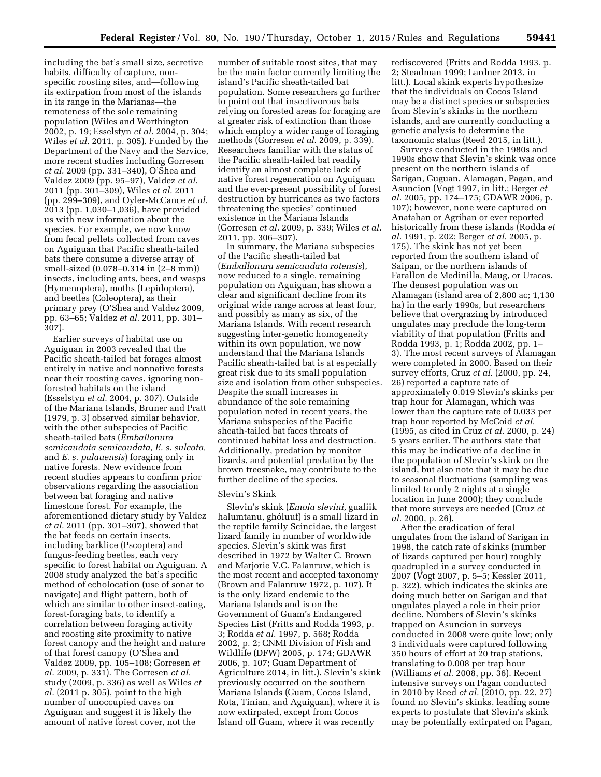including the bat's small size, secretive habits, difficulty of capture, nonspecific roosting sites, and—following its extirpation from most of the islands in its range in the Marianas—the remoteness of the sole remaining population (Wiles and Worthington 2002, p. 19; Esselstyn *et al.* 2004, p. 304; Wiles *et al.* 2011, p. 305). Funded by the Department of the Navy and the Service, more recent studies including Gorresen *et al.* 2009 (pp. 331–340), O'Shea and Valdez 2009 (pp. 95–97), Valdez *et al.*  2011 (pp. 301–309), Wiles *et al.* 2011 (pp. 299–309), and Oyler-McCance *et al.*  2013 (pp. 1,030–1,036), have provided us with new information about the species. For example, we now know from fecal pellets collected from caves on Aguiguan that Pacific sheath-tailed bats there consume a diverse array of small-sized (0.078–0.314 in (2–8 mm)) insects, including ants, bees, and wasps (Hymenoptera), moths (Lepidoptera), and beetles (Coleoptera), as their primary prey (O'Shea and Valdez 2009, pp. 63–65; Valdez *et al.* 2011, pp. 301– 307).

Earlier surveys of habitat use on Aguiguan in 2003 revealed that the Pacific sheath-tailed bat forages almost entirely in native and nonnative forests near their roosting caves, ignoring nonforested habitats on the island (Esselstyn *et al.* 2004, p. 307). Outside of the Mariana Islands, Bruner and Pratt (1979, p. 3) observed similar behavior, with the other subspecies of Pacific sheath-tailed bats (*Emballonura semicaudata semicaudata, E. s. sulcata,*  and *E. s. palauensis*) foraging only in native forests. New evidence from recent studies appears to confirm prior observations regarding the association between bat foraging and native limestone forest. For example, the aforementioned dietary study by Valdez *et al.* 2011 (pp. 301–307), showed that the bat feeds on certain insects, including barklice (Pscoptera) and fungus-feeding beetles, each very specific to forest habitat on Aguiguan. A 2008 study analyzed the bat's specific method of echolocation (use of sonar to navigate) and flight pattern, both of which are similar to other insect-eating, forest-foraging bats, to identify a correlation between foraging activity and roosting site proximity to native forest canopy and the height and nature of that forest canopy (O'Shea and Valdez 2009, pp. 105–108; Gorresen *et al.* 2009, p. 331). The Gorresen *et al.*  study (2009, p. 336) as well as Wiles *et al.* (2011 p. 305), point to the high number of unoccupied caves on Aguiguan and suggest it is likely the amount of native forest cover, not the

number of suitable roost sites, that may be the main factor currently limiting the island's Pacific sheath-tailed bat population. Some researchers go further to point out that insectivorous bats relying on forested areas for foraging are at greater risk of extinction than those which employ a wider range of foraging methods (Gorresen *et al.* 2009, p. 339). Researchers familiar with the status of the Pacific sheath-tailed bat readily identify an almost complete lack of native forest regeneration on Aguiguan and the ever-present possibility of forest destruction by hurricanes as two factors threatening the species' continued existence in the Mariana Islands (Gorresen *et al.* 2009, p. 339; Wiles *et al.*  2011, pp. 306–307).

In summary, the Mariana subspecies of the Pacific sheath-tailed bat (*Emballonura semicaudata rotensis*), now reduced to a single, remaining population on Aguiguan, has shown a clear and significant decline from its original wide range across at least four, and possibly as many as six, of the Mariana Islands. With recent research suggesting inter-genetic homogeneity within its own population, we now understand that the Mariana Islands Pacific sheath-tailed bat is at especially great risk due to its small population size and isolation from other subspecies. Despite the small increases in abundance of the sole remaining population noted in recent years, the Mariana subspecies of the Pacific sheath-tailed bat faces threats of continued habitat loss and destruction. Additionally, predation by monitor lizards, and potential predation by the brown treesnake, may contribute to the further decline of the species.

#### Slevin's Skink

Slevin's skink (*Emoia slevini,* gualiik halumtanu, ghóluuf) is a small lizard in the reptile family Scincidae, the largest lizard family in number of worldwide species. Slevin's skink was first described in 1972 by Walter C. Brown and Marjorie V.C. Falanruw, which is the most recent and accepted taxonomy (Brown and Falanruw 1972, p. 107). It is the only lizard endemic to the Mariana Islands and is on the Government of Guam's Endangered Species List (Fritts and Rodda 1993, p. 3; Rodda *et al.* 1997, p. 568; Rodda 2002, p. 2; CNMI Division of Fish and Wildlife (DFW) 2005, p. 174; GDAWR 2006, p. 107; Guam Department of Agriculture 2014, in litt.). Slevin's skink previously occurred on the southern Mariana Islands (Guam, Cocos Island, Rota, Tinian, and Aguiguan), where it is now extirpated, except from Cocos Island off Guam, where it was recently

rediscovered (Fritts and Rodda 1993, p. 2; Steadman 1999; Lardner 2013, in litt.). Local skink experts hypothesize that the individuals on Cocos Island may be a distinct species or subspecies from Slevin's skinks in the northern islands, and are currently conducting a genetic analysis to determine the taxonomic status (Reed 2015, in litt.).

Surveys conducted in the 1980s and 1990s show that Slevin's skink was once present on the northern islands of Sarigan, Guguan, Alamagan, Pagan, and Asuncion (Vogt 1997, in litt.; Berger *et al.* 2005, pp. 174–175; GDAWR 2006, p. 107); however, none were captured on Anatahan or Agrihan or ever reported historically from these islands (Rodda *et al.* 1991, p. 202; Berger *et al.* 2005, p. 175). The skink has not yet been reported from the southern island of Saipan, or the northern islands of Farallon de Medinilla, Maug, or Uracas. The densest population was on Alamagan (island area of 2,800 ac; 1,130 ha) in the early 1990s, but researchers believe that overgrazing by introduced ungulates may preclude the long-term viability of that population (Fritts and Rodda 1993, p. 1; Rodda 2002, pp. 1– 3). The most recent surveys of Alamagan were completed in 2000. Based on their survey efforts, Cruz *et al.* (2000, pp. 24, 26) reported a capture rate of approximately 0.019 Slevin's skinks per trap hour for Alamagan, which was lower than the capture rate of 0.033 per trap hour reported by McCoid *et al.*  (1995, as cited in Cruz *et al.* 2000, p. 24) 5 years earlier. The authors state that this may be indicative of a decline in the population of Slevin's skink on the island, but also note that it may be due to seasonal fluctuations (sampling was limited to only 2 nights at a single location in June 2000); they conclude that more surveys are needed (Cruz *et al.* 2000, p. 26).

After the eradication of feral ungulates from the island of Sarigan in 1998, the catch rate of skinks (number of lizards captured per hour) roughly quadrupled in a survey conducted in 2007 (Vogt 2007, p. 5–5; Kessler 2011, p. 322), which indicates the skinks are doing much better on Sarigan and that ungulates played a role in their prior decline. Numbers of Slevin's skinks trapped on Asuncion in surveys conducted in 2008 were quite low; only 3 individuals were captured following 350 hours of effort at 20 trap stations, translating to 0.008 per trap hour (Williams *et al.* 2008, pp. 36). Recent intensive surveys on Pagan conducted in 2010 by Reed *et al.* (2010, pp. 22, 27) found no Slevin's skinks, leading some experts to postulate that Slevin's skink may be potentially extirpated on Pagan,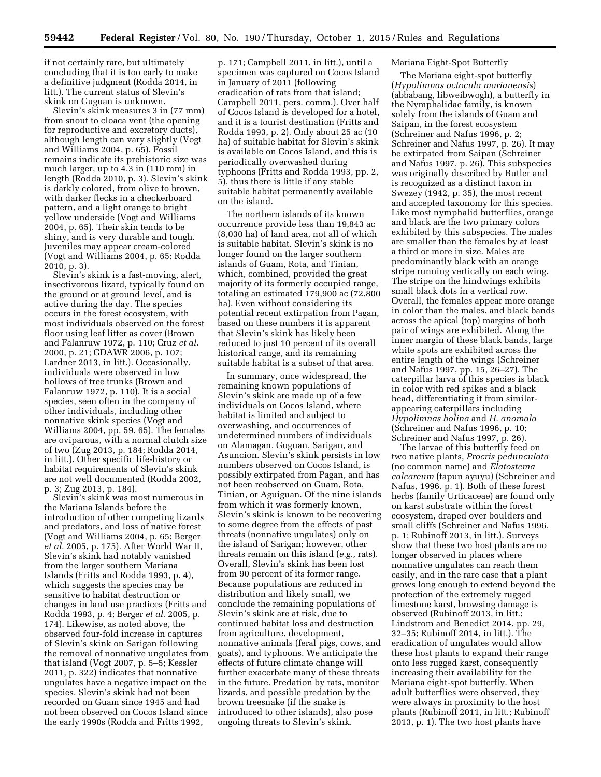if not certainly rare, but ultimately concluding that it is too early to make a definitive judgment (Rodda 2014, in litt.). The current status of Slevin's skink on Guguan is unknown.

Slevin's skink measures 3 in (77 mm) from snout to cloaca vent (the opening for reproductive and excretory ducts), although length can vary slightly (Vogt and Williams 2004, p. 65). Fossil remains indicate its prehistoric size was much larger, up to 4.3 in (110 mm) in length (Rodda 2010, p. 3). Slevin's skink is darkly colored, from olive to brown, with darker flecks in a checkerboard pattern, and a light orange to bright yellow underside (Vogt and Williams 2004, p. 65). Their skin tends to be shiny, and is very durable and tough. Juveniles may appear cream-colored (Vogt and Williams 2004, p. 65; Rodda 2010, p. 3).

Slevin's skink is a fast-moving, alert, insectivorous lizard, typically found on the ground or at ground level, and is active during the day. The species occurs in the forest ecosystem, with most individuals observed on the forest floor using leaf litter as cover (Brown and Falanruw 1972, p. 110; Cruz *et al.*  2000, p. 21; GDAWR 2006, p. 107; Lardner 2013, in litt.). Occasionally, individuals were observed in low hollows of tree trunks (Brown and Falanruw 1972, p. 110). It is a social species, seen often in the company of other individuals, including other nonnative skink species (Vogt and Williams 2004, pp. 59, 65). The females are oviparous, with a normal clutch size of two (Zug 2013, p. 184; Rodda 2014, in litt.). Other specific life-history or habitat requirements of Slevin's skink are not well documented (Rodda 2002, p. 3; Zug 2013, p. 184).

Slevin's skink was most numerous in the Mariana Islands before the introduction of other competing lizards and predators, and loss of native forest (Vogt and Williams 2004, p. 65; Berger *et al.* 2005, p. 175). After World War II, Slevin's skink had notably vanished from the larger southern Mariana Islands (Fritts and Rodda 1993, p. 4), which suggests the species may be sensitive to habitat destruction or changes in land use practices (Fritts and Rodda 1993, p. 4; Berger *et al.* 2005, p. 174). Likewise, as noted above, the observed four-fold increase in captures of Slevin's skink on Sarigan following the removal of nonnative ungulates from that island (Vogt 2007, p. 5–5; Kessler 2011, p. 322) indicates that nonnative ungulates have a negative impact on the species. Slevin's skink had not been recorded on Guam since 1945 and had not been observed on Cocos Island since the early 1990s (Rodda and Fritts 1992,

p. 171; Campbell 2011, in litt.), until a specimen was captured on Cocos Island in January of 2011 (following eradication of rats from that island; Campbell 2011, pers. comm.). Over half of Cocos Island is developed for a hotel, and it is a tourist destination (Fritts and Rodda 1993, p. 2). Only about 25 ac (10 ha) of suitable habitat for Slevin's skink is available on Cocos Island, and this is periodically overwashed during typhoons (Fritts and Rodda 1993, pp. 2, 5), thus there is little if any stable suitable habitat permanently available on the island.

The northern islands of its known occurrence provide less than 19,843 ac (8,030 ha) of land area, not all of which is suitable habitat. Slevin's skink is no longer found on the larger southern islands of Guam, Rota, and Tinian, which, combined, provided the great majority of its formerly occupied range, totaling an estimated 179,900 ac (72,800 ha). Even without considering its potential recent extirpation from Pagan, based on these numbers it is apparent that Slevin's skink has likely been reduced to just 10 percent of its overall historical range, and its remaining suitable habitat is a subset of that area.

In summary, once widespread, the remaining known populations of Slevin's skink are made up of a few individuals on Cocos Island, where habitat is limited and subject to overwashing, and occurrences of undetermined numbers of individuals on Alamagan, Guguan, Sarigan, and Asuncion. Slevin's skink persists in low numbers observed on Cocos Island, is possibly extirpated from Pagan, and has not been reobserved on Guam, Rota, Tinian, or Aguiguan. Of the nine islands from which it was formerly known, Slevin's skink is known to be recovering to some degree from the effects of past threats (nonnative ungulates) only on the island of Sarigan; however, other threats remain on this island (*e.g.,* rats). Overall, Slevin's skink has been lost from 90 percent of its former range. Because populations are reduced in distribution and likely small, we conclude the remaining populations of Slevin's skink are at risk, due to continued habitat loss and destruction from agriculture, development, nonnative animals (feral pigs, cows, and goats), and typhoons. We anticipate the effects of future climate change will further exacerbate many of these threats in the future. Predation by rats, monitor lizards, and possible predation by the brown treesnake (if the snake is introduced to other islands), also pose ongoing threats to Slevin's skink.

#### Mariana Eight-Spot Butterfly

The Mariana eight-spot butterfly (*Hypolimnas octocula marianensis*) (abbabang, libweibwogh), a butterfly in the Nymphalidae family, is known solely from the islands of Guam and Saipan, in the forest ecosystem (Schreiner and Nafus 1996, p. 2; Schreiner and Nafus 1997, p. 26). It may be extirpated from Saipan (Schreiner and Nafus 1997, p. 26). This subspecies was originally described by Butler and is recognized as a distinct taxon in Swezey (1942, p. 35), the most recent and accepted taxonomy for this species. Like most nymphalid butterflies, orange and black are the two primary colors exhibited by this subspecies. The males are smaller than the females by at least a third or more in size. Males are predominantly black with an orange stripe running vertically on each wing. The stripe on the hindwings exhibits small black dots in a vertical row. Overall, the females appear more orange in color than the males, and black bands across the apical (top) margins of both pair of wings are exhibited. Along the inner margin of these black bands, large white spots are exhibited across the entire length of the wings (Schreiner and Nafus 1997, pp. 15, 26–27). The caterpillar larva of this species is black in color with red spikes and a black head, differentiating it from similarappearing caterpillars including *Hypolimnas bolina* and *H. anomala*  (Schreiner and Nafus 1996, p. 10; Schreiner and Nafus 1997, p. 26).

The larvae of this butterfly feed on two native plants, *Procris pedunculata*  (no common name) and *Elatostema calcareum* (tapun ayuyu) (Schreiner and Nafus, 1996, p. 1). Both of these forest herbs (family Urticaceae) are found only on karst substrate within the forest ecosystem, draped over boulders and small cliffs (Schreiner and Nafus 1996, p. 1; Rubinoff 2013, in litt.). Surveys show that these two host plants are no longer observed in places where nonnative ungulates can reach them easily, and in the rare case that a plant grows long enough to extend beyond the protection of the extremely rugged limestone karst, browsing damage is observed (Rubinoff 2013, in litt.; Lindstrom and Benedict 2014, pp. 29, 32–35; Rubinoff 2014, in litt.). The eradication of ungulates would allow these host plants to expand their range onto less rugged karst, consequently increasing their availability for the Mariana eight-spot butterfly. When adult butterflies were observed, they were always in proximity to the host plants (Rubinoff 2011, in litt.; Rubinoff 2013, p. 1). The two host plants have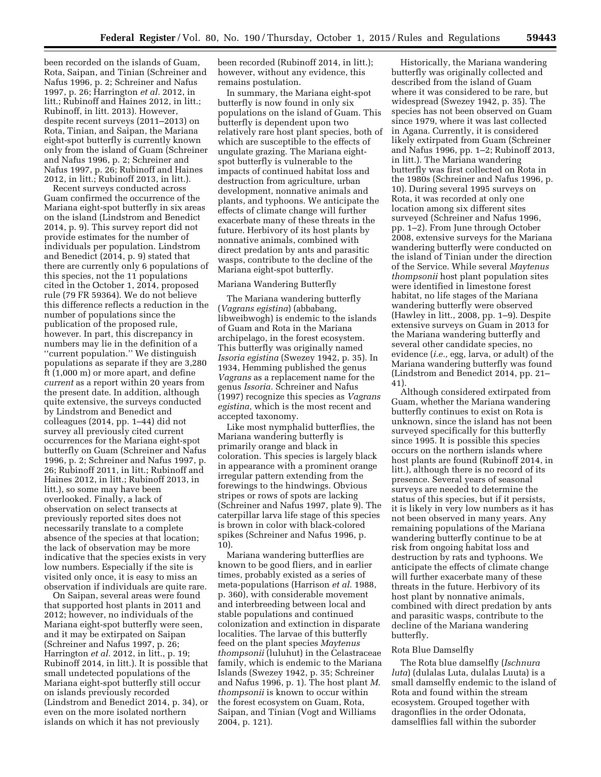been recorded on the islands of Guam, Rota, Saipan, and Tinian (Schreiner and Nafus 1996, p. 2; Schreiner and Nafus 1997, p. 26; Harrington *et al.* 2012, in litt.; Rubinoff and Haines 2012, in litt.; Rubinoff, in litt. 2013). However, despite recent surveys (2011–2013) on Rota, Tinian, and Saipan, the Mariana eight-spot butterfly is currently known only from the island of Guam (Schreiner and Nafus 1996, p. 2; Schreiner and Nafus 1997, p. 26; Rubinoff and Haines 2012, in litt.; Rubinoff 2013, in litt.).

Recent surveys conducted across Guam confirmed the occurrence of the Mariana eight-spot butterfly in six areas on the island (Lindstrom and Benedict 2014, p. 9). This survey report did not provide estimates for the number of individuals per population. Lindstrom and Benedict (2014, p. 9) stated that there are currently only 6 populations of this species, not the 11 populations cited in the October 1, 2014, proposed rule (79 FR 59364). We do not believe this difference reflects a reduction in the number of populations since the publication of the proposed rule, however. In part, this discrepancy in numbers may lie in the definition of a ''current population.'' We distinguish populations as separate if they are 3,280 ft (1,000 m) or more apart, and define *current* as a report within 20 years from the present date. In addition, although quite extensive, the surveys conducted by Lindstrom and Benedict and colleagues (2014, pp. 1–44) did not survey all previously cited current occurrences for the Mariana eight-spot butterfly on Guam (Schreiner and Nafus 1996, p. 2; Schreiner and Nafus 1997, p. 26; Rubinoff 2011, in litt.; Rubinoff and Haines 2012, in litt.; Rubinoff 2013, in litt.), so some may have been overlooked. Finally, a lack of observation on select transects at previously reported sites does not necessarily translate to a complete absence of the species at that location; the lack of observation may be more indicative that the species exists in very low numbers. Especially if the site is visited only once, it is easy to miss an observation if individuals are quite rare.

On Saipan, several areas were found that supported host plants in 2011 and 2012; however, no individuals of the Mariana eight-spot butterfly were seen, and it may be extirpated on Saipan (Schreiner and Nafus 1997, p. 26; Harrington *et al.* 2012, in litt., p. 19; Rubinoff 2014, in litt.). It is possible that small undetected populations of the Mariana eight-spot butterfly still occur on islands previously recorded (Lindstrom and Benedict 2014, p. 34), or even on the more isolated northern islands on which it has not previously

been recorded (Rubinoff 2014, in litt.); however, without any evidence, this remains postulation.

In summary, the Mariana eight-spot butterfly is now found in only six populations on the island of Guam. This butterfly is dependent upon two relatively rare host plant species, both of which are susceptible to the effects of ungulate grazing. The Mariana eightspot butterfly is vulnerable to the impacts of continued habitat loss and destruction from agriculture, urban development, nonnative animals and plants, and typhoons. We anticipate the effects of climate change will further exacerbate many of these threats in the future. Herbivory of its host plants by nonnative animals, combined with direct predation by ants and parasitic wasps, contribute to the decline of the Mariana eight-spot butterfly.

#### Mariana Wandering Butterfly

The Mariana wandering butterfly (*Vagrans egistina*) (abbabang, libweibwogh) is endemic to the islands of Guam and Rota in the Mariana archipelago, in the forest ecosystem. This butterfly was originally named *Issoria egistina* (Swezey 1942, p. 35). In 1934, Hemming published the genus *Vagrans* as a replacement name for the genus *Issoria.* Schreiner and Nafus (1997) recognize this species as *Vagrans egistina,* which is the most recent and accepted taxonomy.

Like most nymphalid butterflies, the Mariana wandering butterfly is primarily orange and black in coloration. This species is largely black in appearance with a prominent orange irregular pattern extending from the forewings to the hindwings. Obvious stripes or rows of spots are lacking (Schreiner and Nafus 1997, plate 9). The caterpillar larva life stage of this species is brown in color with black-colored spikes (Schreiner and Nafus 1996, p. 10).

Mariana wandering butterflies are known to be good fliers, and in earlier times, probably existed as a series of meta-populations (Harrison *et al.* 1988, p. 360), with considerable movement and interbreeding between local and stable populations and continued colonization and extinction in disparate localities. The larvae of this butterfly feed on the plant species *Maytenus thompsonii* (luluhut) in the Celastraceae family, which is endemic to the Mariana Islands (Swezey 1942, p. 35; Schreiner and Nafus 1996, p. 1). The host plant *M. thompsonii* is known to occur within the forest ecosystem on Guam, Rota, Saipan, and Tinian (Vogt and Williams 2004, p. 121).

Historically, the Mariana wandering butterfly was originally collected and described from the island of Guam where it was considered to be rare, but widespread (Swezey 1942, p. 35). The species has not been observed on Guam since 1979, where it was last collected in Agana. Currently, it is considered likely extirpated from Guam (Schreiner and Nafus 1996, pp. 1–2; Rubinoff 2013, in litt.). The Mariana wandering butterfly was first collected on Rota in the 1980s (Schreiner and Nafus 1996, p. 10). During several 1995 surveys on Rota, it was recorded at only one location among six different sites surveyed (Schreiner and Nafus 1996, pp. 1–2). From June through October 2008, extensive surveys for the Mariana wandering butterfly were conducted on the island of Tinian under the direction of the Service. While several *Maytenus thompsonii* host plant population sites were identified in limestone forest habitat, no life stages of the Mariana wandering butterfly were observed (Hawley in litt., 2008, pp. 1–9). Despite extensive surveys on Guam in 2013 for the Mariana wandering butterfly and several other candidate species, no evidence (*i.e.,* egg, larva, or adult) of the Mariana wandering butterfly was found (Lindstrom and Benedict 2014, pp. 21– 41)

Although considered extirpated from Guam, whether the Mariana wandering butterfly continues to exist on Rota is unknown, since the island has not been surveyed specifically for this butterfly since 1995. It is possible this species occurs on the northern islands where host plants are found (Rubinoff 2014, in litt.), although there is no record of its presence. Several years of seasonal surveys are needed to determine the status of this species, but if it persists, it is likely in very low numbers as it has not been observed in many years. Any remaining populations of the Mariana wandering butterfly continue to be at risk from ongoing habitat loss and destruction by rats and typhoons. We anticipate the effects of climate change will further exacerbate many of these threats in the future. Herbivory of its host plant by nonnative animals, combined with direct predation by ants and parasitic wasps, contribute to the decline of the Mariana wandering butterfly.

### Rota Blue Damselfly

The Rota blue damselfly (*Ischnura luta*) (dulalas Luta, dulalas Luuta) is a small damselfly endemic to the island of Rota and found within the stream ecosystem. Grouped together with dragonflies in the order Odonata, damselflies fall within the suborder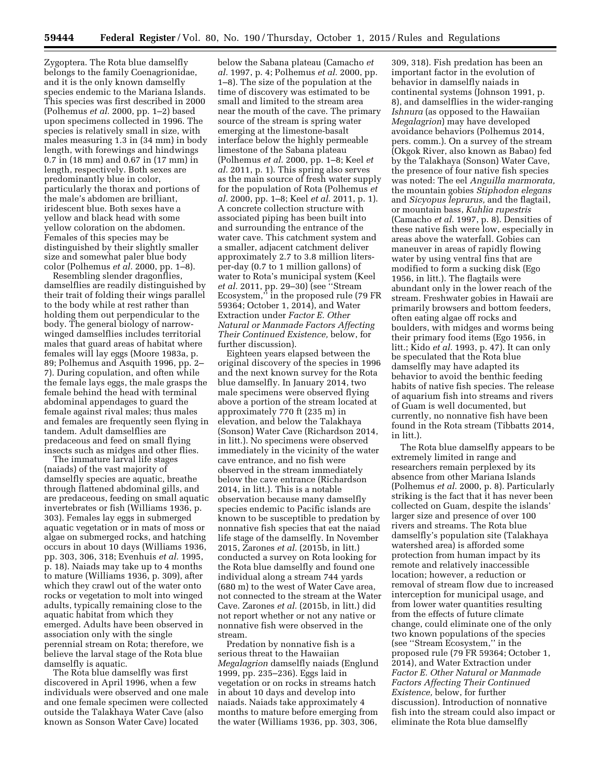Zygoptera. The Rota blue damselfly belongs to the family Coenagrionidae, and it is the only known damselfly species endemic to the Mariana Islands. This species was first described in 2000 (Polhemus *et al.* 2000, pp. 1–2) based upon specimens collected in 1996. The species is relatively small in size, with males measuring 1.3 in (34 mm) in body length, with forewings and hindwings 0.7 in (18 mm) and 0.67 in (17 mm) in length, respectively. Both sexes are predominantly blue in color, particularly the thorax and portions of the male's abdomen are brilliant, iridescent blue. Both sexes have a yellow and black head with some yellow coloration on the abdomen. Females of this species may be distinguished by their slightly smaller size and somewhat paler blue body color (Polhemus *et al.* 2000, pp. 1–8).

Resembling slender dragonflies, damselflies are readily distinguished by their trait of folding their wings parallel to the body while at rest rather than holding them out perpendicular to the body. The general biology of narrowwinged damselflies includes territorial males that guard areas of habitat where females will lay eggs (Moore 1983a, p. 89; Polhemus and Asquith 1996, pp. 2– 7). During copulation, and often while the female lays eggs, the male grasps the female behind the head with terminal abdominal appendages to guard the female against rival males; thus males and females are frequently seen flying in tandem. Adult damselflies are predaceous and feed on small flying insects such as midges and other flies.

The immature larval life stages (naiads) of the vast majority of damselfly species are aquatic, breathe through flattened abdominal gills, and are predaceous, feeding on small aquatic invertebrates or fish (Williams 1936, p. 303). Females lay eggs in submerged aquatic vegetation or in mats of moss or algae on submerged rocks, and hatching occurs in about 10 days (Williams 1936, pp. 303, 306, 318; Evenhuis *et al.* 1995, p. 18). Naiads may take up to 4 months to mature (Williams 1936, p. 309), after which they crawl out of the water onto rocks or vegetation to molt into winged adults, typically remaining close to the aquatic habitat from which they emerged. Adults have been observed in association only with the single perennial stream on Rota; therefore, we believe the larval stage of the Rota blue damselfly is aquatic.

The Rota blue damselfly was first discovered in April 1996, when a few individuals were observed and one male and one female specimen were collected outside the Talakhaya Water Cave (also known as Sonson Water Cave) located

below the Sabana plateau (Camacho *et al.* 1997, p. 4; Polhemus *et al.* 2000, pp. 1–8). The size of the population at the time of discovery was estimated to be small and limited to the stream area near the mouth of the cave. The primary source of the stream is spring water emerging at the limestone-basalt interface below the highly permeable limestone of the Sabana plateau (Polhemus *et al.* 2000, pp. 1–8; Keel *et al.* 2011, p. 1). This spring also serves as the main source of fresh water supply for the population of Rota (Polhemus *et al.* 2000, pp. 1–8; Keel *et al.* 2011, p. 1). A concrete collection structure with associated piping has been built into and surrounding the entrance of the water cave. This catchment system and a smaller, adjacent catchment deliver approximately 2.7 to 3.8 million litersper-day (0.7 to 1 million gallons) of water to Rota's municipal system (Keel *et al.* 2011, pp. 29–30) (see ''Stream Ecosystem,'' in the proposed rule (79 FR 59364; October 1, 2014), and Water Extraction under *Factor E. Other Natural or Manmade Factors Affecting Their Continued Existence,* below, for further discussion).

Eighteen years elapsed between the original discovery of the species in 1996 and the next known survey for the Rota blue damselfly. In January 2014, two male specimens were observed flying above a portion of the stream located at approximately 770 ft (235 m) in elevation, and below the Talakhaya (Sonson) Water Cave (Richardson 2014, in litt.). No specimens were observed immediately in the vicinity of the water cave entrance, and no fish were observed in the stream immediately below the cave entrance (Richardson 2014, in litt.). This is a notable observation because many damselfly species endemic to Pacific islands are known to be susceptible to predation by nonnative fish species that eat the naiad life stage of the damselfly. In November 2015, Zarones *et al.* (2015b, in litt.) conducted a survey on Rota looking for the Rota blue damselfly and found one individual along a stream 744 yards (680 m) to the west of Water Cave area, not connected to the stream at the Water Cave. Zarones *et al.* (2015b, in litt.) did not report whether or not any native or nonnative fish were observed in the stream.

Predation by nonnative fish is a serious threat to the Hawaiian *Megalagrion* damselfly naiads (Englund 1999, pp. 235–236). Eggs laid in vegetation or on rocks in streams hatch in about 10 days and develop into naiads. Naiads take approximately 4 months to mature before emerging from the water (Williams 1936, pp. 303, 306,

309, 318). Fish predation has been an important factor in the evolution of behavior in damselfly naiads in continental systems (Johnson 1991, p. 8), and damselflies in the wider-ranging *Ishnura* (as opposed to the Hawaiian *Megalagrion*) may have developed avoidance behaviors (Polhemus 2014, pers. comm.). On a survey of the stream (Okgok River, also known as Babao) fed by the Talakhaya (Sonson) Water Cave, the presence of four native fish species was noted: The eel *Anguilla marmorata,*  the mountain gobies *Stiphodon elegans*  and *Sicyopus leprurus,* and the flagtail, or mountain bass, *Kuhlia rupestris*  (Camacho *et al.* 1997, p. 8). Densities of these native fish were low, especially in areas above the waterfall. Gobies can maneuver in areas of rapidly flowing water by using ventral fins that are modified to form a sucking disk (Ego 1956, in litt.). The flagtails were abundant only in the lower reach of the stream. Freshwater gobies in Hawaii are primarily browsers and bottom feeders, often eating algae off rocks and boulders, with midges and worms being their primary food items (Ego 1956, in litt.; Kido *et al.* 1993, p. 47). It can only be speculated that the Rota blue damselfly may have adapted its behavior to avoid the benthic feeding habits of native fish species. The release of aquarium fish into streams and rivers of Guam is well documented, but currently, no nonnative fish have been found in the Rota stream (Tibbatts 2014, in litt.).

The Rota blue damselfly appears to be extremely limited in range and researchers remain perplexed by its absence from other Mariana Islands (Polhemus *et al.* 2000, p. 8). Particularly striking is the fact that it has never been collected on Guam, despite the islands' larger size and presence of over 100 rivers and streams. The Rota blue damselfly's population site (Talakhaya watershed area) is afforded some protection from human impact by its remote and relatively inaccessible location; however, a reduction or removal of stream flow due to increased interception for municipal usage, and from lower water quantities resulting from the effects of future climate change, could eliminate one of the only two known populations of the species (see ''Stream Ecosystem,'' in the proposed rule (79 FR 59364; October 1, 2014), and Water Extraction under *Factor E. Other Natural or Manmade Factors Affecting Their Continued Existence,* below, for further discussion). Introduction of nonnative fish into the stream could also impact or eliminate the Rota blue damselfly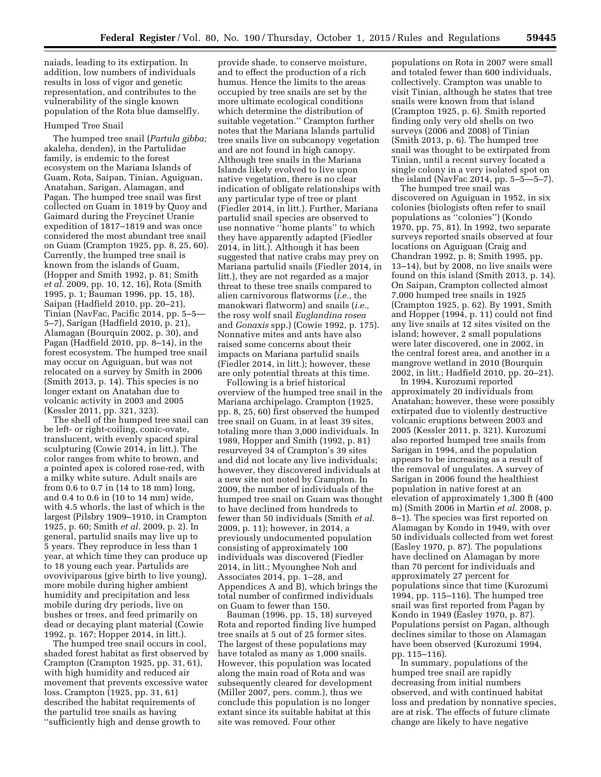naiads, leading to its extirpation. In addition, low numbers of individuals results in loss of vigor and genetic representation, and contributes to the vulnerability of the single known population of the Rota blue damselfly.

#### Humped Tree Snail

The humped tree snail (*Partula gibba;*  akaleha, denden), in the Partulidae family, is endemic to the forest ecosystem on the Mariana Islands of Guam, Rota, Saipan, Tinian, Aguiguan, Anatahan, Sarigan, Alamagan, and Pagan. The humped tree snail was first collected on Guam in 1819 by Quoy and Gaimard during the Freycinet Uranie expedition of 1817–1819 and was once considered the most abundant tree snail on Guam (Crampton 1925, pp. 8, 25, 60). Currently, the humped tree snail is known from the islands of Guam, (Hopper and Smith 1992, p. 81; Smith *et al.* 2009, pp. 10, 12, 16), Rota (Smith 1995, p. 1; Bauman 1996, pp. 15, 18), Saipan (Hadfield 2010, pp. 20–21), Tinian (NavFac, Pacific 2014, pp. 5-5-5–7), Sarigan (Hadfield 2010, p. 21), Alamagan (Bourquin 2002, p. 30), and Pagan (Hadfield 2010, pp. 8–14), in the forest ecosystem. The humped tree snail may occur on Aguiguan, but was not relocated on a survey by Smith in 2006 (Smith 2013, p. 14). This species is no longer extant on Anatahan due to volcanic activity in 2003 and 2005 (Kessler 2011, pp. 321, 323).

The shell of the humped tree snail can be left- or right-coiling, conic-ovate, translucent, with evenly spaced spiral sculpturing (Cowie 2014, in litt.). The color ranges from white to brown, and a pointed apex is colored rose-red, with a milky white suture. Adult snails are from 0.6 to 0.7 in (14 to 18 mm) long, and 0.4 to 0.6 in (10 to 14 mm) wide, with 4.5 whorls, the last of which is the largest (Pilsbry 1909–1910, in Crampton 1925, p. 60; Smith *et al.* 2009, p. 2). In general, partulid snails may live up to 5 years. They reproduce in less than 1 year, at which time they can produce up to 18 young each year. Partulids are ovoviviparous (give birth to live young), more mobile during higher ambient humidity and precipitation and less mobile during dry periods, live on bushes or trees, and feed primarily on dead or decaying plant material (Cowie 1992, p. 167; Hopper 2014, in litt.).

The humped tree snail occurs in cool, shaded forest habitat as first observed by Crampton (Crampton 1925, pp. 31, 61), with high humidity and reduced air movement that prevents excessive water loss. Crampton (1925, pp. 31, 61) described the habitat requirements of the partulid tree snails as having ''sufficiently high and dense growth to

provide shade, to conserve moisture, and to effect the production of a rich humus. Hence the limits to the areas occupied by tree snails are set by the more ultimate ecological conditions which determine the distribution of suitable vegetation.'' Crampton further notes that the Mariana Islands partulid tree snails live on subcanopy vegetation and are not found in high canopy. Although tree snails in the Mariana Islands likely evolved to live upon native vegetation, there is no clear indication of obligate relationships with any particular type of tree or plant (Fiedler 2014, in litt.). Further, Mariana partulid snail species are observed to use nonnative ''home plants'' to which they have apparently adapted (Fiedler 2014, in litt.). Although it has been suggested that native crabs may prey on Mariana partulid snails (Fiedler 2014, in litt.), they are not regarded as a major threat to these tree snails compared to alien carnivorous flatworms (*i.e.,* the manokwari flatworm) and snails (*i.e.,*  the rosy wolf snail *Euglandina rosea*  and *Gonaxis* spp.) (Cowie 1992, p. 175). Nonnative mites and ants have also raised some concerns about their impacts on Mariana partulid snails (Fiedler 2014, in litt.); however, these are only potential threats at this time.

Following is a brief historical overview of the humped tree snail in the Mariana archipelago. Crampton (1925, pp. 8, 25, 60) first observed the humped tree snail on Guam, in at least 39 sites, totaling more than 3,000 individuals. In 1989, Hopper and Smith (1992, p. 81) resurveyed 34 of Crampton's 39 sites and did not locate any live individuals; however, they discovered individuals at a new site not noted by Crampton. In 2009, the number of individuals of the humped tree snail on Guam was thought to have declined from hundreds to fewer than 50 individuals (Smith *et al.*  2009, p. 11); however, in 2014, a previously undocumented population consisting of approximately 100 individuals was discovered (Fiedler 2014, in litt.; Myounghee Noh and Associates 2014, pp. 1–28, and Appendices A and B), which brings the total number of confirmed individuals on Guam to fewer than 150.

Bauman (1996, pp. 15, 18) surveyed Rota and reported finding live humped tree snails at 5 out of 25 former sites. The largest of these populations may have totaled as many as 1,000 snails. However, this population was located along the main road of Rota and was subsequently cleared for development (Miller 2007, pers. comm.), thus we conclude this population is no longer extant since its suitable habitat at this site was removed. Four other

populations on Rota in 2007 were small and totaled fewer than 600 individuals, collectively. Crampton was unable to visit Tinian, although he states that tree snails were known from that island (Crampton 1925, p. 6). Smith reported finding only very old shells on two surveys (2006 and 2008) of Tinian (Smith 2013, p. 6). The humped tree snail was thought to be extirpated from Tinian, until a recent survey located a single colony in a very isolated spot on the island (NavFac 2014, pp. 5–5—5–7).

The humped tree snail was discovered on Aguiguan in 1952, in six colonies (biologists often refer to snail populations as ''colonies'') (Kondo 1970, pp. 75, 81). In 1992, two separate surveys reported snails observed at four locations on Aguiguan (Craig and Chandran 1992, p. 8; Smith 1995, pp. 13–14), but by 2008, no live snails were found on this island (Smith 2013, p. 14). On Saipan, Crampton collected almost 7,000 humped tree snails in 1925 (Crampton 1925, p. 62). By 1991, Smith and Hopper (1994, p. 11) could not find any live snails at 12 sites visited on the island; however, 2 small populations were later discovered, one in 2002, in the central forest area, and another in a mangrove wetland in 2010 (Bourquin 2002, in litt.; Hadfield 2010, pp. 20–21).

In 1994, Kurozumi reported approximately 20 individuals from Anatahan; however, these were possibly extirpated due to violently destructive volcanic eruptions between 2003 and 2005 (Kessler 2011, p. 321). Kurozumi also reported humped tree snails from Sarigan in 1994, and the population appears to be increasing as a result of the removal of ungulates. A survey of Sarigan in 2006 found the healthiest population in native forest at an elevation of approximately 1,300 ft (400 m) (Smith 2006 in Martin *et al.* 2008, p. 8–1). The species was first reported on Alamagan by Kondo in 1949, with over 50 individuals collected from wet forest (Easley 1970, p. 87). The populations have declined on Alamagan by more than 70 percent for individuals and approximately 27 percent for populations since that time (Kurozumi 1994, pp. 115–116). The humped tree snail was first reported from Pagan by Kondo in 1949 (Easley 1970, p. 87). Populations persist on Pagan, although declines similar to those on Alamagan have been observed (Kurozumi 1994, pp. 115–116).

In summary, populations of the humped tree snail are rapidly decreasing from initial numbers observed, and with continued habitat loss and predation by nonnative species, are at risk. The effects of future climate change are likely to have negative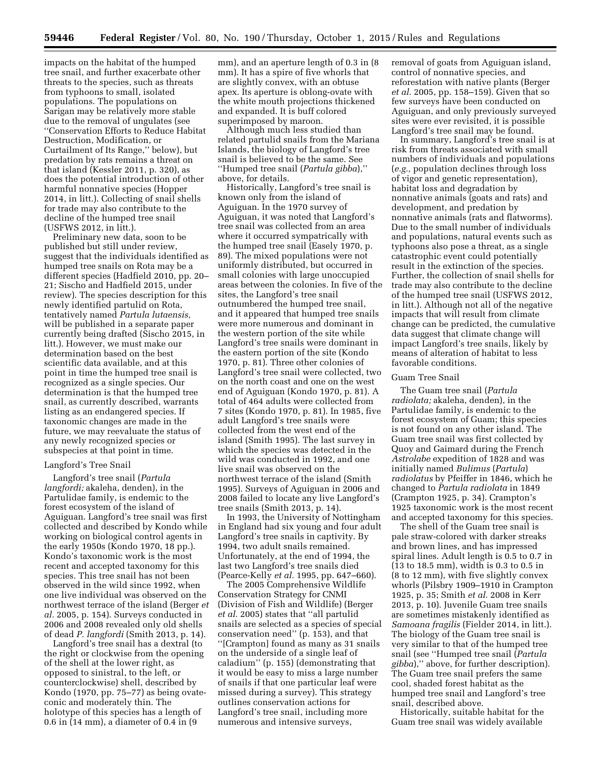impacts on the habitat of the humped tree snail, and further exacerbate other threats to the species, such as threats from typhoons to small, isolated populations. The populations on Sarigan may be relatively more stable due to the removal of ungulates (see ''Conservation Efforts to Reduce Habitat Destruction, Modification, or Curtailment of Its Range,'' below), but predation by rats remains a threat on that island (Kessler 2011, p. 320), as does the potential introduction of other harmful nonnative species (Hopper 2014, in litt.). Collecting of snail shells for trade may also contribute to the decline of the humped tree snail (USFWS 2012, in litt.).

Preliminary new data, soon to be published but still under review, suggest that the individuals identified as humped tree snails on Rota may be a different species (Hadfield 2010, pp. 20– 21; Sischo and Hadfield 2015, under review). The species description for this newly identified partulid on Rota, tentatively named *Partula lutaensis,*  will be published in a separate paper currently being drafted (Sischo 2015, in litt.). However, we must make our determination based on the best scientific data available, and at this point in time the humped tree snail is recognized as a single species. Our determination is that the humped tree snail, as currently described, warrants listing as an endangered species. If taxonomic changes are made in the future, we may reevaluate the status of any newly recognized species or subspecies at that point in time.

#### Langford's Tree Snail

Langford's tree snail (*Partula langfordi;* akaleha, denden), in the Partulidae family, is endemic to the forest ecosystem of the island of Aguiguan. Langford's tree snail was first collected and described by Kondo while working on biological control agents in the early 1950s (Kondo 1970, 18 pp.). Kondo's taxonomic work is the most recent and accepted taxonomy for this species. This tree snail has not been observed in the wild since 1992, when one live individual was observed on the northwest terrace of the island (Berger *et al.* 2005, p. 154). Surveys conducted in 2006 and 2008 revealed only old shells of dead *P. langfordi* (Smith 2013, p. 14).

Langford's tree snail has a dextral (to the right or clockwise from the opening of the shell at the lower right, as opposed to sinistral, to the left, or counterclockwise) shell, described by Kondo (1970, pp. 75–77) as being ovateconic and moderately thin. The holotype of this species has a length of 0.6 in (14 mm), a diameter of 0.4 in (9

mm), and an aperture length of 0.3 in (8 mm). It has a spire of five whorls that are slightly convex, with an obtuse apex. Its aperture is oblong-ovate with the white mouth projections thickened and expanded. It is buff colored superimposed by maroon.

Although much less studied than related partulid snails from the Mariana Islands, the biology of Langford's tree snail is believed to be the same. See ''Humped tree snail (*Partula gibba*),'' above, for details.

Historically, Langford's tree snail is known only from the island of Aguiguan. In the 1970 survey of Aguiguan, it was noted that Langford's tree snail was collected from an area where it occurred sympatrically with the humped tree snail (Easely 1970, p. 89). The mixed populations were not uniformly distributed, but occurred in small colonies with large unoccupied areas between the colonies. In five of the sites, the Langford's tree snail outnumbered the humped tree snail, and it appeared that humped tree snails were more numerous and dominant in the western portion of the site while Langford's tree snails were dominant in the eastern portion of the site (Kondo 1970, p. 81). Three other colonies of Langford's tree snail were collected, two on the north coast and one on the west end of Aguiguan (Kondo 1970, p. 81). A total of 464 adults were collected from 7 sites (Kondo 1970, p. 81). In 1985, five adult Langford's tree snails were collected from the west end of the island (Smith 1995). The last survey in which the species was detected in the wild was conducted in 1992, and one live snail was observed on the northwest terrace of the island (Smith 1995). Surveys of Aguiguan in 2006 and 2008 failed to locate any live Langford's tree snails (Smith 2013, p. 14).

In 1993, the University of Nottingham in England had six young and four adult Langford's tree snails in captivity. By 1994, two adult snails remained. Unfortunately, at the end of 1994, the last two Langford's tree snails died (Pearce-Kelly *et al.* 1995, pp. 647–660).

The 2005 Comprehensive Wildlife Conservation Strategy for CNMI (Division of Fish and Wildlife) (Berger *et al.* 2005) states that ''all partulid snails are selected as a species of special conservation need'' (p. 153), and that ''[Crampton] found as many as 31 snails on the underside of a single leaf of caladium'' (p. 155) (demonstrating that it would be easy to miss a large number of snails if that one particular leaf were missed during a survey). This strategy outlines conservation actions for Langford's tree snail, including more numerous and intensive surveys,

removal of goats from Aguiguan island, control of nonnative species, and reforestation with native plants (Berger *et al.* 2005, pp. 158–159). Given that so few surveys have been conducted on Aguiguan, and only previously surveyed sites were ever revisited, it is possible Langford's tree snail may be found.

In summary, Langford's tree snail is at risk from threats associated with small numbers of individuals and populations (*e.g.,* population declines through loss of vigor and genetic representation), habitat loss and degradation by nonnative animals (goats and rats) and development, and predation by nonnative animals (rats and flatworms). Due to the small number of individuals and populations, natural events such as typhoons also pose a threat, as a single catastrophic event could potentially result in the extinction of the species. Further, the collection of snail shells for trade may also contribute to the decline of the humped tree snail (USFWS 2012, in litt.). Although not all of the negative impacts that will result from climate change can be predicted, the cumulative data suggest that climate change will impact Langford's tree snails, likely by means of alteration of habitat to less favorable conditions.

#### Guam Tree Snail

The Guam tree snail (*Partula radiolata;* akaleha, denden), in the Partulidae family, is endemic to the forest ecosystem of Guam; this species is not found on any other island. The Guam tree snail was first collected by Quoy and Gaimard during the French *Astrolabe* expedition of 1828 and was initially named *Bulimus* (*Partula*) *radiolatus* by Pfeiffer in 1846, which he changed to *Partula radiolata* in 1849 (Crampton 1925, p. 34). Crampton's 1925 taxonomic work is the most recent and accepted taxonomy for this species.

The shell of the Guam tree snail is pale straw-colored with darker streaks and brown lines, and has impressed spiral lines. Adult length is 0.5 to 0.7 in (13 to 18.5 mm), width is 0.3 to 0.5 in (8 to 12 mm), with five slightly convex whorls (Pilsbry 1909–1910 in Crampton 1925, p. 35; Smith *et al.* 2008 in Kerr 2013, p. 10). Juvenile Guam tree snails are sometimes mistakenly identified as *Samoana fragilis* (Fielder 2014, in litt.). The biology of the Guam tree snail is very similar to that of the humped tree snail (see ''Humped tree snail (*Partula gibba*),'' above, for further description). The Guam tree snail prefers the same cool, shaded forest habitat as the humped tree snail and Langford's tree snail, described above.

Historically, suitable habitat for the Guam tree snail was widely available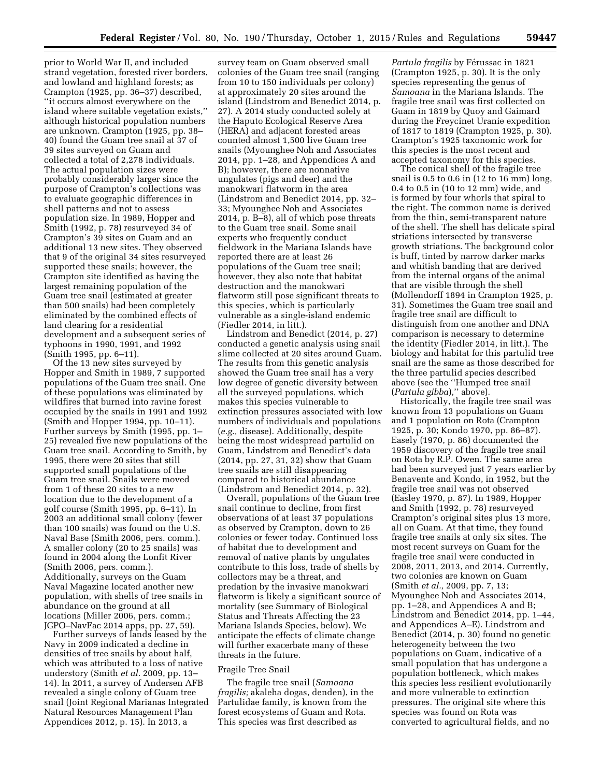prior to World War II, and included strand vegetation, forested river borders, and lowland and highland forests; as Crampton (1925, pp. 36–37) described, ''it occurs almost everywhere on the island where suitable vegetation exists,'' although historical population numbers are unknown. Crampton (1925, pp. 38– 40) found the Guam tree snail at 37 of 39 sites surveyed on Guam and collected a total of 2,278 individuals. The actual population sizes were probably considerably larger since the purpose of Crampton's collections was to evaluate geographic differences in shell patterns and not to assess population size. In 1989, Hopper and Smith (1992, p. 78) resurveyed 34 of Crampton's 39 sites on Guam and an additional 13 new sites. They observed that 9 of the original 34 sites resurveyed supported these snails; however, the Crampton site identified as having the largest remaining population of the Guam tree snail (estimated at greater than 500 snails) had been completely eliminated by the combined effects of land clearing for a residential development and a subsequent series of typhoons in 1990, 1991, and 1992 (Smith 1995, pp. 6–11).

Of the 13 new sites surveyed by Hopper and Smith in 1989, 7 supported populations of the Guam tree snail. One of these populations was eliminated by wildfires that burned into ravine forest occupied by the snails in 1991 and 1992 (Smith and Hopper 1994, pp. 10–11). Further surveys by Smith (1995, pp. 1– 25) revealed five new populations of the Guam tree snail. According to Smith, by 1995, there were 20 sites that still supported small populations of the Guam tree snail. Snails were moved from 1 of these 20 sites to a new location due to the development of a golf course (Smith 1995, pp. 6–11). In 2003 an additional small colony (fewer than 100 snails) was found on the U.S. Naval Base (Smith 2006, pers. comm.). A smaller colony (20 to 25 snails) was found in 2004 along the Lonfit River (Smith 2006, pers. comm.). Additionally, surveys on the Guam Naval Magazine located another new population, with shells of tree snails in abundance on the ground at all locations (Miller 2006, pers. comm.; JGPO–NavFac 2014 apps, pp. 27, 59).

Further surveys of lands leased by the Navy in 2009 indicated a decline in densities of tree snails by about half, which was attributed to a loss of native understory (Smith *et al.* 2009, pp. 13– 14). In 2011, a survey of Andersen AFB revealed a single colony of Guam tree snail (Joint Regional Marianas Integrated Natural Resources Management Plan Appendices 2012, p. 15). In 2013, a

survey team on Guam observed small colonies of the Guam tree snail (ranging from 10 to 150 individuals per colony) at approximately 20 sites around the island (Lindstrom and Benedict 2014, p. 27). A 2014 study conducted solely at the Haputo Ecological Reserve Area (HERA) and adjacent forested areas counted almost 1,500 live Guam tree snails (Myounghee Noh and Associates 2014, pp. 1–28, and Appendices A and B); however, there are nonnative ungulates (pigs and deer) and the manokwari flatworm in the area (Lindstrom and Benedict 2014, pp. 32– 33; Myounghee Noh and Associates 2014, p. B–8), all of which pose threats to the Guam tree snail. Some snail experts who frequently conduct fieldwork in the Mariana Islands have reported there are at least 26 populations of the Guam tree snail; however, they also note that habitat destruction and the manokwari flatworm still pose significant threats to this species, which is particularly vulnerable as a single-island endemic (Fiedler 2014, in litt.).

Lindstrom and Benedict (2014, p. 27) conducted a genetic analysis using snail slime collected at 20 sites around Guam. The results from this genetic analysis showed the Guam tree snail has a very low degree of genetic diversity between all the surveyed populations, which makes this species vulnerable to extinction pressures associated with low numbers of individuals and populations (*e.g.,* disease). Additionally, despite being the most widespread partulid on Guam, Lindstrom and Benedict's data (2014, pp. 27, 31, 32) show that Guam tree snails are still disappearing compared to historical abundance (Lindstrom and Benedict 2014, p. 32).

Overall, populations of the Guam tree snail continue to decline, from first observations of at least 37 populations as observed by Crampton, down to 26 colonies or fewer today. Continued loss of habitat due to development and removal of native plants by ungulates contribute to this loss, trade of shells by collectors may be a threat, and predation by the invasive manokwari flatworm is likely a significant source of mortality (see Summary of Biological Status and Threats Affecting the 23 Mariana Islands Species, below). We anticipate the effects of climate change will further exacerbate many of these threats in the future.

#### Fragile Tree Snail

The fragile tree snail (*Samoana fragilis;* akaleha dogas, denden), in the Partulidae family, is known from the forest ecosystems of Guam and Rota. This species was first described as

*Partula fragilis* by Férussac in 1821 (Crampton 1925, p. 30). It is the only species representing the genus of *Samoana* in the Mariana Islands. The fragile tree snail was first collected on Guam in 1819 by Quoy and Gaimard during the Freycinet Uranie expedition of 1817 to 1819 (Crampton 1925, p. 30). Crampton's 1925 taxonomic work for this species is the most recent and accepted taxonomy for this species.

The conical shell of the fragile tree snail is 0.5 to 0.6 in (12 to 16 mm) long, 0.4 to 0.5 in (10 to 12 mm) wide, and is formed by four whorls that spiral to the right. The common name is derived from the thin, semi-transparent nature of the shell. The shell has delicate spiral striations intersected by transverse growth striations. The background color is buff, tinted by narrow darker marks and whitish banding that are derived from the internal organs of the animal that are visible through the shell (Mollendorff 1894 in Crampton 1925, p. 31). Sometimes the Guam tree snail and fragile tree snail are difficult to distinguish from one another and DNA comparison is necessary to determine the identity (Fiedler 2014, in litt.). The biology and habitat for this partulid tree snail are the same as those described for the three partulid species described above (see the ''Humped tree snail (*Partula gibba*),'' above).

Historically, the fragile tree snail was known from 13 populations on Guam and 1 population on Rota (Crampton 1925, p. 30; Kondo 1970, pp. 86–87). Easely (1970, p. 86) documented the 1959 discovery of the fragile tree snail on Rota by R.P. Owen. The same area had been surveyed just 7 years earlier by Benavente and Kondo, in 1952, but the fragile tree snail was not observed (Easley 1970, p. 87). In 1989, Hopper and Smith (1992, p. 78) resurveyed Crampton's original sites plus 13 more, all on Guam. At that time, they found fragile tree snails at only six sites. The most recent surveys on Guam for the fragile tree snail were conducted in 2008, 2011, 2013, and 2014. Currently, two colonies are known on Guam (Smith *et al.,* 2009, pp. 7, 13; Myounghee Noh and Associates 2014, pp. 1–28, and Appendices A and B; Lindstrom and Benedict 2014, pp. 1–44, and Appendices A–E). Lindstrom and Benedict (2014, p. 30) found no genetic heterogeneity between the two populations on Guam, indicative of a small population that has undergone a population bottleneck, which makes this species less resilient evolutionarily and more vulnerable to extinction pressures. The original site where this species was found on Rota was converted to agricultural fields, and no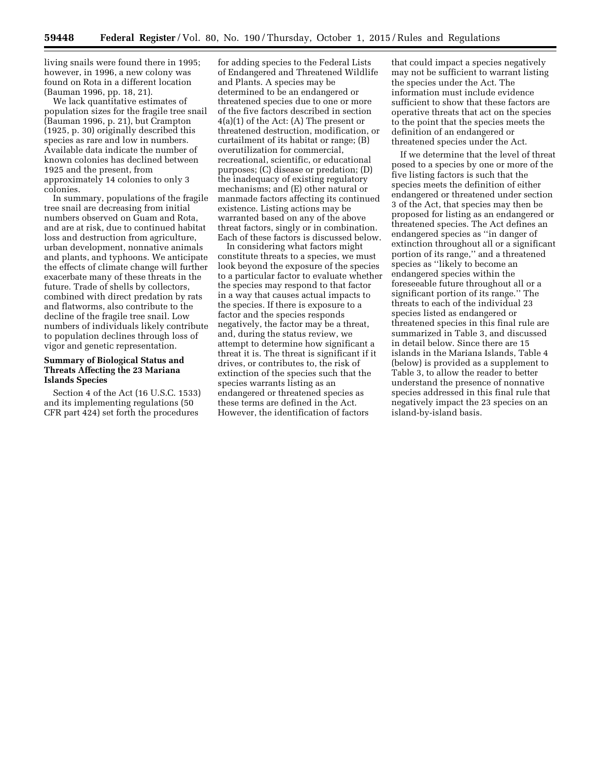living snails were found there in 1995; however, in 1996, a new colony was found on Rota in a different location (Bauman 1996, pp. 18, 21).

We lack quantitative estimates of population sizes for the fragile tree snail (Bauman 1996, p. 21), but Crampton (1925, p. 30) originally described this species as rare and low in numbers. Available data indicate the number of known colonies has declined between 1925 and the present, from approximately 14 colonies to only 3 colonies.

In summary, populations of the fragile tree snail are decreasing from initial numbers observed on Guam and Rota, and are at risk, due to continued habitat loss and destruction from agriculture, urban development, nonnative animals and plants, and typhoons. We anticipate the effects of climate change will further exacerbate many of these threats in the future. Trade of shells by collectors, combined with direct predation by rats and flatworms, also contribute to the decline of the fragile tree snail. Low numbers of individuals likely contribute to population declines through loss of vigor and genetic representation.

# **Summary of Biological Status and Threats Affecting the 23 Mariana Islands Species**

Section 4 of the Act (16 U.S.C. 1533) and its implementing regulations (50 CFR part 424) set forth the procedures

for adding species to the Federal Lists of Endangered and Threatened Wildlife and Plants. A species may be determined to be an endangered or threatened species due to one or more of the five factors described in section 4(a)(1) of the Act: (A) The present or threatened destruction, modification, or curtailment of its habitat or range; (B) overutilization for commercial, recreational, scientific, or educational purposes; (C) disease or predation; (D) the inadequacy of existing regulatory mechanisms; and (E) other natural or manmade factors affecting its continued existence. Listing actions may be warranted based on any of the above threat factors, singly or in combination. Each of these factors is discussed below.

In considering what factors might constitute threats to a species, we must look beyond the exposure of the species to a particular factor to evaluate whether the species may respond to that factor in a way that causes actual impacts to the species. If there is exposure to a factor and the species responds negatively, the factor may be a threat, and, during the status review, we attempt to determine how significant a threat it is. The threat is significant if it drives, or contributes to, the risk of extinction of the species such that the species warrants listing as an endangered or threatened species as these terms are defined in the Act. However, the identification of factors

that could impact a species negatively may not be sufficient to warrant listing the species under the Act. The information must include evidence sufficient to show that these factors are operative threats that act on the species to the point that the species meets the definition of an endangered or threatened species under the Act.

If we determine that the level of threat posed to a species by one or more of the five listing factors is such that the species meets the definition of either endangered or threatened under section 3 of the Act, that species may then be proposed for listing as an endangered or threatened species. The Act defines an endangered species as ''in danger of extinction throughout all or a significant portion of its range,'' and a threatened species as ''likely to become an endangered species within the foreseeable future throughout all or a significant portion of its range.'' The threats to each of the individual 23 species listed as endangered or threatened species in this final rule are summarized in Table 3, and discussed in detail below. Since there are 15 islands in the Mariana Islands, Table 4 (below) is provided as a supplement to Table 3, to allow the reader to better understand the presence of nonnative species addressed in this final rule that negatively impact the 23 species on an island-by-island basis.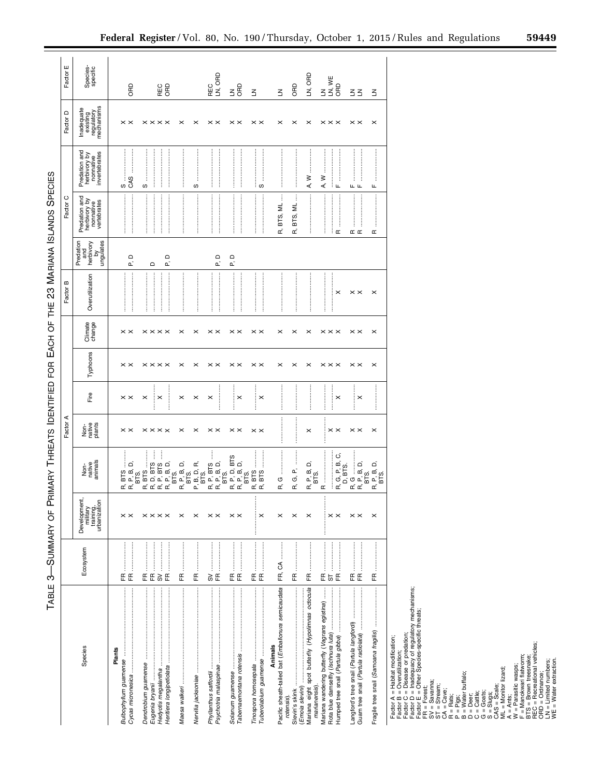| İ                |
|------------------|
|                  |
|                  |
|                  |
|                  |
|                  |
|                  |
|                  |
| l                |
|                  |
|                  |
| ۱                |
| I<br>ļ           |
| İ<br>j           |
|                  |
|                  |
| י<br>I           |
| l                |
| i<br>1           |
| ׇ֚֕֕<br>l        |
| ֚֚֚֬             |
| i                |
| l<br>l           |
| ו<br> <br>       |
|                  |
|                  |
| I                |
|                  |
|                  |
|                  |
| i                |
|                  |
|                  |
|                  |
|                  |
|                  |
|                  |
| l<br>ו<br>;<br>֕ |
| ֕                |
| I                |

| <b>ABLE</b>                                                                                                                                                                                                                                                                                                                                                                                                                                                                                                                   | ή.                                                                                                                                                                                                                                                                                                                                                                                                                                                                                                                                                                                                                                    | SUMMARY OF PR                                         | MARY                                                | <b>I HREATS IDENTIFIED</b>       |                                | EACH<br>∯<br>E             | p                                   | ₩<br>H               | Z3 MARIANA ISLANDS                               |                                                           | SPECIES                                                     |                                                    |                      |
|-------------------------------------------------------------------------------------------------------------------------------------------------------------------------------------------------------------------------------------------------------------------------------------------------------------------------------------------------------------------------------------------------------------------------------------------------------------------------------------------------------------------------------|---------------------------------------------------------------------------------------------------------------------------------------------------------------------------------------------------------------------------------------------------------------------------------------------------------------------------------------------------------------------------------------------------------------------------------------------------------------------------------------------------------------------------------------------------------------------------------------------------------------------------------------|-------------------------------------------------------|-----------------------------------------------------|----------------------------------|--------------------------------|----------------------------|-------------------------------------|----------------------|--------------------------------------------------|-----------------------------------------------------------|-------------------------------------------------------------|----------------------------------------------------|----------------------|
|                                                                                                                                                                                                                                                                                                                                                                                                                                                                                                                               |                                                                                                                                                                                                                                                                                                                                                                                                                                                                                                                                                                                                                                       |                                                       |                                                     | Factor                           |                                |                            |                                     | m<br>Factor          |                                                  | Factor C                                                  |                                                             | Factor D                                           | ш<br>Factor          |
| Species                                                                                                                                                                                                                                                                                                                                                                                                                                                                                                                       | Ecosystem                                                                                                                                                                                                                                                                                                                                                                                                                                                                                                                                                                                                                             | Development,<br>military<br>training,<br>urbanization | Non-<br>native<br>animals                           | Non-<br>rative<br>plants         | Fire                           | Typhoons                   | Climate<br>change                   | Overutilization      | Predation<br>and<br>herbivory<br>by<br>ungulates | Predation and<br>herbivory by<br>nonnative<br>vertebrates | Predation and<br>herbivory by<br>nonnative<br>invertebrates | Inadequate<br>existing<br>regulatory<br>mechanisms | Species-<br>specific |
| Plants                                                                                                                                                                                                                                                                                                                                                                                                                                                                                                                        | $E \nightharpoonup$                                                                                                                                                                                                                                                                                                                                                                                                                                                                                                                                                                                                                   | $\times\times$                                        | ் ்<br>cά                                           | $\times\times$                   | $\times\times$                 | $\times\times$             | $\times\times$                      |                      | $\mathsf \Omega$<br>c,                           |                                                           | s<br>GAS                                                    | $\times\times$                                     | <b>GRD</b>           |
|                                                                                                                                                                                                                                                                                                                                                                                                                                                                                                                               | $\begin{minipage}{0.9\linewidth} \begin{tabular}{l} \toprule \multicolumn{3}{c}{\textbf{0.9\linewidth}} \end{tabular} \end{minipage} \begin{minipage}{0.9\linewidth} \begin{tabular}{l} \multicolumn{3}{c}{\textbf{0.9\linewidth}} \end{tabular} \end{minipage} \begin{minipage}{0.9\linewidth} \end{minipage} \begin{minipage}{0.9\linewidth} \end{minipage} \begin{minipage}{0.9\linewidth} \end{minipage} \begin{minipage}{0.9\linewidth} \end{minipage} \begin{minipage}{0.9\linewidth} \end{minipage} \begin{minipage}{0.9\$<br>$\begin{array}{lll} \mathbb{E} & \mathbb{E} \text{ } \mathbb{S} \text{ } \mathbb{E} \end{array}$ | $\times\times\times\times$                            |                                                     | $\times\times\times\times$       | ÷×<br>$\times$<br>ŧ<br>$\cdot$ | $\times\times\times\times$ | $\times\times\times\times$          | $\ddot{\phantom{a}}$ | $\mathsf \Omega$<br>c,<br>$\mathsf \Omega$       | ļ<br>ŧ<br>:<br>:<br>:<br>İ<br>ŧ<br>÷                      | ł<br>÷<br>w                                                 | $\times\times\times\times$                         | REC<br>ORD           |
|                                                                                                                                                                                                                                                                                                                                                                                                                                                                                                                               | <br>Æ                                                                                                                                                                                                                                                                                                                                                                                                                                                                                                                                                                                                                                 | $\times$                                              |                                                     | $\times$                         | $\times$                       | $\times$                   | $\times$ $\times$                   |                      |                                                  |                                                           | ÷                                                           | $\times$                                           |                      |
| Psychotria malaspinae                                                                                                                                                                                                                                                                                                                                                                                                                                                                                                         | <br>$\mathop{\mathbb{E}}$<br>S<br>F<br>E                                                                                                                                                                                                                                                                                                                                                                                                                                                                                                                                                                                              | $\times$<br>$\times\times$                            |                                                     | $\pmb{\times}$<br>$\times\times$ | $\times$<br>$\times$<br>÷      | $\times$<br>$\times\times$ | $\times\times$                      |                      | $\mathsf{\Omega}$<br>c.                          | <br>ŧ                                                     | $\vdots$<br>:<br>:<br>ŧ<br>S                                | $\times$<br>$\times\times$                         | REC<br>LN, ORD       |
|                                                                                                                                                                                                                                                                                                                                                                                                                                                                                                                               | $E \nightharpoonup$                                                                                                                                                                                                                                                                                                                                                                                                                                                                                                                                                                                                                   | $\times\times$                                        | ers<br>D.<br>ם מה<br>מים מים מים<br>מים מים מים     | $\times\times$                   | $\times$                       | $\times\times$             | $\times\times$                      |                      | $\mathsf{P},\mathsf{D}$                          |                                                           |                                                             | $\times\times$                                     | $\leq$ $\frac{2}{5}$ |
|                                                                                                                                                                                                                                                                                                                                                                                                                                                                                                                               | $\label{eq:3} \begin{minipage}{0.9\linewidth} \begin{minipage}{0.9\linewidth} \begin{tabular}{l} \toprule \multicolumn{3}{c}{\textbf{0.9\linewidth}} \begin{tabular}{l} \multicolumn{3}{c}{\textbf{0.9\linewidth}} \end{tabular} \end{minipage} \end{minipage} \end{minipage} \begin{minipage}{0.9\linewidth} \begin{tabular}{l} \multicolumn{3}{c}{\textbf{0.9\linewidth}} \end{tabular} \end{minipage} \end{minipage} \begin{minipage}{0.9\linewidth} \begin{tabular}{l} \multicolumn{3}{c}{\textbf{0.9\linewidth}} \end{$<br>$E \nabla$                                                                                            | $\times$<br>÷                                         |                                                     | $\times\times$                   | ŧ<br>$\times$<br>ŧ             | $\times\times$             | $\times\times$                      | <br>ł                |                                                  |                                                           | :<br>:<br>:<br>İ<br>ļ<br>် ဟ                                | $\times\times$                                     | $\leq$               |
| Pacific sheath-tailed bat (Emballonura semicaudata<br>Animals<br>rotensis)                                                                                                                                                                                                                                                                                                                                                                                                                                                    | FR, CA                                                                                                                                                                                                                                                                                                                                                                                                                                                                                                                                                                                                                                | $\times$                                              | G<br>Œ                                              |                                  |                                | $\times$                   | $\times$                            |                      |                                                  | ŧ<br>₹<br>BTS,<br>Œ,                                      |                                                             | $\times$                                           | $\leq$               |
| (Emoia slevini)<br>Slevin's skink                                                                                                                                                                                                                                                                                                                                                                                                                                                                                             | :<br>Æ                                                                                                                                                                                                                                                                                                                                                                                                                                                                                                                                                                                                                                | $\times$                                              | p,<br>ග්<br>Œ                                       |                                  | İ<br>ŧ                         | $\times$                   | $\times$                            |                      |                                                  | ŧ<br>BTS, ML<br>Œ                                         | İ                                                           | $\times$                                           | <b>GRD</b>           |
| Mariana eight spot butterfly (Hypolimnas octocula<br>marianensis)                                                                                                                                                                                                                                                                                                                                                                                                                                                             | ŧ<br>$\mathop{\mathbb{E}}$                                                                                                                                                                                                                                                                                                                                                                                                                                                                                                                                                                                                            | $\times$                                              | R, P, B, D,<br>BTS.                                 | $\times$                         |                                | $\times$                   | $\times$                            |                      |                                                  |                                                           | ≥<br>А,                                                     | $\times$                                           | LN, ORD              |
| $\frac{1}{3}$<br>Mariana wandering butterfly (Vagrans egistina)                                                                                                                                                                                                                                                                                                                                                                                                                                                               | $\mathop{\mathbb{E}}\limits \, \mathop{\mathbb{E}}\limits \, \mathop{\mathbb{E}}\limits \, \mathop{\mathbb{E}}$                                                                                                                                                                                                                                                                                                                                                                                                                                                                                                                       | $\times\times$                                        | Ő<br>G, P, B,<br>D, BTS.<br>Œ<br>$\mathfrak{a}$     | $\times\times$                   | $\times$<br>÷                  | $\times\times\times$       | $\times\times\times$ $\times\times$ | $\times$<br>÷        |                                                  | ļ<br>j<br>ŧ<br>∶∝                                         | $\vdots$<br>ļ<br>≳<br>А,<br>÷щ                              | $\times\times\times$                               | LN, WE<br>ORD        |
| Guam tree snail (Partula radiolata)                                                                                                                                                                                                                                                                                                                                                                                                                                                                                           | $\mathop{\mathbb{E}}\limits$ $\mathop{\mathbb{E}}\limits$                                                                                                                                                                                                                                                                                                                                                                                                                                                                                                                                                                             | $\times$ $\times$                                     |                                                     | $\times\times$                   | $\times$                       | $\times\times$             |                                     | $\times\times$       |                                                  | ļ<br>:<br>:<br>:<br>$\simeq~\simeq$                       | <b>LL LL</b>                                                | $\times\times$                                     | $\leq \leq$          |
| Fragile tree snail (Samoana fragilis)                                                                                                                                                                                                                                                                                                                                                                                                                                                                                         | E                                                                                                                                                                                                                                                                                                                                                                                                                                                                                                                                                                                                                                     | $\times$                                              | R. G.<br>R. P. B. D.<br>R. P. B. D.<br>BTS.<br>BTS. | $\times$                         | ļ<br>j                         | $\times$                   | $\times$                            | $\times$             |                                                  | $\square$                                                 | щ                                                           | $\times$                                           | $\leq$               |
| Factor A = Habitat modification;<br>Factor B = Overutilization;<br>Factor D = Inadequacy of regulatory mechanisms;<br>Factor E = Other Species-specific threats;<br>ST = Stream;<br>ST = Stream;<br>$ML = Montor(az)dz$<br>$M = Parsilto was\n\theta = Parsilto was\nE = Manokwaat flatworm;\nF = Mannokwaat flatworm;\nRTE = Bovon treean vahides;\nORD = Ordnance;\nORE = Water exactaoton.R = Rats R = Rjqs R = Rjqs R = Rjqs R = Rjqs R = Rjqs R = Rjqs R = Scales R = Scales R = Scales R = Scales R = ScalesCA = Case;$ |                                                                                                                                                                                                                                                                                                                                                                                                                                                                                                                                                                                                                                       |                                                       |                                                     |                                  |                                |                            |                                     |                      |                                                  |                                                           |                                                             |                                                    |                      |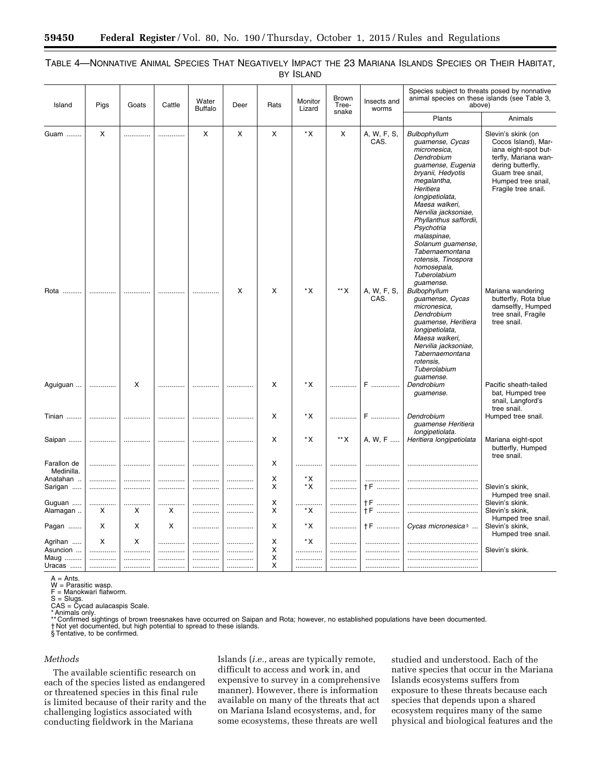| Island                    | Pigs     | Goats | Cattle | Water<br><b>Buffalo</b> | Deer | Rats | Monitor<br>Lizard | Brown<br>Tree-<br>snake | Insects and<br>worms | Species subject to threats posed by nonnative<br>animal species on these islands (see Table 3,<br>above)                                                                                                                                                                                                                                                           |                                                                                                                                                                                 |
|---------------------------|----------|-------|--------|-------------------------|------|------|-------------------|-------------------------|----------------------|--------------------------------------------------------------------------------------------------------------------------------------------------------------------------------------------------------------------------------------------------------------------------------------------------------------------------------------------------------------------|---------------------------------------------------------------------------------------------------------------------------------------------------------------------------------|
|                           |          |       |        |                         |      |      |                   |                         |                      | Plants                                                                                                                                                                                                                                                                                                                                                             | Animals                                                                                                                                                                         |
| Guam                      | $\times$ | .     | .      | X                       | X    | X    | $*x$              | X                       | A, W, F, S,<br>CAS.  | Bulbophyllum<br>guamense, Cycas<br>micronesica.<br>Dendrobium<br>guamense, Eugenia<br>bryanii, Hedyotis<br>megalantha,<br>Heritiera<br>longipetiolata,<br>Maesa walkeri,<br>Nervilia jacksoniae,<br>Phyllanthus saffordii,<br>Psychotria<br>malaspinae,<br>Solanum guamense,<br>Tabernaemontana<br>rotensis, Tinospora<br>homosepala,<br>Tuberolabium<br>quamense. | Slevin's skink (on<br>Cocos Island), Mar-<br>iana eight-spot but-<br>terfly, Mariana wan-<br>dering butterfly,<br>Guam tree snail,<br>Humped tree snail,<br>Fragile tree snail. |
| Rota                      |          | .     | .      |                         | X    | X    | *X                | ** X                    | A, W, F, S,<br>CAS.  | Bulbophyllum<br>guamense, Cycas<br>micronesica.<br>Dendrobium<br>guamense, Heritiera<br>longipetiolata,<br>Maesa walkeri,<br>Nervilia jacksoniae,<br>Tabernaemontana<br>rotensis.<br>Tuberolabium<br>guamense.                                                                                                                                                     | Mariana wandering<br>butterfly, Rota blue<br>damselfly, Humped<br>tree snail, Fragile<br>tree snail.                                                                            |
| Aguiguan                  |          | X     | .      | .                       | .    | X    | *X                | .                       | F                    | Dendrobium<br>guamense.                                                                                                                                                                                                                                                                                                                                            | Pacific sheath-tailed<br>bat, Humped tree<br>snail, Langford's<br>tree snail.                                                                                                   |
| Tinian                    |          | .     | .      | .                       | .    | X    | *X                | .                       | F                    | Dendrobium<br>quamense Heritiera<br>longipetiolata.                                                                                                                                                                                                                                                                                                                | Humped tree snail.                                                                                                                                                              |
| Saipan                    |          |       | .      | .                       | .    | X    | *X                | ** X                    | A, W, F              | Heritiera longipetiolata                                                                                                                                                                                                                                                                                                                                           | Mariana eight-spot<br>butterfly, Humped<br>tree snail.                                                                                                                          |
| Farallon de<br>Medinilla. | .        | .     | .      | .                       | .    | X    | .                 | .                       | .                    |                                                                                                                                                                                                                                                                                                                                                                    |                                                                                                                                                                                 |
| Anatahan                  | .        | .     | .      |                         | .    | X    | *X                | .                       |                      |                                                                                                                                                                                                                                                                                                                                                                    |                                                                                                                                                                                 |
| Sarigan                   | .        |       |        |                         | .    | X    | *X                |                         | †F                   |                                                                                                                                                                                                                                                                                                                                                                    | Slevin's skink,                                                                                                                                                                 |
|                           |          |       |        |                         |      |      |                   |                         |                      |                                                                                                                                                                                                                                                                                                                                                                    |                                                                                                                                                                                 |
|                           |          |       |        |                         |      |      |                   |                         |                      |                                                                                                                                                                                                                                                                                                                                                                    | Humped tree snail.                                                                                                                                                              |
| Guguan                    | .        | .     |        | .                       | .    | Χ    | .                 | .                       | †F                   |                                                                                                                                                                                                                                                                                                                                                                    | Slevin's skink.                                                                                                                                                                 |
| Alamagan                  | x        | X     | х      | .                       | .    | X    | *X                | .                       | †F                   |                                                                                                                                                                                                                                                                                                                                                                    | Slevin's skink,                                                                                                                                                                 |
|                           |          |       |        |                         |      |      |                   |                         |                      |                                                                                                                                                                                                                                                                                                                                                                    | Humped tree snail.                                                                                                                                                              |
| Pagan                     | X        | X     | X      | .                       | .    | X    | *X                | .                       | <b>TF</b>            | Cycas micronesica <sup>§</sup>                                                                                                                                                                                                                                                                                                                                     | Slevin's skink,<br>Humped tree snail.                                                                                                                                           |
| Agrihan                   | $\times$ | X     | .      | .                       | .    | X    | *X                | .                       | .                    |                                                                                                                                                                                                                                                                                                                                                                    |                                                                                                                                                                                 |
| Asuncion                  | .        | .     | .      | .                       | .    | X    | .                 | .                       |                      |                                                                                                                                                                                                                                                                                                                                                                    | Slevin's skink.                                                                                                                                                                 |
| Maug                      | .        | .     |        |                         | .    | X    | .                 | .                       |                      |                                                                                                                                                                                                                                                                                                                                                                    |                                                                                                                                                                                 |
|                           |          |       |        |                         |      | X    |                   |                         |                      |                                                                                                                                                                                                                                                                                                                                                                    |                                                                                                                                                                                 |
| Uracas                    | .        | .     |        | .                       | .    |      | .                 | .                       | .                    |                                                                                                                                                                                                                                                                                                                                                                    |                                                                                                                                                                                 |

# TABLE 4—NONNATIVE ANIMAL SPECIES THAT NEGATIVELY IMPACT THE 23 MARIANA ISLANDS SPECIES OR THEIR HABITAT, BY ISLAND

 $A = Ants.$ 

W = Parasitic wasp.

F = Manokwari flatworm.<br>S = Slugs.<br>CAS = Cycad aulacaspis Scale.<br>\*Animals only.<br>\*\*Confirmed sightings of brown treesnakes have occurred on Saipan and Rota; however, no established populations have been documented. † Not yet documented, but high potential to spread to these islands. § Tentative, to be confirmed.

# *Methods*

The available scientific research on each of the species listed as endangered or threatened species in this final rule is limited because of their rarity and the challenging logistics associated with conducting fieldwork in the Mariana

Islands (*i.e.,* areas are typically remote, difficult to access and work in, and expensive to survey in a comprehensive manner). However, there is information available on many of the threats that act on Mariana Island ecosystems, and, for some ecosystems, these threats are well

studied and understood. Each of the native species that occur in the Mariana Islands ecosystems suffers from exposure to these threats because each species that depends upon a shared ecosystem requires many of the same physical and biological features and the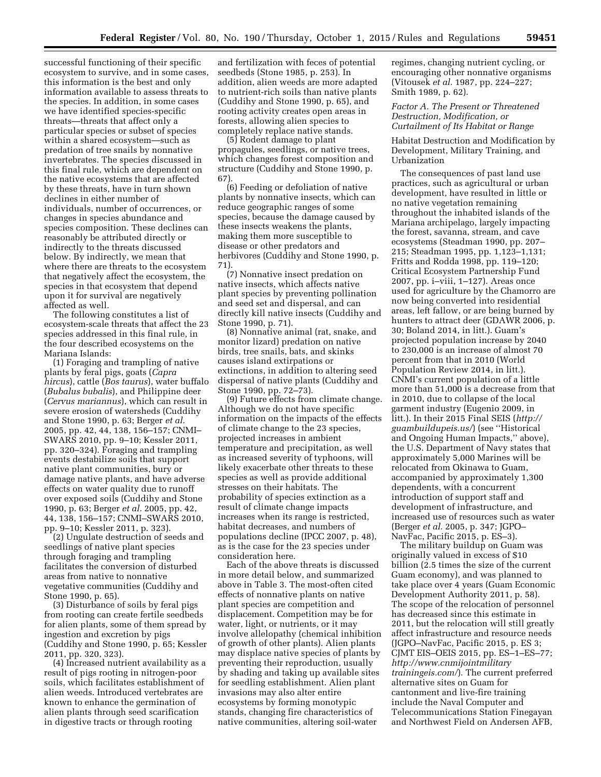successful functioning of their specific ecosystem to survive, and in some cases, this information is the best and only information available to assess threats to the species. In addition, in some cases we have identified species-specific threats—threats that affect only a particular species or subset of species within a shared ecosystem—such as predation of tree snails by nonnative invertebrates. The species discussed in this final rule, which are dependent on the native ecosystems that are affected by these threats, have in turn shown declines in either number of individuals, number of occurrences, or changes in species abundance and species composition. These declines can reasonably be attributed directly or indirectly to the threats discussed below. By indirectly, we mean that where there are threats to the ecosystem that negatively affect the ecosystem, the species in that ecosystem that depend upon it for survival are negatively affected as well.

The following constitutes a list of ecosystem-scale threats that affect the 23 species addressed in this final rule, in the four described ecosystems on the Mariana Islands:

(1) Foraging and trampling of native plants by feral pigs, goats (*Capra hircus*), cattle (*Bos taurus*), water buffalo (*Bubalus bubalis*), and Philippine deer (*Cervus mariannus*), which can result in severe erosion of watersheds (Cuddihy and Stone 1990, p. 63; Berger *et al.*  2005, pp. 42, 44, 138, 156–157; CNMI– SWARS 2010, pp. 9–10; Kessler 2011, pp. 320–324). Foraging and trampling events destabilize soils that support native plant communities, bury or damage native plants, and have adverse effects on water quality due to runoff over exposed soils (Cuddihy and Stone 1990, p. 63; Berger *et al.* 2005, pp. 42, 44, 138, 156–157; CNMI–SWARS 2010, pp. 9–10; Kessler 2011, p. 323).

(2) Ungulate destruction of seeds and seedlings of native plant species through foraging and trampling facilitates the conversion of disturbed areas from native to nonnative vegetative communities (Cuddihy and Stone 1990, p. 65).

(3) Disturbance of soils by feral pigs from rooting can create fertile seedbeds for alien plants, some of them spread by ingestion and excretion by pigs (Cuddihy and Stone 1990, p. 65; Kessler 2011, pp. 320, 323).

(4) Increased nutrient availability as a result of pigs rooting in nitrogen-poor soils, which facilitates establishment of alien weeds. Introduced vertebrates are known to enhance the germination of alien plants through seed scarification in digestive tracts or through rooting

and fertilization with feces of potential seedbeds (Stone 1985, p. 253). In addition, alien weeds are more adapted to nutrient-rich soils than native plants (Cuddihy and Stone 1990, p. 65), and rooting activity creates open areas in forests, allowing alien species to completely replace native stands.

(5) Rodent damage to plant propagules, seedlings, or native trees, which changes forest composition and structure (Cuddihy and Stone 1990, p. 67).

(6) Feeding or defoliation of native plants by nonnative insects, which can reduce geographic ranges of some species, because the damage caused by these insects weakens the plants, making them more susceptible to disease or other predators and herbivores (Cuddihy and Stone 1990, p. 71).

(7) Nonnative insect predation on native insects, which affects native plant species by preventing pollination and seed set and dispersal, and can directly kill native insects (Cuddihy and Stone 1990, p. 71).

(8) Nonnative animal (rat, snake, and monitor lizard) predation on native birds, tree snails, bats, and skinks causes island extirpations or extinctions, in addition to altering seed dispersal of native plants (Cuddihy and Stone 1990, pp. 72–73).

(9) Future effects from climate change. Although we do not have specific information on the impacts of the effects of climate change to the 23 species, projected increases in ambient temperature and precipitation, as well as increased severity of typhoons, will likely exacerbate other threats to these species as well as provide additional stresses on their habitats. The probability of species extinction as a result of climate change impacts increases when its range is restricted, habitat decreases, and numbers of populations decline (IPCC 2007, p. 48), as is the case for the 23 species under consideration here.

Each of the above threats is discussed in more detail below, and summarized above in Table 3. The most-often cited effects of nonnative plants on native plant species are competition and displacement. Competition may be for water, light, or nutrients, or it may involve allelopathy (chemical inhibition of growth of other plants). Alien plants may displace native species of plants by preventing their reproduction, usually by shading and taking up available sites for seedling establishment. Alien plant invasions may also alter entire ecosystems by forming monotypic stands, changing fire characteristics of native communities, altering soil-water

regimes, changing nutrient cycling, or encouraging other nonnative organisms (Vitousek *et al.* 1987, pp. 224–227; Smith 1989, p. 62).

# *Factor A. The Present or Threatened Destruction, Modification, or Curtailment of Its Habitat or Range*

Habitat Destruction and Modification by Development, Military Training, and Urbanization

The consequences of past land use practices, such as agricultural or urban development, have resulted in little or no native vegetation remaining throughout the inhabited islands of the Mariana archipelago, largely impacting the forest, savanna, stream, and cave ecosystems (Steadman 1990, pp. 207– 215; Steadman 1995, pp. 1,123–1,131; Fritts and Rodda 1998, pp. 119–120; Critical Ecosystem Partnership Fund 2007, pp. i–viii, 1–127). Areas once used for agriculture by the Chamorro are now being converted into residential areas, left fallow, or are being burned by hunters to attract deer (GDAWR 2006, p. 30; Boland 2014, in litt.). Guam's projected population increase by 2040 to 230,000 is an increase of almost 70 percent from that in 2010 (World Population Review 2014, in litt.). CNMI's current population of a little more than 51,000 is a decrease from that in 2010, due to collapse of the local garment industry (Eugenio 2009, in litt.). In their 2015 Final SEIS (*[http://](http://guambuildupeis.us/) [guambuildupeis.us/](http://guambuildupeis.us/)*) (see ''Historical and Ongoing Human Impacts,'' above), the U.S. Department of Navy states that approximately 5,000 Marines will be relocated from Okinawa to Guam, accompanied by approximately 1,300 dependents, with a concurrent introduction of support staff and development of infrastructure, and increased use of resources such as water (Berger *et al.* 2005, p. 347; JGPO– NavFac, Pacific 2015, p. ES–3).

The military buildup on Guam was originally valued in excess of \$10 billion (2.5 times the size of the current Guam economy), and was planned to take place over 4 years (Guam Economic Development Authority 2011, p. 58). The scope of the relocation of personnel has decreased since this estimate in 2011, but the relocation will still greatly affect infrastructure and resource needs (JGPO–NavFac, Pacific 2015, p. ES 3; CJMT EIS–OEIS 2015, pp. ES–1–ES–77; *[http://www.cnmijointmilitary](http://www.cnmijointmilitarytrainingeis.com/) [trainingeis.com/](http://www.cnmijointmilitarytrainingeis.com/)*). The current preferred alternative sites on Guam for cantonment and live-fire training include the Naval Computer and Telecommunications Station Finegayan and Northwest Field on Andersen AFB,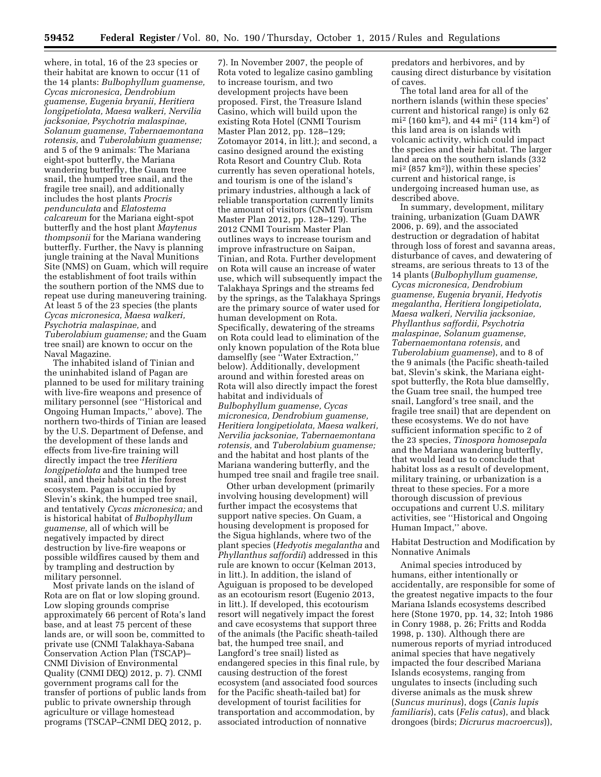where, in total, 16 of the 23 species or their habitat are known to occur (11 of the 14 plants: *Bulbophyllum guamense, Cycas micronesica, Dendrobium guamense, Eugenia bryanii, Heritiera longipetiolata, Maesa walkeri, Nervilia jacksoniae, Psychotria malaspinae, Solanum guamense, Tabernaemontana rotensis,* and *Tuberolabium guamense;*  and 5 of the 9 animals: The Mariana eight-spot butterfly, the Mariana wandering butterfly, the Guam tree snail, the humped tree snail, and the fragile tree snail), and additionally includes the host plants *Procris pendunculata* and *Elatostema calcareum* for the Mariana eight-spot butterfly and the host plant *Maytenus thompsonii* for the Mariana wandering butterfly. Further, the Navy is planning jungle training at the Naval Munitions Site (NMS) on Guam, which will require the establishment of foot trails within the southern portion of the NMS due to repeat use during maneuvering training. At least 5 of the 23 species (the plants *Cycas micronesica, Maesa walkeri, Psychotria malaspinae,* and *Tuberolabium guamense;* and the Guam tree snail) are known to occur on the Naval Magazine.

The inhabited island of Tinian and the uninhabited island of Pagan are planned to be used for military training with live-fire weapons and presence of military personnel (see ''Historical and Ongoing Human Impacts,'' above). The northern two-thirds of Tinian are leased by the U.S. Department of Defense, and the development of these lands and effects from live-fire training will directly impact the tree *Heritiera longipetiolata* and the humped tree snail, and their habitat in the forest ecosystem. Pagan is occupied by Slevin's skink, the humped tree snail, and tentatively *Cycas micronesica;* and is historical habitat of *Bulbophyllum guamense,* all of which will be negatively impacted by direct destruction by live-fire weapons or possible wildfires caused by them and by trampling and destruction by military personnel.

Most private lands on the island of Rota are on flat or low sloping ground. Low sloping grounds comprise approximately 66 percent of Rota's land base, and at least 75 percent of these lands are, or will soon be, committed to private use (CNMI Talakhaya-Sabana Conservation Action Plan (TSCAP)– CNMI Division of Environmental Quality (CNMI DEQ) 2012, p. 7). CNMI government programs call for the transfer of portions of public lands from public to private ownership through agriculture or village homestead programs (TSCAP–CNMI DEQ 2012, p.

7). In November 2007, the people of Rota voted to legalize casino gambling to increase tourism, and two development projects have been proposed. First, the Treasure Island Casino, which will build upon the existing Rota Hotel (CNMI Tourism Master Plan 2012, pp. 128–129; Zotomayor 2014, in litt.); and second, a casino designed around the existing Rota Resort and Country Club. Rota currently has seven operational hotels, and tourism is one of the island's primary industries, although a lack of reliable transportation currently limits the amount of visitors (CNMI Tourism Master Plan 2012, pp. 128–129). The 2012 CNMI Tourism Master Plan outlines ways to increase tourism and improve infrastructure on Saipan, Tinian, and Rota. Further development on Rota will cause an increase of water use, which will subsequently impact the Talakhaya Springs and the streams fed by the springs, as the Talakhaya Springs are the primary source of water used for human development on Rota. Specifically, dewatering of the streams on Rota could lead to elimination of the only known population of the Rota blue damselfly (see "Water Extraction," below). Additionally, development around and within forested areas on Rota will also directly impact the forest habitat and individuals of *Bulbophyllum guamense, Cycas micronesica, Dendrobium guamense, Heritiera longipetiolata, Maesa walkeri, Nervilia jacksoniae, Tabernaemontana rotensis,* and *Tuberolabium guamense;*  and the habitat and host plants of the Mariana wandering butterfly, and the humped tree snail and fragile tree snail.

Other urban development (primarily involving housing development) will further impact the ecosystems that support native species. On Guam, a housing development is proposed for the Sigua highlands, where two of the plant species (*Hedyotis megalantha* and *Phyllanthus saffordii*) addressed in this rule are known to occur (Kelman 2013, in litt.). In addition, the island of Aguiguan is proposed to be developed as an ecotourism resort (Eugenio 2013, in litt.). If developed, this ecotourism resort will negatively impact the forest and cave ecosystems that support three of the animals (the Pacific sheath-tailed bat, the humped tree snail, and Langford's tree snail) listed as endangered species in this final rule, by causing destruction of the forest ecosystem (and associated food sources for the Pacific sheath-tailed bat) for development of tourist facilities for transportation and accommodation, by associated introduction of nonnative

predators and herbivores, and by causing direct disturbance by visitation of caves.

The total land area for all of the northern islands (within these species' current and historical range) is only 62 mi2 (160 km2), and 44 mi2 (114 km2) of this land area is on islands with volcanic activity, which could impact the species and their habitat. The larger land area on the southern islands (332 mi2 (857 km2)), within these species' current and historical range, is undergoing increased human use, as described above.

In summary, development, military training, urbanization (Guam DAWR 2006, p. 69), and the associated destruction or degradation of habitat through loss of forest and savanna areas, disturbance of caves, and dewatering of streams, are serious threats to 13 of the 14 plants (*Bulbophyllum guamense, Cycas micronesica, Dendrobium guamense, Eugenia bryanii, Hedyotis megalantha, Heritiera longipetiolata, Maesa walkeri, Nervilia jacksoniae, Phyllanthus saffordii, Psychotria malaspinae, Solanum guamense, Tabernaemontana rotensis,* and *Tuberolabium guamense*), and to 8 of the 9 animals (the Pacific sheath-tailed bat, Slevin's skink, the Mariana eightspot butterfly, the Rota blue damselfly, the Guam tree snail, the humped tree snail, Langford's tree snail, and the fragile tree snail) that are dependent on these ecosystems. We do not have sufficient information specific to 2 of the 23 species, *Tinospora homosepala*  and the Mariana wandering butterfly, that would lead us to conclude that habitat loss as a result of development, military training, or urbanization is a threat to these species. For a more thorough discussion of previous occupations and current U.S. military activities, see ''Historical and Ongoing Human Impact,'' above.

# Habitat Destruction and Modification by Nonnative Animals

Animal species introduced by humans, either intentionally or accidentally, are responsible for some of the greatest negative impacts to the four Mariana Islands ecosystems described here (Stone 1970, pp. 14, 32; Intoh 1986 in Conry 1988, p. 26; Fritts and Rodda 1998, p. 130). Although there are numerous reports of myriad introduced animal species that have negatively impacted the four described Mariana Islands ecosystems, ranging from ungulates to insects (including such diverse animals as the musk shrew (*Suncus murinus*), dogs (*Canis lupis familiaris*), cats (*Felis catus*), and black drongoes (birds; *Dicrurus macroercus*)),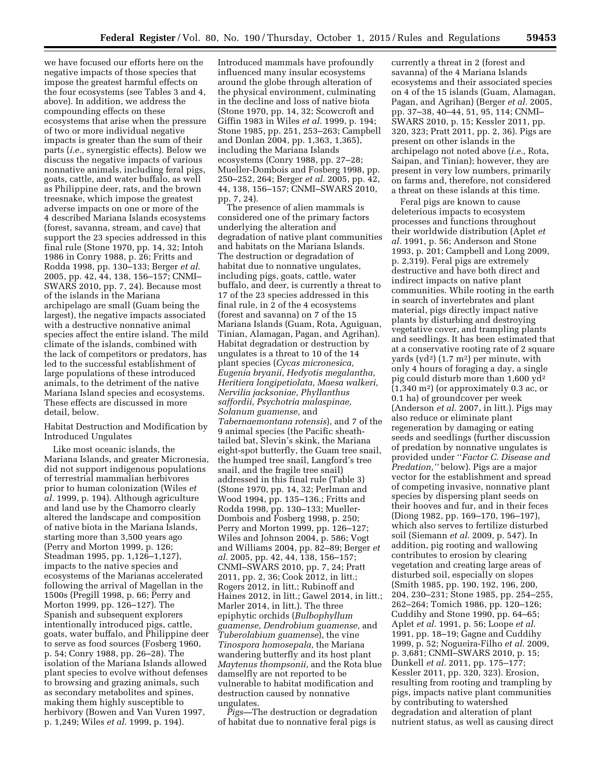we have focused our efforts here on the negative impacts of those species that impose the greatest harmful effects on the four ecosystems (see Tables 3 and 4, above). In addition, we address the compounding effects on these ecosystems that arise when the pressure of two or more individual negative impacts is greater than the sum of their parts (*i.e.,* synergistic effects). Below we discuss the negative impacts of various nonnative animals, including feral pigs, goats, cattle, and water buffalo, as well as Philippine deer, rats, and the brown treesnake, which impose the greatest adverse impacts on one or more of the 4 described Mariana Islands ecosystems (forest, savanna, stream, and cave) that support the 23 species addressed in this final rule (Stone 1970, pp. 14, 32; Intoh 1986 in Conry 1988, p. 26; Fritts and Rodda 1998, pp. 130–133; Berger *et al.*  2005, pp. 42, 44, 138, 156–157; CNMI– SWARS 2010, pp. 7, 24). Because most of the islands in the Mariana archipelago are small (Guam being the largest), the negative impacts associated with a destructive nonnative animal species affect the entire island. The mild climate of the islands, combined with the lack of competitors or predators, has led to the successful establishment of large populations of these introduced animals, to the detriment of the native Mariana Island species and ecosystems. These effects are discussed in more detail, below.

# Habitat Destruction and Modification by Introduced Ungulates

Like most oceanic islands, the Mariana Islands, and greater Micronesia, did not support indigenous populations of terrestrial mammalian herbivores prior to human colonization (Wiles *et al.* 1999, p. 194). Although agriculture and land use by the Chamorro clearly altered the landscape and composition of native biota in the Mariana Islands, starting more than 3,500 years ago (Perry and Morton 1999, p. 126; Steadman 1995, pp. 1,126–1,127), impacts to the native species and ecosystems of the Marianas accelerated following the arrival of Magellan in the 1500s (Pregill 1998, p. 66; Perry and Morton 1999, pp. 126–127). The Spanish and subsequent explorers intentionally introduced pigs, cattle, goats, water buffalo, and Philippine deer to serve as food sources (Fosberg 1960, p. 54; Conry 1988, pp. 26–28). The isolation of the Mariana Islands allowed plant species to evolve without defenses to browsing and grazing animals, such as secondary metabolites and spines, making them highly susceptible to herbivory (Bowen and Van Vuren 1997, p. 1,249; Wiles *et al.* 1999, p. 194).

Introduced mammals have profoundly influenced many insular ecosystems around the globe through alteration of the physical environment, culminating in the decline and loss of native biota (Stone 1970, pp. 14, 32; Scowcroft and Giffin 1983 in Wiles *et al.* 1999, p. 194; Stone 1985, pp. 251, 253–263; Campbell and Donlan 2004, pp. 1,363, 1,365), including the Mariana Islands ecosystems (Conry 1988, pp. 27–28; Mueller-Dombois and Fosberg 1998, pp. 250–252, 264; Berger *et al.* 2005, pp. 42, 44, 138, 156–157; CNMI–SWARS 2010, pp. 7, 24).

The presence of alien mammals is considered one of the primary factors underlying the alteration and degradation of native plant communities and habitats on the Mariana Islands. The destruction or degradation of habitat due to nonnative ungulates, including pigs, goats, cattle, water buffalo, and deer, is currently a threat to 17 of the 23 species addressed in this final rule, in 2 of the 4 ecosystems (forest and savanna) on 7 of the 15 Mariana Islands (Guam, Rota, Aguiguan, Tinian, Alamagan, Pagan, and Agrihan). Habitat degradation or destruction by ungulates is a threat to 10 of the 14 plant species (*Cycas micronesica, Eugenia bryanii, Hedyotis megalantha, Heritiera longipetiolata, Maesa walkeri, Nervilia jacksoniae, Phyllanthus saffordii, Psychotria malaspinae, Solanum guamense,* and *Tabernaemontana rotensis*), and 7 of the 9 animal species (the Pacific sheathtailed bat, Slevin's skink, the Mariana eight-spot butterfly, the Guam tree snail, the humped tree snail, Langford's tree snail, and the fragile tree snail) addressed in this final rule (Table 3) (Stone 1970, pp. 14, 32; Perlman and Wood 1994, pp. 135–136.; Fritts and Rodda 1998, pp. 130–133; Mueller-Dombois and Fosberg 1998, p. 250; Perry and Morton 1999, pp. 126–127; Wiles and Johnson 2004, p. 586; Vogt and Williams 2004, pp. 82–89; Berger *et al.* 2005, pp. 42, 44, 138, 156–157; CNMI–SWARS 2010, pp. 7, 24; Pratt 2011, pp. 2, 36; Cook 2012, in litt.; Rogers 2012, in litt.; Rubinoff and Haines 2012, in litt.; Gawel 2014, in litt.; Marler 2014, in litt.). The three epiphytic orchids (*Bulbophyllum guamense, Dendrobium guamense,* and *Tuberolabium guamense*), the vine *Tinospora homosepala,* the Mariana wandering butterfly and its host plant *Maytenus thompsonii,* and the Rota blue damselfly are not reported to be vulnerable to habitat modification and destruction caused by nonnative ungulates.

*Pigs—*The destruction or degradation of habitat due to nonnative feral pigs is

currently a threat in 2 (forest and savanna) of the 4 Mariana Islands ecosystems and their associated species on 4 of the 15 islands (Guam, Alamagan, Pagan, and Agrihan) (Berger *et al.* 2005, pp. 37–38, 40–44, 51, 95, 114; CNMI– SWARS 2010, p. 15; Kessler 2011, pp. 320, 323; Pratt 2011, pp. 2, 36). Pigs are present on other islands in the archipelago not noted above (*i.e.,* Rota, Saipan, and Tinian); however, they are present in very low numbers, primarily on farms and, therefore, not considered a threat on these islands at this time.

Feral pigs are known to cause deleterious impacts to ecosystem processes and functions throughout their worldwide distribution (Aplet *et al.* 1991, p. 56; Anderson and Stone 1993, p. 201; Campbell and Long 2009, p. 2,319). Feral pigs are extremely destructive and have both direct and indirect impacts on native plant communities. While rooting in the earth in search of invertebrates and plant material, pigs directly impact native plants by disturbing and destroying vegetative cover, and trampling plants and seedlings. It has been estimated that at a conservative rooting rate of 2 square yards  $(yd^2)$  (1.7 m<sup>2</sup>) per minute, with only 4 hours of foraging a day, a single pig could disturb more than 1,600 yd2 (1,340 m2) (or approximately 0.3 ac, or 0.1 ha) of groundcover per week (Anderson *et al.* 2007, in litt.). Pigs may also reduce or eliminate plant regeneration by damaging or eating seeds and seedlings (further discussion of predation by nonnative ungulates is provided under ''*Factor C. Disease and Predation,''* below). Pigs are a major vector for the establishment and spread of competing invasive, nonnative plant species by dispersing plant seeds on their hooves and fur, and in their feces (Diong 1982, pp. 169–170, 196–197), which also serves to fertilize disturbed soil (Siemann *et al.* 2009, p. 547). In addition, pig rooting and wallowing contributes to erosion by clearing vegetation and creating large areas of disturbed soil, especially on slopes (Smith 1985, pp. 190, 192, 196, 200, 204, 230–231; Stone 1985, pp. 254–255, 262–264; Tomich 1986, pp. 120–126; Cuddihy and Stone 1990, pp. 64–65; Aplet *et al.* 1991, p. 56; Loope *et al.*  1991, pp. 18–19; Gagne and Cuddihy 1999, p. 52; Nogueira-Filho *et al.* 2009, p. 3,681; CNMI–SWARS 2010, p. 15; Dunkell *et al.* 2011, pp. 175–177; Kessler 2011, pp. 320, 323). Erosion, resulting from rooting and trampling by pigs, impacts native plant communities by contributing to watershed degradation and alteration of plant nutrient status, as well as causing direct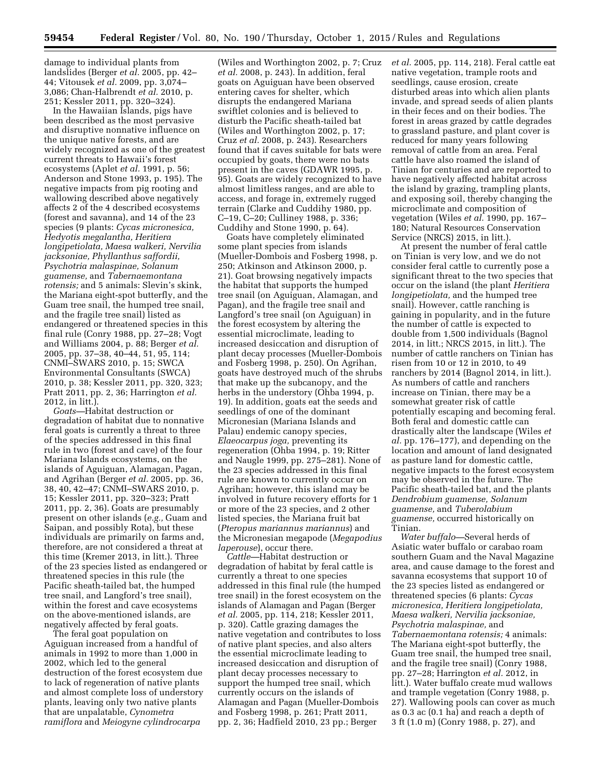damage to individual plants from landslides (Berger *et al.* 2005, pp. 42– 44; Vitousek *et al.* 2009, pp. 3,074– 3,086; Chan-Halbrendt *et al.* 2010, p. 251; Kessler 2011, pp. 320–324).

In the Hawaiian Islands, pigs have been described as the most pervasive and disruptive nonnative influence on the unique native forests, and are widely recognized as one of the greatest current threats to Hawaii's forest ecosystems (Aplet *et al.* 1991, p. 56; Anderson and Stone 1993, p. 195). The negative impacts from pig rooting and wallowing described above negatively affects 2 of the 4 described ecosystems (forest and savanna), and 14 of the 23 species (9 plants: *Cycas micronesica, Hedyotis megalantha, Heritiera longipetiolata, Maesa walkeri, Nervilia jacksoniae, Phyllanthus saffordii, Psychotria malaspinae, Solanum guamense,* and *Tabernaemontana rotensis;* and 5 animals: Slevin's skink, the Mariana eight-spot butterfly, and the Guam tree snail, the humped tree snail, and the fragile tree snail) listed as endangered or threatened species in this final rule (Conry 1988, pp. 27–28; Vogt and Williams 2004, p. 88; Berger *et al.*  2005, pp. 37–38, 40–44, 51, 95, 114; CNMI–SWARS 2010, p. 15; SWCA Environmental Consultants (SWCA) 2010, p. 38; Kessler 2011, pp. 320, 323; Pratt 2011, pp. 2, 36; Harrington *et al.*  2012, in litt.).

*Goats—*Habitat destruction or degradation of habitat due to nonnative feral goats is currently a threat to three of the species addressed in this final rule in two (forest and cave) of the four Mariana Islands ecosystems, on the islands of Aguiguan, Alamagan, Pagan, and Agrihan (Berger *et al.* 2005, pp. 36, 38, 40, 42–47; CNMI–SWARS 2010, p. 15; Kessler 2011, pp. 320–323; Pratt 2011, pp. 2, 36). Goats are presumably present on other islands (*e.g.,* Guam and Saipan, and possibly Rota), but these individuals are primarily on farms and, therefore, are not considered a threat at this time (Kremer 2013, in litt.). Three of the 23 species listed as endangered or threatened species in this rule (the Pacific sheath-tailed bat, the humped tree snail, and Langford's tree snail), within the forest and cave ecosystems on the above-mentioned islands, are negatively affected by feral goats.

The feral goat population on Aguiguan increased from a handful of animals in 1992 to more than 1,000 in 2002, which led to the general destruction of the forest ecosystem due to lack of regeneration of native plants and almost complete loss of understory plants, leaving only two native plants that are unpalatable, *Cynometra ramiflora* and *Meiogyne cylindrocarpa* 

(Wiles and Worthington 2002, p. 7; Cruz *et al.* 2008, p. 243). In addition, feral goats on Aguiguan have been observed entering caves for shelter, which disrupts the endangered Mariana swiftlet colonies and is believed to disturb the Pacific sheath-tailed bat (Wiles and Worthington 2002, p. 17; Cruz *et al.* 2008, p. 243). Researchers found that if caves suitable for bats were occupied by goats, there were no bats present in the caves (GDAWR 1995, p. 95). Goats are widely recognized to have almost limitless ranges, and are able to access, and forage in, extremely rugged terrain (Clarke and Cuddihy 1980, pp. C–19, C–20; Culliney 1988, p. 336; Cuddihy and Stone 1990, p. 64).

Goats have completely eliminated some plant species from islands (Mueller-Dombois and Fosberg 1998, p. 250; Atkinson and Atkinson 2000, p. 21). Goat browsing negatively impacts the habitat that supports the humped tree snail (on Aguiguan, Alamagan, and Pagan), and the fragile tree snail and Langford's tree snail (on Aguiguan) in the forest ecosystem by altering the essential microclimate, leading to increased desiccation and disruption of plant decay processes (Mueller-Dombois and Fosberg 1998, p. 250). On Agrihan, goats have destroyed much of the shrubs that make up the subcanopy, and the herbs in the understory (Ohba 1994, p. 19). In addition, goats eat the seeds and seedlings of one of the dominant Micronesian (Mariana Islands and Palau) endemic canopy species, *Elaeocarpus joga,* preventing its regeneration (Ohba 1994, p. 19; Ritter and Naugle 1999, pp. 275–281). None of the 23 species addressed in this final rule are known to currently occur on Agrihan; however, this island may be involved in future recovery efforts for 1 or more of the 23 species, and 2 other listed species, the Mariana fruit bat (*Pteropus mariannus mariannus*) and the Micronesian megapode (*Megapodius laperouse*), occur there.

*Cattle—*Habitat destruction or degradation of habitat by feral cattle is currently a threat to one species addressed in this final rule (the humped tree snail) in the forest ecosystem on the islands of Alamagan and Pagan (Berger *et al.* 2005, pp. 114, 218; Kessler 2011, p. 320). Cattle grazing damages the native vegetation and contributes to loss of native plant species, and also alters the essential microclimate leading to increased desiccation and disruption of plant decay processes necessary to support the humped tree snail, which currently occurs on the islands of Alamagan and Pagan (Mueller-Dombois and Fosberg 1998, p. 261; Pratt 2011, pp. 2, 36; Hadfield 2010, 23 pp.; Berger

*et al.* 2005, pp. 114, 218). Feral cattle eat native vegetation, trample roots and seedlings, cause erosion, create disturbed areas into which alien plants invade, and spread seeds of alien plants in their feces and on their bodies. The forest in areas grazed by cattle degrades to grassland pasture, and plant cover is reduced for many years following removal of cattle from an area. Feral cattle have also roamed the island of Tinian for centuries and are reported to have negatively affected habitat across the island by grazing, trampling plants, and exposing soil, thereby changing the microclimate and composition of vegetation (Wiles *et al.* 1990, pp. 167– 180; Natural Resources Conservation Service (NRCS) 2015, in litt.).

At present the number of feral cattle on Tinian is very low, and we do not consider feral cattle to currently pose a significant threat to the two species that occur on the island (the plant *Heritiera longipetiolata,* and the humped tree snail). However, cattle ranching is gaining in popularity, and in the future the number of cattle is expected to double from 1,500 individuals (Bagnol 2014, in litt.; NRCS 2015, in litt.). The number of cattle ranchers on Tinian has risen from 10 or 12 in 2010, to 49 ranchers by 2014 (Bagnol 2014, in litt.). As numbers of cattle and ranchers increase on Tinian, there may be a somewhat greater risk of cattle potentially escaping and becoming feral. Both feral and domestic cattle can drastically alter the landscape (Wiles *et al.* pp. 176–177), and depending on the location and amount of land designated as pasture land for domestic cattle, negative impacts to the forest ecosystem may be observed in the future. The Pacific sheath-tailed bat, and the plants *Dendrobium guamense, Solanum guamense,* and *Tuberolabium guamense,* occurred historically on Tinian.

*Water buffalo—*Several herds of Asiatic water buffalo or carabao roam southern Guam and the Naval Magazine area, and cause damage to the forest and savanna ecosystems that support 10 of the 23 species listed as endangered or threatened species (6 plants: *Cycas micronesica, Heritiera longipetiolata, Maesa walkeri, Nervilia jacksoniae, Psychotria malaspinae,* and *Tabernaemontana rotensis;* 4 animals: The Mariana eight-spot butterfly, the Guam tree snail, the humped tree snail, and the fragile tree snail) (Conry 1988, pp. 27–28; Harrington *et al.* 2012, in litt.). Water buffalo create mud wallows and trample vegetation (Conry 1988, p. 27). Wallowing pools can cover as much as 0.3 ac (0.1 ha) and reach a depth of 3 ft (1.0 m) (Conry 1988, p. 27), and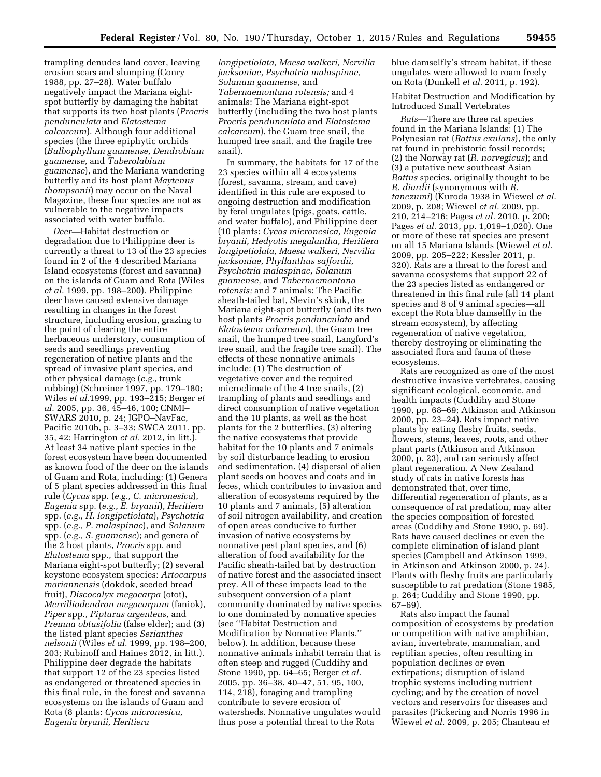trampling denudes land cover, leaving erosion scars and slumping (Conry 1988, pp. 27–28). Water buffalo negatively impact the Mariana eightspot butterfly by damaging the habitat that supports its two host plants (*Procris pendunculata* and *Elatostema calcareum*). Although four additional species (the three epiphytic orchids (*Bulbophyllum guamense, Dendrobium guamense,* and *Tuberolabium guamense*), and the Mariana wandering butterfly and its host plant *Maytenus thompsonii*) may occur on the Naval Magazine, these four species are not as vulnerable to the negative impacts associated with water buffalo.

*Deer—*Habitat destruction or degradation due to Philippine deer is currently a threat to 13 of the 23 species found in 2 of the 4 described Mariana Island ecosystems (forest and savanna) on the islands of Guam and Rota (Wiles *et al.* 1999, pp. 198–200). Philippine deer have caused extensive damage resulting in changes in the forest structure, including erosion, grazing to the point of clearing the entire herbaceous understory, consumption of seeds and seedlings preventing regeneration of native plants and the spread of invasive plant species, and other physical damage (*e.g.,* trunk rubbing) (Schreiner 1997, pp. 179–180; Wiles *et al.*1999, pp. 193–215; Berger *et al.* 2005, pp. 36, 45–46, 100; CNMI– SWARS 2010, p. 24; JGPO–NavFac, Pacific 2010b, p. 3–33; SWCA 2011, pp. 35, 42; Harrington *et al.* 2012, in litt.). At least 34 native plant species in the forest ecosystem have been documented as known food of the deer on the islands of Guam and Rota, including: (1) Genera of 5 plant species addressed in this final rule (*Cycas* spp. (*e.g., C. micronesica*), *Eugenia* spp. (*e.g., E. bryanii*), *Heritiera*  spp. (*e.g., H. longipetiolata*), *Psychotria*  spp. (*e.g., P. malaspinae*), and *Solanum*  spp. (*e.g., S. guamense*); and genera of the 2 host plants, *Procris* spp. and *Elatostema* spp., that support the Mariana eight-spot butterfly; (2) several keystone ecosystem species: *Artocarpus mariannensis* (dokdok, seeded bread fruit), *Discocalyx megacarpa* (otot), *Merrilliodendron megacarpum* (faniok), *Piper* spp., *Pipturus argenteus,* and *Premna obtusifolia* (false elder); and (3) the listed plant species *Serianthes nelsonii* (Wiles *et al.* 1999, pp. 198–200, 203; Rubinoff and Haines 2012, in litt.). Philippine deer degrade the habitats that support 12 of the 23 species listed as endangered or threatened species in this final rule, in the forest and savanna ecosystems on the islands of Guam and Rota (8 plants: *Cycas micronesica, Eugenia bryanii, Heritiera* 

*longipetiolata, Maesa walkeri, Nervilia jacksoniae, Psychotria malaspinae, Solanum guamense,* and *Tabernaemontana rotensis;* and 4 animals: The Mariana eight-spot butterfly (including the two host plants *Procris pendunculata* and *Elatostema calcareum*), the Guam tree snail, the humped tree snail, and the fragile tree snail).

In summary, the habitats for 17 of the 23 species within all 4 ecosystems (forest, savanna, stream, and cave) identified in this rule are exposed to ongoing destruction and modification by feral ungulates (pigs, goats, cattle, and water buffalo), and Philippine deer (10 plants: *Cycas micronesica, Eugenia bryanii, Hedyotis megalantha, Heritiera longipetiolata, Maesa walkeri, Nervilia jacksoniae, Phyllanthus saffordii, Psychotria malaspinae, Solanum guamense,* and *Tabernaemontana rotensis;* and 7 animals: The Pacific sheath-tailed bat, Slevin's skink, the Mariana eight-spot butterfly (and its two host plants *Procris pendunculata* and *Elatostema calcareum*), the Guam tree snail, the humped tree snail, Langford's tree snail, and the fragile tree snail). The effects of these nonnative animals include: (1) The destruction of vegetative cover and the required microclimate of the 4 tree snails, (2) trampling of plants and seedlings and direct consumption of native vegetation and the 10 plants, as well as the host plants for the 2 butterflies, (3) altering the native ecosystems that provide habitat for the 10 plants and 7 animals by soil disturbance leading to erosion and sedimentation, (4) dispersal of alien plant seeds on hooves and coats and in feces, which contributes to invasion and alteration of ecosystems required by the 10 plants and 7 animals, (5) alteration of soil nitrogen availability, and creation of open areas conducive to further invasion of native ecosystems by nonnative pest plant species, and (6) alteration of food availability for the Pacific sheath-tailed bat by destruction of native forest and the associated insect prey. All of these impacts lead to the subsequent conversion of a plant community dominated by native species to one dominated by nonnative species (see ''Habitat Destruction and Modification by Nonnative Plants,'' below). In addition, because these nonnative animals inhabit terrain that is often steep and rugged (Cuddihy and Stone 1990, pp. 64–65; Berger *et al.*  2005, pp. 36–38, 40–47, 51, 95, 100, 114, 218), foraging and trampling contribute to severe erosion of watersheds. Nonnative ungulates would thus pose a potential threat to the Rota

blue damselfly's stream habitat, if these ungulates were allowed to roam freely on Rota (Dunkell *et al.* 2011, p. 192).

Habitat Destruction and Modification by Introduced Small Vertebrates

*Rats—*There are three rat species found in the Mariana Islands: (1) The Polynesian rat (*Rattus exulans*), the only rat found in prehistoric fossil records; (2) the Norway rat (*R. norvegicus*); and (3) a putative new southeast Asian *Rattus* species, originally thought to be *R. diardii* (synonymous with *R. tanezumi*) (Kuroda 1938 in Wiewel *et al.*  2009, p. 208; Wiewel *et al.* 2009, pp. 210, 214–216; Pages *et al.* 2010, p. 200; Pages *et al.* 2013, pp. 1,019–1,020). One or more of these rat species are present on all 15 Mariana Islands (Wiewel *et al.*  2009, pp. 205–222; Kessler 2011, p. 320). Rats are a threat to the forest and savanna ecosystems that support 22 of the 23 species listed as endangered or threatened in this final rule (all 14 plant species and 8 of 9 animal species—all except the Rota blue damselfly in the stream ecosystem), by affecting regeneration of native vegetation, thereby destroying or eliminating the associated flora and fauna of these ecosystems.

Rats are recognized as one of the most destructive invasive vertebrates, causing significant ecological, economic, and health impacts (Cuddihy and Stone 1990, pp. 68–69; Atkinson and Atkinson 2000, pp. 23–24). Rats impact native plants by eating fleshy fruits, seeds, flowers, stems, leaves, roots, and other plant parts (Atkinson and Atkinson 2000, p. 23), and can seriously affect plant regeneration. A New Zealand study of rats in native forests has demonstrated that, over time, differential regeneration of plants, as a consequence of rat predation, may alter the species composition of forested areas (Cuddihy and Stone 1990, p. 69). Rats have caused declines or even the complete elimination of island plant species (Campbell and Atkinson 1999, in Atkinson and Atkinson 2000, p. 24). Plants with fleshy fruits are particularly susceptible to rat predation (Stone 1985, p. 264; Cuddihy and Stone 1990, pp. 67–69).

Rats also impact the faunal composition of ecosystems by predation or competition with native amphibian, avian, invertebrate, mammalian, and reptilian species, often resulting in population declines or even extirpations; disruption of island trophic systems including nutrient cycling; and by the creation of novel vectors and reservoirs for diseases and parasites (Pickering and Norris 1996 in Wiewel *et al.* 2009, p. 205; Chanteau *et*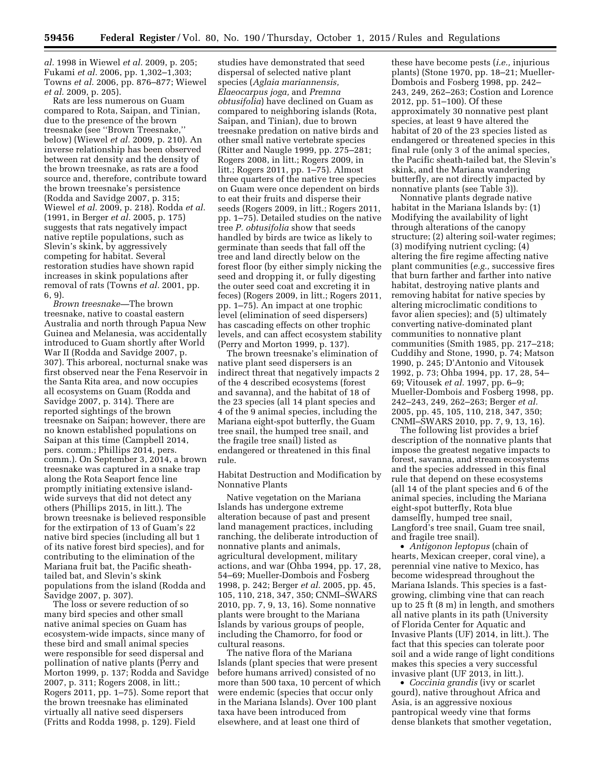*al.* 1998 in Wiewel *et al.* 2009, p. 205; Fukami *et al.* 2006, pp. 1,302–1,303; Towns *et al.* 2006, pp. 876–877; Wiewel *et al.* 2009, p. 205).

Rats are less numerous on Guam compared to Rota, Saipan, and Tinian, due to the presence of the brown treesnake (see ''Brown Treesnake,'' below) (Wiewel *et al.* 2009, p. 210). An inverse relationship has been observed between rat density and the density of the brown treesnake, as rats are a food source and, therefore, contribute toward the brown treesnake's persistence (Rodda and Savidge 2007, p. 315; Wiewel *et al.* 2009, p. 218). Rodda *et al.*  (1991, in Berger *et al.* 2005, p. 175) suggests that rats negatively impact native reptile populations, such as Slevin's skink, by aggressively competing for habitat. Several restoration studies have shown rapid increases in skink populations after removal of rats (Towns *et al.* 2001, pp. 6, 9).

*Brown treesnake—*The brown treesnake, native to coastal eastern Australia and north through Papua New Guinea and Melanesia, was accidentally introduced to Guam shortly after World War II (Rodda and Savidge 2007, p. 307). This arboreal, nocturnal snake was first observed near the Fena Reservoir in the Santa Rita area, and now occupies all ecosystems on Guam (Rodda and Savidge 2007, p. 314). There are reported sightings of the brown treesnake on Saipan; however, there are no known established populations on Saipan at this time (Campbell 2014, pers. comm.; Phillips 2014, pers. comm.). On September 3, 2014, a brown treesnake was captured in a snake trap along the Rota Seaport fence line promptly initiating extensive islandwide surveys that did not detect any others (Phillips 2015, in litt.). The brown treesnake is believed responsible for the extirpation of 13 of Guam's 22 native bird species (including all but 1 of its native forest bird species), and for contributing to the elimination of the Mariana fruit bat, the Pacific sheathtailed bat, and Slevin's skink populations from the island (Rodda and Savidge 2007, p. 307).

The loss or severe reduction of so many bird species and other small native animal species on Guam has ecosystem-wide impacts, since many of these bird and small animal species were responsible for seed dispersal and pollination of native plants (Perry and Morton 1999, p. 137; Rodda and Savidge 2007, p. 311; Rogers 2008, in litt.; Rogers 2011, pp. 1–75). Some report that the brown treesnake has eliminated virtually all native seed dispersers (Fritts and Rodda 1998, p. 129). Field

studies have demonstrated that seed dispersal of selected native plant species (*Aglaia mariannensis, Elaeocarpus joga,* and *Premna obtusifolia*) have declined on Guam as compared to neighboring islands (Rota, Saipan, and Tinian), due to brown treesnake predation on native birds and other small native vertebrate species (Ritter and Naugle 1999, pp. 275–281; Rogers 2008, in litt.; Rogers 2009, in litt.; Rogers 2011, pp. 1–75). Almost three quarters of the native tree species on Guam were once dependent on birds to eat their fruits and disperse their seeds (Rogers 2009, in litt.; Rogers 2011, pp. 1–75). Detailed studies on the native tree *P. obtusifolia* show that seeds handled by birds are twice as likely to germinate than seeds that fall off the tree and land directly below on the forest floor (by either simply nicking the seed and dropping it, or fully digesting the outer seed coat and excreting it in feces) (Rogers 2009, in litt.; Rogers 2011, pp. 1–75). An impact at one trophic level (elimination of seed dispersers) has cascading effects on other trophic levels, and can affect ecosystem stability (Perry and Morton 1999, p. 137).

The brown treesnake's elimination of native plant seed dispersers is an indirect threat that negatively impacts 2 of the 4 described ecosystems (forest and savanna), and the habitat of 18 of the 23 species (all 14 plant species and 4 of the 9 animal species, including the Mariana eight-spot butterfly, the Guam tree snail, the humped tree snail, and the fragile tree snail) listed as endangered or threatened in this final rule.

Habitat Destruction and Modification by Nonnative Plants

Native vegetation on the Mariana Islands has undergone extreme alteration because of past and present land management practices, including ranching, the deliberate introduction of nonnative plants and animals, agricultural development, military actions, and war (Ohba 1994, pp. 17, 28, 54–69; Mueller-Dombois and Fosberg 1998, p. 242; Berger *et al.* 2005, pp. 45, 105, 110, 218, 347, 350; CNMI–SWARS 2010, pp. 7, 9, 13, 16). Some nonnative plants were brought to the Mariana Islands by various groups of people, including the Chamorro, for food or cultural reasons.

The native flora of the Mariana Islands (plant species that were present before humans arrived) consisted of no more than 500 taxa, 10 percent of which were endemic (species that occur only in the Mariana Islands). Over 100 plant taxa have been introduced from elsewhere, and at least one third of

these have become pests (*i.e.,* injurious plants) (Stone 1970, pp. 18–21; Mueller-Dombois and Fosberg 1998, pp. 242– 243, 249, 262–263; Costion and Lorence 2012, pp. 51–100). Of these approximately 30 nonnative pest plant species, at least 9 have altered the habitat of 20 of the 23 species listed as endangered or threatened species in this final rule (only 3 of the animal species, the Pacific sheath-tailed bat, the Slevin's skink, and the Mariana wandering butterfly, are not directly impacted by nonnative plants (see Table 3)).

Nonnative plants degrade native habitat in the Mariana Islands by: (1) Modifying the availability of light through alterations of the canopy structure; (2) altering soil-water regimes; (3) modifying nutrient cycling; (4) altering the fire regime affecting native plant communities (*e.g.,* successive fires that burn farther and farther into native habitat, destroying native plants and removing habitat for native species by altering microclimatic conditions to favor alien species); and (5) ultimately converting native-dominated plant communities to nonnative plant communities (Smith 1985, pp. 217–218; Cuddihy and Stone, 1990, p. 74; Matson 1990, p. 245; D'Antonio and Vitousek 1992, p. 73; Ohba 1994, pp. 17, 28, 54– 69; Vitousek *et al.* 1997, pp. 6–9; Mueller-Dombois and Fosberg 1998, pp. 242–243, 249, 262–263; Berger *et al.*  2005, pp. 45, 105, 110, 218, 347, 350; CNMI–SWARS 2010, pp. 7, 9, 13, 16).

The following list provides a brief description of the nonnative plants that impose the greatest negative impacts to forest, savanna, and stream ecosystems and the species addressed in this final rule that depend on these ecosystems (all 14 of the plant species and 6 of the animal species, including the Mariana eight-spot butterfly, Rota blue damselfly, humped tree snail, Langford's tree snail, Guam tree snail, and fragile tree snail).

• *Antigonon leptopus* (chain of hearts, Mexican creeper, coral vine), a perennial vine native to Mexico, has become widespread throughout the Mariana Islands. This species is a fastgrowing, climbing vine that can reach up to 25 ft (8 m) in length, and smothers all native plants in its path (University of Florida Center for Aquatic and Invasive Plants (UF) 2014, in litt.). The fact that this species can tolerate poor soil and a wide range of light conditions makes this species a very successful invasive plant (UF 2013, in litt.).

• *Coccinia grandis* (ivy or scarlet gourd), native throughout Africa and Asia, is an aggressive noxious pantropical weedy vine that forms dense blankets that smother vegetation,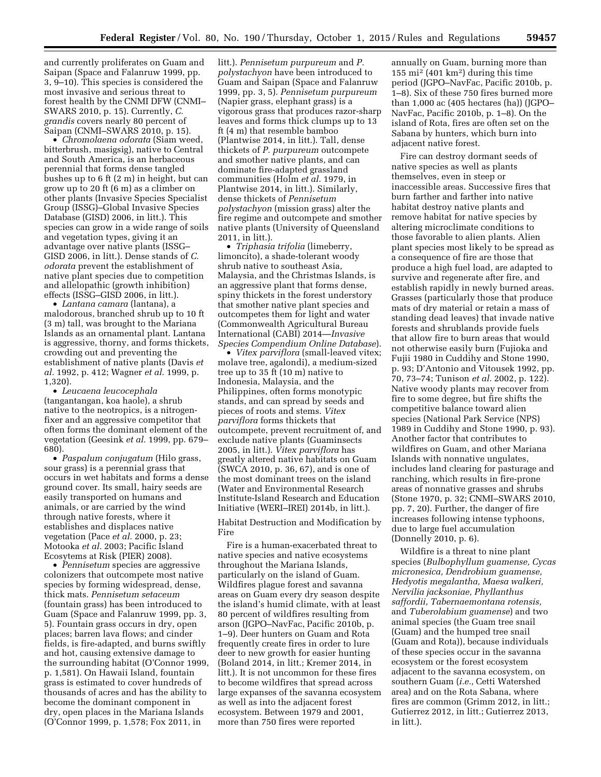and currently proliferates on Guam and Saipan (Space and Falanruw 1999, pp. 3, 9–10). This species is considered the most invasive and serious threat to forest health by the CNMI DFW (CNMI– SWARS 2010, p. 15). Currently, *C. grandis* covers nearly 80 percent of Saipan (CNMI–SWARS 2010, p. 15).

• *Chromolaena odorata* (Siam weed, bitterbrush, masigsig), native to Central and South America, is an herbaceous perennial that forms dense tangled bushes up to 6 ft (2 m) in height, but can grow up to 20 ft (6 m) as a climber on other plants (Invasive Species Specialist Group (ISSG)–Global Invasive Species Database (GISD) 2006, in litt.). This species can grow in a wide range of soils and vegetation types, giving it an advantage over native plants (ISSG– GISD 2006, in litt.). Dense stands of *C. odorata* prevent the establishment of native plant species due to competition and allelopathic (growth inhibition) effects (ISSG–GISD 2006, in litt.).

• *Lantana camara* (lantana), a malodorous, branched shrub up to 10 ft (3 m) tall, was brought to the Mariana Islands as an ornamental plant. Lantana is aggressive, thorny, and forms thickets, crowding out and preventing the establishment of native plants (Davis *et al.* 1992, p. 412; Wagner *et al.* 1999, p. 1,320).

• *Leucaena leucocephala*  (tangantangan, koa haole), a shrub native to the neotropics, is a nitrogenfixer and an aggressive competitor that often forms the dominant element of the vegetation (Geesink *et al.* 1999, pp. 679– 680).

• *Paspalum conjugatum* (Hilo grass, sour grass) is a perennial grass that occurs in wet habitats and forms a dense ground cover. Its small, hairy seeds are easily transported on humans and animals, or are carried by the wind through native forests, where it establishes and displaces native vegetation (Pace *et al.* 2000, p. 23; Motooka *et al.* 2003; Pacific Island Ecosytems at Risk (PIER) 2008).

• *Pennisetum* species are aggressive colonizers that outcompete most native species by forming widespread, dense, thick mats. *Pennisetum setaceum*  (fountain grass) has been introduced to Guam (Space and Falanruw 1999, pp. 3, 5). Fountain grass occurs in dry, open places; barren lava flows; and cinder fields, is fire-adapted, and burns swiftly and hot, causing extensive damage to the surrounding habitat (O'Connor 1999, p. 1,581). On Hawaii Island, fountain grass is estimated to cover hundreds of thousands of acres and has the ability to become the dominant component in dry, open places in the Mariana Islands (O'Connor 1999, p. 1,578; Fox 2011, in

litt.). *Pennisetum purpureum* and *P. polystachyon* have been introduced to Guam and Saipan (Space and Falanruw 1999, pp. 3, 5). *Pennisetum purpureum*  (Napier grass, elephant grass) is a vigorous grass that produces razor-sharp leaves and forms thick clumps up to 13 ft (4 m) that resemble bamboo (Plantwise 2014, in litt.). Tall, dense thickets of *P. purpureum* outcompete and smother native plants, and can dominate fire-adapted grassland communities (Holm *et al.* 1979, in Plantwise 2014, in litt.). Similarly, dense thickets of *Pennisetum polystachyon* (mission grass) alter the fire regime and outcompete and smother native plants (University of Queensland 2011, in litt.).

• *Triphasia trifolia* (limeberry, limoncito), a shade-tolerant woody shrub native to southeast Asia, Malaysia, and the Christmas Islands, is an aggressive plant that forms dense, spiny thickets in the forest understory that smother native plant species and outcompetes them for light and water (Commonwealth Agricultural Bureau International (CABI) 2014—*Invasive Species Compendium Online Database*).

• *Vitex parviflora* (small-leaved vitex; molave tree, agalondi), a medium-sized tree up to 35 ft (10 m) native to Indonesia, Malaysia, and the Philippines, often forms monotypic stands, and can spread by seeds and pieces of roots and stems. *Vitex parviflora* forms thickets that outcompete, prevent recruitment of, and exclude native plants (Guaminsects 2005, in litt.). *Vitex parviflora* has greatly altered native habitats on Guam (SWCA 2010, p. 36, 67), and is one of the most dominant trees on the island (Water and Environmental Research Institute-Island Research and Education Initiative (WERI–IREI) 2014b, in litt.).

Habitat Destruction and Modification by Fire

Fire is a human-exacerbated threat to native species and native ecosystems throughout the Mariana Islands, particularly on the island of Guam. Wildfires plague forest and savanna areas on Guam every dry season despite the island's humid climate, with at least 80 percent of wildfires resulting from arson (JGPO–NavFac, Pacific 2010b, p. 1–9). Deer hunters on Guam and Rota frequently create fires in order to lure deer to new growth for easier hunting (Boland 2014, in litt.; Kremer 2014, in litt.). It is not uncommon for these fires to become wildfires that spread across large expanses of the savanna ecosystem as well as into the adjacent forest ecosystem. Between 1979 and 2001, more than 750 fires were reported

annually on Guam, burning more than 155 mi2 (401 km2) during this time period (JGPO–NavFac, Pacific 2010b, p. 1–8). Six of these 750 fires burned more than 1,000 ac (405 hectares (ha)) (JGPO– NavFac, Pacific 2010b, p. 1–8). On the island of Rota, fires are often set on the Sabana by hunters, which burn into adjacent native forest.

Fire can destroy dormant seeds of native species as well as plants themselves, even in steep or inaccessible areas. Successive fires that burn farther and farther into native habitat destroy native plants and remove habitat for native species by altering microclimate conditions to those favorable to alien plants. Alien plant species most likely to be spread as a consequence of fire are those that produce a high fuel load, are adapted to survive and regenerate after fire, and establish rapidly in newly burned areas. Grasses (particularly those that produce mats of dry material or retain a mass of standing dead leaves) that invade native forests and shrublands provide fuels that allow fire to burn areas that would not otherwise easily burn (Fujioka and Fujii 1980 in Cuddihy and Stone 1990, p. 93; D'Antonio and Vitousek 1992, pp. 70, 73–74; Tunison *et al.* 2002, p. 122). Native woody plants may recover from fire to some degree, but fire shifts the competitive balance toward alien species (National Park Service (NPS) 1989 in Cuddihy and Stone 1990, p. 93). Another factor that contributes to wildfires on Guam, and other Mariana Islands with nonnative ungulates, includes land clearing for pasturage and ranching, which results in fire-prone areas of nonnative grasses and shrubs (Stone 1970, p. 32; CNMI–SWARS 2010, pp. 7, 20). Further, the danger of fire increases following intense typhoons, due to large fuel accumulation (Donnelly 2010, p. 6).

Wildfire is a threat to nine plant species (*Bulbophyllum guamense, Cycas micronesica, Dendrobium guamense, Hedyotis megalantha, Maesa walkeri, Nervilia jacksoniae, Phyllanthus saffordii, Tabernaemontana rotensis,*  and *Tuberolabium guamense*) and two animal species (the Guam tree snail (Guam) and the humped tree snail (Guam and Rota)), because individuals of these species occur in the savanna ecosystem or the forest ecosystem adjacent to the savanna ecosystem, on southern Guam (*i.e.,* Cetti Watershed area) and on the Rota Sabana, where fires are common (Grimm 2012, in litt.; Gutierrez 2012, in litt.; Gutierrez 2013, in litt.).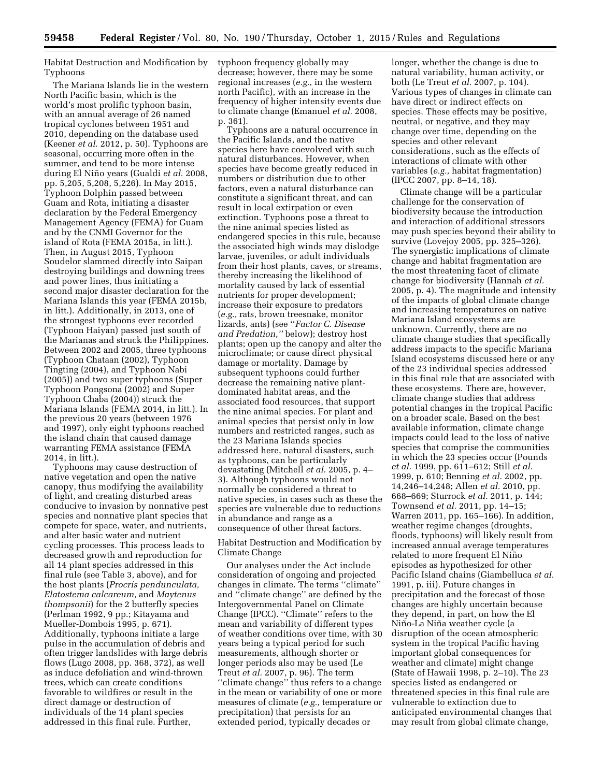Habitat Destruction and Modification by Typhoons

The Mariana Islands lie in the western North Pacific basin, which is the world's most prolific typhoon basin, with an annual average of 26 named tropical cyclones between 1951 and 2010, depending on the database used (Keener *et al.* 2012, p. 50). Typhoons are seasonal, occurring more often in the summer, and tend to be more intense during El Nin˜ o years (Gualdi *et al.* 2008, pp. 5,205, 5,208, 5,226). In May 2015, Typhoon Dolphin passed between Guam and Rota, initiating a disaster declaration by the Federal Emergency Management Agency (FEMA) for Guam and by the CNMI Governor for the island of Rota (FEMA 2015a, in litt.). Then, in August 2015, Typhoon Soudelor slammed directly into Saipan destroying buildings and downing trees and power lines, thus initiating a second major disaster declaration for the Mariana Islands this year (FEMA 2015b, in litt.). Additionally, in 2013, one of the strongest typhoons ever recorded (Typhoon Haiyan) passed just south of the Marianas and struck the Philippines. Between 2002 and 2005, three typhoons (Typhoon Chataan (2002), Typhoon Tingting (2004), and Typhoon Nabi (2005)) and two super typhoons (Super Typhoon Pongsona (2002) and Super Typhoon Chaba (2004)) struck the Mariana Islands (FEMA 2014, in litt.). In the previous 20 years (between 1976 and 1997), only eight typhoons reached the island chain that caused damage warranting FEMA assistance (FEMA 2014, in litt.).

Typhoons may cause destruction of native vegetation and open the native canopy, thus modifying the availability of light, and creating disturbed areas conducive to invasion by nonnative pest species and nonnative plant species that compete for space, water, and nutrients, and alter basic water and nutrient cycling processes. This process leads to decreased growth and reproduction for all 14 plant species addressed in this final rule (see Table 3, above), and for the host plants (*Procris pendunculata, Elatostema calcareum,* and *Maytenus thompsonii*) for the 2 butterfly species (Perlman 1992, 9 pp.; Kitayama and Mueller-Dombois 1995, p. 671). Additionally, typhoons initiate a large pulse in the accumulation of debris and often trigger landslides with large debris flows (Lugo 2008, pp. 368, 372), as well as induce defoliation and wind-thrown trees, which can create conditions favorable to wildfires or result in the direct damage or destruction of individuals of the 14 plant species addressed in this final rule. Further,

typhoon frequency globally may decrease; however, there may be some regional increases (*e.g.,* in the western north Pacific), with an increase in the frequency of higher intensity events due to climate change (Emanuel *et al.* 2008, p. 361).

Typhoons are a natural occurrence in the Pacific Islands, and the native species here have coevolved with such natural disturbances. However, when species have become greatly reduced in numbers or distribution due to other factors, even a natural disturbance can constitute a significant threat, and can result in local extirpation or even extinction. Typhoons pose a threat to the nine animal species listed as endangered species in this rule, because the associated high winds may dislodge larvae, juveniles, or adult individuals from their host plants, caves, or streams, thereby increasing the likelihood of mortality caused by lack of essential nutrients for proper development; increase their exposure to predators (*e.g.,* rats, brown treesnake, monitor lizards, ants) (see ''*Factor C. Disease and Predation,''* below); destroy host plants; open up the canopy and alter the microclimate; or cause direct physical damage or mortality. Damage by subsequent typhoons could further decrease the remaining native plantdominated habitat areas, and the associated food resources, that support the nine animal species. For plant and animal species that persist only in low numbers and restricted ranges, such as the 23 Mariana Islands species addressed here, natural disasters, such as typhoons, can be particularly devastating (Mitchell *et al.* 2005, p. 4– 3). Although typhoons would not normally be considered a threat to native species, in cases such as these the species are vulnerable due to reductions in abundance and range as a consequence of other threat factors.

Habitat Destruction and Modification by Climate Change

Our analyses under the Act include consideration of ongoing and projected changes in climate. The terms ''climate'' and ''climate change'' are defined by the Intergovernmental Panel on Climate Change (IPCC). ''Climate'' refers to the mean and variability of different types of weather conditions over time, with 30 years being a typical period for such measurements, although shorter or longer periods also may be used (Le Treut *et al.* 2007, p. 96). The term ''climate change'' thus refers to a change in the mean or variability of one or more measures of climate (*e.g.,* temperature or precipitation) that persists for an extended period, typically decades or

longer, whether the change is due to natural variability, human activity, or both (Le Treut *et al.* 2007, p. 104). Various types of changes in climate can have direct or indirect effects on species. These effects may be positive, neutral, or negative, and they may change over time, depending on the species and other relevant considerations, such as the effects of interactions of climate with other variables (*e.g.,* habitat fragmentation) (IPCC 2007, pp. 8–14, 18).

Climate change will be a particular challenge for the conservation of biodiversity because the introduction and interaction of additional stressors may push species beyond their ability to survive (Lovejoy 2005, pp. 325–326). The synergistic implications of climate change and habitat fragmentation are the most threatening facet of climate change for biodiversity (Hannah *et al.*  2005, p. 4). The magnitude and intensity of the impacts of global climate change and increasing temperatures on native Mariana Island ecosystems are unknown. Currently, there are no climate change studies that specifically address impacts to the specific Mariana Island ecosystems discussed here or any of the 23 individual species addressed in this final rule that are associated with these ecosystems. There are, however, climate change studies that address potential changes in the tropical Pacific on a broader scale. Based on the best available information, climate change impacts could lead to the loss of native species that comprise the communities in which the 23 species occur (Pounds *et al.* 1999, pp. 611–612; Still *et al.*  1999, p. 610; Benning *et al.* 2002, pp. 14,246–14,248; Allen *et al.* 2010, pp. 668–669; Sturrock *et al.* 2011, p. 144; Townsend *et al.* 2011, pp. 14–15; Warren 2011, pp. 165–166). In addition, weather regime changes (droughts, floods, typhoons) will likely result from increased annual average temperatures related to more frequent El Niño episodes as hypothesized for other Pacific Island chains (Giambelluca *et al.*  1991, p. iii). Future changes in precipitation and the forecast of those changes are highly uncertain because they depend, in part, on how the El Niño-La Niña weather cycle (a disruption of the ocean atmospheric system in the tropical Pacific having important global consequences for weather and climate) might change (State of Hawaii 1998, p. 2–10). The 23 species listed as endangered or threatened species in this final rule are vulnerable to extinction due to anticipated environmental changes that may result from global climate change,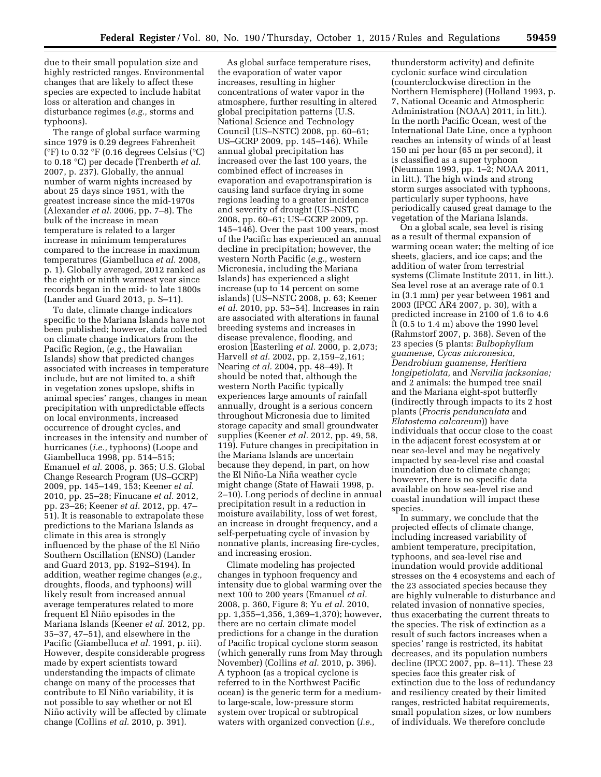due to their small population size and highly restricted ranges. Environmental changes that are likely to affect these species are expected to include habitat loss or alteration and changes in disturbance regimes (*e.g.,* storms and typhoons).

The range of global surface warming since 1979 is 0.29 degrees Fahrenheit  $({}^{\circ}F)$  to 0.32  ${}^{\circ}F$  (0.16 degrees Celsius  $({}^{\circ}C)$ ) to 0.18 °C) per decade (Trenberth *et al.*  2007, p. 237). Globally, the annual number of warm nights increased by about 25 days since 1951, with the greatest increase since the mid-1970s (Alexander *et al.* 2006, pp. 7–8). The bulk of the increase in mean temperature is related to a larger increase in minimum temperatures compared to the increase in maximum temperatures (Giambelluca *et al.* 2008, p. 1). Globally averaged, 2012 ranked as the eighth or ninth warmest year since records began in the mid- to late 1800s (Lander and Guard 2013, p. S–11).

To date, climate change indicators specific to the Mariana Islands have not been published; however, data collected on climate change indicators from the Pacific Region, (*e.g.,* the Hawaiian Islands) show that predicted changes associated with increases in temperature include, but are not limited to, a shift in vegetation zones upslope, shifts in animal species' ranges, changes in mean precipitation with unpredictable effects on local environments, increased occurrence of drought cycles, and increases in the intensity and number of hurricanes (*i.e.,* typhoons) (Loope and Giambelluca 1998, pp. 514–515; Emanuel *et al.* 2008, p. 365; U.S. Global Change Research Program (US–GCRP) 2009, pp. 145–149, 153; Keener *et al.*  2010, pp. 25–28; Finucane *et al.* 2012, pp. 23–26; Keener *et al.* 2012, pp. 47– 51). It is reasonable to extrapolate these predictions to the Mariana Islands as climate in this area is strongly influenced by the phase of the El Niño Southern Oscillation (ENSO) (Lander and Guard 2013, pp. S192–S194). In addition, weather regime changes (*e.g.,*  droughts, floods, and typhoons) will likely result from increased annual average temperatures related to more frequent El Niño episodes in the Mariana Islands (Keener *et al.* 2012, pp. 35–37, 47–51), and elsewhere in the Pacific (Giambelluca *et al.* 1991, p. iii). However, despite considerable progress made by expert scientists toward understanding the impacts of climate change on many of the processes that contribute to El Niño variability, it is not possible to say whether or not El Niño activity will be affected by climate change (Collins *et al.* 2010, p. 391).

As global surface temperature rises, the evaporation of water vapor increases, resulting in higher concentrations of water vapor in the atmosphere, further resulting in altered global precipitation patterns (U.S. National Science and Technology Council (US–NSTC) 2008, pp. 60–61; US–GCRP 2009, pp. 145–146). While annual global precipitation has increased over the last 100 years, the combined effect of increases in evaporation and evapotranspiration is causing land surface drying in some regions leading to a greater incidence and severity of drought (US–NSTC 2008, pp. 60–61; US–GCRP 2009, pp. 145–146). Over the past 100 years, most of the Pacific has experienced an annual decline in precipitation; however, the western North Pacific (*e.g.,* western Micronesia, including the Mariana Islands) has experienced a slight increase (up to 14 percent on some islands) (US–NSTC 2008, p. 63; Keener *et al.* 2010, pp. 53–54). Increases in rain are associated with alterations in faunal breeding systems and increases in disease prevalence, flooding, and erosion (Easterling *et al.* 2000, p. 2,073; Harvell *et al.* 2002, pp. 2,159–2,161; Nearing *et al.* 2004, pp. 48–49). It should be noted that, although the western North Pacific typically experiences large amounts of rainfall annually, drought is a serious concern throughout Micronesia due to limited storage capacity and small groundwater supplies (Keener *et al.* 2012, pp. 49, 58, 119). Future changes in precipitation in the Mariana Islands are uncertain because they depend, in part, on how the El Niño-La Niña weather cycle might change (State of Hawaii 1998, p. 2–10). Long periods of decline in annual precipitation result in a reduction in moisture availability, loss of wet forest, an increase in drought frequency, and a self-perpetuating cycle of invasion by nonnative plants, increasing fire-cycles, and increasing erosion.

Climate modeling has projected changes in typhoon frequency and intensity due to global warming over the next 100 to 200 years (Emanuel *et al.*  2008, p. 360, Figure 8; Yu *et al.* 2010, pp. 1,355–1,356, 1,369–1,370); however, there are no certain climate model predictions for a change in the duration of Pacific tropical cyclone storm season (which generally runs from May through November) (Collins *et al.* 2010, p. 396). A typhoon (as a tropical cyclone is referred to in the Northwest Pacific ocean) is the generic term for a mediumto large-scale, low-pressure storm system over tropical or subtropical waters with organized convection (*i.e.,* 

thunderstorm activity) and definite cyclonic surface wind circulation (counterclockwise direction in the Northern Hemisphere) (Holland 1993, p. 7, National Oceanic and Atmospheric Administration (NOAA) 2011, in litt.). In the north Pacific Ocean, west of the International Date Line, once a typhoon reaches an intensity of winds of at least 150 mi per hour (65 m per second), it is classified as a super typhoon (Neumann 1993, pp. 1–2; NOAA 2011, in litt.). The high winds and strong storm surges associated with typhoons, particularly super typhoons, have periodically caused great damage to the vegetation of the Mariana Islands.

On a global scale, sea level is rising as a result of thermal expansion of warming ocean water; the melting of ice sheets, glaciers, and ice caps; and the addition of water from terrestrial systems (Climate Institute 2011, in litt.). Sea level rose at an average rate of 0.1 in (3.1 mm) per year between 1961 and 2003 (IPCC AR4 2007, p. 30), with a predicted increase in 2100 of 1.6 to 4.6 ft (0.5 to 1.4 m) above the 1990 level (Rahmstorf 2007, p. 368). Seven of the 23 species (5 plants: *Bulbophyllum guamense, Cycas micronesica, Dendrobium guamense, Heritiera longipetiolata,* and *Nervilia jacksoniae;*  and 2 animals: the humped tree snail and the Mariana eight-spot butterfly (indirectly through impacts to its 2 host plants (*Procris pendunculata* and *Elatostema calcareum*)) have individuals that occur close to the coast in the adjacent forest ecosystem at or near sea-level and may be negatively impacted by sea-level rise and coastal inundation due to climate change; however, there is no specific data available on how sea-level rise and coastal inundation will impact these species.

In summary, we conclude that the projected effects of climate change, including increased variability of ambient temperature, precipitation, typhoons, and sea-level rise and inundation would provide additional stresses on the 4 ecosystems and each of the 23 associated species because they are highly vulnerable to disturbance and related invasion of nonnative species, thus exacerbating the current threats to the species. The risk of extinction as a result of such factors increases when a species' range is restricted, its habitat decreases, and its population numbers decline (IPCC 2007, pp. 8–11). These 23 species face this greater risk of extinction due to the loss of redundancy and resiliency created by their limited ranges, restricted habitat requirements, small population sizes, or low numbers of individuals. We therefore conclude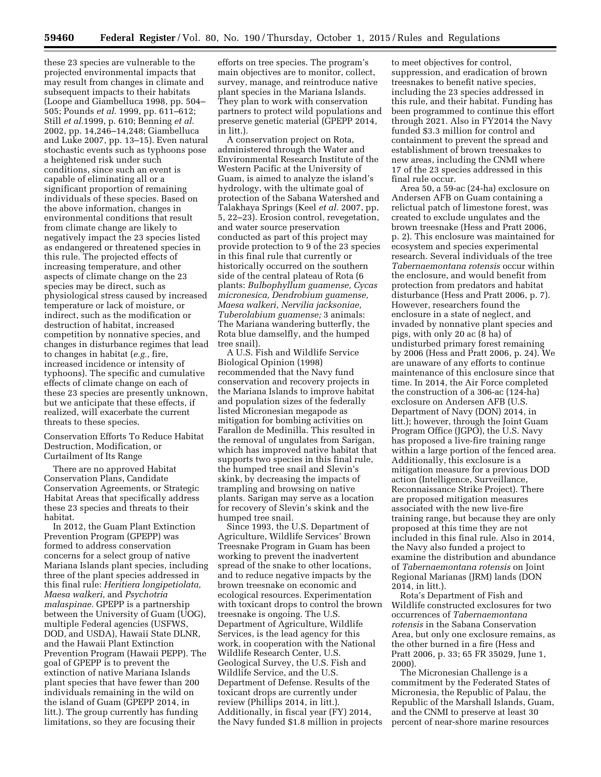these 23 species are vulnerable to the projected environmental impacts that may result from changes in climate and subsequent impacts to their habitats (Loope and Giambelluca 1998, pp. 504– 505; Pounds *et al.* 1999, pp. 611–612; Still *et al.*1999, p. 610; Benning *et al.*  2002, pp. 14,246–14,248; Giambelluca and Luke 2007, pp. 13–15). Even natural stochastic events such as typhoons pose a heightened risk under such conditions, since such an event is capable of eliminating all or a significant proportion of remaining individuals of these species. Based on the above information, changes in environmental conditions that result from climate change are likely to negatively impact the 23 species listed as endangered or threatened species in this rule. The projected effects of increasing temperature, and other aspects of climate change on the 23 species may be direct, such as physiological stress caused by increased temperature or lack of moisture, or indirect, such as the modification or destruction of habitat, increased competition by nonnative species, and changes in disturbance regimes that lead to changes in habitat (*e.g.,* fire, increased incidence or intensity of typhoons). The specific and cumulative effects of climate change on each of these 23 species are presently unknown, but we anticipate that these effects, if realized, will exacerbate the current threats to these species.

Conservation Efforts To Reduce Habitat Destruction, Modification, or Curtailment of Its Range

There are no approved Habitat Conservation Plans, Candidate Conservation Agreements, or Strategic Habitat Areas that specifically address these 23 species and threats to their habitat.

In 2012, the Guam Plant Extinction Prevention Program (GPEPP) was formed to address conservation concerns for a select group of native Mariana Islands plant species, including three of the plant species addressed in this final rule: *Heritiera longipetiolata, Maesa walkeri,* and *Psychotria malaspinae.* GPEPP is a partnership between the University of Guam (UOG), multiple Federal agencies (USFWS, DOD, and USDA), Hawaii State DLNR, and the Hawaii Plant Extinction Prevention Program (Hawaii PEPP). The goal of GPEPP is to prevent the extinction of native Mariana Islands plant species that have fewer than 200 individuals remaining in the wild on the island of Guam (GPEPP 2014, in litt.). The group currently has funding limitations, so they are focusing their

efforts on tree species. The program's main objectives are to monitor, collect, survey, manage, and reintroduce native plant species in the Mariana Islands. They plan to work with conservation partners to protect wild populations and preserve genetic material (GPEPP 2014, in litt.).

A conservation project on Rota, administered through the Water and Environmental Research Institute of the Western Pacific at the University of Guam, is aimed to analyze the island's hydrology, with the ultimate goal of protection of the Sabana Watershed and Talakhaya Springs (Keel *et al.* 2007, pp. 5, 22–23). Erosion control, revegetation, and water source preservation conducted as part of this project may provide protection to 9 of the 23 species in this final rule that currently or historically occurred on the southern side of the central plateau of Rota (6 plants: *Bulbophyllum guamense, Cycas micronesica, Dendrobium guamense, Maesa walkeri, Nervilia jacksoniae, Tuberolabium guamense;* 3 animals: The Mariana wandering butterfly, the Rota blue damselfly, and the humped tree snail).

A U.S. Fish and Wildlife Service Biological Opinion (1998) recommended that the Navy fund conservation and recovery projects in the Mariana Islands to improve habitat and population sizes of the federally listed Micronesian megapode as mitigation for bombing activities on Farallon de Medinilla. This resulted in the removal of ungulates from Sarigan, which has improved native habitat that supports two species in this final rule, the humped tree snail and Slevin's skink, by decreasing the impacts of trampling and browsing on native plants. Sarigan may serve as a location for recovery of Slevin's skink and the humped tree snail.

Since 1993, the U.S. Department of Agriculture, Wildlife Services' Brown Treesnake Program in Guam has been working to prevent the inadvertent spread of the snake to other locations, and to reduce negative impacts by the brown treesnake on economic and ecological resources. Experimentation with toxicant drops to control the brown treesnake is ongoing. The U.S. Department of Agriculture, Wildlife Services, is the lead agency for this work, in cooperation with the National Wildlife Research Center, U.S. Geological Survey, the U.S. Fish and Wildlife Service, and the U.S. Department of Defense. Results of the toxicant drops are currently under review (Phillips 2014, in litt.). Additionally, in fiscal year (FY) 2014, the Navy funded \$1.8 million in projects

to meet objectives for control, suppression, and eradication of brown treesnakes to benefit native species, including the 23 species addressed in this rule, and their habitat. Funding has been programmed to continue this effort through 2021. Also in FY2014 the Navy funded \$3.3 million for control and containment to prevent the spread and establishment of brown treesnakes to new areas, including the CNMI where 17 of the 23 species addressed in this final rule occur.

Area 50, a 59-ac (24-ha) exclosure on Andersen AFB on Guam containing a relictual patch of limestone forest, was created to exclude ungulates and the brown treesnake (Hess and Pratt 2006, p. 2). This enclosure was maintained for ecosystem and species experimental research. Several individuals of the tree *Tabernaemontana rotensis* occur within the enclosure, and would benefit from protection from predators and habitat disturbance (Hess and Pratt 2006, p. 7). However, researchers found the enclosure in a state of neglect, and invaded by nonnative plant species and pigs, with only 20 ac (8 ha) of undisturbed primary forest remaining by 2006 (Hess and Pratt 2006, p. 24). We are unaware of any efforts to continue maintenance of this enclosure since that time. In 2014, the Air Force completed the construction of a 306-ac (124-ha) exclosure on Andersen AFB (U.S. Department of Navy (DON) 2014, in litt.); however, through the Joint Guam Program Office (JGPO), the U.S. Navy has proposed a live-fire training range within a large portion of the fenced area. Additionally, this exclosure is a mitigation measure for a previous DOD action (Intelligence, Surveillance, Reconnaissance Strike Project). There are proposed mitigation measures associated with the new live-fire training range, but because they are only proposed at this time they are not included in this final rule. Also in 2014, the Navy also funded a project to examine the distribution and abundance of *Tabernaemontana rotensis* on Joint Regional Marianas (JRM) lands (DON 2014, in litt.).

Rota's Department of Fish and Wildlife constructed exclosures for two occurrences of *Tabernaemontana rotensis* in the Sabana Conservation Area, but only one exclosure remains, as the other burned in a fire (Hess and Pratt 2006, p. 33; 65 FR 35029, June 1, 2000).

The Micronesian Challenge is a commitment by the Federated States of Micronesia, the Republic of Palau, the Republic of the Marshall Islands, Guam, and the CNMI to preserve at least 30 percent of near-shore marine resources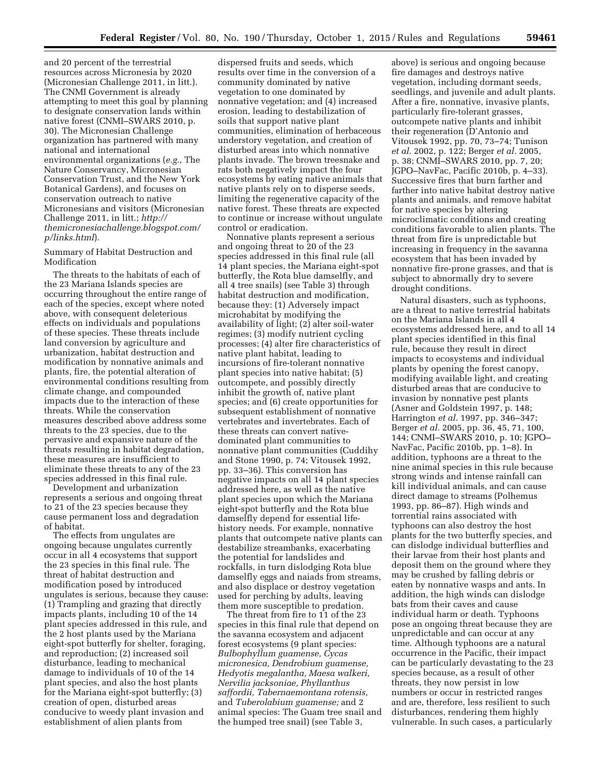and 20 percent of the terrestrial resources across Micronesia by 2020 (Micronesian Challenge 2011, in litt.). The CNMI Government is already attempting to meet this goal by planning to designate conservation lands within native forest (CNMI–SWARS 2010, p. 30). The Micronesian Challenge organization has partnered with many national and international environmental organizations (*e.g.,* The Nature Conservancy, Micronesian Conservation Trust, and the New York Botanical Gardens), and focuses on conservation outreach to native Micronesians and visitors (Micronesian Challenge 2011, in litt.; *[http://](http://themicronesiachallenge.blogspot.com/p/links.html) [themicronesiachallenge.blogspot.com/](http://themicronesiachallenge.blogspot.com/p/links.html) [p/links.html](http://themicronesiachallenge.blogspot.com/p/links.html)*).

Summary of Habitat Destruction and Modification

The threats to the habitats of each of the 23 Mariana Islands species are occurring throughout the entire range of each of the species, except where noted above, with consequent deleterious effects on individuals and populations of these species. These threats include land conversion by agriculture and urbanization, habitat destruction and modification by nonnative animals and plants, fire, the potential alteration of environmental conditions resulting from climate change, and compounded impacts due to the interaction of these threats. While the conservation measures described above address some threats to the 23 species, due to the pervasive and expansive nature of the threats resulting in habitat degradation, these measures are insufficient to eliminate these threats to any of the 23 species addressed in this final rule.

Development and urbanization represents a serious and ongoing threat to 21 of the 23 species because they cause permanent loss and degradation of habitat.

The effects from ungulates are ongoing because ungulates currently occur in all 4 ecosystems that support the 23 species in this final rule. The threat of habitat destruction and modification posed by introduced ungulates is serious, because they cause: (1) Trampling and grazing that directly impacts plants, including 10 of the 14 plant species addressed in this rule, and the 2 host plants used by the Mariana eight-spot butterfly for shelter, foraging, and reproduction; (2) increased soil disturbance, leading to mechanical damage to individuals of 10 of the 14 plant species, and also the host plants for the Mariana eight-spot butterfly; (3) creation of open, disturbed areas conducive to weedy plant invasion and establishment of alien plants from

dispersed fruits and seeds, which results over time in the conversion of a community dominated by native vegetation to one dominated by nonnative vegetation; and (4) increased erosion, leading to destabilization of soils that support native plant communities, elimination of herbaceous understory vegetation, and creation of disturbed areas into which nonnative plants invade. The brown treesnake and rats both negatively impact the four ecosystems by eating native animals that native plants rely on to disperse seeds, limiting the regenerative capacity of the native forest. These threats are expected to continue or increase without ungulate control or eradication.

Nonnative plants represent a serious and ongoing threat to 20 of the 23 species addressed in this final rule (all 14 plant species, the Mariana eight-spot butterfly, the Rota blue damselfly, and all 4 tree snails) (see Table 3) through habitat destruction and modification, because they: (1) Adversely impact microhabitat by modifying the availability of light; (2) alter soil-water regimes; (3) modify nutrient cycling processes; (4) alter fire characteristics of native plant habitat, leading to incursions of fire-tolerant nonnative plant species into native habitat; (5) outcompete, and possibly directly inhibit the growth of, native plant species; and (6) create opportunities for subsequent establishment of nonnative vertebrates and invertebrates. Each of these threats can convert nativedominated plant communities to nonnative plant communities (Cuddihy and Stone 1990, p. 74; Vitousek 1992, pp. 33–36). This conversion has negative impacts on all 14 plant species addressed here, as well as the native plant species upon which the Mariana eight-spot butterfly and the Rota blue damselfly depend for essential lifehistory needs. For example, nonnative plants that outcompete native plants can destabilize streambanks, exacerbating the potential for landslides and rockfalls, in turn dislodging Rota blue damselfly eggs and naiads from streams, and also displace or destroy vegetation used for perching by adults, leaving them more susceptible to predation.

The threat from fire to 11 of the 23 species in this final rule that depend on the savanna ecosystem and adjacent forest ecosystems (9 plant species: *Bulbophyllum guamense, Cycas micronesica, Dendrobium guamense, Hedyotis megalantha, Maesa walkeri, Nervilia jacksoniae, Phyllanthus saffordii, Tabernaemontana rotensis,*  and *Tuberolabium guamense;* and 2 animal species: The Guam tree snail and the humped tree snail) (see Table 3,

above) is serious and ongoing because fire damages and destroys native vegetation, including dormant seeds, seedlings, and juvenile and adult plants. After a fire, nonnative, invasive plants, particularly fire-tolerant grasses, outcompete native plants and inhibit their regeneration (D'Antonio and Vitousek 1992, pp. 70, 73–74; Tunison *et al.* 2002, p. 122; Berger *et al.* 2005, p. 38; CNMI–SWARS 2010, pp. 7, 20; JGPO–NavFac, Pacific 2010b, p. 4–33). Successive fires that burn farther and farther into native habitat destroy native plants and animals, and remove habitat for native species by altering microclimatic conditions and creating conditions favorable to alien plants. The threat from fire is unpredictable but increasing in frequency in the savanna ecosystem that has been invaded by nonnative fire-prone grasses, and that is subject to abnormally dry to severe drought conditions.

Natural disasters, such as typhoons, are a threat to native terrestrial habitats on the Mariana Islands in all 4 ecosystems addressed here, and to all 14 plant species identified in this final rule, because they result in direct impacts to ecosystems and individual plants by opening the forest canopy, modifying available light, and creating disturbed areas that are conducive to invasion by nonnative pest plants (Asner and Goldstein 1997, p. 148; Harrington *et al.* 1997, pp. 346–347; Berger *et al.* 2005, pp. 36, 45, 71, 100, 144; CNMI–SWARS 2010, p. 10; JGPO– NavFac, Pacific 2010b, pp. 1–8). In addition, typhoons are a threat to the nine animal species in this rule because strong winds and intense rainfall can kill individual animals, and can cause direct damage to streams (Polhemus 1993, pp. 86–87). High winds and torrential rains associated with typhoons can also destroy the host plants for the two butterfly species, and can dislodge individual butterflies and their larvae from their host plants and deposit them on the ground where they may be crushed by falling debris or eaten by nonnative wasps and ants. In addition, the high winds can dislodge bats from their caves and cause individual harm or death. Typhoons pose an ongoing threat because they are unpredictable and can occur at any time. Although typhoons are a natural occurrence in the Pacific, their impact can be particularly devastating to the 23 species because, as a result of other threats, they now persist in low numbers or occur in restricted ranges and are, therefore, less resilient to such disturbances, rendering them highly vulnerable. In such cases, a particularly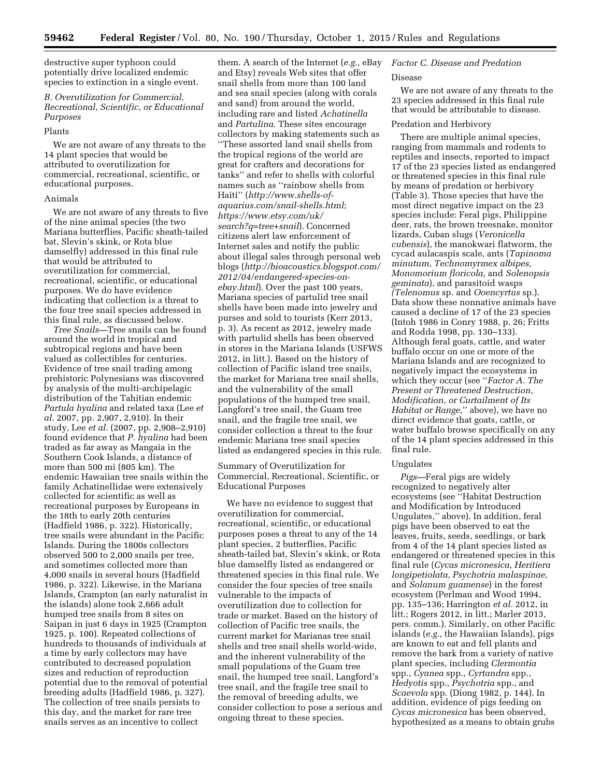destructive super typhoon could potentially drive localized endemic species to extinction in a single event.

# *B. Overutilization for Commercial, Recreational, Scientific, or Educational Purposes*

#### Plants

We are not aware of any threats to the 14 plant species that would be attributed to overutilization for commercial, recreational, scientific, or educational purposes.

#### Animals

We are not aware of any threats to five of the nine animal species (the two Mariana butterflies, Pacific sheath-tailed bat, Slevin's skink, or Rota blue damselfly) addressed in this final rule that would be attributed to overutilization for commercial, recreational, scientific, or educational purposes. We do have evidence indicating that collection is a threat to the four tree snail species addressed in this final rule, as discussed below.

*Tree Snails—*Tree snails can be found around the world in tropical and subtropical regions and have been valued as collectibles for centuries. Evidence of tree snail trading among prehistoric Polynesians was discovered by analysis of the multi-archipelagic distribution of the Tahitian endemic *Partula hyalina* and related taxa (Lee *et al.* 2007, pp. 2,907, 2,910). In their study, Lee *et al.* (2007, pp. 2,908–2,910) found evidence that *P. hyalina* had been traded as far away as Mangaia in the Southern Cook Islands, a distance of more than 500 mi (805 km). The endemic Hawaiian tree snails within the family Achatinellidae were extensively collected for scientific as well as recreational purposes by Europeans in the 18th to early 20th centuries (Hadfield 1986, p. 322). Historically, tree snails were abundant in the Pacific Islands. During the 1800s collectors observed 500 to 2,000 snails per tree, and sometimes collected more than 4,000 snails in several hours (Hadfield 1986, p. 322). Likewise, in the Mariana Islands, Crampton (an early naturalist in the islands) alone took 2,666 adult humped tree snails from 8 sites on Saipan in just 6 days in 1925 (Crampton 1925, p. 100). Repeated collections of hundreds to thousands of individuals at a time by early collectors may have contributed to decreased population sizes and reduction of reproduction potential due to the removal of potential breeding adults (Hadfield 1986, p. 327). The collection of tree snails persists to this day, and the market for rare tree snails serves as an incentive to collect

them. A search of the Internet (*e.g.,* eBay and Etsy) reveals Web sites that offer snail shells from more than 100 land and sea snail species (along with corals and sand) from around the world, including rare and listed *Achatinella*  and *Partulina.* These sites encourage collectors by making statements such as ''These assorted land snail shells from the tropical regions of the world are great for crafters and decorations for tanks'' and refer to shells with colorful names such as ''rainbow shells from Haiti'' (*[http://www.shells-of](http://www.shells-of-aquarius.com/snail-shells.html)[aquarius.com/snail-shells.html](http://www.shells-of-aquarius.com/snail-shells.html)*; *[https://www.etsy.com/uk/](https://www.etsy.com/uk/search?q=tree+snail) [search?q=tree+snail](https://www.etsy.com/uk/search?q=tree+snail)*). Concerned citizens alert law enforcement of Internet sales and notify the public about illegal sales through personal web blogs (*[http://bioacoustics.blogspot.com/](http://bioacoustics.blogspot.com/2012/04/endangered-species-on-ebay.html) [2012/04/endangered-species-on](http://bioacoustics.blogspot.com/2012/04/endangered-species-on-ebay.html)[ebay.html](http://bioacoustics.blogspot.com/2012/04/endangered-species-on-ebay.html)*). Over the past 100 years, Mariana species of partulid tree snail shells have been made into jewelry and purses and sold to tourists (Kerr 2013, p. 3). As recent as 2012, jewelry made with partulid shells has been observed in stores in the Mariana Islands (USFWS 2012, in litt.). Based on the history of collection of Pacific island tree snails, the market for Mariana tree snail shells, and the vulnerability of the small populations of the humped tree snail, Langford's tree snail, the Guam tree snail, and the fragile tree snail, we consider collection a threat to the four endemic Mariana tree snail species listed as endangered species in this rule.

Summary of Overutilization for Commercial, Recreational, Scientific, or Educational Purposes

We have no evidence to suggest that overutilization for commercial, recreational, scientific, or educational purposes poses a threat to any of the 14 plant species, 2 butterflies, Pacific sheath-tailed bat, Slevin's skink, or Rota blue damselfly listed as endangered or threatened species in this final rule. We consider the four species of tree snails vulnerable to the impacts of overutilization due to collection for trade or market. Based on the history of collection of Pacific tree snails, the current market for Marianas tree snail shells and tree snail shells world-wide, and the inherent vulnerability of the small populations of the Guam tree snail, the humped tree snail, Langford's tree snail, and the fragile tree snail to the removal of breeding adults, we consider collection to pose a serious and ongoing threat to these species.

# *Factor C. Disease and Predation*

#### Disease

We are not aware of any threats to the 23 species addressed in this final rule that would be attributable to disease.

# Predation and Herbivory

There are multiple animal species, ranging from mammals and rodents to reptiles and insects, reported to impact 17 of the 23 species listed as endangered or threatened species in this final rule by means of predation or herbivory (Table 3). Those species that have the most direct negative impact on the 23 species include: Feral pigs, Philippine deer, rats, the brown treesnake, monitor lizards, Cuban slugs (*Veronicella cubensis*), the manokwari flatworm, the cycad aulacaspis scale, ants (*Tapinoma minutum, Technomyrmex albipes, Monomorium floricola,* and *Solenopsis geminata*), and parasitoid wasps *(Telenomus* sp. and *Ooencyrtus* sp.). Data show these nonnative animals have caused a decline of 17 of the 23 species (Intoh 1986 in Conry 1988, p. 26; Fritts and Rodda 1998, pp. 130–133). Although feral goats, cattle, and water buffalo occur on one or more of the Mariana Islands and are recognized to negatively impact the ecosystems in which they occur (see ''*Factor A. The Present or Threatened Destruction, Modification, or Curtailment of Its Habitat or Range,*'' above), we have no direct evidence that goats, cattle, or water buffalo browse specifically on any of the 14 plant species addressed in this final rule.

#### Ungulates

*Pigs—*Feral pigs are widely recognized to negatively alter ecosystems (see ''Habitat Destruction and Modification by Introduced Ungulates,'' above). In addition, feral pigs have been observed to eat the leaves, fruits, seeds, seedlings, or bark from 4 of the 14 plant species listed as endangered or threatened species in this final rule (*Cycas micronesica, Heritiera longipetiolata, Psychotria malaspinae,*  and *Solanum guamense*) in the forest ecosystem (Perlman and Wood 1994, pp. 135–136; Harrington *et al.* 2012, in litt.; Rogers 2012, in litt.; Marler 2013, pers. comm.). Similarly, on other Pacific islands (*e.g.,* the Hawaiian Islands), pigs are known to eat and fell plants and remove the bark from a variety of native plant species, including *Clermontia*  spp., *Cyanea* spp., *Cyrtandra* spp., *Hedyotis* spp., *Psychotria* spp., and *Scaevola* spp. (Diong 1982, p. 144). In addition, evidence of pigs feeding on *Cycas micronesica* has been observed, hypothesized as a means to obtain grubs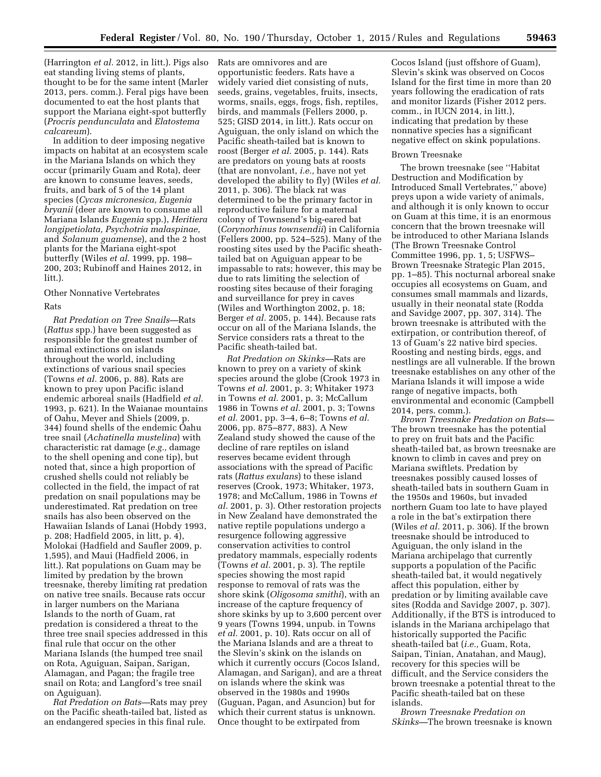(Harrington *et al.* 2012, in litt.). Pigs also eat standing living stems of plants, thought to be for the same intent (Marler 2013, pers. comm.). Feral pigs have been documented to eat the host plants that support the Mariana eight-spot butterfly (*Procris pendunculata* and *Elatostema calcareum*).

In addition to deer imposing negative impacts on habitat at an ecosystem scale in the Mariana Islands on which they occur (primarily Guam and Rota), deer are known to consume leaves, seeds, fruits, and bark of 5 of the 14 plant species (*Cycas micronesica, Eugenia bryanii* (deer are known to consume all Mariana Islands *Eugenia* spp.), *Heritiera longipetiolata, Psychotria malaspinae,*  and *Solanum guamense*), and the 2 host plants for the Mariana eight-spot butterfly (Wiles *et al.* 1999, pp. 198– 200, 203; Rubinoff and Haines 2012, in litt.).

#### Other Nonnative Vertebrates

# Rats

*Rat Predation on Tree Snails—*Rats (*Rattus* spp.) have been suggested as responsible for the greatest number of animal extinctions on islands throughout the world, including extinctions of various snail species (Towns *et al.* 2006, p. 88). Rats are known to prey upon Pacific island endemic arboreal snails (Hadfield *et al.*  1993, p. 621). In the Waianae mountains of Oahu, Meyer and Shiels (2009, p. 344) found shells of the endemic Oahu tree snail (*Achatinella mustelina*) with characteristic rat damage (*e.g.,* damage to the shell opening and cone tip), but noted that, since a high proportion of crushed shells could not reliably be collected in the field, the impact of rat predation on snail populations may be underestimated. Rat predation on tree snails has also been observed on the Hawaiian Islands of Lanai (Hobdy 1993, p. 208; Hadfield 2005, in litt, p. 4), Molokai (Hadfield and Saufler 2009, p. 1,595), and Maui (Hadfield 2006, in litt.). Rat populations on Guam may be limited by predation by the brown treesnake, thereby limiting rat predation on native tree snails. Because rats occur in larger numbers on the Mariana Islands to the north of Guam, rat predation is considered a threat to the three tree snail species addressed in this final rule that occur on the other Mariana Islands (the humped tree snail on Rota, Aguiguan, Saipan, Sarigan, Alamagan, and Pagan; the fragile tree snail on Rota; and Langford's tree snail on Aguiguan).

*Rat Predation on Bats—*Rats may prey on the Pacific sheath-tailed bat, listed as an endangered species in this final rule.

Rats are omnivores and are opportunistic feeders. Rats have a widely varied diet consisting of nuts, seeds, grains, vegetables, fruits, insects, worms, snails, eggs, frogs, fish, reptiles, birds, and mammals (Fellers 2000, p. 525; GISD 2014, in litt.). Rats occur on Aguiguan, the only island on which the Pacific sheath-tailed bat is known to roost (Berger *et al.* 2005, p. 144). Rats are predators on young bats at roosts (that are nonvolant, *i.e.,* have not yet developed the ability to fly) (Wiles *et al.*  2011, p. 306). The black rat was determined to be the primary factor in reproductive failure for a maternal colony of Townsend's big-eared bat (*Corynorhinus townsendii*) in California (Fellers 2000, pp. 524–525). Many of the roosting sites used by the Pacific sheathtailed bat on Aguiguan appear to be impassable to rats; however, this may be due to rats limiting the selection of roosting sites because of their foraging and surveillance for prey in caves (Wiles and Worthington 2002, p. 18; Berger *et al.* 2005, p. 144). Because rats occur on all of the Mariana Islands, the Service considers rats a threat to the Pacific sheath-tailed bat.

*Rat Predation on Skinks—*Rats are known to prey on a variety of skink species around the globe (Crook 1973 in Towns *et al.* 2001, p. 3; Whitaker 1973 in Towns *et al.* 2001, p. 3; McCallum 1986 in Towns *et al.* 2001, p. 3; Towns *et al.* 2001, pp. 3–4, 6–8; Towns *et al.*  2006, pp. 875–877, 883). A New Zealand study showed the cause of the decline of rare reptiles on island reserves became evident through associations with the spread of Pacific rats (*Rattus exulans*) to these island reserves (Crook, 1973; Whitaker, 1973, 1978; and McCallum, 1986 in Towns *et al.* 2001, p. 3). Other restoration projects in New Zealand have demonstrated the native reptile populations undergo a resurgence following aggressive conservation activities to control predatory mammals, especially rodents (Towns *et al.* 2001, p. 3). The reptile species showing the most rapid response to removal of rats was the shore skink (*Oligosoma smithi*), with an increase of the capture frequency of shore skinks by up to 3,600 percent over 9 years (Towns 1994, unpub. in Towns *et al.* 2001, p. 10). Rats occur on all of the Mariana Islands and are a threat to the Slevin's skink on the islands on which it currently occurs (Cocos Island, Alamagan, and Sarigan), and are a threat on islands where the skink was observed in the 1980s and 1990s (Guguan, Pagan, and Asuncion) but for which their current status is unknown. Once thought to be extirpated from

Cocos Island (just offshore of Guam). Slevin's skink was observed on Cocos Island for the first time in more than 20 years following the eradication of rats and monitor lizards (Fisher 2012 pers. comm., in IUCN 2014, in litt.), indicating that predation by these nonnative species has a significant negative effect on skink populations.

#### Brown Treesnake

The brown treesnake (see ''Habitat Destruction and Modification by Introduced Small Vertebrates,'' above) preys upon a wide variety of animals, and although it is only known to occur on Guam at this time, it is an enormous concern that the brown treesnake will be introduced to other Mariana Islands (The Brown Treesnake Control Committee 1996, pp. 1, 5; USFWS– Brown Treesnake Strategic Plan 2015, pp. 1–85). This nocturnal arboreal snake occupies all ecosystems on Guam, and consumes small mammals and lizards, usually in their neonatal state (Rodda and Savidge 2007, pp. 307, 314). The brown treesnake is attributed with the extirpation, or contribution thereof, of 13 of Guam's 22 native bird species. Roosting and nesting birds, eggs, and nestlings are all vulnerable. If the brown treesnake establishes on any other of the Mariana Islands it will impose a wide range of negative impacts, both environmental and economic (Campbell 2014, pers. comm.).

*Brown Treesnake Predation on Bats—*  The brown treesnake has the potential to prey on fruit bats and the Pacific sheath-tailed bat, as brown treesnake are known to climb in caves and prey on Mariana swiftlets. Predation by treesnakes possibly caused losses of sheath-tailed bats in southern Guam in the 1950s and 1960s, but invaded northern Guam too late to have played a role in the bat's extirpation there (Wiles *et al.* 2011, p. 306). If the brown treesnake should be introduced to Aguiguan, the only island in the Mariana archipelago that currently supports a population of the Pacific sheath-tailed bat, it would negatively affect this population, either by predation or by limiting available cave sites (Rodda and Savidge 2007, p. 307). Additionally, if the BTS is introduced to islands in the Mariana archipelago that historically supported the Pacific sheath-tailed bat (*i.e.,* Guam, Rota, Saipan, Tinian, Anatahan, and Maug), recovery for this species will be difficult, and the Service considers the brown treesnake a potential threat to the Pacific sheath-tailed bat on these islands.

*Brown Treesnake Predation on Skinks—*The brown treesnake is known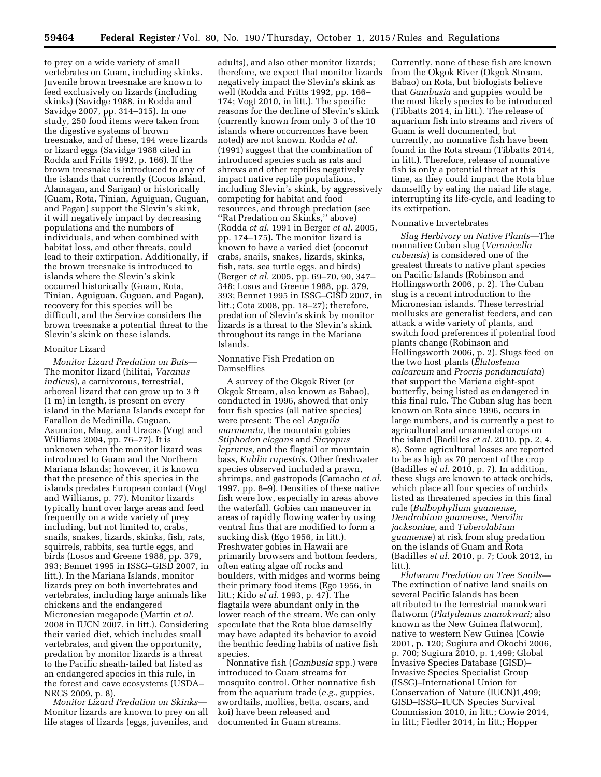to prey on a wide variety of small vertebrates on Guam, including skinks. Juvenile brown treesnake are known to feed exclusively on lizards (including skinks) (Savidge 1988, in Rodda and Savidge 2007, pp. 314–315). In one study, 250 food items were taken from the digestive systems of brown treesnake, and of these, 194 were lizards or lizard eggs (Savidge 1988 cited in Rodda and Fritts 1992, p. 166). If the brown treesnake is introduced to any of the islands that currently (Cocos Island, Alamagan, and Sarigan) or historically (Guam, Rota, Tinian, Aguiguan, Guguan, and Pagan) support the Slevin's skink, it will negatively impact by decreasing populations and the numbers of individuals, and when combined with habitat loss, and other threats, could lead to their extirpation. Additionally, if the brown treesnake is introduced to islands where the Slevin's skink occurred historically (Guam, Rota, Tinian, Aguiguan, Guguan, and Pagan), recovery for this species will be difficult, and the Service considers the brown treesnake a potential threat to the Slevin's skink on these islands.

#### Monitor Lizard

*Monitor Lizard Predation on Bats—*  The monitor lizard (hilitai, *Varanus indicus*), a carnivorous, terrestrial, arboreal lizard that can grow up to 3 ft (1 m) in length, is present on every island in the Mariana Islands except for Farallon de Medinilla, Guguan, Asuncion, Maug, and Uracas (Vogt and Williams 2004, pp. 76–77). It is unknown when the monitor lizard was introduced to Guam and the Northern Mariana Islands; however, it is known that the presence of this species in the islands predates European contact (Vogt and Williams, p. 77). Monitor lizards typically hunt over large areas and feed frequently on a wide variety of prey including, but not limited to, crabs, snails, snakes, lizards, skinks, fish, rats, squirrels, rabbits, sea turtle eggs, and birds (Losos and Greene 1988, pp. 379, 393; Bennet 1995 in ISSG–GISD 2007, in litt.). In the Mariana Islands, monitor lizards prey on both invertebrates and vertebrates, including large animals like chickens and the endangered Micronesian megapode (Martin *et al.*  2008 in IUCN 2007, in litt.). Considering their varied diet, which includes small vertebrates, and given the opportunity, predation by monitor lizards is a threat to the Pacific sheath-tailed bat listed as an endangered species in this rule, in the forest and cave ecosystems (USDA– NRCS 2009, p. 8).

*Monitor Lizard Predation on Skinks—*  Monitor lizards are known to prey on all life stages of lizards (eggs, juveniles, and

adults), and also other monitor lizards; therefore, we expect that monitor lizards negatively impact the Slevin's skink as well (Rodda and Fritts 1992, pp. 166– 174; Vogt 2010, in litt.). The specific reasons for the decline of Slevin's skink (currently known from only 3 of the 10 islands where occurrences have been noted) are not known. Rodda *et al.*  (1991) suggest that the combination of introduced species such as rats and shrews and other reptiles negatively impact native reptile populations, including Slevin's skink, by aggressively competing for habitat and food resources, and through predation (see ''Rat Predation on Skinks,'' above) (Rodda *et al.* 1991 in Berger *et al.* 2005, pp. 174–175). The monitor lizard is known to have a varied diet (coconut crabs, snails, snakes, lizards, skinks, fish, rats, sea turtle eggs, and birds) (Berger *et al.* 2005, pp. 69–70, 90, 347– 348; Losos and Greene 1988, pp. 379, 393; Bennet 1995 in ISSG–GISD 2007, in litt.; Cota 2008, pp. 18–27); therefore, predation of Slevin's skink by monitor lizards is a threat to the Slevin's skink throughout its range in the Mariana Islands.

# Nonnative Fish Predation on Damselflies

A survey of the Okgok River (or Okgok Stream, also known as Babao), conducted in 1996, showed that only four fish species (all native species) were present: The eel *Anguila marmorata,* the mountain gobies *Stiphodon elegans* and *Sicyopus leprurus,* and the flagtail or mountain bass, *Kuhlia rupestris.* Other freshwater species observed included a prawn, shrimps, and gastropods (Camacho *et al.*  1997, pp. 8–9). Densities of these native fish were low, especially in areas above the waterfall. Gobies can maneuver in areas of rapidly flowing water by using ventral fins that are modified to form a sucking disk (Ego 1956, in litt.). Freshwater gobies in Hawaii are primarily browsers and bottom feeders, often eating algae off rocks and boulders, with midges and worms being their primary food items (Ego 1956, in litt.; Kido *et al.* 1993, p. 47). The flagtails were abundant only in the lower reach of the stream. We can only speculate that the Rota blue damselfly may have adapted its behavior to avoid the benthic feeding habits of native fish species.

Nonnative fish (*Gambusia* spp.) were introduced to Guam streams for mosquito control. Other nonnative fish from the aquarium trade (*e.g.,* guppies, swordtails, mollies, betta, oscars, and koi) have been released and documented in Guam streams.

Currently, none of these fish are known from the Okgok River (Okgok Stream, Babao) on Rota, but biologists believe that *Gambusia* and guppies would be the most likely species to be introduced (Tibbatts 2014, in litt.). The release of aquarium fish into streams and rivers of Guam is well documented, but currently, no nonnative fish have been found in the Rota stream (Tibbatts 2014, in litt.). Therefore, release of nonnative fish is only a potential threat at this time, as they could impact the Rota blue damselfly by eating the naiad life stage, interrupting its life-cycle, and leading to its extirpation.

#### Nonnative Invertebrates

*Slug Herbivory on Native Plants—*The nonnative Cuban slug (*Veronicella cubensis*) is considered one of the greatest threats to native plant species on Pacific Islands (Robinson and Hollingsworth 2006, p. 2). The Cuban slug is a recent introduction to the Micronesian islands. These terrestrial mollusks are generalist feeders, and can attack a wide variety of plants, and switch food preferences if potential food plants change (Robinson and Hollingsworth 2006, p. 2). Slugs feed on the two host plants (*Elatostema calcareum* and *Procris pendunculata*) that support the Mariana eight-spot butterfly, being listed as endangered in this final rule. The Cuban slug has been known on Rota since 1996, occurs in large numbers, and is currently a pest to agricultural and ornamental crops on the island (Badilles *et al.* 2010, pp. 2, 4, 8). Some agricultural losses are reported to be as high as 70 percent of the crop (Badilles *et al.* 2010, p. 7). In addition, these slugs are known to attack orchids, which place all four species of orchids listed as threatened species in this final rule (*Bulbophyllum guamense, Dendrobium guamense, Nervilia jacksoniae,* and *Tuberolabium guamense*) at risk from slug predation on the islands of Guam and Rota (Badilles *et al.* 2010, p. 7; Cook 2012, in litt.).

*Flatworm Predation on Tree Snails—*  The extinction of native land snails on several Pacific Islands has been attributed to the terrestrial manokwari flatworm (*Platydemus manokwari;* also known as the New Guinea flatworm), native to western New Guinea (Cowie 2001, p. 120; Sugiura and Okochi 2006, p. 700; Sugiura 2010, p. 1,499; Global Invasive Species Database (GISD)– Invasive Species Specialist Group (ISSG)–International Union for Conservation of Nature (IUCN)1,499; GISD–ISSG–IUCN Species Survival Commission 2010, in litt.; Cowie 2014, in litt.; Fiedler 2014, in litt.; Hopper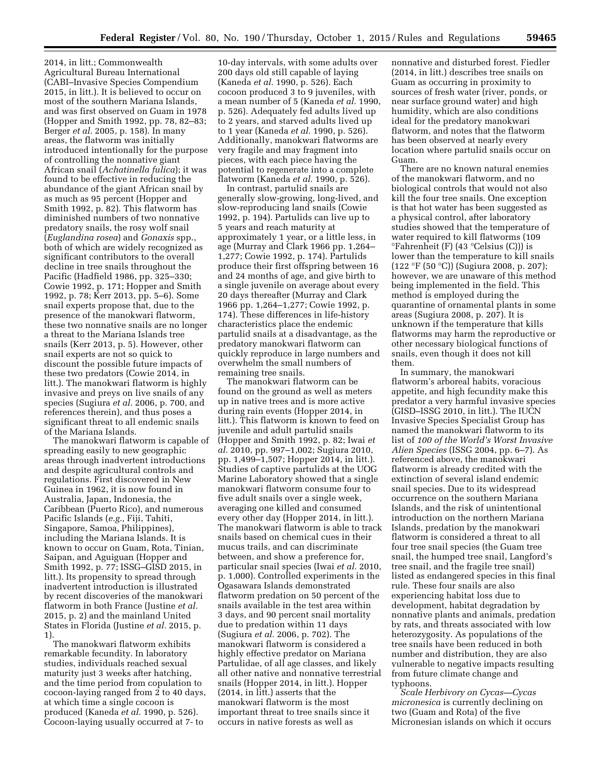2014, in litt.; Commonwealth Agricultural Bureau International (CABI–Invasive Species Compendium 2015, in litt.). It is believed to occur on most of the southern Mariana Islands, and was first observed on Guam in 1978 (Hopper and Smith 1992, pp. 78, 82–83; Berger *et al.* 2005, p. 158). In many areas, the flatworm was initially introduced intentionally for the purpose of controlling the nonnative giant African snail (*Achatinella fulica*); it was found to be effective in reducing the abundance of the giant African snail by as much as 95 percent (Hopper and Smith 1992, p. 82). This flatworm has diminished numbers of two nonnative predatory snails, the rosy wolf snail (*Euglandina rosea*) and *Gonaxis* spp., both of which are widely recognized as significant contributors to the overall decline in tree snails throughout the Pacific (Hadfield 1986, pp. 325–330; Cowie 1992, p. 171; Hopper and Smith 1992, p. 78; Kerr 2013, pp. 5–6). Some snail experts propose that, due to the presence of the manokwari flatworm, these two nonnative snails are no longer a threat to the Mariana Islands tree snails (Kerr 2013, p. 5). However, other snail experts are not so quick to discount the possible future impacts of these two predators (Cowie 2014, in litt.). The manokwari flatworm is highly invasive and preys on live snails of any species (Sugiura *et al.* 2006, p. 700, and references therein), and thus poses a significant threat to all endemic snails of the Mariana Islands.

The manokwari flatworm is capable of spreading easily to new geographic areas through inadvertent introductions and despite agricultural controls and regulations. First discovered in New Guinea in 1962, it is now found in Australia, Japan, Indonesia, the Caribbean (Puerto Rico), and numerous Pacific Islands (*e.g.,* Fiji, Tahiti, Singapore, Samoa, Philippines), including the Mariana Islands. It is known to occur on Guam, Rota, Tinian, Saipan, and Aguiguan (Hopper and Smith 1992, p. 77; ISSG–GISD 2015, in litt.). Its propensity to spread through inadvertent introduction is illustrated by recent discoveries of the manokwari flatworm in both France (Justine *et al.*  2015, p. 2) and the mainland United States in Florida (Justine *et al.* 2015, p. 1).

The manokwari flatworm exhibits remarkable fecundity. In laboratory studies, individuals reached sexual maturity just 3 weeks after hatching, and the time period from copulation to cocoon-laying ranged from 2 to 40 days, at which time a single cocoon is produced (Kaneda *et al.* 1990, p. 526). Cocoon-laying usually occurred at 7- to

10-day intervals, with some adults over 200 days old still capable of laying (Kaneda *et al.* 1990, p. 526). Each cocoon produced 3 to 9 juveniles, with a mean number of 5 (Kaneda *et al.* 1990, p. 526). Adequately fed adults lived up to 2 years, and starved adults lived up to 1 year (Kaneda *et al.* 1990, p. 526). Additionally, manokwari flatworms are very fragile and may fragment into pieces, with each piece having the potential to regenerate into a complete flatworm (Kaneda *et al.* 1990, p. 526).

In contrast, partulid snails are generally slow-growing, long-lived, and slow-reproducing land snails (Cowie 1992, p. 194). Partulids can live up to 5 years and reach maturity at approximately 1 year, or a little less, in age (Murray and Clark 1966 pp. 1,264– 1,277; Cowie 1992, p. 174). Partulids produce their first offspring between 16 and 24 months of age, and give birth to a single juvenile on average about every 20 days thereafter (Murray and Clark 1966 pp. 1,264–1,277; Cowie 1992, p. 174). These differences in life-history characteristics place the endemic partulid snails at a disadvantage, as the predatory manokwari flatworm can quickly reproduce in large numbers and overwhelm the small numbers of remaining tree snails.

The manokwari flatworm can be found on the ground as well as meters up in native trees and is more active during rain events (Hopper 2014, in litt.). This flatworm is known to feed on juvenile and adult partulid snails (Hopper and Smith 1992, p. 82; Iwai *et al.* 2010, pp. 997–1,002; Sugiura 2010, pp. 1,499–1,507; Hopper 2014, in litt.). Studies of captive partulids at the UOG Marine Laboratory showed that a single manokwari flatworm consume four to five adult snails over a single week, averaging one killed and consumed every other day (Hopper 2014, in litt.). The manokwari flatworm is able to track snails based on chemical cues in their mucus trails, and can discriminate between, and show a preference for, particular snail species (Iwai *et al.* 2010, p. 1,000). Controlled experiments in the Ogasawara Islands demonstrated flatworm predation on 50 percent of the snails available in the test area within 3 days, and 90 percent snail mortality due to predation within 11 days (Sugiura *et al.* 2006, p. 702). The manokwari flatworm is considered a highly effective predator on Mariana Partulidae, of all age classes, and likely all other native and nonnative terrestrial snails (Hopper 2014, in litt.). Hopper (2014, in litt.) asserts that the manokwari flatworm is the most important threat to tree snails since it occurs in native forests as well as

nonnative and disturbed forest. Fiedler (2014, in litt.) describes tree snails on Guam as occurring in proximity to sources of fresh water (river, ponds, or near surface ground water) and high humidity, which are also conditions ideal for the predatory manokwari flatworm, and notes that the flatworm has been observed at nearly every location where partulid snails occur on Guam.

There are no known natural enemies of the manokwari flatworm, and no biological controls that would not also kill the four tree snails. One exception is that hot water has been suggested as a physical control, after laboratory studies showed that the temperature of water required to kill flatworms (109 °Fahrenheit (F) (43 °Celsius (C))) is lower than the temperature to kill snails (122 °F (50 °C)) (Sugiura 2008, p. 207); however, we are unaware of this method being implemented in the field. This method is employed during the quarantine of ornamental plants in some areas (Sugiura 2008, p. 207). It is unknown if the temperature that kills flatworms may harm the reproductive or other necessary biological functions of snails, even though it does not kill them.

In summary, the manokwari flatworm's arboreal habits, voracious appetite, and high fecundity make this predator a very harmful invasive species (GISD–ISSG 2010, in litt.). The IUCN Invasive Species Specialist Group has named the manokwari flatworm to its list of *100 of the World's Worst Invasive Alien Species* (ISSG 2004, pp. 6–7). As referenced above, the manokwari flatworm is already credited with the extinction of several island endemic snail species. Due to its widespread occurrence on the southern Mariana Islands, and the risk of unintentional introduction on the northern Mariana Islands, predation by the manokwari flatworm is considered a threat to all four tree snail species (the Guam tree snail, the humped tree snail, Langford's tree snail, and the fragile tree snail) listed as endangered species in this final rule. These four snails are also experiencing habitat loss due to development, habitat degradation by nonnative plants and animals, predation by rats, and threats associated with low heterozygosity. As populations of the tree snails have been reduced in both number and distribution, they are also vulnerable to negative impacts resulting from future climate change and typhoons.

*Scale Herbivory on Cycas—Cycas micronesica* is currently declining on two (Guam and Rota) of the five Micronesian islands on which it occurs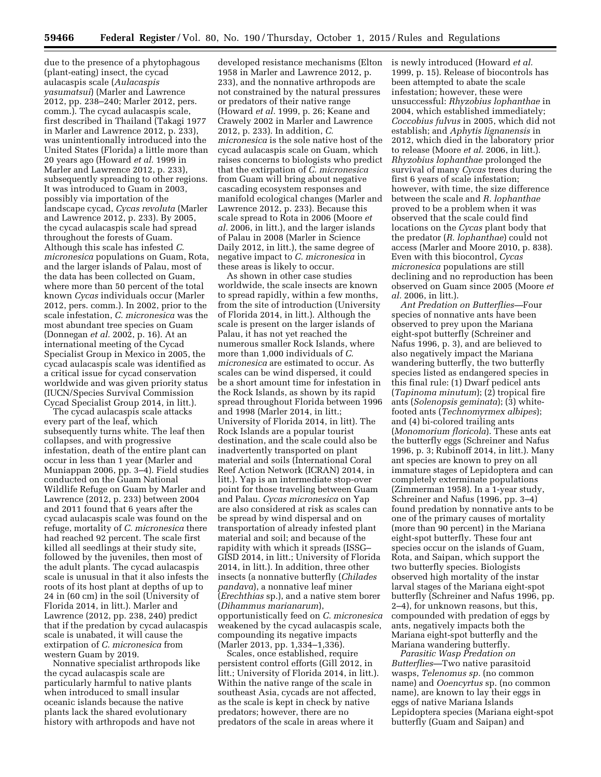due to the presence of a phytophagous (plant-eating) insect, the cycad aulacaspis scale (*Aulacaspis yasumatsui*) (Marler and Lawrence 2012, pp. 238–240; Marler 2012, pers. comm.). The cycad aulacaspis scale, first described in Thailand (Takagi 1977 in Marler and Lawrence 2012, p. 233), was unintentionally introduced into the United States (Florida) a little more than 20 years ago (Howard *et al.* 1999 in Marler and Lawrence 2012, p. 233), subsequently spreading to other regions. It was introduced to Guam in 2003, possibly via importation of the landscape cycad, *Cycas revoluta* (Marler and Lawrence 2012, p. 233). By 2005, the cycad aulacaspis scale had spread throughout the forests of Guam. Although this scale has infested *C. micronesica* populations on Guam, Rota, and the larger islands of Palau, most of the data has been collected on Guam, where more than 50 percent of the total known *Cycas* individuals occur (Marler 2012, pers. comm.). In 2002, prior to the scale infestation, *C. micronesica* was the most abundant tree species on Guam (Donnegan *et al.* 2002, p. 16). At an international meeting of the Cycad Specialist Group in Mexico in 2005, the cycad aulacaspis scale was identified as a critical issue for cycad conservation worldwide and was given priority status (IUCN/Species Survival Commission Cycad Specialist Group 2014, in litt.).

The cycad aulacaspis scale attacks every part of the leaf, which subsequently turns white. The leaf then collapses, and with progressive infestation, death of the entire plant can occur in less than 1 year (Marler and Muniappan 2006, pp. 3–4). Field studies conducted on the Guam National Wildlife Refuge on Guam by Marler and Lawrence (2012, p. 233) between 2004 and 2011 found that 6 years after the cycad aulacaspis scale was found on the refuge, mortality of *C. micronesica* there had reached 92 percent. The scale first killed all seedlings at their study site, followed by the juveniles, then most of the adult plants. The cycad aulacaspis scale is unusual in that it also infests the roots of its host plant at depths of up to 24 in (60 cm) in the soil (University of Florida 2014, in litt.). Marler and Lawrence (2012, pp. 238, 240) predict that if the predation by cycad aulacaspis scale is unabated, it will cause the extirpation of *C. micronesica* from western Guam by 2019.

Nonnative specialist arthropods like the cycad aulacaspis scale are particularly harmful to native plants when introduced to small insular oceanic islands because the native plants lack the shared evolutionary history with arthropods and have not

developed resistance mechanisms (Elton 1958 in Marler and Lawrence 2012, p. 233), and the nonnative arthropods are not constrained by the natural pressures or predators of their native range (Howard *et al.* 1999, p. 26; Keane and Crawely 2002 in Marler and Lawrence 2012, p. 233). In addition, *C. micronesica* is the sole native host of the cycad aulacaspis scale on Guam, which raises concerns to biologists who predict that the extirpation of *C. micronesica*  from Guam will bring about negative cascading ecosystem responses and manifold ecological changes (Marler and Lawrence 2012, p. 233). Because this scale spread to Rota in 2006 (Moore *et al.* 2006, in litt.), and the larger islands of Palau in 2008 (Marler in Science Daily 2012, in litt.), the same degree of negative impact to *C. micronesica* in these areas is likely to occur.

As shown in other case studies worldwide, the scale insects are known to spread rapidly, within a few months, from the site of introduction (University of Florida 2014, in litt.). Although the scale is present on the larger islands of Palau, it has not yet reached the numerous smaller Rock Islands, where more than 1,000 individuals of *C. micronesica* are estimated to occur. As scales can be wind dispersed, it could be a short amount time for infestation in the Rock Islands, as shown by its rapid spread throughout Florida between 1996 and 1998 (Marler 2014, in litt.; University of Florida 2014, in litt). The Rock Islands are a popular tourist destination, and the scale could also be inadvertently transported on plant material and soils (International Coral Reef Action Network (ICRAN) 2014, in litt.). Yap is an intermediate stop-over point for those traveling between Guam and Palau. *Cycas micronesica* on Yap are also considered at risk as scales can be spread by wind dispersal and on transportation of already infested plant material and soil; and because of the rapidity with which it spreads (ISSG– GISD 2014, in litt.; University of Florida 2014, in litt.). In addition, three other insects (a nonnative butterfly (*Chilades pandava*), a nonnative leaf miner (*Erechthias* sp.), and a native stem borer (*Dihammus marianarum*), opportunistically feed on *C. micronesica*  weakened by the cycad aulacaspis scale, compounding its negative impacts (Marler 2013, pp. 1,334–1,336).

Scales, once established, require persistent control efforts (Gill 2012, in litt.; University of Florida 2014, in litt.). Within the native range of the scale in southeast Asia, cycads are not affected, as the scale is kept in check by native predators; however, there are no predators of the scale in areas where it

is newly introduced (Howard *et al.*  1999, p. 15). Release of biocontrols has been attempted to abate the scale infestation; however, these were unsuccessful: *Rhyzobius lophanthae* in 2004, which established immediately; *Coccobius fulvus* in 2005, which did not establish; and *Aphytis lignanensis* in 2012, which died in the laboratory prior to release (Moore *et al.* 2006, in litt.). *Rhyzobius lophanthae* prolonged the survival of many *Cycas* trees during the first 6 years of scale infestation; however, with time, the size difference between the scale and *R. lophanthae*  proved to be a problem when it was observed that the scale could find locations on the *Cycas* plant body that the predator (*R. lophanthae*) could not access (Marler and Moore 2010, p. 838). Even with this biocontrol, *Cycas micronesica* populations are still declining and no reproduction has been observed on Guam since 2005 (Moore *et al.* 2006, in litt.).

*Ant Predation on Butterflies—*Four species of nonnative ants have been observed to prey upon the Mariana eight-spot butterfly (Schreiner and Nafus 1996, p. 3), and are believed to also negatively impact the Mariana wandering butterfly, the two butterfly species listed as endangered species in this final rule: (1) Dwarf pedicel ants (*Tapinoma minutum*); (2) tropical fire ants (*Solenopsis geminata*); (3) whitefooted ants (*Technomyrmex albipes*); and (4) bi-colored trailing ants (*Monomorium floricola*). These ants eat the butterfly eggs (Schreiner and Nafus 1996, p. 3; Rubinoff 2014, in litt.). Many ant species are known to prey on all immature stages of Lepidoptera and can completely exterminate populations (Zimmerman 1958). In a 1-year study, Schreiner and Nafus (1996, pp. 3–4) found predation by nonnative ants to be one of the primary causes of mortality (more than 90 percent) in the Mariana eight-spot butterfly. These four ant species occur on the islands of Guam, Rota, and Saipan, which support the two butterfly species. Biologists observed high mortality of the instar larval stages of the Mariana eight-spot butterfly (Schreiner and Nafus 1996, pp. 2–4), for unknown reasons, but this, compounded with predation of eggs by ants, negatively impacts both the Mariana eight-spot butterfly and the Mariana wandering butterfly.

*Parasitic Wasp Predation on Butterflies—*Two native parasitoid wasps, *Telenomus sp.* (no common name) and *Ooencyrtus* sp. (no common name), are known to lay their eggs in eggs of native Mariana Islands Lepidoptera species (Mariana eight-spot butterfly (Guam and Saipan) and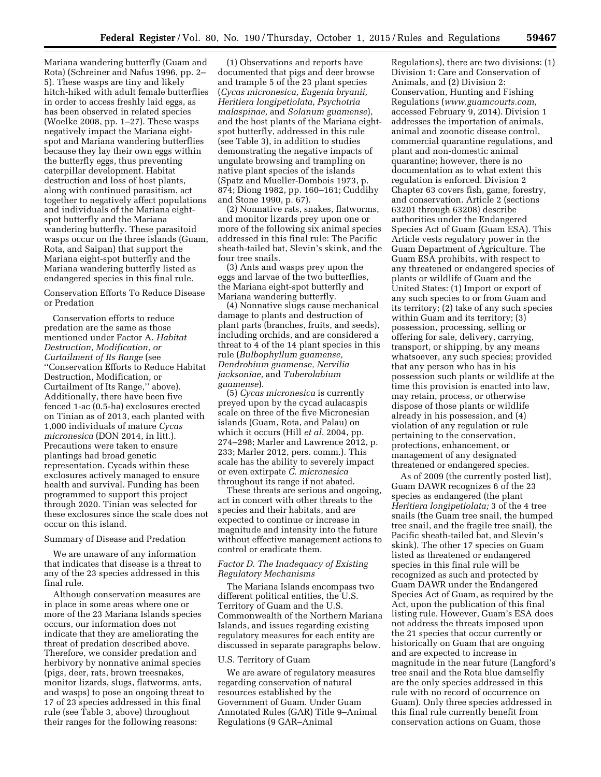Mariana wandering butterfly (Guam and Rota) (Schreiner and Nafus 1996, pp. 2– 5). These wasps are tiny and likely hitch-hiked with adult female butterflies in order to access freshly laid eggs, as has been observed in related species (Woelke 2008, pp. 1–27). These wasps negatively impact the Mariana eightspot and Mariana wandering butterflies because they lay their own eggs within the butterfly eggs, thus preventing caterpillar development. Habitat destruction and loss of host plants, along with continued parasitism, act together to negatively affect populations and individuals of the Mariana eightspot butterfly and the Mariana wandering butterfly. These parasitoid wasps occur on the three islands (Guam, Rota, and Saipan) that support the Mariana eight-spot butterfly and the Mariana wandering butterfly listed as endangered species in this final rule.

Conservation Efforts To Reduce Disease or Predation

Conservation efforts to reduce predation are the same as those mentioned under Factor A. *Habitat Destruction, Modification, or Curtailment of Its Range* (see ''Conservation Efforts to Reduce Habitat Destruction, Modification, or Curtailment of Its Range,'' above). Additionally, there have been five fenced 1-ac (0.5-ha) exclosures erected on Tinian as of 2013, each planted with 1,000 individuals of mature *Cycas micronesica* (DON 2014, in litt.). Precautions were taken to ensure plantings had broad genetic representation. Cycads within these exclosures actively managed to ensure health and survival. Funding has been programmed to support this project through 2020. Tinian was selected for these exclosures since the scale does not occur on this island.

#### Summary of Disease and Predation

We are unaware of any information that indicates that disease is a threat to any of the 23 species addressed in this final rule.

Although conservation measures are in place in some areas where one or more of the 23 Mariana Islands species occurs, our information does not indicate that they are ameliorating the threat of predation described above. Therefore, we consider predation and herbivory by nonnative animal species (pigs, deer, rats, brown treesnakes, monitor lizards, slugs, flatworms, ants, and wasps) to pose an ongoing threat to 17 of 23 species addressed in this final rule (see Table 3, above) throughout their ranges for the following reasons:

(1) Observations and reports have documented that pigs and deer browse and trample 5 of the 23 plant species (*Cycas micronesica, Eugenia bryanii, Heritiera longipetiolata, Psychotria malaspinae,* and *Solanum guamense*), and the host plants of the Mariana eightspot butterfly, addressed in this rule (see Table 3), in addition to studies demonstrating the negative impacts of ungulate browsing and trampling on native plant species of the islands (Spatz and Mueller-Dombois 1973, p. 874; Diong 1982, pp. 160–161; Cuddihy and Stone 1990, p. 67).

(2) Nonnative rats, snakes, flatworms, and monitor lizards prey upon one or more of the following six animal species addressed in this final rule: The Pacific sheath-tailed bat, Slevin's skink, and the four tree snails.

(3) Ants and wasps prey upon the eggs and larvae of the two butterflies, the Mariana eight-spot butterfly and Mariana wandering butterfly.

(4) Nonnative slugs cause mechanical damage to plants and destruction of plant parts (branches, fruits, and seeds), including orchids, and are considered a threat to 4 of the 14 plant species in this rule (*Bulbophyllum guamense, Dendrobium guamense, Nervilia jacksoniae,* and *Tuberolabium guamense*).

(5) *Cycas micronesica* is currently preyed upon by the cycad aulacaspis scale on three of the five Micronesian islands (Guam, Rota, and Palau) on which it occurs (Hill *et al.* 2004, pp. 274–298; Marler and Lawrence 2012, p. 233; Marler 2012, pers. comm.). This scale has the ability to severely impact or even extirpate *C. micronesica*  throughout its range if not abated.

These threats are serious and ongoing, act in concert with other threats to the species and their habitats, and are expected to continue or increase in magnitude and intensity into the future without effective management actions to control or eradicate them.

# *Factor D. The Inadequacy of Existing Regulatory Mechanisms*

The Mariana Islands encompass two different political entities, the U.S. Territory of Guam and the U.S. Commonwealth of the Northern Mariana Islands, and issues regarding existing regulatory measures for each entity are discussed in separate paragraphs below.

#### U.S. Territory of Guam

We are aware of regulatory measures regarding conservation of natural resources established by the Government of Guam. Under Guam Annotated Rules (GAR) Title 9–Animal Regulations (9 GAR–Animal

Regulations), there are two divisions: (1) Division 1: Care and Conservation of Animals, and (2) Division 2: Conservation, Hunting and Fishing Regulations (*[www.guamcourts.com](http://www.guamcourts.com)*, accessed February 9, 2014). Division 1 addresses the importation of animals, animal and zoonotic disease control, commercial quarantine regulations, and plant and non-domestic animal quarantine; however, there is no documentation as to what extent this regulation is enforced. Division 2 Chapter 63 covers fish, game, forestry, and conservation. Article 2 (sections 63201 through 63208) describe authorities under the Endangered Species Act of Guam (Guam ESA). This Article vests regulatory power in the Guam Department of Agriculture. The Guam ESA prohibits, with respect to any threatened or endangered species of plants or wildlife of Guam and the United States: (1) Import or export of any such species to or from Guam and its territory; (2) take of any such species within Guam and its territory; (3) possession, processing, selling or offering for sale, delivery, carrying, transport, or shipping, by any means whatsoever, any such species; provided that any person who has in his possession such plants or wildlife at the time this provision is enacted into law, may retain, process, or otherwise dispose of those plants or wildlife already in his possession, and (4) violation of any regulation or rule pertaining to the conservation, protections, enhancement, or management of any designated threatened or endangered species.

As of 2009 (the currently posted list), Guam DAWR recognizes 6 of the 23 species as endangered (the plant *Heritiera longipetiolata;* 3 of the 4 tree snails (the Guam tree snail, the humped tree snail, and the fragile tree snail), the Pacific sheath-tailed bat, and Slevin's skink). The other 17 species on Guam listed as threatened or endangered species in this final rule will be recognized as such and protected by Guam DAWR under the Endangered Species Act of Guam, as required by the Act, upon the publication of this final listing rule. However, Guam's ESA does not address the threats imposed upon the 21 species that occur currently or historically on Guam that are ongoing and are expected to increase in magnitude in the near future (Langford's tree snail and the Rota blue damselfly are the only species addressed in this rule with no record of occurrence on Guam). Only three species addressed in this final rule currently benefit from conservation actions on Guam, those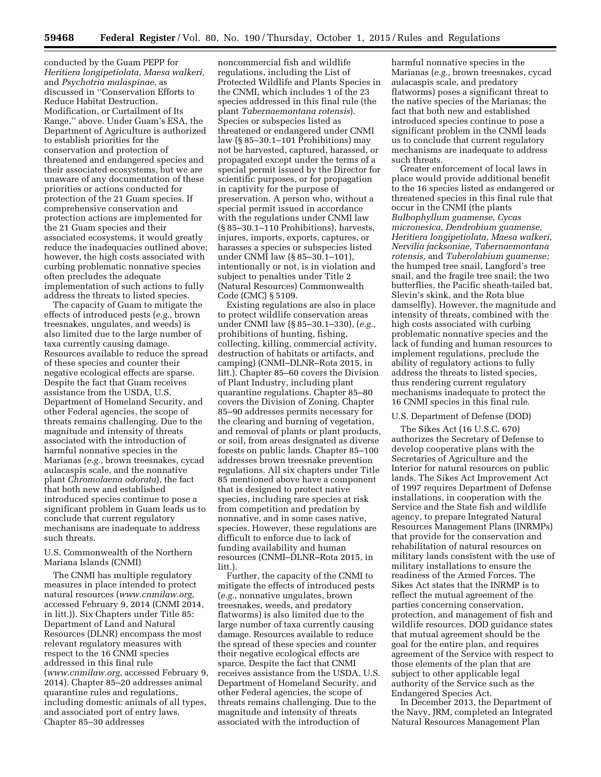conducted by the Guam PEPP for *Heritiera longipetiolata, Maesa walkeri,*  and *Psychotria malaspinae,* as discussed in ''Conservation Efforts to Reduce Habitat Destruction, Modification, or Curtailment of Its Range,'' above. Under Guam's ESA, the Department of Agriculture is authorized to establish priorities for the conservation and protection of threatened and endangered species and their associated ecosystems, but we are unaware of any documentation of these priorities or actions conducted for protection of the 21 Guam species. If comprehensive conservation and protection actions are implemented for the 21 Guam species and their associated ecosystems, it would greatly reduce the inadequacies outlined above; however, the high costs associated with curbing problematic nonnative species often precludes the adequate implementation of such actions to fully address the threats to listed species.

The capacity of Guam to mitigate the effects of introduced pests (*e.g.,* brown treesnakes, ungulates, and weeds) is also limited due to the large number of taxa currently causing damage. Resources available to reduce the spread of these species and counter their negative ecological effects are sparse. Despite the fact that Guam receives assistance from the USDA, U.S. Department of Homeland Security, and other Federal agencies, the scope of threats remains challenging. Due to the magnitude and intensity of threats associated with the introduction of harmful nonnative species in the Marianas (*e.g.,* brown treesnakes, cycad aulacaspis scale, and the nonnative plant *Chromolaena odorata*), the fact that both new and established introduced species continue to pose a significant problem in Guam leads us to conclude that current regulatory mechanisms are inadequate to address such threats.

# U.S. Commonwealth of the Northern Mariana Islands (CNMI)

The CNMI has multiple regulatory measures in place intended to protect natural resources (*[www.cnmilaw.org](http://www.cnmilaw.org)*, accessed February 9, 2014 (CNMI 2014, in litt.)). Six Chapters under Title 85: Department of Land and Natural Resources (DLNR) encompass the most relevant regulatory measures with respect to the 16 CNMI species addressed in this final rule (*[www.cnmilaw.org](http://www.cnmilaw.org)*, accessed February 9, 2014). Chapter 85–20 addresses animal quarantine rules and regulations, including domestic animals of all types, and associated port of entry laws. Chapter 85–30 addresses

noncommercial fish and wildlife regulations, including the List of Protected Wildlife and Plants Species in the CNMI, which includes 1 of the 23 species addressed in this final rule (the plant *Tabernaemontana rotensis*). Species or subspecies listed as threatened or endangered under CNMI law (§ 85–30.1–101 Prohibitions) may not be harvested, captured, harassed, or propagated except under the terms of a special permit issued by the Director for scientific purposes, or for propagation in captivity for the purpose of preservation. A person who, without a special permit issued in accordance with the regulations under CNMI law (§ 85–30.1–110 Prohibitions), harvests, injures, imports, exports, captures, or harasses a species or subspecies listed under CNMI law (§ 85–30.1–101), intentionally or not, is in violation and subject to penalties under Title 2 (Natural Resources) Commonwealth Code (CMC) § 5109.

Existing regulations are also in place to protect wildlife conservation areas under CNMI law (§ 85–30.1–330), (*e.g.,*  prohibitions of hunting, fishing, collecting, killing, commercial activity, destruction of habitats or artifacts, and camping) (CNMI–DLNR–Rota 2015, in litt.). Chapter 85–60 covers the Division of Plant Industry, including plant quarantine regulations. Chapter 85–80 covers the Division of Zoning. Chapter 85–90 addresses permits necessary for the clearing and burning of vegetation, and removal of plants or plant products, or soil, from areas designated as diverse forests on public lands. Chapter 85–100 addresses brown treesnake prevention regulations. All six chapters under Title 85 mentioned above have a component that is designed to protect native species, including rare species at risk from competition and predation by nonnative, and in some cases native, species. However, these regulations are difficult to enforce due to lack of funding availability and human resources (CNMI–DLNR–Rota 2015, in litt.).

Further, the capacity of the CNMI to mitigate the effects of introduced pests (*e.g.,* nonnative ungulates, brown treesnakes, weeds, and predatory flatworms) is also limited due to the large number of taxa currently causing damage. Resources available to reduce the spread of these species and counter their negative ecological effects are sparce. Despite the fact that CNMI receives assistance from the USDA, U.S. Department of Homeland Security, and other Federal agencies, the scope of threats remains challenging. Due to the magnitude and intensity of threats associated with the introduction of

harmful nonnative species in the Marianas (*e.g.,* brown treesnakes, cycad aulacaspis scale, and predatory flatworms) poses a significant threat to the native species of the Marianas; the fact that both new and established introduced species continue to pose a significant problem in the CNMI leads us to conclude that current regulatory mechanisms are inadequate to address such threats.

Greater enforcement of local laws in place would provide additional benefit to the 16 species listed as endangered or threatened species in this final rule that occur in the CNMI (the plants *Bulbophyllum guamense, Cycas micronesica, Dendrobium guamense, Heritiera longipetiolata, Maesa walkeri, Nervilia jacksoniae, Tabernaemontana rotensis,* and *Tuberolabium guamense;*  the humped tree snail, Langford's tree snail, and the fragile tree snail; the two butterflies, the Pacific sheath-tailed bat, Slevin's skink, and the Rota blue damselfly). However, the magnitude and intensity of threats, combined with the high costs associated with curbing problematic nonnative species and the lack of funding and human resources to implement regulations, preclude the ability of regulatory actions to fully address the threats to listed species, thus rendering current regulatory mechanisms inadequate to protect the 16 CNMI species in this final rule.

#### U.S. Department of Defense (DOD)

The Sikes Act (16 U.S.C. 670) authorizes the Secretary of Defense to develop cooperative plans with the Secretaries of Agriculture and the Interior for natural resources on public lands. The Sikes Act Improvement Act of 1997 requires Department of Defense installations, in cooperation with the Service and the State fish and wildlife agency, to prepare Integrated Natural Resources Management Plans (INRMPs) that provide for the conservation and rehabilitation of natural resources on military lands consistent with the use of military installations to ensure the readiness of the Armed Forces. The Sikes Act states that the INRMP is to reflect the mutual agreement of the parties concerning conservation, protection, and management of fish and wildlife resources. DOD guidance states that mutual agreement should be the goal for the entire plan, and requires agreement of the Service with respect to those elements of the plan that are subject to other applicable legal authority of the Service such as the Endangered Species Act.

In December 2013, the Department of the Navy, JRM, completed an Integrated Natural Resources Management Plan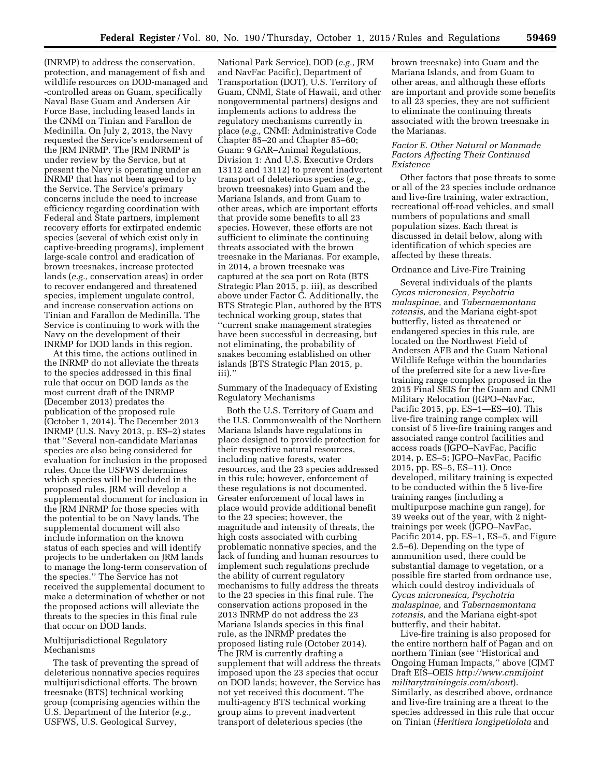(INRMP) to address the conservation, protection, and management of fish and wildlife resources on DOD-managed and -controlled areas on Guam, specifically Naval Base Guam and Andersen Air Force Base, including leased lands in the CNMI on Tinian and Farallon de Medinilla. On July 2, 2013, the Navy requested the Service's endorsement of the JRM INRMP. The JRM INRMP is under review by the Service, but at present the Navy is operating under an INRMP that has not been agreed to by the Service. The Service's primary concerns include the need to increase efficiency regarding coordination with Federal and State partners, implement recovery efforts for extirpated endemic species (several of which exist only in captive-breeding programs), implement large-scale control and eradication of brown treesnakes, increase protected lands (*e.g.,* conservation areas) in order to recover endangered and threatened species, implement ungulate control, and increase conservation actions on Tinian and Farallon de Medinilla. The Service is continuing to work with the Navy on the development of their INRMP for DOD lands in this region.

At this time, the actions outlined in the INRMP do not alleviate the threats to the species addressed in this final rule that occur on DOD lands as the most current draft of the INRMP (December 2013) predates the publication of the proposed rule (October 1, 2014). The December 2013 INRMP (U.S. Navy 2013, p. ES–2) states that ''Several non-candidate Marianas species are also being considered for evaluation for inclusion in the proposed rules. Once the USFWS determines which species will be included in the proposed rules, JRM will develop a supplemental document for inclusion in the JRM INRMP for those species with the potential to be on Navy lands. The supplemental document will also include information on the known status of each species and will identify projects to be undertaken on JRM lands to manage the long-term conservation of the species.'' The Service has not received the supplemental document to make a determination of whether or not the proposed actions will alleviate the threats to the species in this final rule that occur on DOD lands.

# Multijurisdictional Regulatory Mechanisms

The task of preventing the spread of deleterious nonnative species requires multijurisdictional efforts. The brown treesnake (BTS) technical working group (comprising agencies within the U.S. Department of the Interior (*e.g.,*  USFWS, U.S. Geological Survey,

National Park Service), DOD (*e.g.,* JRM and NavFac Pacific), Department of Transportation (DOT), U.S. Territory of Guam, CNMI, State of Hawaii, and other nongovernmental partners) designs and implements actions to address the regulatory mechanisms currently in place (*e.g.,* CNMI: Administrative Code Chapter 85–20 and Chapter 85–60; Guam: 9 GAR–Animal Regulations, Division 1: And U.S. Executive Orders 13112 and 13112) to prevent inadvertent transport of deleterious species (*e.g.,*  brown treesnakes) into Guam and the Mariana Islands, and from Guam to other areas, which are important efforts that provide some benefits to all 23 species. However, these efforts are not sufficient to eliminate the continuing threats associated with the brown treesnake in the Marianas. For example, in 2014, a brown treesnake was captured at the sea port on Rota (BTS Strategic Plan 2015, p. iii), as described above under Factor C. Additionally, the BTS Strategic Plan, authored by the BTS technical working group, states that ''current snake management strategies have been successful in decreasing, but not eliminating, the probability of snakes becoming established on other islands (BTS Strategic Plan 2015, p. iii).''

Summary of the Inadequacy of Existing Regulatory Mechanisms

Both the U.S. Territory of Guam and the U.S. Commonwealth of the Northern Mariana Islands have regulations in place designed to provide protection for their respective natural resources, including native forests, water resources, and the 23 species addressed in this rule; however, enforcement of these regulations is not documented. Greater enforcement of local laws in place would provide additional benefit to the 23 species; however, the magnitude and intensity of threats, the high costs associated with curbing problematic nonnative species, and the lack of funding and human resources to implement such regulations preclude the ability of current regulatory mechanisms to fully address the threats to the 23 species in this final rule. The conservation actions proposed in the 2013 INRMP do not address the 23 Mariana Islands species in this final rule, as the INRMP predates the proposed listing rule (October 2014). The JRM is currently drafting a supplement that will address the threats imposed upon the 23 species that occur on DOD lands; however, the Service has not yet received this document. The multi-agency BTS technical working group aims to prevent inadvertent transport of deleterious species (the

brown treesnake) into Guam and the Mariana Islands, and from Guam to other areas, and although these efforts are important and provide some benefits to all 23 species, they are not sufficient to eliminate the continuing threats associated with the brown treesnake in the Marianas.

# *Factor E. Other Natural or Manmade Factors Affecting Their Continued Existence*

Other factors that pose threats to some or all of the 23 species include ordnance and live-fire training, water extraction, recreational off-road vehicles, and small numbers of populations and small population sizes. Each threat is discussed in detail below, along with identification of which species are affected by these threats.

# Ordnance and Live-Fire Training

Several individuals of the plants *Cycas micronesica, Psychotria malaspinae,* and *Tabernaemontana rotensis,* and the Mariana eight-spot butterfly, listed as threatened or endangered species in this rule, are located on the Northwest Field of Andersen AFB and the Guam National Wildlife Refuge within the boundaries of the preferred site for a new live-fire training range complex proposed in the 2015 Final SEIS for the Guam and CNMI Military Relocation (JGPO–NavFac, Pacific 2015, pp. ES–1—ES–40). This live-fire training range complex will consist of 5 live-fire training ranges and associated range control facilities and access roads (JGPO–NavFac, Pacific 2014, p. ES–5; JGPO–NavFac, Pacific 2015, pp. ES–5, ES–11). Once developed, military training is expected to be conducted within the 5 live-fire training ranges (including a multipurpose machine gun range), for 39 weeks out of the year, with 2 nighttrainings per week (JGPO–NavFac, Pacific 2014, pp. ES–1, ES–5, and Figure 2.5–6). Depending on the type of ammunition used, there could be substantial damage to vegetation, or a possible fire started from ordnance use, which could destroy individuals of *Cycas micronesica, Psychotria malaspinae,* and *Tabernaemontana rotensis,* and the Mariana eight-spot butterfly, and their habitat.

Live-fire training is also proposed for the entire northern half of Pagan and on northern Tinian (see ''Historical and Ongoing Human Impacts,'' above (CJMT Draft EIS–OEIS *[http://www.cnmijoint](http://www.cnmijointmilitarytrainingeis.com/about) [militarytrainingeis.com/about](http://www.cnmijointmilitarytrainingeis.com/about)*). Similarly, as described above, ordnance and live-fire training are a threat to the species addressed in this rule that occur on Tinian (*Heritiera longipetiolata* and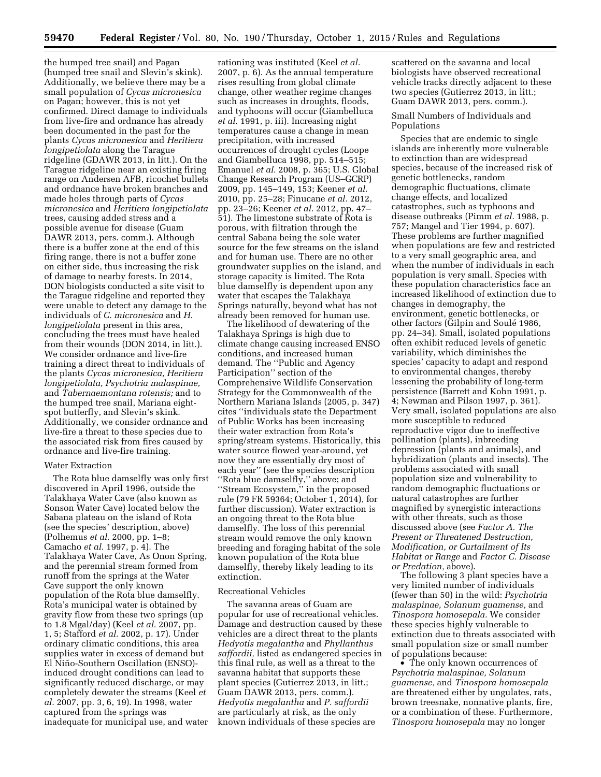the humped tree snail) and Pagan (humped tree snail and Slevin's skink). Additionally, we believe there may be a small population of *Cycas micronesica*  on Pagan; however, this is not yet confirmed. Direct damage to individuals from live-fire and ordnance has already been documented in the past for the plants *Cycas micronesica* and *Heritiera longipetiolata* along the Tarague ridgeline (GDAWR 2013, in litt.). On the Tarague ridgeline near an existing firing range on Andersen AFB, ricochet bullets and ordnance have broken branches and made holes through parts of *Cycas micronesica* and *Heritiera longipetiolata*  trees, causing added stress and a possible avenue for disease (Guam DAWR 2013, pers. comm.). Although there is a buffer zone at the end of this firing range, there is not a buffer zone on either side, thus increasing the risk of damage to nearby forests. In 2014, DON biologists conducted a site visit to the Tarague ridgeline and reported they were unable to detect any damage to the individuals of *C. micronesica* and *H. longipetiolata* present in this area, concluding the trees must have healed from their wounds (DON 2014, in litt.). We consider ordnance and live-fire training a direct threat to individuals of the plants *Cycas micronesica, Heritiera longipetiolata, Psychotria malaspinae,*  and *Tabernaemontana rotensis;* and to the humped tree snail, Mariana eightspot butterfly, and Slevin's skink. Additionally, we consider ordnance and live-fire a threat to these species due to the associated risk from fires caused by ordnance and live-fire training.

#### Water Extraction

The Rota blue damselfly was only first discovered in April 1996, outside the Talakhaya Water Cave (also known as Sonson Water Cave) located below the Sabana plateau on the island of Rota (see the species' description, above) (Polhemus *et al.* 2000, pp. 1–8; Camacho *et al.* 1997, p. 4). The Talakhaya Water Cave, As Onon Spring, and the perennial stream formed from runoff from the springs at the Water Cave support the only known population of the Rota blue damselfly. Rota's municipal water is obtained by gravity flow from these two springs (up to 1.8 Mgal/day) (Keel *et al.* 2007, pp. 1, 5; Stafford *et al.* 2002, p. 17). Under ordinary climatic conditions, this area supplies water in excess of demand but El Niño-Southern Oscillation (ENSO)induced drought conditions can lead to significantly reduced discharge, or may completely dewater the streams (Keel *et al.* 2007, pp. 3, 6, 19). In 1998, water captured from the springs was inadequate for municipal use, and water

rationing was instituted (Keel *et al.*  2007, p. 6). As the annual temperature rises resulting from global climate change, other weather regime changes such as increases in droughts, floods, and typhoons will occur (Giambelluca *et al.* 1991, p. iii). Increasing night temperatures cause a change in mean precipitation, with increased occurrences of drought cycles (Loope and Giambelluca 1998, pp. 514–515; Emanuel *et al.* 2008, p. 365; U.S. Global Change Research Program (US–GCRP) 2009, pp. 145–149, 153; Keener *et al.*  2010, pp. 25–28; Finucane *et al.* 2012, pp. 23–26; Keener *et al.* 2012, pp. 47– 51). The limestone substrate of Rota is porous, with filtration through the central Sabana being the sole water source for the few streams on the island and for human use. There are no other groundwater supplies on the island, and storage capacity is limited. The Rota blue damselfly is dependent upon any water that escapes the Talakhaya Springs naturally, beyond what has not already been removed for human use.

The likelihood of dewatering of the Talakhaya Springs is high due to climate change causing increased ENSO conditions, and increased human demand. The ''Public and Agency Participation'' section of the Comprehensive Wildlife Conservation Strategy for the Commonwealth of the Northern Mariana Islands (2005, p. 347) cites ''individuals state the Department of Public Works has been increasing their water extraction from Rota's spring/stream systems. Historically, this water source flowed year-around, yet now they are essentially dry most of each year'' (see the species description ''Rota blue damselfly,'' above; and ''Stream Ecosystem,'' in the proposed rule (79 FR 59364; October 1, 2014), for further discussion). Water extraction is an ongoing threat to the Rota blue damselfly. The loss of this perennial stream would remove the only known breeding and foraging habitat of the sole known population of the Rota blue damselfly, thereby likely leading to its extinction.

# Recreational Vehicles

The savanna areas of Guam are popular for use of recreational vehicles. Damage and destruction caused by these vehicles are a direct threat to the plants *Hedyotis megalantha* and *Phyllanthus saffordii,* listed as endangered species in this final rule, as well as a threat to the savanna habitat that supports these plant species (Gutierrez 2013, in litt.; Guam DAWR 2013, pers. comm.). *Hedyotis megalantha* and *P. saffordii*  are particularly at risk, as the only known individuals of these species are

scattered on the savanna and local biologists have observed recreational vehicle tracks directly adjacent to these two species (Gutierrez 2013, in litt.; Guam DAWR 2013, pers. comm.).

# Small Numbers of Individuals and Populations

Species that are endemic to single islands are inherently more vulnerable to extinction than are widespread species, because of the increased risk of genetic bottlenecks, random demographic fluctuations, climate change effects, and localized catastrophes, such as typhoons and disease outbreaks (Pimm *et al.* 1988, p. 757; Mangel and Tier 1994, p. 607). These problems are further magnified when populations are few and restricted to a very small geographic area, and when the number of individuals in each population is very small. Species with these population characteristics face an increased likelihood of extinction due to changes in demography, the environment, genetic bottlenecks, or other factors (Gilpin and Soulé 1986, pp. 24–34). Small, isolated populations often exhibit reduced levels of genetic variability, which diminishes the species' capacity to adapt and respond to environmental changes, thereby lessening the probability of long-term persistence (Barrett and Kohn 1991, p. 4; Newman and Pilson 1997, p. 361). Very small, isolated populations are also more susceptible to reduced reproductive vigor due to ineffective pollination (plants), inbreeding depression (plants and animals), and hybridization (plants and insects). The problems associated with small population size and vulnerability to random demographic fluctuations or natural catastrophes are further magnified by synergistic interactions with other threats, such as those discussed above (see *Factor A. The Present or Threatened Destruction, Modification, or Curtailment of Its Habitat or Range* and *Factor C. Disease or Predation,* above).

The following 3 plant species have a very limited number of individuals (fewer than 50) in the wild: *Psychotria malaspinae, Solanum guamense,* and *Tinospora homosepala.* We consider these species highly vulnerable to extinction due to threats associated with small population size or small number of populations because:

• The only known occurrences of *Psychotria malaspinae, Solanum guamense,* and *Tinospora homosepala*  are threatened either by ungulates, rats, brown treesnake, nonnative plants, fire, or a combination of these. Furthermore, *Tinospora homosepala* may no longer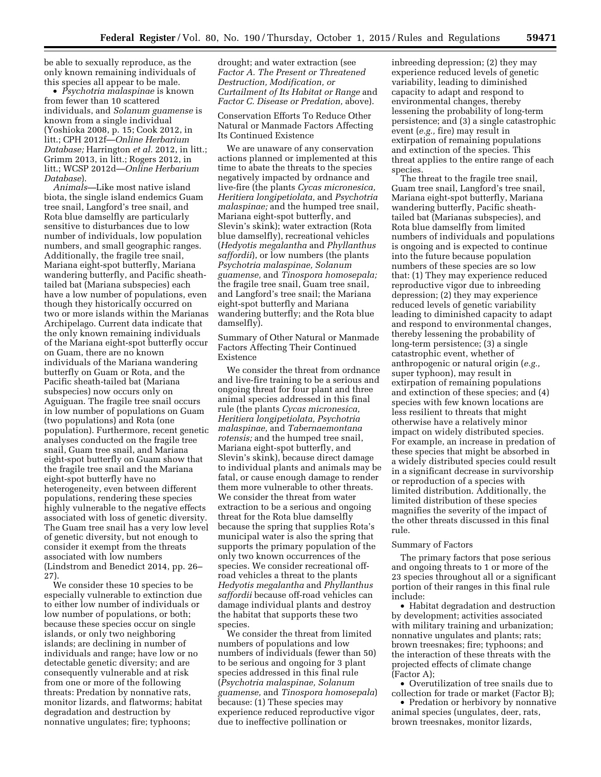be able to sexually reproduce, as the only known remaining individuals of this species all appear to be male.

• *Psychotria malaspinae* is known from fewer than 10 scattered individuals, and *Solanum guamense* is known from a single individual (Yoshioka 2008, p. 15; Cook 2012, in litt.; CPH 2012f—*Online Herbarium Database;* Harrington *et al.* 2012, in litt.; Grimm 2013, in litt.; Rogers 2012, in litt.; WCSP 2012d—*Online Herbarium Database*).

*Animals—*Like most native island biota, the single island endemics Guam tree snail, Langford's tree snail, and Rota blue damselfly are particularly sensitive to disturbances due to low number of individuals, low population numbers, and small geographic ranges. Additionally, the fragile tree snail, Mariana eight-spot butterfly, Mariana wandering butterfly, and Pacific sheathtailed bat (Mariana subspecies) each have a low number of populations, even though they historically occurred on two or more islands within the Marianas Archipelago. Current data indicate that the only known remaining individuals of the Mariana eight-spot butterfly occur on Guam, there are no known individuals of the Mariana wandering butterfly on Guam or Rota, and the Pacific sheath-tailed bat (Mariana subspecies) now occurs only on Aguiguan. The fragile tree snail occurs in low number of populations on Guam (two populations) and Rota (one population). Furthermore, recent genetic analyses conducted on the fragile tree snail, Guam tree snail, and Mariana eight-spot butterfly on Guam show that the fragile tree snail and the Mariana eight-spot butterfly have no heterogeneity, even between different populations, rendering these species highly vulnerable to the negative effects associated with loss of genetic diversity. The Guam tree snail has a very low level of genetic diversity, but not enough to consider it exempt from the threats associated with low numbers (Lindstrom and Benedict 2014, pp. 26– 27).

We consider these 10 species to be especially vulnerable to extinction due to either low number of individuals or low number of populations, or both; because these species occur on single islands, or only two neighboring islands; are declining in number of individuals and range; have low or no detectable genetic diversity; and are consequently vulnerable and at risk from one or more of the following threats: Predation by nonnative rats, monitor lizards, and flatworms; habitat degradation and destruction by nonnative ungulates; fire; typhoons;

drought; and water extraction (see *Factor A. The Present or Threatened Destruction, Modification, or Curtailment of Its Habitat or Range* and *Factor C. Disease or Predation,* above).

Conservation Efforts To Reduce Other Natural or Manmade Factors Affecting Its Continued Existence

We are unaware of any conservation actions planned or implemented at this time to abate the threats to the species negatively impacted by ordnance and live-fire (the plants *Cycas micronesica, Heritiera longipetiolata,* and *Psychotria malaspinae;* and the humped tree snail, Mariana eight-spot butterfly, and Slevin's skink); water extraction (Rota blue damselfly), recreational vehicles (*Hedyotis megalantha* and *Phyllanthus saffordii*), or low numbers (the plants *Psychotria malaspinae, Solanum guamense,* and *Tinospora homosepala;*  the fragile tree snail, Guam tree snail, and Langford's tree snail; the Mariana eight-spot butterfly and Mariana wandering butterfly; and the Rota blue damselfly).

Summary of Other Natural or Manmade Factors Affecting Their Continued Existence

We consider the threat from ordnance and live-fire training to be a serious and ongoing threat for four plant and three animal species addressed in this final rule (the plants *Cycas micronesica, Heritiera longipetiolata, Psychotria malaspinae,* and *Tabernaemontana rotensis;* and the humped tree snail, Mariana eight-spot butterfly, and Slevin's skink), because direct damage to individual plants and animals may be fatal, or cause enough damage to render them more vulnerable to other threats. We consider the threat from water extraction to be a serious and ongoing threat for the Rota blue damselfly because the spring that supplies Rota's municipal water is also the spring that supports the primary population of the only two known occurrences of the species. We consider recreational offroad vehicles a threat to the plants *Hedyotis megalantha* and *Phyllanthus saffordii* because off-road vehicles can damage individual plants and destroy the habitat that supports these two species.

We consider the threat from limited numbers of populations and low numbers of individuals (fewer than 50) to be serious and ongoing for 3 plant species addressed in this final rule (*Psychotria malaspinae, Solanum guamense,* and *Tinospora homosepala*) because: (1) These species may experience reduced reproductive vigor due to ineffective pollination or

inbreeding depression; (2) they may experience reduced levels of genetic variability, leading to diminished capacity to adapt and respond to environmental changes, thereby lessening the probability of long-term persistence; and (3) a single catastrophic event (*e.g.,* fire) may result in extirpation of remaining populations and extinction of the species. This threat applies to the entire range of each species.

The threat to the fragile tree snail, Guam tree snail, Langford's tree snail, Mariana eight-spot butterfly, Mariana wandering butterfly, Pacific sheathtailed bat (Marianas subspecies), and Rota blue damselfly from limited numbers of individuals and populations is ongoing and is expected to continue into the future because population numbers of these species are so low that: (1) They may experience reduced reproductive vigor due to inbreeding depression; (2) they may experience reduced levels of genetic variability leading to diminished capacity to adapt and respond to environmental changes, thereby lessening the probability of long-term persistence; (3) a single catastrophic event, whether of anthropogenic or natural origin (*e.g.,*  super typhoon), may result in extirpation of remaining populations and extinction of these species; and (4) species with few known locations are less resilient to threats that might otherwise have a relatively minor impact on widely distributed species. For example, an increase in predation of these species that might be absorbed in a widely distributed species could result in a significant decrease in survivorship or reproduction of a species with limited distribution. Additionally, the limited distribution of these species magnifies the severity of the impact of the other threats discussed in this final rule.

# Summary of Factors

The primary factors that pose serious and ongoing threats to 1 or more of the 23 species throughout all or a significant portion of their ranges in this final rule include:

• Habitat degradation and destruction by development; activities associated with military training and urbanization; nonnative ungulates and plants; rats; brown treesnakes; fire; typhoons; and the interaction of these threats with the projected effects of climate change (Factor A);

• Overutilization of tree snails due to collection for trade or market (Factor B);

• Predation or herbivory by nonnative animal species (ungulates, deer, rats, brown treesnakes, monitor lizards,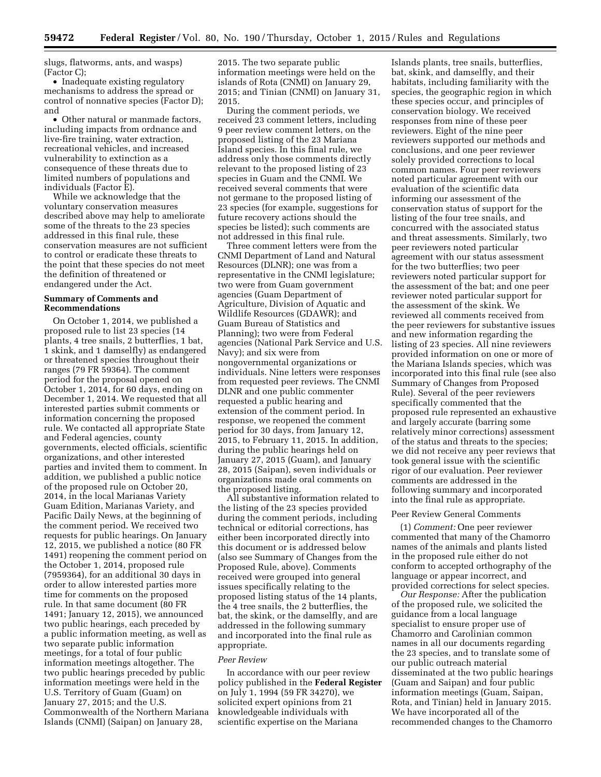slugs, flatworms, ants, and wasps) (Factor C);

• Inadequate existing regulatory mechanisms to address the spread or control of nonnative species (Factor D); and

• Other natural or manmade factors, including impacts from ordnance and live-fire training, water extraction, recreational vehicles, and increased vulnerability to extinction as a consequence of these threats due to limited numbers of populations and individuals (Factor E).

While we acknowledge that the voluntary conservation measures described above may help to ameliorate some of the threats to the 23 species addressed in this final rule, these conservation measures are not sufficient to control or eradicate these threats to the point that these species do not meet the definition of threatened or endangered under the Act.

# **Summary of Comments and Recommendations**

On October 1, 2014, we published a proposed rule to list 23 species (14 plants, 4 tree snails, 2 butterflies, 1 bat, 1 skink, and 1 damselfly) as endangered or threatened species throughout their ranges (79 FR 59364). The comment period for the proposal opened on October 1, 2014, for 60 days, ending on December 1, 2014. We requested that all interested parties submit comments or information concerning the proposed rule. We contacted all appropriate State and Federal agencies, county governments, elected officials, scientific organizations, and other interested parties and invited them to comment. In addition, we published a public notice of the proposed rule on October 20, 2014, in the local Marianas Variety Guam Edition, Marianas Variety, and Pacific Daily News, at the beginning of the comment period. We received two requests for public hearings. On January 12, 2015, we published a notice (80 FR 1491) reopening the comment period on the October 1, 2014, proposed rule (7959364), for an additional 30 days in order to allow interested parties more time for comments on the proposed rule. In that same document (80 FR 1491; January 12, 2015), we announced two public hearings, each preceded by a public information meeting, as well as two separate public information meetings, for a total of four public information meetings altogether. The two public hearings preceded by public information meetings were held in the U.S. Territory of Guam (Guam) on January 27, 2015; and the U.S. Commonwealth of the Northern Mariana Islands (CNMI) (Saipan) on January 28,

2015. The two separate public information meetings were held on the islands of Rota (CNMI) on January 29, 2015; and Tinian (CNMI) on January 31, 2015.

During the comment periods, we received 23 comment letters, including 9 peer review comment letters, on the proposed listing of the 23 Mariana Island species. In this final rule, we address only those comments directly relevant to the proposed listing of 23 species in Guam and the CNMI. We received several comments that were not germane to the proposed listing of 23 species (for example, suggestions for future recovery actions should the species be listed); such comments are not addressed in this final rule.

Three comment letters were from the CNMI Department of Land and Natural Resources (DLNR); one was from a representative in the CNMI legislature; two were from Guam government agencies (Guam Department of Agriculture, Division of Aquatic and Wildlife Resources (GDAWR); and Guam Bureau of Statistics and Planning); two were from Federal agencies (National Park Service and U.S. Navy); and six were from nongovernmental organizations or individuals. Nine letters were responses from requested peer reviews. The CNMI DLNR and one public commenter requested a public hearing and extension of the comment period. In response, we reopened the comment period for 30 days, from January 12, 2015, to February 11, 2015. In addition, during the public hearings held on January 27, 2015 (Guam), and January 28, 2015 (Saipan), seven individuals or organizations made oral comments on the proposed listing.

All substantive information related to the listing of the 23 species provided during the comment periods, including technical or editorial corrections, has either been incorporated directly into this document or is addressed below (also see Summary of Changes from the Proposed Rule, above). Comments received were grouped into general issues specifically relating to the proposed listing status of the 14 plants, the 4 tree snails, the 2 butterflies, the bat, the skink, or the damselfly, and are addressed in the following summary and incorporated into the final rule as appropriate.

#### *Peer Review*

In accordance with our peer review policy published in the **Federal Register**  on July 1, 1994 (59 FR 34270), we solicited expert opinions from 21 knowledgeable individuals with scientific expertise on the Mariana

Islands plants, tree snails, butterflies, bat, skink, and damselfly, and their habitats, including familiarity with the species, the geographic region in which these species occur, and principles of conservation biology. We received responses from nine of these peer reviewers. Eight of the nine peer reviewers supported our methods and conclusions, and one peer reviewer solely provided corrections to local common names. Four peer reviewers noted particular agreement with our evaluation of the scientific data informing our assessment of the conservation status of support for the listing of the four tree snails, and concurred with the associated status and threat assessments. Similarly, two peer reviewers noted particular agreement with our status assessment for the two butterflies; two peer reviewers noted particular support for the assessment of the bat; and one peer reviewer noted particular support for the assessment of the skink. We reviewed all comments received from the peer reviewers for substantive issues and new information regarding the listing of 23 species. All nine reviewers provided information on one or more of the Mariana Islands species, which was incorporated into this final rule (see also Summary of Changes from Proposed Rule). Several of the peer reviewers specifically commented that the proposed rule represented an exhaustive and largely accurate (barring some relatively minor corrections) assessment of the status and threats to the species; we did not receive any peer reviews that took general issue with the scientific rigor of our evaluation. Peer reviewer comments are addressed in the following summary and incorporated into the final rule as appropriate.

#### Peer Review General Comments

(1) *Comment:* One peer reviewer commented that many of the Chamorro names of the animals and plants listed in the proposed rule either do not conform to accepted orthography of the language or appear incorrect, and provided corrections for select species.

*Our Response:* After the publication of the proposed rule, we solicited the guidance from a local language specialist to ensure proper use of Chamorro and Carolinian common names in all our documents regarding the 23 species, and to translate some of our public outreach material disseminated at the two public hearings (Guam and Saipan) and four public information meetings (Guam, Saipan, Rota, and Tinian) held in January 2015. We have incorporated all of the recommended changes to the Chamorro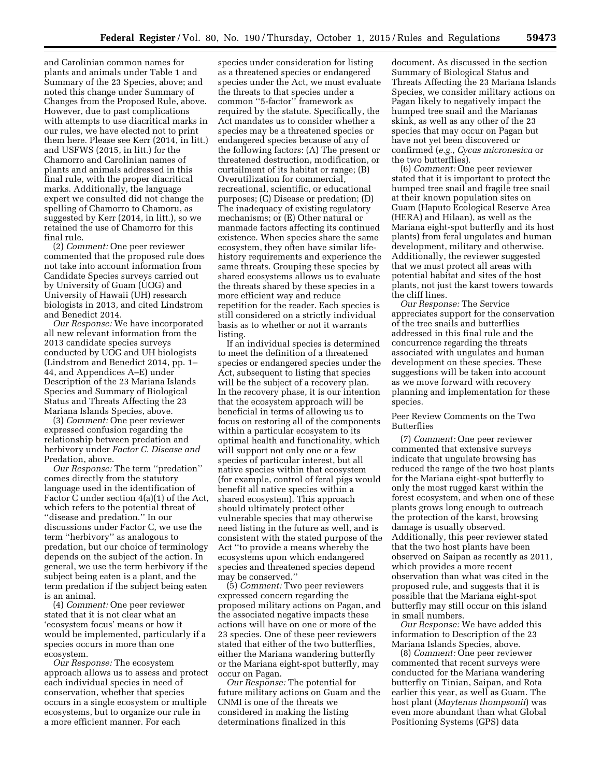and Carolinian common names for plants and animals under Table 1 and Summary of the 23 Species, above; and noted this change under Summary of Changes from the Proposed Rule, above. However, due to past complications with attempts to use diacritical marks in our rules, we have elected not to print them here. Please see Kerr (2014, in litt.) and USFWS (2015, in litt.) for the Chamorro and Carolinian names of plants and animals addressed in this final rule, with the proper diacritical marks. Additionally, the language expert we consulted did not change the spelling of Chamorro to Chamoru, as suggested by Kerr (2014, in litt.), so we retained the use of Chamorro for this final rule.

(2) *Comment:* One peer reviewer commented that the proposed rule does not take into account information from Candidate Species surveys carried out by University of Guam (UOG) and University of Hawaii (UH) research biologists in 2013, and cited Lindstrom and Benedict 2014.

*Our Response:* We have incorporated all new relevant information from the 2013 candidate species surveys conducted by UOG and UH biologists (Lindstrom and Benedict 2014, pp. 1– 44, and Appendices A–E) under Description of the 23 Mariana Islands Species and Summary of Biological Status and Threats Affecting the 23 Mariana Islands Species, above.

(3) *Comment:* One peer reviewer expressed confusion regarding the relationship between predation and herbivory under *Factor C. Disease and*  Predation, above.

*Our Response:* The term ''predation'' comes directly from the statutory language used in the identification of Factor C under section 4(a)(1) of the Act, which refers to the potential threat of ''disease and predation.'' In our discussions under Factor C, we use the term ''herbivory'' as analogous to predation, but our choice of terminology depends on the subject of the action. In general, we use the term herbivory if the subject being eaten is a plant, and the term predation if the subject being eaten is an animal.

(4) *Comment:* One peer reviewer stated that it is not clear what an 'ecosystem focus' means or how it would be implemented, particularly if a species occurs in more than one ecosystem.

*Our Response:* The ecosystem approach allows us to assess and protect each individual species in need of conservation, whether that species occurs in a single ecosystem or multiple ecosystems, but to organize our rule in a more efficient manner. For each

species under consideration for listing as a threatened species or endangered species under the Act, we must evaluate the threats to that species under a common ''5-factor'' framework as required by the statute. Specifically, the Act mandates us to consider whether a species may be a threatened species or endangered species because of any of the following factors: (A) The present or threatened destruction, modification, or curtailment of its habitat or range; (B) Overutilization for commercial, recreational, scientific, or educational purposes; (C) Disease or predation; (D) The inadequacy of existing regulatory mechanisms; or (E) Other natural or manmade factors affecting its continued existence. When species share the same ecosystem, they often have similar lifehistory requirements and experience the same threats. Grouping these species by shared ecosystems allows us to evaluate the threats shared by these species in a more efficient way and reduce repetition for the reader. Each species is still considered on a strictly individual basis as to whether or not it warrants listing.

If an individual species is determined to meet the definition of a threatened species or endangered species under the Act, subsequent to listing that species will be the subject of a recovery plan. In the recovery phase, it is our intention that the ecosystem approach will be beneficial in terms of allowing us to focus on restoring all of the components within a particular ecosystem to its optimal health and functionality, which will support not only one or a few species of particular interest, but all native species within that ecosystem (for example, control of feral pigs would benefit all native species within a shared ecosystem). This approach should ultimately protect other vulnerable species that may otherwise need listing in the future as well, and is consistent with the stated purpose of the Act ''to provide a means whereby the ecosystems upon which endangered species and threatened species depend may be conserved.''

(5) *Comment:* Two peer reviewers expressed concern regarding the proposed military actions on Pagan, and the associated negative impacts these actions will have on one or more of the 23 species. One of these peer reviewers stated that either of the two butterflies, either the Mariana wandering butterfly or the Mariana eight-spot butterfly, may occur on Pagan.

*Our Response:* The potential for future military actions on Guam and the CNMI is one of the threats we considered in making the listing determinations finalized in this

document. As discussed in the section Summary of Biological Status and Threats Affecting the 23 Mariana Islands Species, we consider military actions on Pagan likely to negatively impact the humped tree snail and the Marianas skink, as well as any other of the 23 species that may occur on Pagan but have not yet been discovered or confirmed (*e.g., Cycas micronesica* or the two butterflies).

(6) *Comment:* One peer reviewer stated that it is important to protect the humped tree snail and fragile tree snail at their known population sites on Guam (Haputo Ecological Reserve Area (HERA) and Hilaan), as well as the Mariana eight-spot butterfly and its host plants) from feral ungulates and human development, military and otherwise. Additionally, the reviewer suggested that we must protect all areas with potential habitat and sites of the host plants, not just the karst towers towards the cliff lines.

*Our Response:* The Service appreciates support for the conservation of the tree snails and butterflies addressed in this final rule and the concurrence regarding the threats associated with ungulates and human development on these species. These suggestions will be taken into account as we move forward with recovery planning and implementation for these species.

# Peer Review Comments on the Two Butterflies

(7) *Comment:* One peer reviewer commented that extensive surveys indicate that ungulate browsing has reduced the range of the two host plants for the Mariana eight-spot butterfly to only the most rugged karst within the forest ecosystem, and when one of these plants grows long enough to outreach the protection of the karst, browsing damage is usually observed. Additionally, this peer reviewer stated that the two host plants have been observed on Saipan as recently as 2011, which provides a more recent observation than what was cited in the proposed rule, and suggests that it is possible that the Mariana eight-spot butterfly may still occur on this island in small numbers.

*Our Response:* We have added this information to Description of the 23 Mariana Islands Species, above.

(8) *Comment:* One peer reviewer commented that recent surveys were conducted for the Mariana wandering butterfly on Tinian, Saipan, and Rota earlier this year, as well as Guam. The host plant (*Maytenus thompsonii*) was even more abundant than what Global Positioning Systems (GPS) data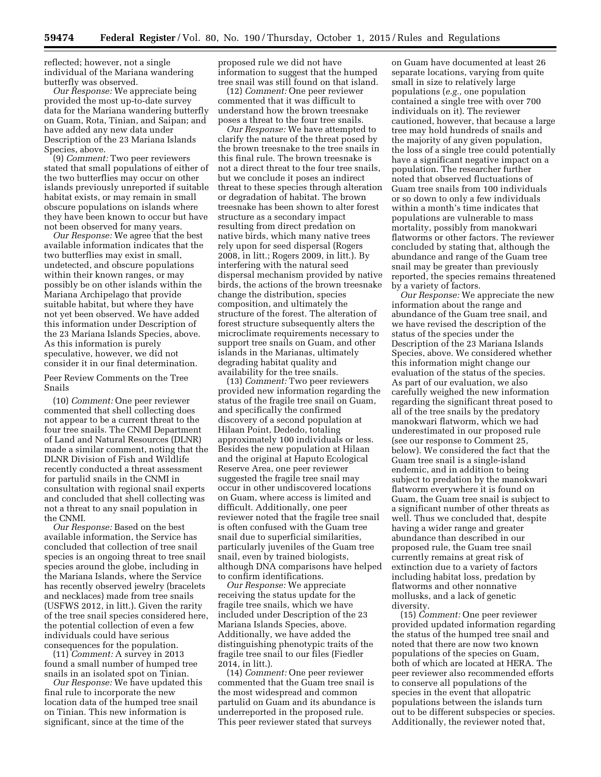reflected; however, not a single individual of the Mariana wandering butterfly was observed.

*Our Response:* We appreciate being provided the most up-to-date survey data for the Mariana wandering butterfly on Guam, Rota, Tinian, and Saipan; and have added any new data under Description of the 23 Mariana Islands Species, above.

(9) *Comment:* Two peer reviewers stated that small populations of either of the two butterflies may occur on other islands previously unreported if suitable habitat exists, or may remain in small obscure populations on islands where they have been known to occur but have not been observed for many years.

*Our Response:* We agree that the best available information indicates that the two butterflies may exist in small, undetected, and obscure populations within their known ranges, or may possibly be on other islands within the Mariana Archipelago that provide suitable habitat, but where they have not yet been observed. We have added this information under Description of the 23 Mariana Islands Species, above. As this information is purely speculative, however, we did not consider it in our final determination.

Peer Review Comments on the Tree Snails

(10) *Comment:* One peer reviewer commented that shell collecting does not appear to be a current threat to the four tree snails. The CNMI Department of Land and Natural Resources (DLNR) made a similar comment, noting that the DLNR Division of Fish and Wildlife recently conducted a threat assessment for partulid snails in the CNMI in consultation with regional snail experts and concluded that shell collecting was not a threat to any snail population in the CNMI.

*Our Response:* Based on the best available information, the Service has concluded that collection of tree snail species is an ongoing threat to tree snail species around the globe, including in the Mariana Islands, where the Service has recently observed jewelry (bracelets and necklaces) made from tree snails (USFWS 2012, in litt.). Given the rarity of the tree snail species considered here, the potential collection of even a few individuals could have serious consequences for the population.

(11) *Comment:* A survey in 2013 found a small number of humped tree snails in an isolated spot on Tinian.

*Our Response:* We have updated this final rule to incorporate the new location data of the humped tree snail on Tinian. This new information is significant, since at the time of the

proposed rule we did not have information to suggest that the humped tree snail was still found on that island.

(12) *Comment:* One peer reviewer commented that it was difficult to understand how the brown treesnake poses a threat to the four tree snails.

*Our Response:* We have attempted to clarify the nature of the threat posed by the brown treesnake to the tree snails in this final rule. The brown treesnake is not a direct threat to the four tree snails, but we conclude it poses an indirect threat to these species through alteration or degradation of habitat. The brown treesnake has been shown to alter forest structure as a secondary impact resulting from direct predation on native birds, which many native trees rely upon for seed dispersal (Rogers 2008, in litt.; Rogers 2009, in litt.). By interfering with the natural seed dispersal mechanism provided by native birds, the actions of the brown treesnake change the distribution, species composition, and ultimately the structure of the forest. The alteration of forest structure subsequently alters the microclimate requirements necessary to support tree snails on Guam, and other islands in the Marianas, ultimately degrading habitat quality and availability for the tree snails.

(13) *Comment:* Two peer reviewers provided new information regarding the status of the fragile tree snail on Guam, and specifically the confirmed discovery of a second population at Hilaan Point, Dededo, totaling approximately 100 individuals or less. Besides the new population at Hilaan and the original at Haputo Ecological Reserve Area, one peer reviewer suggested the fragile tree snail may occur in other undiscovered locations on Guam, where access is limited and difficult. Additionally, one peer reviewer noted that the fragile tree snail is often confused with the Guam tree snail due to superficial similarities, particularly juveniles of the Guam tree snail, even by trained biologists, although DNA comparisons have helped to confirm identifications.

*Our Response:* We appreciate receiving the status update for the fragile tree snails, which we have included under Description of the 23 Mariana Islands Species, above. Additionally, we have added the distinguishing phenotypic traits of the fragile tree snail to our files (Fiedler 2014, in litt.).

(14) *Comment:* One peer reviewer commented that the Guam tree snail is the most widespread and common partulid on Guam and its abundance is underreported in the proposed rule. This peer reviewer stated that surveys

on Guam have documented at least 26 separate locations, varying from quite small in size to relatively large populations (*e.g.,* one population contained a single tree with over 700 individuals on it). The reviewer cautioned, however, that because a large tree may hold hundreds of snails and the majority of any given population, the loss of a single tree could potentially have a significant negative impact on a population. The researcher further noted that observed fluctuations of Guam tree snails from 100 individuals or so down to only a few individuals within a month's time indicates that populations are vulnerable to mass mortality, possibly from manokwari flatworms or other factors. The reviewer concluded by stating that, although the abundance and range of the Guam tree snail may be greater than previously reported, the species remains threatened by a variety of factors.

*Our Response:* We appreciate the new information about the range and abundance of the Guam tree snail, and we have revised the description of the status of the species under the Description of the 23 Mariana Islands Species, above. We considered whether this information might change our evaluation of the status of the species. As part of our evaluation, we also carefully weighed the new information regarding the significant threat posed to all of the tree snails by the predatory manokwari flatworm, which we had underestimated in our proposed rule (see our response to Comment 25, below). We considered the fact that the Guam tree snail is a single-island endemic, and in addition to being subject to predation by the manokwari flatworm everywhere it is found on Guam, the Guam tree snail is subject to a significant number of other threats as well. Thus we concluded that, despite having a wider range and greater abundance than described in our proposed rule, the Guam tree snail currently remains at great risk of extinction due to a variety of factors including habitat loss, predation by flatworms and other nonnative mollusks, and a lack of genetic diversity.

(15) *Comment:* One peer reviewer provided updated information regarding the status of the humped tree snail and noted that there are now two known populations of the species on Guam, both of which are located at HERA. The peer reviewer also recommended efforts to conserve all populations of the species in the event that allopatric populations between the islands turn out to be different subspecies or species. Additionally, the reviewer noted that,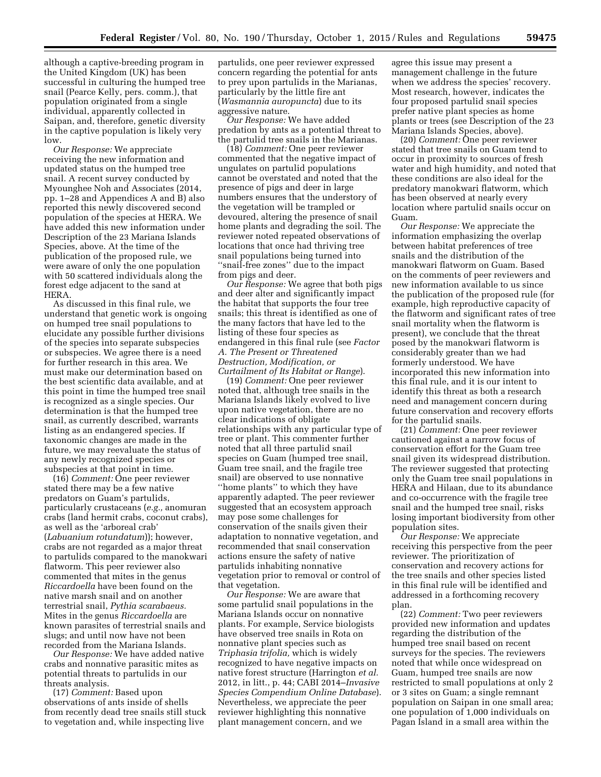although a captive-breeding program in the United Kingdom (UK) has been successful in culturing the humped tree snail (Pearce Kelly, pers. comm.), that population originated from a single individual, apparently collected in Saipan, and, therefore, genetic diversity in the captive population is likely very low.

*Our Response:* We appreciate receiving the new information and updated status on the humped tree snail. A recent survey conducted by Myounghee Noh and Associates (2014, pp. 1–28 and Appendices A and B) also reported this newly discovered second population of the species at HERA. We have added this new information under Description of the 23 Mariana Islands Species, above. At the time of the publication of the proposed rule, we were aware of only the one population with 50 scattered individuals along the forest edge adjacent to the sand at HERA.

As discussed in this final rule, we understand that genetic work is ongoing on humped tree snail populations to elucidate any possible further divisions of the species into separate subspecies or subspecies. We agree there is a need for further research in this area. We must make our determination based on the best scientific data available, and at this point in time the humped tree snail is recognized as a single species. Our determination is that the humped tree snail, as currently described, warrants listing as an endangered species. If taxonomic changes are made in the future, we may reevaluate the status of any newly recognized species or subspecies at that point in time.

(16) *Comment:* One peer reviewer stated there may be a few native predators on Guam's partulids, particularly crustaceans (*e.g.,* anomuran crabs (land hermit crabs, coconut crabs), as well as the 'arboreal crab' (*Labuanium rotundatum*)); however, crabs are not regarded as a major threat to partulids compared to the manokwari flatworm. This peer reviewer also commented that mites in the genus *Riccardoella* have been found on the native marsh snail and on another terrestrial snail, *Pythia scarabaeus.*  Mites in the genus *Riccardoella* are known parasites of terrestrial snails and slugs; and until now have not been recorded from the Mariana Islands.

*Our Response:* We have added native crabs and nonnative parasitic mites as potential threats to partulids in our threats analysis.

(17) *Comment:* Based upon observations of ants inside of shells from recently dead tree snails still stuck to vegetation and, while inspecting live

partulids, one peer reviewer expressed concern regarding the potential for ants to prey upon partulids in the Marianas, particularly by the little fire ant (*Wasmannia auropuncta*) due to its aggressive nature.

*Our Response:* We have added predation by ants as a potential threat to the partulid tree snails in the Marianas.

(18) *Comment:* One peer reviewer commented that the negative impact of ungulates on partulid populations cannot be overstated and noted that the presence of pigs and deer in large numbers ensures that the understory of the vegetation will be trampled or devoured, altering the presence of snail home plants and degrading the soil. The reviewer noted repeated observations of locations that once had thriving tree snail populations being turned into ''snail-free zones'' due to the impact from pigs and deer.

*Our Response:* We agree that both pigs and deer alter and significantly impact the habitat that supports the four tree snails; this threat is identified as one of the many factors that have led to the listing of these four species as endangered in this final rule (see *Factor A. The Present or Threatened Destruction, Modification, or Curtailment of Its Habitat or Range*).

(19) *Comment:* One peer reviewer noted that, although tree snails in the Mariana Islands likely evolved to live upon native vegetation, there are no clear indications of obligate relationships with any particular type of tree or plant. This commenter further noted that all three partulid snail species on Guam (humped tree snail, Guam tree snail, and the fragile tree snail) are observed to use nonnative ''home plants'' to which they have apparently adapted. The peer reviewer suggested that an ecosystem approach may pose some challenges for conservation of the snails given their adaptation to nonnative vegetation, and recommended that snail conservation actions ensure the safety of native partulids inhabiting nonnative vegetation prior to removal or control of that vegetation.

*Our Response:* We are aware that some partulid snail populations in the Mariana Islands occur on nonnative plants. For example, Service biologists have observed tree snails in Rota on nonnative plant species such as *Triphasia trifolia,* which is widely recognized to have negative impacts on native forest structure (Harrington *et al.*  2012, in litt., p. 44; CABI 2014–*Invasive Species Compendium Online Database*). Nevertheless, we appreciate the peer reviewer highlighting this nonnative plant management concern, and we

agree this issue may present a management challenge in the future when we address the species' recovery. Most research, however, indicates the four proposed partulid snail species prefer native plant species as home plants or trees (see Description of the 23 Mariana Islands Species, above).

(20) *Comment:* One peer reviewer stated that tree snails on Guam tend to occur in proximity to sources of fresh water and high humidity, and noted that these conditions are also ideal for the predatory manokwari flatworm, which has been observed at nearly every location where partulid snails occur on Guam.

*Our Response:* We appreciate the information emphasizing the overlap between habitat preferences of tree snails and the distribution of the manokwari flatworm on Guam. Based on the comments of peer reviewers and new information available to us since the publication of the proposed rule (for example, high reproductive capacity of the flatworm and significant rates of tree snail mortality when the flatworm is present), we conclude that the threat posed by the manokwari flatworm is considerably greater than we had formerly understood. We have incorporated this new information into this final rule, and it is our intent to identify this threat as both a research need and management concern during future conservation and recovery efforts for the partulid snails.

(21) *Comment:* One peer reviewer cautioned against a narrow focus of conservation effort for the Guam tree snail given its widespread distribution. The reviewer suggested that protecting only the Guam tree snail populations in HERA and Hilaan, due to its abundance and co-occurrence with the fragile tree snail and the humped tree snail, risks losing important biodiversity from other population sites.

*Our Response:* We appreciate receiving this perspective from the peer reviewer. The prioritization of conservation and recovery actions for the tree snails and other species listed in this final rule will be identified and addressed in a forthcoming recovery plan.

(22) *Comment:* Two peer reviewers provided new information and updates regarding the distribution of the humped tree snail based on recent surveys for the species. The reviewers noted that while once widespread on Guam, humped tree snails are now restricted to small populations at only 2 or 3 sites on Guam; a single remnant population on Saipan in one small area; one population of 1,000 individuals on Pagan Island in a small area within the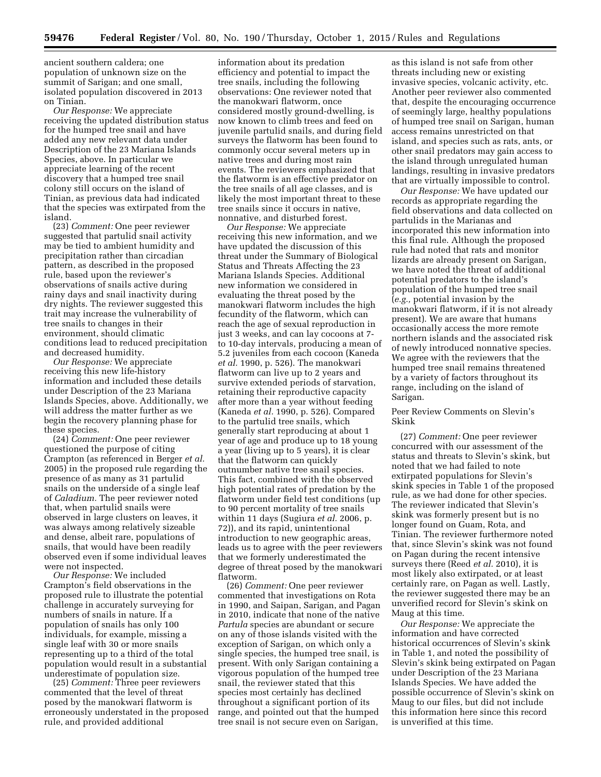ancient southern caldera; one population of unknown size on the summit of Sarigan; and one small, isolated population discovered in 2013 on Tinian.

*Our Response:* We appreciate receiving the updated distribution status for the humped tree snail and have added any new relevant data under Description of the 23 Mariana Islands Species, above. In particular we appreciate learning of the recent discovery that a humped tree snail colony still occurs on the island of Tinian, as previous data had indicated that the species was extirpated from the island.

(23) *Comment:* One peer reviewer suggested that partulid snail activity may be tied to ambient humidity and precipitation rather than circadian pattern, as described in the proposed rule, based upon the reviewer's observations of snails active during rainy days and snail inactivity during dry nights. The reviewer suggested this trait may increase the vulnerability of tree snails to changes in their environment, should climatic conditions lead to reduced precipitation and decreased humidity.

*Our Response:* We appreciate receiving this new life-history information and included these details under Description of the 23 Mariana Islands Species, above. Additionally, we will address the matter further as we begin the recovery planning phase for these species.

(24) *Comment:* One peer reviewer questioned the purpose of citing Crampton (as referenced in Berger *et al.*  2005) in the proposed rule regarding the presence of as many as 31 partulid snails on the underside of a single leaf of *Caladium.* The peer reviewer noted that, when partulid snails were observed in large clusters on leaves, it was always among relatively sizeable and dense, albeit rare, populations of snails, that would have been readily observed even if some individual leaves were not inspected.

*Our Response:* We included Crampton's field observations in the proposed rule to illustrate the potential challenge in accurately surveying for numbers of snails in nature. If a population of snails has only 100 individuals, for example, missing a single leaf with 30 or more snails representing up to a third of the total population would result in a substantial underestimate of population size.

(25) *Comment:* Three peer reviewers commented that the level of threat posed by the manokwari flatworm is erroneously understated in the proposed rule, and provided additional

information about its predation efficiency and potential to impact the tree snails, including the following observations: One reviewer noted that the manokwari flatworm, once considered mostly ground-dwelling, is now known to climb trees and feed on juvenile partulid snails, and during field surveys the flatworm has been found to commonly occur several meters up in native trees and during most rain events. The reviewers emphasized that the flatworm is an effective predator on the tree snails of all age classes, and is likely the most important threat to these tree snails since it occurs in native, nonnative, and disturbed forest.

*Our Response:* We appreciate receiving this new information, and we have updated the discussion of this threat under the Summary of Biological Status and Threats Affecting the 23 Mariana Islands Species. Additional new information we considered in evaluating the threat posed by the manokwari flatworm includes the high fecundity of the flatworm, which can reach the age of sexual reproduction in just 3 weeks, and can lay cocoons at 7 to 10-day intervals, producing a mean of 5.2 juveniles from each cocoon (Kaneda *et al.* 1990, p. 526). The manokwari flatworm can live up to 2 years and survive extended periods of starvation, retaining their reproductive capacity after more than a year without feeding (Kaneda *et al.* 1990, p. 526). Compared to the partulid tree snails, which generally start reproducing at about 1 year of age and produce up to 18 young a year (living up to 5 years), it is clear that the flatworm can quickly outnumber native tree snail species. This fact, combined with the observed high potential rates of predation by the flatworm under field test conditions (up to 90 percent mortality of tree snails within 11 days (Sugiura *et al.* 2006, p. 72)), and its rapid, unintentional introduction to new geographic areas, leads us to agree with the peer reviewers that we formerly underestimated the degree of threat posed by the manokwari flatworm.

(26) *Comment:* One peer reviewer commented that investigations on Rota in 1990, and Saipan, Sarigan, and Pagan in 2010, indicate that none of the native *Partula* species are abundant or secure on any of those islands visited with the exception of Sarigan, on which only a single species, the humped tree snail, is present. With only Sarigan containing a vigorous population of the humped tree snail, the reviewer stated that this species most certainly has declined throughout a significant portion of its range, and pointed out that the humped tree snail is not secure even on Sarigan,

as this island is not safe from other threats including new or existing invasive species, volcanic activity, etc. Another peer reviewer also commented that, despite the encouraging occurrence of seemingly large, healthy populations of humped tree snail on Sarigan, human access remains unrestricted on that island, and species such as rats, ants, or other snail predators may gain access to the island through unregulated human landings, resulting in invasive predators that are virtually impossible to control.

*Our Response:* We have updated our records as appropriate regarding the field observations and data collected on partulids in the Marianas and incorporated this new information into this final rule. Although the proposed rule had noted that rats and monitor lizards are already present on Sarigan, we have noted the threat of additional potential predators to the island's population of the humped tree snail (*e.g.,* potential invasion by the manokwari flatworm, if it is not already present). We are aware that humans occasionally access the more remote northern islands and the associated risk of newly introduced nonnative species. We agree with the reviewers that the humped tree snail remains threatened by a variety of factors throughout its range, including on the island of Sarigan.

# Peer Review Comments on Slevin's Skink

(27) *Comment:* One peer reviewer concurred with our assessment of the status and threats to Slevin's skink, but noted that we had failed to note extirpated populations for Slevin's skink species in Table 1 of the proposed rule, as we had done for other species. The reviewer indicated that Slevin's skink was formerly present but is no longer found on Guam, Rota, and Tinian. The reviewer furthermore noted that, since Slevin's skink was not found on Pagan during the recent intensive surveys there (Reed *et al.* 2010), it is most likely also extirpated, or at least certainly rare, on Pagan as well. Lastly, the reviewer suggested there may be an unverified record for Slevin's skink on Maug at this time.

*Our Response:* We appreciate the information and have corrected historical occurrences of Slevin's skink in Table 1, and noted the possibility of Slevin's skink being extirpated on Pagan under Description of the 23 Mariana Islands Species. We have added the possible occurrence of Slevin's skink on Maug to our files, but did not include this information here since this record is unverified at this time.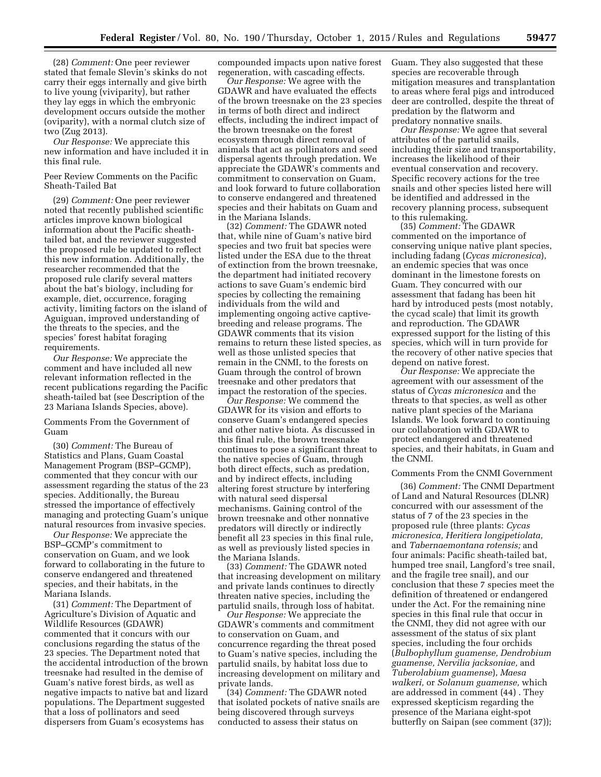(28) *Comment:* One peer reviewer stated that female Slevin's skinks do not carry their eggs internally and give birth to live young (viviparity), but rather they lay eggs in which the embryonic development occurs outside the mother (oviparity), with a normal clutch size of two (Zug 2013).

*Our Response:* We appreciate this new information and have included it in this final rule.

# Peer Review Comments on the Pacific Sheath-Tailed Bat

(29) *Comment:* One peer reviewer noted that recently published scientific articles improve known biological information about the Pacific sheathtailed bat, and the reviewer suggested the proposed rule be updated to reflect this new information. Additionally, the researcher recommended that the proposed rule clarify several matters about the bat's biology, including for example, diet, occurrence, foraging activity, limiting factors on the island of Aguiguan, improved understanding of the threats to the species, and the species' forest habitat foraging requirements.

*Our Response:* We appreciate the comment and have included all new relevant information reflected in the recent publications regarding the Pacific sheath-tailed bat (see Description of the 23 Mariana Islands Species, above).

Comments From the Government of Guam

(30) *Comment:* The Bureau of Statistics and Plans, Guam Coastal Management Program (BSP–GCMP), commented that they concur with our assessment regarding the status of the 23 species. Additionally, the Bureau stressed the importance of effectively managing and protecting Guam's unique natural resources from invasive species.

*Our Response:* We appreciate the BSP–GCMP's commitment to conservation on Guam, and we look forward to collaborating in the future to conserve endangered and threatened species, and their habitats, in the Mariana Islands.

(31) *Comment:* The Department of Agriculture's Division of Aquatic and Wildlife Resources (GDAWR) commented that it concurs with our conclusions regarding the status of the 23 species. The Department noted that the accidental introduction of the brown treesnake had resulted in the demise of Guam's native forest birds, as well as negative impacts to native bat and lizard populations. The Department suggested that a loss of pollinators and seed dispersers from Guam's ecosystems has

compounded impacts upon native forest regeneration, with cascading effects.

*Our Response:* We agree with the GDAWR and have evaluated the effects of the brown treesnake on the 23 species in terms of both direct and indirect effects, including the indirect impact of the brown treesnake on the forest ecosystem through direct removal of animals that act as pollinators and seed dispersal agents through predation. We appreciate the GDAWR's comments and commitment to conservation on Guam, and look forward to future collaboration to conserve endangered and threatened species and their habitats on Guam and in the Mariana Islands.

(32) *Comment:* The GDAWR noted that, while nine of Guam's native bird species and two fruit bat species were listed under the ESA due to the threat of extinction from the brown treesnake, the department had initiated recovery actions to save Guam's endemic bird species by collecting the remaining individuals from the wild and implementing ongoing active captivebreeding and release programs. The GDAWR comments that its vision remains to return these listed species, as well as those unlisted species that remain in the CNMI, to the forests on Guam through the control of brown treesnake and other predators that impact the restoration of the species.

*Our Response:* We commend the GDAWR for its vision and efforts to conserve Guam's endangered species and other native biota. As discussed in this final rule, the brown treesnake continues to pose a significant threat to the native species of Guam, through both direct effects, such as predation, and by indirect effects, including altering forest structure by interfering with natural seed dispersal mechanisms. Gaining control of the brown treesnake and other nonnative predators will directly or indirectly benefit all 23 species in this final rule, as well as previously listed species in the Mariana Islands.

(33) *Comment:* The GDAWR noted that increasing development on military and private lands continues to directly threaten native species, including the partulid snails, through loss of habitat.

*Our Response:* We appreciate the GDAWR's comments and commitment to conservation on Guam, and concurrence regarding the threat posed to Guam's native species, including the partulid snails, by habitat loss due to increasing development on military and private lands.

(34) *Comment:* The GDAWR noted that isolated pockets of native snails are being discovered through surveys conducted to assess their status on

Guam. They also suggested that these species are recoverable through mitigation measures and transplantation to areas where feral pigs and introduced deer are controlled, despite the threat of predation by the flatworm and predatory nonnative snails.

*Our Response:* We agree that several attributes of the partulid snails, including their size and transportability, increases the likelihood of their eventual conservation and recovery. Specific recovery actions for the tree snails and other species listed here will be identified and addressed in the recovery planning process, subsequent to this rulemaking.

(35) *Comment:* The GDAWR commented on the importance of conserving unique native plant species, including fadang (*Cycas micronesica*), an endemic species that was once dominant in the limestone forests on Guam. They concurred with our assessment that fadang has been hit hard by introduced pests (most notably, the cycad scale) that limit its growth and reproduction. The GDAWR expressed support for the listing of this species, which will in turn provide for the recovery of other native species that depend on native forest.

*Our Response:* We appreciate the agreement with our assessment of the status of *Cycas micronesica* and the threats to that species, as well as other native plant species of the Mariana Islands. We look forward to continuing our collaboration with GDAWR to protect endangered and threatened species, and their habitats, in Guam and the CNMI.

# Comments From the CNMI Government

(36) *Comment:* The CNMI Department of Land and Natural Resources (DLNR) concurred with our assessment of the status of 7 of the 23 species in the proposed rule (three plants: *Cycas micronesica, Heritiera longipetiolata,*  and *Tabernaemontana rotensis;* and four animals: Pacific sheath-tailed bat, humped tree snail, Langford's tree snail, and the fragile tree snail), and our conclusion that these 7 species meet the definition of threatened or endangered under the Act. For the remaining nine species in this final rule that occur in the CNMI, they did not agree with our assessment of the status of six plant species, including the four orchids (*Bulbophyllum guamense, Dendrobium guamense, Nervilia jacksoniae,* and *Tuberolabium guamense*), *Maesa walkeri,* or *Solanum guamense,* which are addressed in comment (44) . They expressed skepticism regarding the presence of the Mariana eight-spot butterfly on Saipan (see comment (37));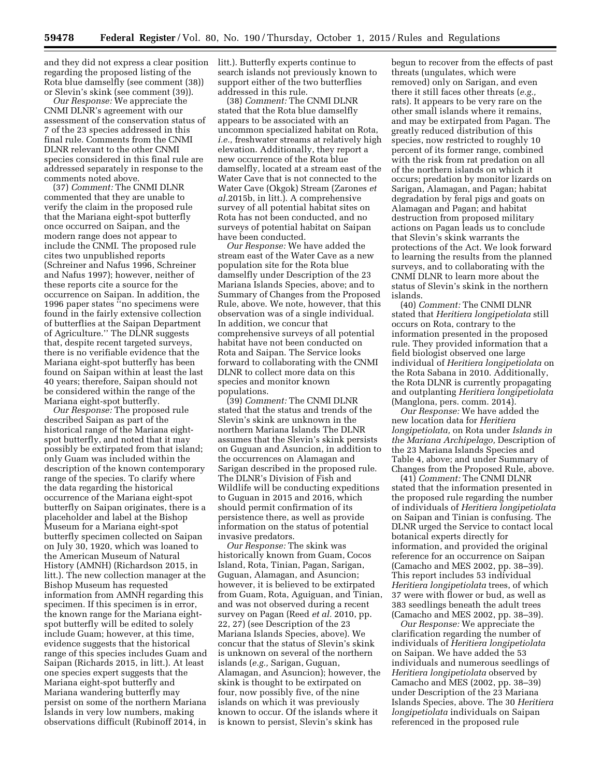and they did not express a clear position litt.). Butterfly experts continue to regarding the proposed listing of the Rota blue damselfly (see comment (38)) or Slevin's skink (see comment (39)).

*Our Response:* We appreciate the CNMI DLNR's agreement with our assessment of the conservation status of 7 of the 23 species addressed in this final rule. Comments from the CNMI DLNR relevant to the other CNMI species considered in this final rule are addressed separately in response to the comments noted above.

(37) *Comment:* The CNMI DLNR commented that they are unable to verify the claim in the proposed rule that the Mariana eight-spot butterfly once occurred on Saipan, and the modern range does not appear to include the CNMI. The proposed rule cites two unpublished reports (Schreiner and Nafus 1996, Schreiner and Nafus 1997); however, neither of these reports cite a source for the occurrence on Saipan. In addition, the 1996 paper states ''no specimens were found in the fairly extensive collection of butterflies at the Saipan Department of Agriculture.'' The DLNR suggests that, despite recent targeted surveys, there is no verifiable evidence that the Mariana eight-spot butterfly has been found on Saipan within at least the last 40 years; therefore, Saipan should not be considered within the range of the Mariana eight-spot butterfly.

*Our Response:* The proposed rule described Saipan as part of the historical range of the Mariana eightspot butterfly, and noted that it may possibly be extirpated from that island; only Guam was included within the description of the known contemporary range of the species. To clarify where the data regarding the historical occurrence of the Mariana eight-spot butterfly on Saipan originates, there is a placeholder and label at the Bishop Museum for a Mariana eight-spot butterfly specimen collected on Saipan on July 30, 1920, which was loaned to the American Museum of Natural History (AMNH) (Richardson 2015, in litt.). The new collection manager at the Bishop Museum has requested information from AMNH regarding this specimen. If this specimen is in error, the known range for the Mariana eightspot butterfly will be edited to solely include Guam; however, at this time, evidence suggests that the historical range of this species includes Guam and Saipan (Richards 2015, in litt.). At least one species expert suggests that the Mariana eight-spot butterfly and Mariana wandering butterfly may persist on some of the northern Mariana Islands in very low numbers, making observations difficult (Rubinoff 2014, in

search islands not previously known to support either of the two butterflies addressed in this rule.

(38) *Comment:* The CNMI DLNR stated that the Rota blue damselfly appears to be associated with an uncommon specialized habitat on Rota, *i.e.,* freshwater streams at relatively high elevation. Additionally, they report a new occurrence of the Rota blue damselfly, located at a stream east of the Water Cave that is not connected to the Water Cave (Okgok) Stream (Zarones *et al.*2015b, in litt.). A comprehensive survey of all potential habitat sites on Rota has not been conducted, and no surveys of potential habitat on Saipan have been conducted.

*Our Response:* We have added the stream east of the Water Cave as a new population site for the Rota blue damselfly under Description of the 23 Mariana Islands Species, above; and to Summary of Changes from the Proposed Rule, above. We note, however, that this observation was of a single individual. In addition, we concur that comprehensive surveys of all potential habitat have not been conducted on Rota and Saipan. The Service looks forward to collaborating with the CNMI DLNR to collect more data on this species and monitor known populations.

(39) *Comment:* The CNMI DLNR stated that the status and trends of the Slevin's skink are unknown in the northern Mariana Islands The DLNR assumes that the Slevin's skink persists on Guguan and Asuncion, in addition to the occurrences on Alamagan and Sarigan described in the proposed rule. The DLNR's Division of Fish and Wildlife will be conducting expeditions to Guguan in 2015 and 2016, which should permit confirmation of its persistence there, as well as provide information on the status of potential invasive predators.

*Our Response:* The skink was historically known from Guam, Cocos Island, Rota, Tinian, Pagan, Sarigan, Guguan, Alamagan, and Asuncion; however, it is believed to be extirpated from Guam, Rota, Aguiguan, and Tinian, and was not observed during a recent survey on Pagan (Reed *et al.* 2010, pp. 22, 27) (see Description of the 23 Mariana Islands Species, above). We concur that the status of Slevin's skink is unknown on several of the northern islands (*e.g.,* Sarigan, Guguan, Alamagan, and Asuncion); however, the skink is thought to be extirpated on four, now possibly five, of the nine islands on which it was previously known to occur. Of the islands where it is known to persist, Slevin's skink has

begun to recover from the effects of past threats (ungulates, which were removed) only on Sarigan, and even there it still faces other threats (*e.g.,*  rats). It appears to be very rare on the other small islands where it remains, and may be extirpated from Pagan. The greatly reduced distribution of this species, now restricted to roughly 10 percent of its former range, combined with the risk from rat predation on all of the northern islands on which it occurs; predation by monitor lizards on Sarigan, Alamagan, and Pagan; habitat degradation by feral pigs and goats on Alamagan and Pagan; and habitat destruction from proposed military actions on Pagan leads us to conclude that Slevin's skink warrants the protections of the Act. We look forward to learning the results from the planned surveys, and to collaborating with the CNMI DLNR to learn more about the status of Slevin's skink in the northern islands.

(40) *Comment:* The CNMI DLNR stated that *Heritiera longipetiolata* still occurs on Rota, contrary to the information presented in the proposed rule. They provided information that a field biologist observed one large individual of *Heritiera longipetiolata* on the Rota Sabana in 2010. Additionally, the Rota DLNR is currently propagating and outplanting *Heritiera longipetiolata*  (Manglona, pers. comm. 2014).

*Our Response:* We have added the new location data for *Heritiera longipetiolata,* on Rota under *Islands in the Mariana Archipelago,* Description of the 23 Mariana Islands Species and Table 4, above; and under Summary of Changes from the Proposed Rule, above.

(41) *Comment:* The CNMI DLNR stated that the information presented in the proposed rule regarding the number of individuals of *Heritiera longipetiolata*  on Saipan and Tinian is confusing. The DLNR urged the Service to contact local botanical experts directly for information, and provided the original reference for an occurrence on Saipan (Camacho and MES 2002, pp. 38–39). This report includes 53 individual *Heritiera longipetiolata* trees, of which 37 were with flower or bud, as well as 383 seedlings beneath the adult trees (Camacho and MES 2002, pp. 38–39).

*Our Response:* We appreciate the clarification regarding the number of individuals of *Heritiera longipetiolata*  on Saipan. We have added the 53 individuals and numerous seedlings of *Heritiera longipetiolata* observed by Camacho and MES (2002, pp. 38–39) under Description of the 23 Mariana Islands Species, above. The 30 *Heritiera longipetiolata* individuals on Saipan referenced in the proposed rule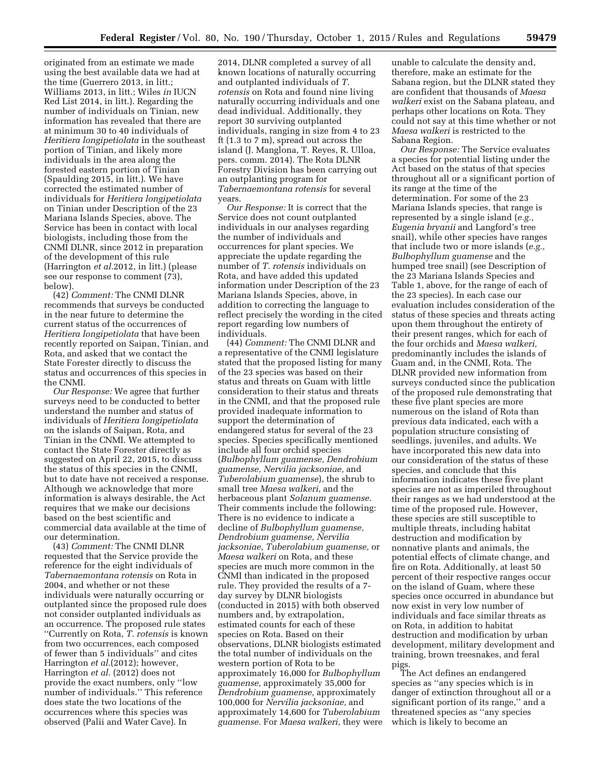originated from an estimate we made using the best available data we had at the time (Guerrero 2013, in litt.; Williams 2013, in litt.; Wiles *in* IUCN Red List 2014, in litt.). Regarding the number of individuals on Tinian, new information has revealed that there are at minimum 30 to 40 individuals of *Heritiera longipetiolata* in the southeast portion of Tinian, and likely more individuals in the area along the forested eastern portion of Tinian (Spaulding 2015, in litt.). We have corrected the estimated number of individuals for *Heritiera longipetiolata*  on Tinian under Description of the 23 Mariana Islands Species, above. The Service has been in contact with local biologists, including those from the CNMI DLNR, since 2012 in preparation of the development of this rule (Harrington *et al.*2012, in litt.) (please see our response to comment (73), below).

(42) *Comment:* The CNMI DLNR recommends that surveys be conducted in the near future to determine the current status of the occurrences of *Heritiera longipetiolata* that have been recently reported on Saipan, Tinian, and Rota, and asked that we contact the State Forester directly to discuss the status and occurrences of this species in the CNMI.

*Our Response:* We agree that further surveys need to be conducted to better understand the number and status of individuals of *Heritiera longipetiolata*  on the islands of Saipan, Rota, and Tinian in the CNMI. We attempted to contact the State Forester directly as suggested on April 22, 2015, to discuss the status of this species in the CNMI, but to date have not received a response. Although we acknowledge that more information is always desirable, the Act requires that we make our decisions based on the best scientific and commercial data available at the time of our determination.

(43) *Comment:* The CNMI DLNR requested that the Service provide the reference for the eight individuals of *Tabernaemontana rotensis* on Rota in 2004, and whether or not these individuals were naturally occurring or outplanted since the proposed rule does not consider outplanted individuals as an occurrence. The proposed rule states ''Currently on Rota, *T. rotensis* is known from two occurrences, each composed of fewer than 5 individuals'' and cites Harrington *et al.*(2012); however, Harrington *et al.* (2012) does not provide the exact numbers, only ''low number of individuals.'' This reference does state the two locations of the occurrences where this species was observed (Palii and Water Cave). In

2014, DLNR completed a survey of all known locations of naturally occurring and outplanted individuals of *T. rotensis* on Rota and found nine living naturally occurring individuals and one dead individual. Additionally, they report 30 surviving outplanted individuals, ranging in size from 4 to 23 ft (1.3 to 7 m), spread out across the island (J. Manglona, T. Reyes, R. Ulloa, pers. comm. 2014). The Rota DLNR Forestry Division has been carrying out an outplanting program for *Tabernaemontana rotensis* for several years.

*Our Response:* It is correct that the Service does not count outplanted individuals in our analyses regarding the number of individuals and occurrences for plant species. We appreciate the update regarding the number of *T. rotensis* individuals on Rota, and have added this updated information under Description of the 23 Mariana Islands Species, above, in addition to correcting the language to reflect precisely the wording in the cited report regarding low numbers of individuals.

(44) *Comment:* The CNMI DLNR and a representative of the CNMI legislature stated that the proposed listing for many of the 23 species was based on their status and threats on Guam with little consideration to their status and threats in the CNMI, and that the proposed rule provided inadequate information to support the determination of endangered status for several of the 23 species. Species specifically mentioned include all four orchid species (*Bulbophyllum guamense, Dendrobium guamense, Nervilia jacksoniae,* and *Tuberolabium guamense*), the shrub to small tree *Maesa walkeri,* and the herbaceous plant *Solanum guamense.*  Their comments include the following: There is no evidence to indicate a decline of *Bulbophyllum guamense, Dendrobium guamense, Nervilia jacksoniae, Tuberolabium guamense,* or *Maesa walkeri* on Rota, and these species are much more common in the CNMI than indicated in the proposed rule. They provided the results of a 7 day survey by DLNR biologists (conducted in 2015) with both observed numbers and, by extrapolation, estimated counts for each of these species on Rota. Based on their observations, DLNR biologists estimated the total number of individuals on the western portion of Rota to be approximately 16,000 for *Bulbophyllum guamense,* approximately 35,000 for *Dendrobium guamense,* approximately 100,000 for *Nervilia jacksoniae,* and approximately 14,600 for *Tuberolabium guamense.* For *Maesa walkeri,* they were

unable to calculate the density and, therefore, make an estimate for the Sabana region, but the DLNR stated they are confident that thousands of *Maesa walkeri* exist on the Sabana plateau, and perhaps other locations on Rota. They could not say at this time whether or not *Maesa walkeri* is restricted to the Sabana Region.

*Our Response:* The Service evaluates a species for potential listing under the Act based on the status of that species throughout all or a significant portion of its range at the time of the determination. For some of the 23 Mariana Islands species, that range is represented by a single island (*e.g., Eugenia bryanii* and Langford's tree snail), while other species have ranges that include two or more islands (*e.g., Bulbophyllum guamense* and the humped tree snail) (see Description of the 23 Mariana Islands Species and Table 1, above, for the range of each of the 23 species). In each case our evaluation includes consideration of the status of these species and threats acting upon them throughout the entirety of their present ranges, which for each of the four orchids and *Maesa walkeri,*  predominantly includes the islands of Guam and, in the CNMI, Rota. The DLNR provided new information from surveys conducted since the publication of the proposed rule demonstrating that these five plant species are more numerous on the island of Rota than previous data indicated, each with a population structure consisting of seedlings, juveniles, and adults. We have incorporated this new data into our consideration of the status of these species, and conclude that this information indicates these five plant species are not as imperiled throughout their ranges as we had understood at the time of the proposed rule. However, these species are still susceptible to multiple threats, including habitat destruction and modification by nonnative plants and animals, the potential effects of climate change, and fire on Rota. Additionally, at least 50 percent of their respective ranges occur on the island of Guam, where these species once occurred in abundance but now exist in very low number of individuals and face similar threats as on Rota, in addition to habitat destruction and modification by urban development, military development and training, brown treesnakes, and feral pigs.

The Act defines an endangered species as ''any species which is in danger of extinction throughout all or a significant portion of its range,'' and a threatened species as ''any species which is likely to become an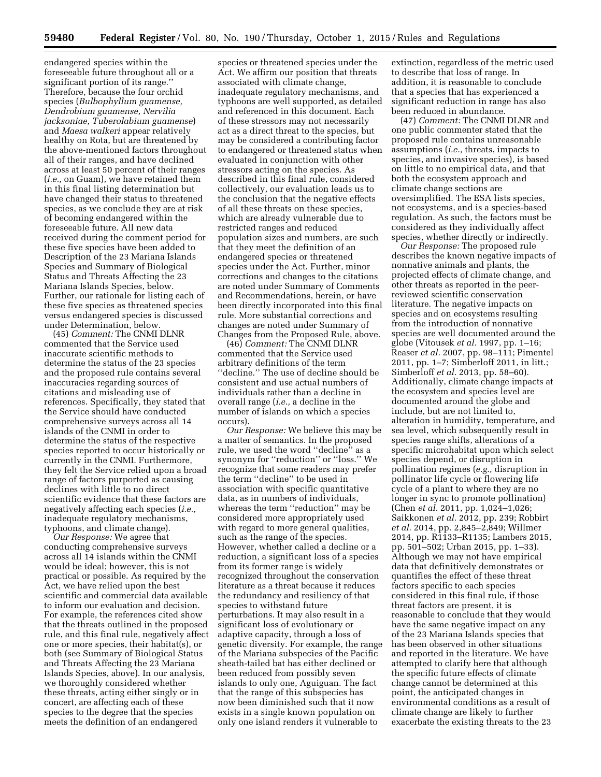endangered species within the foreseeable future throughout all or a significant portion of its range.'' Therefore, because the four orchid species (*Bulbophyllum guamense, Dendrobium guamense, Nervilia jacksoniae, Tuberolabium guamense*) and *Maesa walkeri* appear relatively healthy on Rota, but are threatened by the above-mentioned factors throughout all of their ranges, and have declined across at least 50 percent of their ranges (*i.e.,* on Guam), we have retained them in this final listing determination but have changed their status to threatened species, as we conclude they are at risk of becoming endangered within the foreseeable future. All new data received during the comment period for these five species have been added to Description of the 23 Mariana Islands Species and Summary of Biological Status and Threats Affecting the 23 Mariana Islands Species, below. Further, our rationale for listing each of these five species as threatened species versus endangered species is discussed under Determination, below.

(45) *Comment:* The CNMI DLNR commented that the Service used inaccurate scientific methods to determine the status of the 23 species and the proposed rule contains several inaccuracies regarding sources of citations and misleading use of references. Specifically, they stated that the Service should have conducted comprehensive surveys across all 14 islands of the CNMI in order to determine the status of the respective species reported to occur historically or currently in the CNMI. Furthermore, they felt the Service relied upon a broad range of factors purported as causing declines with little to no direct scientific evidence that these factors are negatively affecting each species (*i.e.,*  inadequate regulatory mechanisms, typhoons, and climate change).

*Our Response:* We agree that conducting comprehensive surveys across all 14 islands within the CNMI would be ideal; however, this is not practical or possible. As required by the Act, we have relied upon the best scientific and commercial data available to inform our evaluation and decision. For example, the references cited show that the threats outlined in the proposed rule, and this final rule, negatively affect one or more species, their habitat(s), or both (see Summary of Biological Status and Threats Affecting the 23 Mariana Islands Species, above). In our analysis, we thoroughly considered whether these threats, acting either singly or in concert, are affecting each of these species to the degree that the species meets the definition of an endangered

species or threatened species under the Act. We affirm our position that threats associated with climate change, inadequate regulatory mechanisms, and typhoons are well supported, as detailed and referenced in this document. Each of these stressors may not necessarily act as a direct threat to the species, but may be considered a contributing factor to endangered or threatened status when evaluated in conjunction with other stressors acting on the species. As described in this final rule, considered collectively, our evaluation leads us to the conclusion that the negative effects of all these threats on these species, which are already vulnerable due to restricted ranges and reduced population sizes and numbers, are such that they meet the definition of an endangered species or threatened species under the Act. Further, minor corrections and changes to the citations are noted under Summary of Comments and Recommendations, herein, or have been directly incorporated into this final rule. More substantial corrections and changes are noted under Summary of Changes from the Proposed Rule, above.

(46) *Comment:* The CNMI DLNR commented that the Service used arbitrary definitions of the term ''decline.'' The use of decline should be consistent and use actual numbers of individuals rather than a decline in overall range (*i.e.,* a decline in the number of islands on which a species occurs).

*Our Response:* We believe this may be a matter of semantics. In the proposed rule, we used the word ''decline'' as a synonym for ''reduction'' or ''loss.'' We recognize that some readers may prefer the term ''decline'' to be used in association with specific quantitative data, as in numbers of individuals, whereas the term ''reduction'' may be considered more appropriately used with regard to more general qualities, such as the range of the species. However, whether called a decline or a reduction, a significant loss of a species from its former range is widely recognized throughout the conservation literature as a threat because it reduces the redundancy and resiliency of that species to withstand future perturbations. It may also result in a significant loss of evolutionary or adaptive capacity, through a loss of genetic diversity. For example, the range of the Mariana subspecies of the Pacific sheath-tailed bat has either declined or been reduced from possibly seven islands to only one, Aguiguan. The fact that the range of this subspecies has now been diminished such that it now exists in a single known population on only one island renders it vulnerable to

extinction, regardless of the metric used to describe that loss of range. In addition, it is reasonable to conclude that a species that has experienced a significant reduction in range has also been reduced in abundance.

(47) *Comment:* The CNMI DLNR and one public commenter stated that the proposed rule contains unreasonable assumptions (*i.e.,* threats, impacts to species, and invasive species), is based on little to no empirical data, and that both the ecosystem approach and climate change sections are oversimplified. The ESA lists species, not ecosystems, and is a species-based regulation. As such, the factors must be considered as they individually affect species, whether directly or indirectly.

*Our Response:* The proposed rule describes the known negative impacts of nonnative animals and plants, the projected effects of climate change, and other threats as reported in the peerreviewed scientific conservation literature. The negative impacts on species and on ecosystems resulting from the introduction of nonnative species are well documented around the globe (Vitousek *et al.* 1997, pp. 1–16; Reaser *et al.* 2007, pp. 98–111; Pimentel 2011, pp. 1–7; Simberloff 2011, in litt.; Simberloff *et al.* 2013, pp. 58–60). Additionally, climate change impacts at the ecosystem and species level are documented around the globe and include, but are not limited to, alteration in humidity, temperature, and sea level, which subsequently result in species range shifts, alterations of a specific microhabitat upon which select species depend, or disruption in pollination regimes (*e.g.,* disruption in pollinator life cycle or flowering life cycle of a plant to where they are no longer in sync to promote pollination) (Chen *et al.* 2011, pp. 1,024–1,026; Saikkonen *et al.* 2012, pp. 239; Robbirt *et al.* 2014, pp. 2,845–2,849; Willmer 2014, pp. R1133–R1135; Lambers 2015, pp. 501–502; Urban 2015, pp. 1–33). Although we may not have empirical data that definitively demonstrates or quantifies the effect of these threat factors specific to each species considered in this final rule, if those threat factors are present, it is reasonable to conclude that they would have the same negative impact on any of the 23 Mariana Islands species that has been observed in other situations and reported in the literature. We have attempted to clarify here that although the specific future effects of climate change cannot be determined at this point, the anticipated changes in environmental conditions as a result of climate change are likely to further exacerbate the existing threats to the 23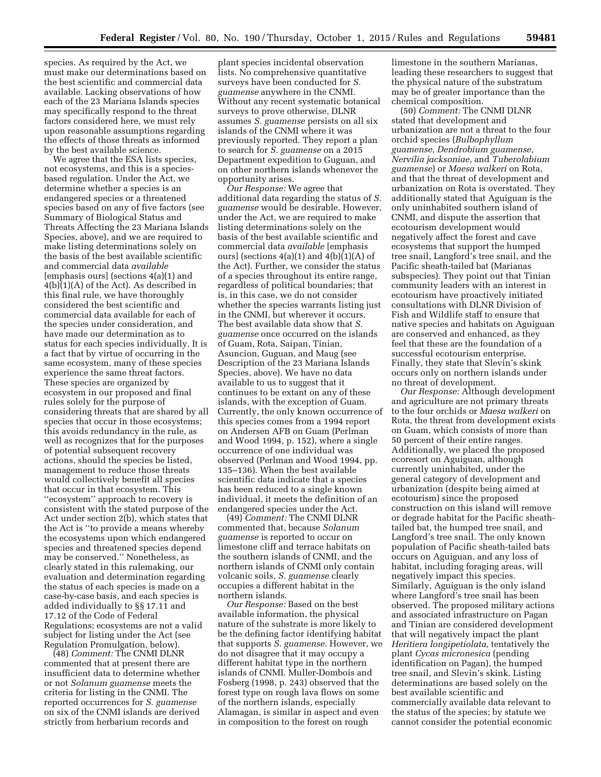species. As required by the Act, we must make our determinations based on the best scientific and commercial data available. Lacking observations of how each of the 23 Mariana Islands species may specifically respond to the threat factors considered here, we must rely upon reasonable assumptions regarding the effects of those threats as informed by the best available science.

We agree that the ESA lists species, not ecosystems, and this is a speciesbased regulation. Under the Act, we determine whether a species is an endangered species or a threatened species based on any of five factors (see Summary of Biological Status and Threats Affecting the 23 Mariana Islands Species, above), and we are required to make listing determinations solely on the basis of the best available scientific and commercial data *available*  [emphasis ours] (sections 4(a)(1) and 4(b)(1)(A) of the Act). As described in this final rule, we have thoroughly considered the best scientific and commercial data available for each of the species under consideration, and have made our determination as to status for each species individually. It is a fact that by virtue of occurring in the same ecosystem, many of these species experience the same threat factors. These species are organized by ecosystem in our proposed and final rules solely for the purpose of considering threats that are shared by all species that occur in those ecosystems; this avoids redundancy in the rule, as well as recognizes that for the purposes of potential subsequent recovery actions, should the species be listed, management to reduce those threats would collectively benefit all species that occur in that ecosystem. This ''ecosystem'' approach to recovery is consistent with the stated purpose of the Act under section 2(b), which states that the Act is ''to provide a means whereby the ecosystems upon which endangered species and threatened species depend may be conserved.'' Nonetheless, as clearly stated in this rulemaking, our evaluation and determination regarding the status of each species is made on a case-by-case basis, and each species is added individually to §§ 17.11 and 17.12 of the Code of Federal Regulations; ecosystems are not a valid subject for listing under the Act (see Regulation Promulgation, below).

(48) *Comment:* The CNMI DLNR commented that at present there are insufficient data to determine whether or not *Solanum guamense* meets the criteria for listing in the CNMI. The reported occurrences for *S. guamense*  on six of the CNMI islands are derived strictly from herbarium records and

plant species incidental observation lists. No comprehensive quantitative surveys have been conducted for *S. guamense* anywhere in the CNMI. Without any recent systematic botanical surveys to prove otherwise, DLNR assumes *S. guamense* persists on all six islands of the CNMI where it was previously reported. They report a plan to search for *S. guamense* on a 2015 Department expedition to Guguan, and on other northern islands whenever the opportunity arises.

*Our Response:* We agree that additional data regarding the status of *S. guamense* would be desirable. However, under the Act, we are required to make listing determinations solely on the basis of the best available scientific and commercial data *available* [emphasis ours] (sections  $4(a)(1)$  and  $4(b)(1)(A)$  of the Act). Further, we consider the status of a species throughout its entire range, regardless of political boundaries; that is, in this case, we do not consider whether the species warrants listing just in the CNMI, but wherever it occurs. The best available data show that *S. guamense* once occurred on the islands of Guam, Rota, Saipan, Tinian, Asuncion, Guguan, and Maug (see Description of the 23 Mariana Islands Species, above). We have no data available to us to suggest that it continues to be extant on any of these islands, with the exception of Guam. Currently, the only known occurrence of this species comes from a 1994 report on Andersen AFB on Guam (Perlman and Wood 1994, p. 152), where a single occurrence of one individual was observed (Perlman and Wood 1994, pp. 135–136). When the best available scientific data indicate that a species has been reduced to a single known individual, it meets the definition of an endangered species under the Act.

(49) *Comment:* The CNMI DLNR commented that, because *Solanum guamense* is reported to occur on limestone cliff and terrace habitats on the southern islands of CNMI, and the northern islands of CNMI only contain volcanic soils, *S. guamense* clearly occupies a different habitat in the northern islands.

*Our Response:* Based on the best available information, the physical nature of the substrate is more likely to be the defining factor identifying habitat that supports *S. guamense.* However, we do not disagree that it may occupy a different habitat type in the northern islands of CNMI. Muller-Dombois and Fosberg (1998, p. 243) observed that the forest type on rough lava flows on some of the northern islands, especially Alamagan, is similar in aspect and even in composition to the forest on rough

limestone in the southern Marianas, leading these researchers to suggest that the physical nature of the substratum may be of greater importance than the chemical composition.

(50) *Comment:* The CNMI DLNR stated that development and urbanization are not a threat to the four orchid species (*Bulbophyllum guamense, Dendrobium guamense, Nervilia jacksoniae,* and *Tuberolabium guamense*) or *Maesa walkeri* on Rota, and that the threat of development and urbanization on Rota is overstated. They additionally stated that Aguiguan is the only uninhabited southern island of CNMI, and dispute the assertion that ecotourism development would negatively affect the forest and cave ecosystems that support the humped tree snail, Langford's tree snail, and the Pacific sheath-tailed bat (Marianas subspecies). They point out that Tinian community leaders with an interest in ecotourism have proactively initiated consultations with DLNR Division of Fish and Wildlife staff to ensure that native species and habitats on Aguiguan are conserved and enhanced, as they feel that these are the foundation of a successful ecotourism enterprise. Finally, they state that Slevin's skink occurs only on northern islands under no threat of development.

*Our Response:* Although development and agriculture are not primary threats to the four orchids or *Maesa walkeri* on Rota, the threat from development exists on Guam, which consists of more than 50 percent of their entire ranges. Additionally, we placed the proposed ecoresort on Aguiguan, although currently uninhabited, under the general category of development and urbanization (despite being aimed at ecotourism) since the proposed construction on this island will remove or degrade habitat for the Pacific sheathtailed bat, the humped tree snail, and Langford's tree snail. The only known population of Pacific sheath-tailed bats occurs on Aguiguan, and any loss of habitat, including foraging areas, will negatively impact this species. Similarly, Aguiguan is the only island where Langford's tree snail has been observed. The proposed military actions and associated infrastructure on Pagan and Tinian are considered development that will negatively impact the plant *Heritiera longipetiolata,* tentatively the plant *Cycas micronesica* (pending identification on Pagan), the humped tree snail, and Slevin's skink. Listing determinations are based solely on the best available scientific and commercially available data relevant to the status of the species; by statute we cannot consider the potential economic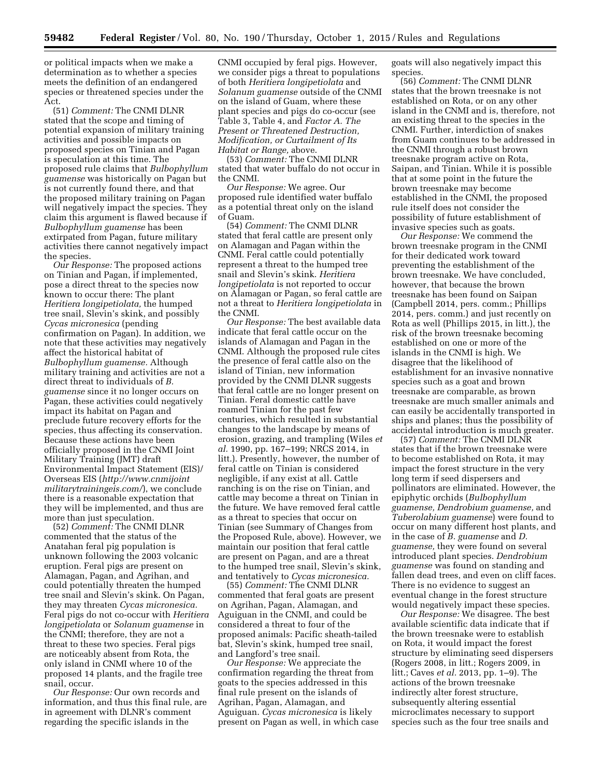or political impacts when we make a determination as to whether a species meets the definition of an endangered species or threatened species under the Act.

(51) *Comment:* The CNMI DLNR stated that the scope and timing of potential expansion of military training activities and possible impacts on proposed species on Tinian and Pagan is speculation at this time. The proposed rule claims that *Bulbophyllum guamense* was historically on Pagan but is not currently found there, and that the proposed military training on Pagan will negatively impact the species. They claim this argument is flawed because if *Bulbophyllum guamense* has been extirpated from Pagan, future military activities there cannot negatively impact the species.

*Our Response:* The proposed actions on Tinian and Pagan, if implemented, pose a direct threat to the species now known to occur there: The plant *Heritiera longipetiolata,* the humped tree snail, Slevin's skink, and possibly *Cycas micronesica* (pending confirmation on Pagan). In addition, we note that these activities may negatively affect the historical habitat of *Bulbophyllum guamense.* Although military training and activities are not a direct threat to individuals of *B. guamense* since it no longer occurs on Pagan, these activities could negatively impact its habitat on Pagan and preclude future recovery efforts for the species, thus affecting its conservation. Because these actions have been officially proposed in the CNMI Joint Military Training (JMT) draft Environmental Impact Statement (EIS)/ Overseas EIS (*[http://www.cnmijoint](http://www.cnmijointmilitarytrainingeis.com/) [militarytrainingeis.com/](http://www.cnmijointmilitarytrainingeis.com/)*), we conclude there is a reasonable expectation that they will be implemented, and thus are more than just speculation.

(52) *Comment:* The CNMI DLNR commented that the status of the Anatahan feral pig population is unknown following the 2003 volcanic eruption. Feral pigs are present on Alamagan, Pagan, and Agrihan, and could potentially threaten the humped tree snail and Slevin's skink. On Pagan, they may threaten *Cycas micronesica.*  Feral pigs do not co-occur with *Heritiera longipetiolata* or *Solanum guamense* in the CNMI; therefore, they are not a threat to these two species. Feral pigs are noticeably absent from Rota, the only island in CNMI where 10 of the proposed 14 plants, and the fragile tree snail, occur.

*Our Response:* Our own records and information, and thus this final rule, are in agreement with DLNR's comment regarding the specific islands in the

CNMI occupied by feral pigs. However, we consider pigs a threat to populations of both *Heritiera longipetiolata* and *Solanum guamense* outside of the CNMI on the island of Guam, where these plant species and pigs do co-occur (see Table 3, Table 4, and *Factor A. The Present or Threatened Destruction, Modification, or Curtailment of Its Habitat or Range,* above.

(53) *Comment:* The CNMI DLNR stated that water buffalo do not occur in the CNMI.

*Our Response:* We agree. Our proposed rule identified water buffalo as a potential threat only on the island of Guam.

(54) *Comment:* The CNMI DLNR stated that feral cattle are present only on Alamagan and Pagan within the CNMI. Feral cattle could potentially represent a threat to the humped tree snail and Slevin's skink. *Heritiera longipetiolata* is not reported to occur on Alamagan or Pagan, so feral cattle are not a threat to *Heritiera longipetiolata* in the CNMI.

*Our Response:* The best available data indicate that feral cattle occur on the islands of Alamagan and Pagan in the CNMI. Although the proposed rule cites the presence of feral cattle also on the island of Tinian, new information provided by the CNMI DLNR suggests that feral cattle are no longer present on Tinian. Feral domestic cattle have roamed Tinian for the past few centuries, which resulted in substantial changes to the landscape by means of erosion, grazing, and trampling (Wiles *et al.* 1990, pp. 167–199; NRCS 2014, in litt.). Presently, however, the number of feral cattle on Tinian is considered negligible, if any exist at all. Cattle ranching is on the rise on Tinian, and cattle may become a threat on Tinian in the future. We have removed feral cattle as a threat to species that occur on Tinian (see Summary of Changes from the Proposed Rule, above). However, we maintain our position that feral cattle are present on Pagan, and are a threat to the humped tree snail, Slevin's skink, and tentatively to *Cycas micronesica.* 

(55) *Comment:* The CNMI DLNR commented that feral goats are present on Agrihan, Pagan, Alamagan, and Aguiguan in the CNMI, and could be considered a threat to four of the proposed animals: Pacific sheath-tailed bat, Slevin's skink, humped tree snail, and Langford's tree snail.

*Our Response:* We appreciate the confirmation regarding the threat from goats to the species addressed in this final rule present on the islands of Agrihan, Pagan, Alamagan, and Aguiguan. *Cycas micronesica* is likely present on Pagan as well, in which case goats will also negatively impact this species.

(56) *Comment:* The CNMI DLNR states that the brown treesnake is not established on Rota, or on any other island in the CNMI and is, therefore, not an existing threat to the species in the CNMI. Further, interdiction of snakes from Guam continues to be addressed in the CNMI through a robust brown treesnake program active on Rota, Saipan, and Tinian. While it is possible that at some point in the future the brown treesnake may become established in the CNMI, the proposed rule itself does not consider the possibility of future establishment of invasive species such as goats.

*Our Response:* We commend the brown treesnake program in the CNMI for their dedicated work toward preventing the establishment of the brown treesnake. We have concluded, however, that because the brown treesnake has been found on Saipan (Campbell 2014, pers. comm.; Phillips 2014, pers. comm.) and just recently on Rota as well (Phillips 2015, in litt.), the risk of the brown treesnake becoming established on one or more of the islands in the CNMI is high. We disagree that the likelihood of establishment for an invasive nonnative species such as a goat and brown treesnake are comparable, as brown treesnake are much smaller animals and can easily be accidentally transported in ships and planes; thus the possibility of accidental introduction is much greater.

(57) *Comment:* The CNMI DLNR states that if the brown treesnake were to become established on Rota, it may impact the forest structure in the very long term if seed dispersers and pollinators are eliminated. However, the epiphytic orchids (*Bulbophyllum guamense, Dendrobium guamense,* and *Tuberolabium guamense*) were found to occur on many different host plants, and in the case of *B. guamense* and *D. guamense,* they were found on several introduced plant species. *Dendrobium guamense* was found on standing and fallen dead trees, and even on cliff faces. There is no evidence to suggest an eventual change in the forest structure would negatively impact these species.

*Our Response:* We disagree. The best available scientific data indicate that if the brown treesnake were to establish on Rota, it would impact the forest structure by eliminating seed dispersers (Rogers 2008, in litt.; Rogers 2009, in litt.; Caves *et al.* 2013, pp. 1–9). The actions of the brown treesnake indirectly alter forest structure, subsequently altering essential microclimates necessary to support species such as the four tree snails and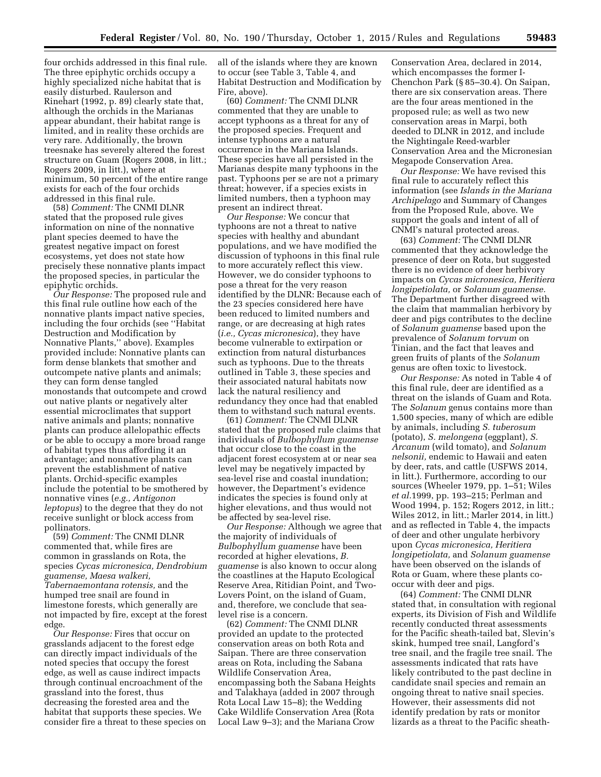four orchids addressed in this final rule. The three epiphytic orchids occupy a highly specialized niche habitat that is easily disturbed. Raulerson and Rinehart (1992, p. 89) clearly state that, although the orchids in the Marianas appear abundant, their habitat range is limited, and in reality these orchids are very rare. Additionally, the brown treesnake has severely altered the forest structure on Guam (Rogers 2008, in litt.; Rogers 2009, in litt.), where at minimum, 50 percent of the entire range exists for each of the four orchids addressed in this final rule.

(58) *Comment:* The CNMI DLNR stated that the proposed rule gives information on nine of the nonnative plant species deemed to have the greatest negative impact on forest ecosystems, yet does not state how precisely these nonnative plants impact the proposed species, in particular the epiphytic orchids.

*Our Response:* The proposed rule and this final rule outline how each of the nonnative plants impact native species, including the four orchids (see ''Habitat Destruction and Modification by Nonnative Plants,'' above). Examples provided include: Nonnative plants can form dense blankets that smother and outcompete native plants and animals; they can form dense tangled monostands that outcompete and crowd out native plants or negatively alter essential microclimates that support native animals and plants; nonnative plants can produce allelopathic effects or be able to occupy a more broad range of habitat types thus affording it an advantage; and nonnative plants can prevent the establishment of native plants. Orchid-specific examples include the potential to be smothered by nonnative vines (*e.g., Antigonon leptopus*) to the degree that they do not receive sunlight or block access from pollinators.

(59) *Comment:* The CNMI DLNR commented that, while fires are common in grasslands on Rota, the species *Cycas micronesica, Dendrobium guamense, Maesa walkeri, Tabernaemontana rotensis,* and the humped tree snail are found in limestone forests, which generally are not impacted by fire, except at the forest edge.

*Our Response:* Fires that occur on grasslands adjacent to the forest edge can directly impact individuals of the noted species that occupy the forest edge, as well as cause indirect impacts through continual encroachment of the grassland into the forest, thus decreasing the forested area and the habitat that supports these species. We consider fire a threat to these species on all of the islands where they are known to occur (see Table 3, Table 4, and Habitat Destruction and Modification by Fire, above).

(60) *Comment:* The CNMI DLNR commented that they are unable to accept typhoons as a threat for any of the proposed species. Frequent and intense typhoons are a natural occurrence in the Mariana Islands. These species have all persisted in the Marianas despite many typhoons in the past. Typhoons per se are not a primary threat; however, if a species exists in limited numbers, then a typhoon may present an indirect threat.

*Our Response:* We concur that typhoons are not a threat to native species with healthy and abundant populations, and we have modified the discussion of typhoons in this final rule to more accurately reflect this view. However, we do consider typhoons to pose a threat for the very reason identified by the DLNR: Because each of the 23 species considered here have been reduced to limited numbers and range, or are decreasing at high rates (*i.e., Cycas micronesica*), they have become vulnerable to extirpation or extinction from natural disturbances such as typhoons. Due to the threats outlined in Table 3, these species and their associated natural habitats now lack the natural resiliency and redundancy they once had that enabled them to withstand such natural events.

(61) *Comment:* The CNMI DLNR stated that the proposed rule claims that individuals of *Bulbophyllum guamense*  that occur close to the coast in the adjacent forest ecosystem at or near sea level may be negatively impacted by sea-level rise and coastal inundation; however, the Department's evidence indicates the species is found only at higher elevations, and thus would not be affected by sea-level rise.

*Our Response:* Although we agree that the majority of individuals of *Bulbophyllum guamense* have been recorded at higher elevations, *B. guamense* is also known to occur along the coastlines at the Haputo Ecological Reserve Area, Ritidian Point, and Two-Lovers Point, on the island of Guam, and, therefore, we conclude that sealevel rise is a concern.

(62) *Comment:* The CNMI DLNR provided an update to the protected conservation areas on both Rota and Saipan. There are three conservation areas on Rota, including the Sabana Wildlife Conservation Area, encompassing both the Sabana Heights and Talakhaya (added in 2007 through Rota Local Law 15–8); the Wedding Cake Wildlife Conservation Area (Rota Local Law 9–3); and the Mariana Crow

Conservation Area, declared in 2014, which encompasses the former I-Chenchon Park (§ 85–30.4). On Saipan, there are six conservation areas. There are the four areas mentioned in the proposed rule; as well as two new conservation areas in Marpi, both deeded to DLNR in 2012, and include the Nightingale Reed-warbler Conservation Area and the Micronesian Megapode Conservation Area.

*Our Response:* We have revised this final rule to accurately reflect this information (see *Islands in the Mariana Archipelago* and Summary of Changes from the Proposed Rule, above. We support the goals and intent of all of CNMI's natural protected areas.

(63) *Comment:* The CNMI DLNR commented that they acknowledge the presence of deer on Rota, but suggested there is no evidence of deer herbivory impacts on *Cycas micronesica, Heritiera longipetiolata,* or *Solanum guamense.*  The Department further disagreed with the claim that mammalian herbivory by deer and pigs contributes to the decline of *Solanum guamense* based upon the prevalence of *Solanum torvum* on Tinian, and the fact that leaves and green fruits of plants of the *Solanum*  genus are often toxic to livestock.

*Our Response:* As noted in Table 4 of this final rule, deer are identified as a threat on the islands of Guam and Rota. The *Solanum* genus contains more than 1,500 species, many of which are edible by animals, including *S. tuberosum*  (potato), *S. melongena* (eggplant), *S. Arcanum* (wild tomato), and *Solanum nelsonii,* endemic to Hawaii and eaten by deer, rats, and cattle (USFWS 2014, in litt.). Furthermore, according to our sources (Wheeler 1979, pp. 1–51; Wiles *et al.*1999, pp. 193–215; Perlman and Wood 1994, p. 152; Rogers 2012, in litt.; Wiles 2012, in litt.; Marler 2014, in litt.) and as reflected in Table 4, the impacts of deer and other ungulate herbivory upon *Cycas micronesica, Heritiera longipetiolata,* and *Solanum guamense*  have been observed on the islands of Rota or Guam, where these plants cooccur with deer and pigs.

(64) *Comment:* The CNMI DLNR stated that, in consultation with regional experts, its Division of Fish and Wildlife recently conducted threat assessments for the Pacific sheath-tailed bat, Slevin's skink, humped tree snail, Langford's tree snail, and the fragile tree snail. The assessments indicated that rats have likely contributed to the past decline in candidate snail species and remain an ongoing threat to native snail species. However, their assessments did not identify predation by rats or monitor lizards as a threat to the Pacific sheath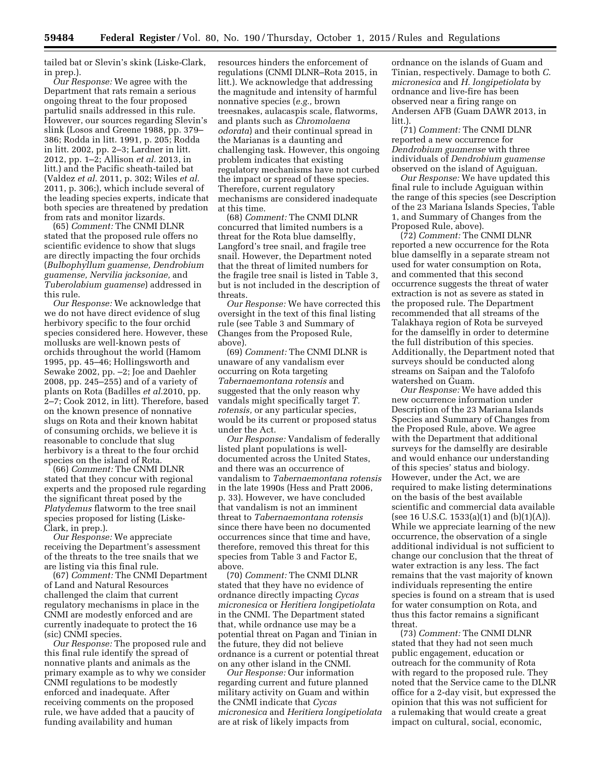tailed bat or Slevin's skink (Liske-Clark, in prep.).

*Our Response:* We agree with the Department that rats remain a serious ongoing threat to the four proposed partulid snails addressed in this rule. However, our sources regarding Slevin's slink (Losos and Greene 1988, pp. 379– 386; Rodda in litt. 1991, p. 205; Rodda in litt. 2002, pp. 2–3; Lardner in litt. 2012, pp. 1–2; Allison *et al.* 2013, in litt.) and the Pacific sheath-tailed bat (Valdez *et al.* 2011, p. 302; Wiles *et al.*  2011, p. 306;), which include several of the leading species experts, indicate that both species are threatened by predation from rats and monitor lizards.

(65) *Comment:* The CNMI DLNR stated that the proposed rule offers no scientific evidence to show that slugs are directly impacting the four orchids (*Bulbophyllum guamense, Dendrobium guamense, Nervilia jacksoniae,* and *Tuberolabium guamense*) addressed in this rule.

*Our Response:* We acknowledge that we do not have direct evidence of slug herbivory specific to the four orchid species considered here. However, these mollusks are well-known pests of orchids throughout the world (Hamom 1995, pp. 45–46; Hollingsworth and Sewake 2002, pp. –2; Joe and Daehler 2008, pp. 245–255) and of a variety of plants on Rota (Badilles *et al.*2010, pp. 2–7; Cook 2012, in litt). Therefore, based on the known presence of nonnative slugs on Rota and their known habitat of consuming orchids, we believe it is reasonable to conclude that slug herbivory is a threat to the four orchid species on the island of Rota.

(66) *Comment:* The CNMI DLNR stated that they concur with regional experts and the proposed rule regarding the significant threat posed by the *Platydemus* flatworm to the tree snail species proposed for listing (Liske-Clark, in prep.).

*Our Response:* We appreciate receiving the Department's assessment of the threats to the tree snails that we are listing via this final rule.

(67) *Comment:* The CNMI Department of Land and Natural Resources challenged the claim that current regulatory mechanisms in place in the CNMI are modestly enforced and are currently inadequate to protect the 16 (sic) CNMI species.

*Our Response:* The proposed rule and this final rule identify the spread of nonnative plants and animals as the primary example as to why we consider CNMI regulations to be modestly enforced and inadequate. After receiving comments on the proposed rule, we have added that a paucity of funding availability and human

resources hinders the enforcement of regulations (CNMI DLNR–Rota 2015, in litt.). We acknowledge that addressing the magnitude and intensity of harmful nonnative species (*e.g.,* brown treesnakes, aulacaspis scale, flatworms, and plants such as *Chromolaena odorata*) and their continual spread in the Marianas is a daunting and challenging task. However, this ongoing problem indicates that existing regulatory mechanisms have not curbed the impact or spread of these species. Therefore, current regulatory mechanisms are considered inadequate at this time.

(68) *Comment:* The CNMI DLNR concurred that limited numbers is a threat for the Rota blue damselfly, Langford's tree snail, and fragile tree snail. However, the Department noted that the threat of limited numbers for the fragile tree snail is listed in Table 3, but is not included in the description of threats.

*Our Response:* We have corrected this oversight in the text of this final listing rule (see Table 3 and Summary of Changes from the Proposed Rule, above).

(69) *Comment:* The CNMI DLNR is unaware of any vandalism ever occurring on Rota targeting *Tabernaemontana rotensis* and suggested that the only reason why vandals might specifically target *T. rotensis,* or any particular species, would be its current or proposed status under the Act.

*Our Response:* Vandalism of federally listed plant populations is welldocumented across the United States, and there was an occurrence of vandalism to *Tabernaemontana rotensis*  in the late 1990s (Hess and Pratt 2006, p. 33). However, we have concluded that vandalism is not an imminent threat to *Tabernaemontana rotensis*  since there have been no documented occurrences since that time and have, therefore, removed this threat for this species from Table 3 and Factor E, above.

(70) *Comment:* The CNMI DLNR stated that they have no evidence of ordnance directly impacting *Cycas micronesica* or *Heritiera longipetiolata*  in the CNMI. The Department stated that, while ordnance use may be a potential threat on Pagan and Tinian in the future, they did not believe ordnance is a current or potential threat on any other island in the CNMI.

*Our Response:* Our information regarding current and future planned military activity on Guam and within the CNMI indicate that *Cycas micronesica* and *Heritiera longipetiolata*  are at risk of likely impacts from

ordnance on the islands of Guam and Tinian, respectively. Damage to both *C. micronesica* and *H. longipetiolata* by ordnance and live-fire has been observed near a firing range on Andersen AFB (Guam DAWR 2013, in litt.).

(71) *Comment:* The CNMI DLNR reported a new occurrence for *Dendrobium guamense* with three individuals of *Dendrobium guamense*  observed on the island of Aguiguan.

*Our Response:* We have updated this final rule to include Aguiguan within the range of this species (see Description of the 23 Mariana Islands Species, Table 1, and Summary of Changes from the Proposed Rule, above).

(72) *Comment:* The CNMI DLNR reported a new occurrence for the Rota blue damselfly in a separate stream not used for water consumption on Rota, and commented that this second occurrence suggests the threat of water extraction is not as severe as stated in the proposed rule. The Department recommended that all streams of the Talakhaya region of Rota be surveyed for the damselfly in order to determine the full distribution of this species. Additionally, the Department noted that surveys should be conducted along streams on Saipan and the Talofofo watershed on Guam.

*Our Response:* We have added this new occurrence information under Description of the 23 Mariana Islands Species and Summary of Changes from the Proposed Rule, above. We agree with the Department that additional surveys for the damselfly are desirable and would enhance our understanding of this species' status and biology. However, under the Act, we are required to make listing determinations on the basis of the best available scientific and commercial data available (see 16 U.S.C. 1533(a)(1) and  $(b)(1)(A)$ . While we appreciate learning of the new occurrence, the observation of a single additional individual is not sufficient to change our conclusion that the threat of water extraction is any less. The fact remains that the vast majority of known individuals representing the entire species is found on a stream that is used for water consumption on Rota, and thus this factor remains a significant threat.

(73) *Comment:* The CNMI DLNR stated that they had not seen much public engagement, education or outreach for the community of Rota with regard to the proposed rule. They noted that the Service came to the DLNR office for a 2-day visit, but expressed the opinion that this was not sufficient for a rulemaking that would create a great impact on cultural, social, economic,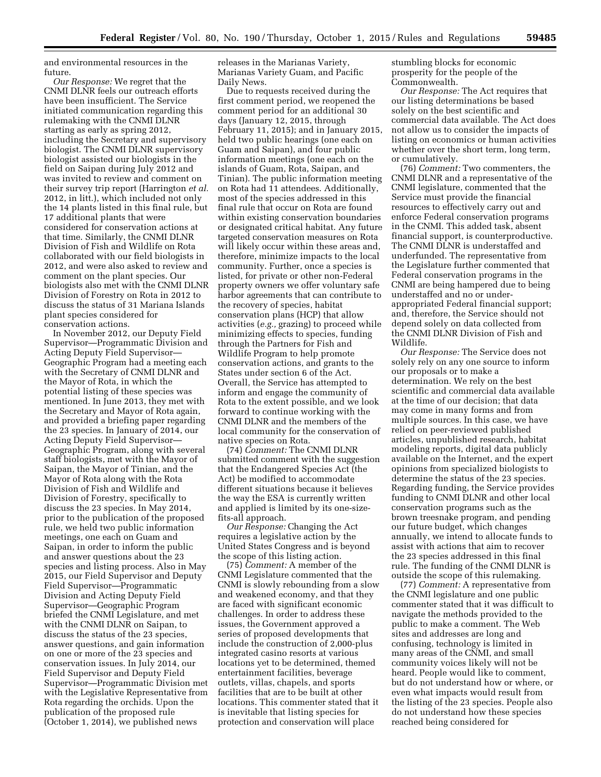and environmental resources in the future.

*Our Response:* We regret that the CNMI DLNR feels our outreach efforts have been insufficient. The Service initiated communication regarding this rulemaking with the CNMI DLNR starting as early as spring 2012, including the Secretary and supervisory biologist. The CNMI DLNR supervisory biologist assisted our biologists in the field on Saipan during July 2012 and was invited to review and comment on their survey trip report (Harrington *et al.*  2012, in litt.), which included not only the 14 plants listed in this final rule, but 17 additional plants that were considered for conservation actions at that time. Similarly, the CNMI DLNR Division of Fish and Wildlife on Rota collaborated with our field biologists in 2012, and were also asked to review and comment on the plant species. Our biologists also met with the CNMI DLNR Division of Forestry on Rota in 2012 to discuss the status of 31 Mariana Islands plant species considered for conservation actions.

In November 2012, our Deputy Field Supervisor—Programmatic Division and Acting Deputy Field Supervisor— Geographic Program had a meeting each with the Secretary of CNMI DLNR and the Mayor of Rota, in which the potential listing of these species was mentioned. In June 2013, they met with the Secretary and Mayor of Rota again, and provided a briefing paper regarding the 23 species. In January of 2014, our Acting Deputy Field Supervisor— Geographic Program, along with several staff biologists, met with the Mayor of Saipan, the Mayor of Tinian, and the Mayor of Rota along with the Rota Division of Fish and Wildlife and Division of Forestry, specifically to discuss the 23 species. In May 2014, prior to the publication of the proposed rule, we held two public information meetings, one each on Guam and Saipan, in order to inform the public and answer questions about the 23 species and listing process. Also in May 2015, our Field Supervisor and Deputy Field Supervisor—Programmatic Division and Acting Deputy Field Supervisor—Geographic Program briefed the CNMI Legislature, and met with the CNMI DLNR on Saipan, to discuss the status of the 23 species, answer questions, and gain information on one or more of the 23 species and conservation issues. In July 2014, our Field Supervisor and Deputy Field Supervisor—Programmatic Division met with the Legislative Representative from Rota regarding the orchids. Upon the publication of the proposed rule (October 1, 2014), we published news

releases in the Marianas Variety, Marianas Variety Guam, and Pacific Daily News.

Due to requests received during the first comment period, we reopened the comment period for an additional 30 days (January 12, 2015, through February 11, 2015); and in January 2015, held two public hearings (one each on Guam and Saipan), and four public information meetings (one each on the islands of Guam, Rota, Saipan, and Tinian). The public information meeting on Rota had 11 attendees. Additionally, most of the species addressed in this final rule that occur on Rota are found within existing conservation boundaries or designated critical habitat. Any future targeted conservation measures on Rota will likely occur within these areas and, therefore, minimize impacts to the local community. Further, once a species is listed, for private or other non-Federal property owners we offer voluntary safe harbor agreements that can contribute to the recovery of species, habitat conservation plans (HCP) that allow activities (*e.g.,* grazing) to proceed while minimizing effects to species, funding through the Partners for Fish and Wildlife Program to help promote conservation actions, and grants to the States under section 6 of the Act. Overall, the Service has attempted to inform and engage the community of Rota to the extent possible, and we look forward to continue working with the CNMI DLNR and the members of the local community for the conservation of native species on Rota.

(74) *Comment:* The CNMI DLNR submitted comment with the suggestion that the Endangered Species Act (the Act) be modified to accommodate different situations because it believes the way the ESA is currently written and applied is limited by its one-sizefits-all approach.

*Our Response:* Changing the Act requires a legislative action by the United States Congress and is beyond the scope of this listing action.

(75) *Comment:* A member of the CNMI Legislature commented that the CNMI is slowly rebounding from a slow and weakened economy, and that they are faced with significant economic challenges. In order to address these issues, the Government approved a series of proposed developments that include the construction of 2,000-plus integrated casino resorts at various locations yet to be determined, themed entertainment facilities, beverage outlets, villas, chapels, and sports facilities that are to be built at other locations. This commenter stated that it is inevitable that listing species for protection and conservation will place

stumbling blocks for economic prosperity for the people of the Commonwealth.

*Our Response:* The Act requires that our listing determinations be based solely on the best scientific and commercial data available. The Act does not allow us to consider the impacts of listing on economics or human activities whether over the short term, long term, or cumulatively.

(76) *Comment:* Two commenters, the CNMI DLNR and a representative of the CNMI legislature, commented that the Service must provide the financial resources to effectively carry out and enforce Federal conservation programs in the CNMI. This added task, absent financial support, is counterproductive. The CNMI DLNR is understaffed and underfunded. The representative from the Legislature further commented that Federal conservation programs in the CNMI are being hampered due to being understaffed and no or underappropriated Federal financial support; and, therefore, the Service should not depend solely on data collected from the CNMI DLNR Division of Fish and Wildlife.

*Our Response:* The Service does not solely rely on any one source to inform our proposals or to make a determination. We rely on the best scientific and commercial data available at the time of our decision; that data may come in many forms and from multiple sources. In this case, we have relied on peer-reviewed published articles, unpublished research, habitat modeling reports, digital data publicly available on the Internet, and the expert opinions from specialized biologists to determine the status of the 23 species. Regarding funding, the Service provides funding to CNMI DLNR and other local conservation programs such as the brown treesnake program, and pending our future budget, which changes annually, we intend to allocate funds to assist with actions that aim to recover the 23 species addressed in this final rule. The funding of the CNMI DLNR is outside the scope of this rulemaking.

(77) *Comment:* A representative from the CNMI legislature and one public commenter stated that it was difficult to navigate the methods provided to the public to make a comment. The Web sites and addresses are long and confusing, technology is limited in many areas of the CNMI, and small community voices likely will not be heard. People would like to comment, but do not understand how or where, or even what impacts would result from the listing of the 23 species. People also do not understand how these species reached being considered for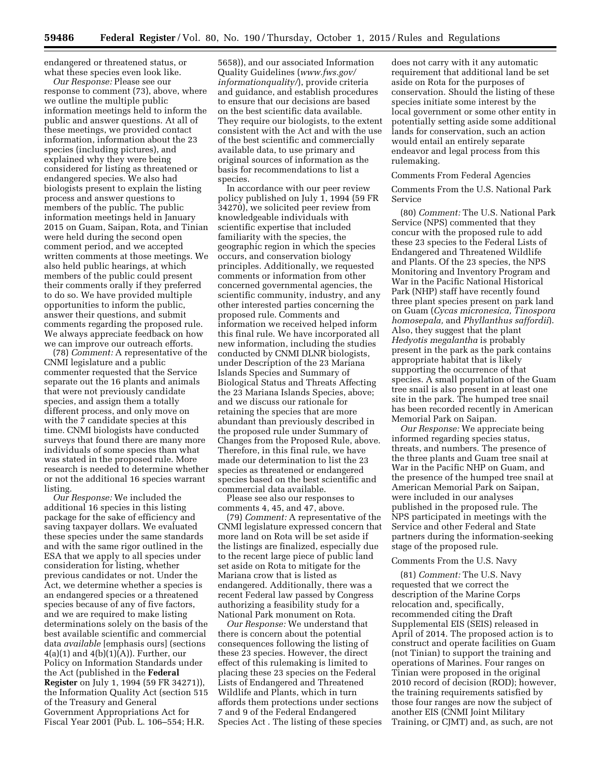endangered or threatened status, or what these species even look like.

*Our Response:* Please see our response to comment (73), above, where we outline the multiple public information meetings held to inform the public and answer questions. At all of these meetings, we provided contact information, information about the 23 species (including pictures), and explained why they were being considered for listing as threatened or endangered species. We also had biologists present to explain the listing process and answer questions to members of the public. The public information meetings held in January 2015 on Guam, Saipan, Rota, and Tinian were held during the second open comment period, and we accepted written comments at those meetings. We also held public hearings, at which members of the public could present their comments orally if they preferred to do so. We have provided multiple opportunities to inform the public, answer their questions, and submit comments regarding the proposed rule. We always appreciate feedback on how we can improve our outreach efforts.

(78) *Comment:* A representative of the CNMI legislature and a public commenter requested that the Service separate out the 16 plants and animals that were not previously candidate species, and assign them a totally different process, and only move on with the 7 candidate species at this time. CNMI biologists have conducted surveys that found there are many more individuals of some species than what was stated in the proposed rule. More research is needed to determine whether or not the additional 16 species warrant listing.

*Our Response:* We included the additional 16 species in this listing package for the sake of efficiency and saving taxpayer dollars. We evaluated these species under the same standards and with the same rigor outlined in the ESA that we apply to all species under consideration for listing, whether previous candidates or not. Under the Act, we determine whether a species is an endangered species or a threatened species because of any of five factors, and we are required to make listing determinations solely on the basis of the best available scientific and commercial data *available* [emphasis ours] (sections  $4(a)(1)$  and  $4(b)(1)(A)$ ). Further, our Policy on Information Standards under the Act (published in the **Federal Register** on July 1, 1994 (59 FR 34271)), the Information Quality Act (section 515 of the Treasury and General Government Appropriations Act for Fiscal Year 2001 (Pub. L. 106–554; H.R.

5658)), and our associated Information Quality Guidelines (*[www.fws.gov/](http://www.fws.gov/informationquality/) [informationquality/](http://www.fws.gov/informationquality/)*), provide criteria and guidance, and establish procedures to ensure that our decisions are based on the best scientific data available. They require our biologists, to the extent consistent with the Act and with the use of the best scientific and commercially available data, to use primary and original sources of information as the basis for recommendations to list a species.

In accordance with our peer review policy published on July 1, 1994 (59 FR 34270), we solicited peer review from knowledgeable individuals with scientific expertise that included familiarity with the species, the geographic region in which the species occurs, and conservation biology principles. Additionally, we requested comments or information from other concerned governmental agencies, the scientific community, industry, and any other interested parties concerning the proposed rule. Comments and information we received helped inform this final rule. We have incorporated all new information, including the studies conducted by CNMI DLNR biologists, under Description of the 23 Mariana Islands Species and Summary of Biological Status and Threats Affecting the 23 Mariana Islands Species, above; and we discuss our rationale for retaining the species that are more abundant than previously described in the proposed rule under Summary of Changes from the Proposed Rule, above. Therefore, in this final rule, we have made our determination to list the 23 species as threatened or endangered species based on the best scientific and commercial data available.

Please see also our responses to comments 4, 45, and 47, above.

(79) *Comment:* A representative of the CNMI legislature expressed concern that more land on Rota will be set aside if the listings are finalized, especially due to the recent large piece of public land set aside on Rota to mitigate for the Mariana crow that is listed as endangered. Additionally, there was a recent Federal law passed by Congress authorizing a feasibility study for a National Park monument on Rota.

*Our Response:* We understand that there is concern about the potential consequences following the listing of these 23 species. However, the direct effect of this rulemaking is limited to placing these 23 species on the Federal Lists of Endangered and Threatened Wildlife and Plants, which in turn affords them protections under sections 7 and 9 of the Federal Endangered Species Act . The listing of these species

does not carry with it any automatic requirement that additional land be set aside on Rota for the purposes of conservation. Should the listing of these species initiate some interest by the local government or some other entity in potentially setting aside some additional lands for conservation, such an action would entail an entirely separate endeavor and legal process from this rulemaking.

#### Comments From Federal Agencies

Comments From the U.S. National Park Service

(80) *Comment:* The U.S. National Park Service (NPS) commented that they concur with the proposed rule to add these 23 species to the Federal Lists of Endangered and Threatened Wildlife and Plants. Of the 23 species, the NPS Monitoring and Inventory Program and War in the Pacific National Historical Park (NHP) staff have recently found three plant species present on park land on Guam (*Cycas micronesica, Tinospora homosepala,* and *Phyllanthus saffordii*). Also, they suggest that the plant *Hedyotis megalantha* is probably present in the park as the park contains appropriate habitat that is likely supporting the occurrence of that species. A small population of the Guam tree snail is also present in at least one site in the park. The humped tree snail has been recorded recently in American Memorial Park on Saipan.

*Our Response:* We appreciate being informed regarding species status, threats, and numbers. The presence of the three plants and Guam tree snail at War in the Pacific NHP on Guam, and the presence of the humped tree snail at American Memorial Park on Saipan, were included in our analyses published in the proposed rule. The NPS participated in meetings with the Service and other Federal and State partners during the information-seeking stage of the proposed rule.

#### Comments From the U.S. Navy

(81) *Comment:* The U.S. Navy requested that we correct the description of the Marine Corps relocation and, specifically, recommended citing the Draft Supplemental EIS (SEIS) released in April of 2014. The proposed action is to construct and operate facilities on Guam (not Tinian) to support the training and operations of Marines. Four ranges on Tinian were proposed in the original 2010 record of decision (ROD); however, the training requirements satisfied by those four ranges are now the subject of another EIS (CNMI Joint Military Training, or CJMT) and, as such, are not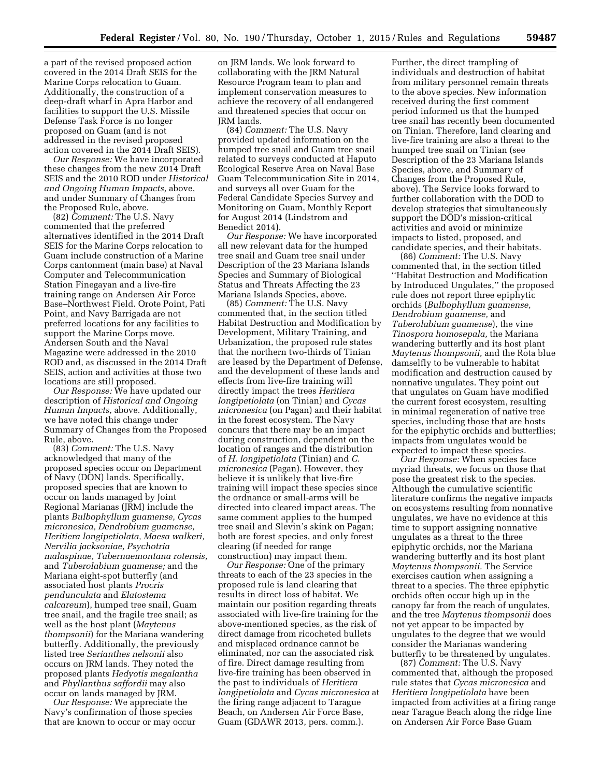a part of the revised proposed action covered in the 2014 Draft SEIS for the Marine Corps relocation to Guam. Additionally, the construction of a deep-draft wharf in Apra Harbor and facilities to support the U.S. Missile Defense Task Force is no longer proposed on Guam (and is not addressed in the revised proposed action covered in the 2014 Draft SEIS).

*Our Response:* We have incorporated these changes from the new 2014 Draft SEIS and the 2010 ROD under *Historical and Ongoing Human Impacts,* above, and under Summary of Changes from the Proposed Rule, above.

(82) *Comment:* The U.S. Navy commented that the preferred alternatives identified in the 2014 Draft SEIS for the Marine Corps relocation to Guam include construction of a Marine Corps cantonment (main base) at Naval Computer and Telecommunication Station Finegayan and a live-fire training range on Andersen Air Force Base–Northwest Field. Orote Point, Pati Point, and Navy Barrigada are not preferred locations for any facilities to support the Marine Corps move. Andersen South and the Naval Magazine were addressed in the 2010 ROD and, as discussed in the 2014 Draft SEIS, action and activities at those two locations are still proposed.

*Our Response:* We have updated our description of *Historical and Ongoing Human Impacts,* above. Additionally, we have noted this change under Summary of Changes from the Proposed Rule, above.

(83) *Comment:* The U.S. Navy acknowledged that many of the proposed species occur on Department of Navy (DON) lands. Specifically, proposed species that are known to occur on lands managed by Joint Regional Marianas (JRM) include the plants *Bulbophyllum guamense, Cycas micronesica, Dendrobium guamense, Heritiera longipetiolata, Maesa walkeri, Nervilia jacksoniae, Psychotria malaspinae, Tabernaemontana rotensis,*  and *Tuberolabium guamense;* and the Mariana eight-spot butterfly (and associated host plants *Procris pendunculata* and *Elatostema calcareum*), humped tree snail, Guam tree snail, and the fragile tree snail; as well as the host plant (*Maytenus thompsonii*) for the Mariana wandering butterfly. Additionally, the previously listed tree *Serianthes nelsonii* also occurs on JRM lands. They noted the proposed plants *Hedyotis megalantha*  and *Phyllanthus saffordii* may also occur on lands managed by JRM.

*Our Response:* We appreciate the Navy's confirmation of those species that are known to occur or may occur

on JRM lands. We look forward to collaborating with the JRM Natural Resource Program team to plan and implement conservation measures to achieve the recovery of all endangered and threatened species that occur on JRM lands.

(84) *Comment:* The U.S. Navy provided updated information on the humped tree snail and Guam tree snail related to surveys conducted at Haputo Ecological Reserve Area on Naval Base Guam Telecommunication Site in 2014, and surveys all over Guam for the Federal Candidate Species Survey and Monitoring on Guam, Monthly Report for August 2014 (Lindstrom and Benedict 2014).

*Our Response:* We have incorporated all new relevant data for the humped tree snail and Guam tree snail under Description of the 23 Mariana Islands Species and Summary of Biological Status and Threats Affecting the 23 Mariana Islands Species, above.

(85) *Comment:* The U.S. Navy commented that, in the section titled Habitat Destruction and Modification by Development, Military Training, and Urbanization, the proposed rule states that the northern two-thirds of Tinian are leased by the Department of Defense, and the development of these lands and effects from live-fire training will directly impact the trees *Heritiera longipetiolata* (on Tinian) and *Cycas micronesica* (on Pagan) and their habitat in the forest ecosystem. The Navy concurs that there may be an impact during construction, dependent on the location of ranges and the distribution of *H. longipetiolata* (Tinian) and *C. micronesica* (Pagan). However, they believe it is unlikely that live-fire training will impact these species since the ordnance or small-arms will be directed into cleared impact areas. The same comment applies to the humped tree snail and Slevin's skink on Pagan; both are forest species, and only forest clearing (if needed for range construction) may impact them.

*Our Response:* One of the primary threats to each of the 23 species in the proposed rule is land clearing that results in direct loss of habitat. We maintain our position regarding threats associated with live-fire training for the above-mentioned species, as the risk of direct damage from ricocheted bullets and misplaced ordnance cannot be eliminated, nor can the associated risk of fire. Direct damage resulting from live-fire training has been observed in the past to individuals of *Heritiera longipetiolata* and *Cycas micronesica* at the firing range adjacent to Tarague Beach, on Andersen Air Force Base, Guam (GDAWR 2013, pers. comm.).

Further, the direct trampling of individuals and destruction of habitat from military personnel remain threats to the above species. New information received during the first comment period informed us that the humped tree snail has recently been documented on Tinian. Therefore, land clearing and live-fire training are also a threat to the humped tree snail on Tinian (see Description of the 23 Mariana Islands Species, above, and Summary of Changes from the Proposed Rule, above). The Service looks forward to further collaboration with the DOD to develop strategies that simultaneously support the DOD's mission-critical activities and avoid or minimize impacts to listed, proposed, and candidate species, and their habitats.

(86) *Comment:* The U.S. Navy commented that, in the section titled ''Habitat Destruction and Modification by Introduced Ungulates,'' the proposed rule does not report three epiphytic orchids (*Bulbophyllum guamense, Dendrobium guamense,* and *Tuberolabium guamense*), the vine *Tinospora homosepala,* the Mariana wandering butterfly and its host plant *Maytenus thompsonii,* and the Rota blue damselfly to be vulnerable to habitat modification and destruction caused by nonnative ungulates. They point out that ungulates on Guam have modified the current forest ecosystem, resulting in minimal regeneration of native tree species, including those that are hosts for the epiphytic orchids and butterflies; impacts from ungulates would be expected to impact these species.

*Our Response:* When species face myriad threats, we focus on those that pose the greatest risk to the species. Although the cumulative scientific literature confirms the negative impacts on ecosystems resulting from nonnative ungulates, we have no evidence at this time to support assigning nonnative ungulates as a threat to the three epiphytic orchids, nor the Mariana wandering butterfly and its host plant *Maytenus thompsonii.* The Service exercises caution when assigning a threat to a species. The three epiphytic orchids often occur high up in the canopy far from the reach of ungulates, and the tree *Maytenus thompsonii* does not yet appear to be impacted by ungulates to the degree that we would consider the Marianas wandering butterfly to be threatened by ungulates.

(87) *Comment:* The U.S. Navy commented that, although the proposed rule states that *Cycas micronesica* and *Heritiera longipetiolata* have been impacted from activities at a firing range near Tarague Beach along the ridge line on Andersen Air Force Base Guam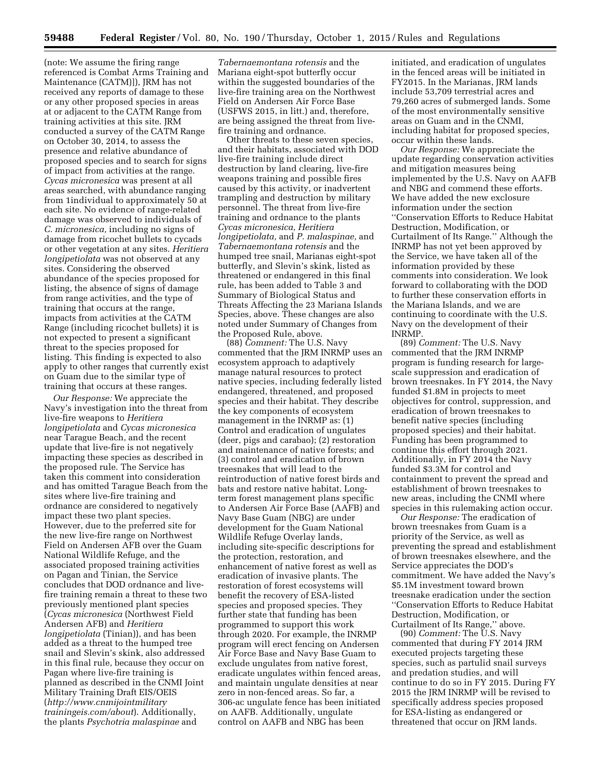(note: We assume the firing range referenced is Combat Arms Training and Maintenance (CATM)]), JRM has not received any reports of damage to these or any other proposed species in areas at or adjacent to the CATM Range from training activities at this site. JRM conducted a survey of the CATM Range on October 30, 2014, to assess the presence and relative abundance of proposed species and to search for signs of impact from activities at the range. *Cycas micronesica* was present at all areas searched, with abundance ranging from 1individual to approximately 50 at each site. No evidence of range-related damage was observed to individuals of *C. micronesica,* including no signs of damage from ricochet bullets to cycads or other vegetation at any sites. *Heritiera longipetiolata* was not observed at any sites. Considering the observed abundance of the species proposed for listing, the absence of signs of damage from range activities, and the type of training that occurs at the range, impacts from activities at the CATM Range (including ricochet bullets) it is not expected to present a significant threat to the species proposed for listing. This finding is expected to also apply to other ranges that currently exist on Guam due to the similar type of training that occurs at these ranges.

*Our Response:* We appreciate the Navy's investigation into the threat from live-fire weapons to *Heritiera longipetiolata* and *Cycas micronesica*  near Tarague Beach, and the recent update that live-fire is not negatively impacting these species as described in the proposed rule. The Service has taken this comment into consideration and has omitted Tarague Beach from the sites where live-fire training and ordnance are considered to negatively impact these two plant species. However, due to the preferred site for the new live-fire range on Northwest Field on Andersen AFB over the Guam National Wildlife Refuge, and the associated proposed training activities on Pagan and Tinian, the Service concludes that DOD ordnance and livefire training remain a threat to these two previously mentioned plant species (*Cycas micronesica* (Northwest Field Andersen AFB) and *Heritiera longipetiolata* (Tinian)), and has been added as a threat to the humped tree snail and Slevin's skink, also addressed in this final rule, because they occur on Pagan where live-fire training is planned as described in the CNMI Joint Military Training Draft EIS/OEIS (*[http://www.cnmijointmilitary](http://www.cnmijointmilitarytrainingeis.com/about) [trainingeis.com/about](http://www.cnmijointmilitarytrainingeis.com/about)*). Additionally, the plants *Psychotria malaspinae* and

*Tabernaemontana rotensis* and the Mariana eight-spot butterfly occur within the suggested boundaries of the live-fire training area on the Northwest Field on Andersen Air Force Base (USFWS 2015, in litt.) and, therefore, are being assigned the threat from livefire training and ordnance.

Other threats to these seven species, and their habitats, associated with DOD live-fire training include direct destruction by land clearing, live-fire weapons training and possible fires caused by this activity, or inadvertent trampling and destruction by military personnel. The threat from live-fire training and ordnance to the plants *Cycas micronesica, Heritiera longipetiolata,* and *P. malaspinae,* and *Tabernaemontana rotensis* and the humped tree snail, Marianas eight-spot butterfly, and Slevin's skink, listed as threatened or endangered in this final rule, has been added to Table 3 and Summary of Biological Status and Threats Affecting the 23 Mariana Islands Species, above. These changes are also noted under Summary of Changes from the Proposed Rule, above.

(88) *Comment:* The U.S. Navy commented that the JRM INRMP uses an ecosystem approach to adaptively manage natural resources to protect native species, including federally listed endangered, threatened, and proposed species and their habitat. They describe the key components of ecosystem management in the INRMP as: (1) Control and eradication of ungulates (deer, pigs and carabao); (2) restoration and maintenance of native forests; and (3) control and eradication of brown treesnakes that will lead to the reintroduction of native forest birds and bats and restore native habitat. Longterm forest management plans specific to Andersen Air Force Base (AAFB) and Navy Base Guam (NBG) are under development for the Guam National Wildlife Refuge Overlay lands, including site-specific descriptions for the protection, restoration, and enhancement of native forest as well as eradication of invasive plants. The restoration of forest ecosystems will benefit the recovery of ESA-listed species and proposed species. They further state that funding has been programmed to support this work through 2020. For example, the INRMP program will erect fencing on Andersen Air Force Base and Navy Base Guam to exclude ungulates from native forest, eradicate ungulates within fenced areas, and maintain ungulate densities at near zero in non-fenced areas. So far, a 306-ac ungulate fence has been initiated on AAFB. Additionally, ungulate control on AAFB and NBG has been

initiated, and eradication of ungulates in the fenced areas will be initiated in FY2015. In the Marianas, JRM lands include 53,709 terrestrial acres and 79,260 acres of submerged lands. Some of the most environmentally sensitive areas on Guam and in the CNMI, including habitat for proposed species, occur within these lands.

*Our Response:* We appreciate the update regarding conservation activities and mitigation measures being implemented by the U.S. Navy on AAFB and NBG and commend these efforts. We have added the new exclosure information under the section ''Conservation Efforts to Reduce Habitat Destruction, Modification, or Curtailment of Its Range.'' Although the INRMP has not yet been approved by the Service, we have taken all of the information provided by these comments into consideration. We look forward to collaborating with the DOD to further these conservation efforts in the Mariana Islands, and we are continuing to coordinate with the U.S. Navy on the development of their INRMP.

(89) *Comment:* The U.S. Navy commented that the JRM INRMP program is funding research for largescale suppression and eradication of brown treesnakes. In FY 2014, the Navy funded \$1.8M in projects to meet objectives for control, suppression, and eradication of brown treesnakes to benefit native species (including proposed species) and their habitat. Funding has been programmed to continue this effort through 2021. Additionally, in FY 2014 the Navy funded \$3.3M for control and containment to prevent the spread and establishment of brown treesnakes to new areas, including the CNMI where species in this rulemaking action occur.

*Our Response:* The eradication of brown treesnakes from Guam is a priority of the Service, as well as preventing the spread and establishment of brown treesnakes elsewhere, and the Service appreciates the DOD's commitment. We have added the Navy's \$5.1M investment toward brown treesnake eradication under the section ''Conservation Efforts to Reduce Habitat Destruction, Modification, or Curtailment of Its Range,'' above.

(90) *Comment:* The U.S. Navy commented that during FY 2014 JRM executed projects targeting these species, such as partulid snail surveys and predation studies, and will continue to do so in FY 2015. During FY 2015 the JRM INRMP will be revised to specifically address species proposed for ESA-listing as endangered or threatened that occur on JRM lands.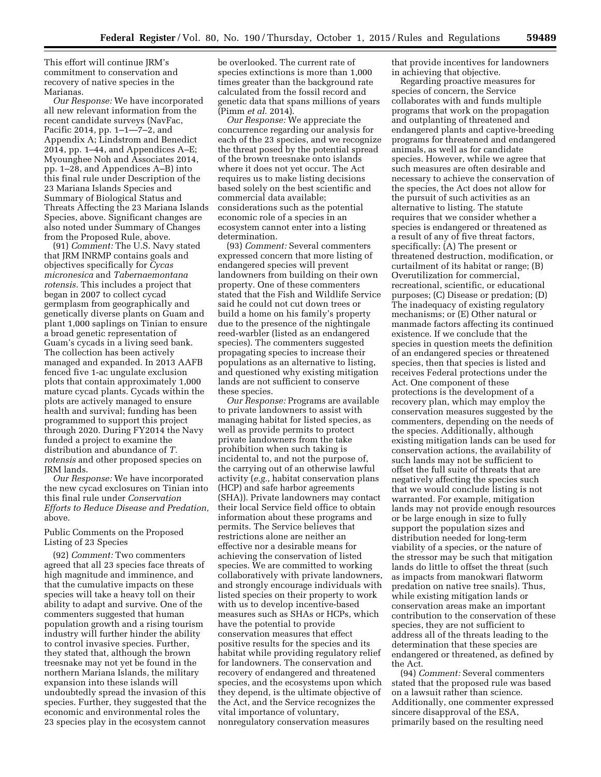This effort will continue JRM's commitment to conservation and recovery of native species in the Marianas.

*Our Response:* We have incorporated all new relevant information from the recent candidate surveys (NavFac, Pacific 2014, pp. 1–1—7–2, and Appendix A; Lindstrom and Benedict 2014, pp. 1–44, and Appendices A–E; Myounghee Noh and Associates 2014, pp. 1–28, and Appendices A–B) into this final rule under Description of the 23 Mariana Islands Species and Summary of Biological Status and Threats Affecting the 23 Mariana Islands Species, above. Significant changes are also noted under Summary of Changes from the Proposed Rule, above.

(91) *Comment:* The U.S. Navy stated that JRM INRMP contains goals and objectives specifically for *Cycas micronesica* and *Tabernaemontana rotensis.* This includes a project that began in 2007 to collect cycad germplasm from geographically and genetically diverse plants on Guam and plant 1,000 saplings on Tinian to ensure a broad genetic representation of Guam's cycads in a living seed bank. The collection has been actively managed and expanded. In 2013 AAFB fenced five 1-ac ungulate exclusion plots that contain approximately 1,000 mature cycad plants. Cycads within the plots are actively managed to ensure health and survival; funding has been programmed to support this project through 2020. During FY2014 the Navy funded a project to examine the distribution and abundance of *T. rotensis* and other proposed species on JRM lands.

*Our Response:* We have incorporated the new cycad exclosures on Tinian into this final rule under *Conservation Efforts to Reduce Disease and Predation,*  above.

# Public Comments on the Proposed Listing of 23 Species

(92) *Comment:* Two commenters agreed that all 23 species face threats of high magnitude and imminence, and that the cumulative impacts on these species will take a heavy toll on their ability to adapt and survive. One of the commenters suggested that human population growth and a rising tourism industry will further hinder the ability to control invasive species. Further, they stated that, although the brown treesnake may not yet be found in the northern Mariana Islands, the military expansion into these islands will undoubtedly spread the invasion of this species. Further, they suggested that the economic and environmental roles the 23 species play in the ecosystem cannot

be overlooked. The current rate of species extinctions is more than 1,000 times greater than the background rate calculated from the fossil record and genetic data that spans millions of years (Pimm *et al.* 2014).

*Our Response:* We appreciate the concurrence regarding our analysis for each of the 23 species, and we recognize the threat posed by the potential spread of the brown treesnake onto islands where it does not yet occur. The Act requires us to make listing decisions based solely on the best scientific and commercial data available; considerations such as the potential economic role of a species in an ecosystem cannot enter into a listing determination.

(93) *Comment:* Several commenters expressed concern that more listing of endangered species will prevent landowners from building on their own property. One of these commenters stated that the Fish and Wildlife Service said he could not cut down trees or build a home on his family's property due to the presence of the nightingale reed-warbler (listed as an endangered species). The commenters suggested propagating species to increase their populations as an alternative to listing, and questioned why existing mitigation lands are not sufficient to conserve these species.

*Our Response:* Programs are available to private landowners to assist with managing habitat for listed species, as well as provide permits to protect private landowners from the take prohibition when such taking is incidental to, and not the purpose of, the carrying out of an otherwise lawful activity (*e.g.,* habitat conservation plans (HCP) and safe harbor agreements (SHA)). Private landowners may contact their local Service field office to obtain information about these programs and permits. The Service believes that restrictions alone are neither an effective nor a desirable means for achieving the conservation of listed species. We are committed to working collaboratively with private landowners, and strongly encourage individuals with listed species on their property to work with us to develop incentive-based measures such as SHAs or HCPs, which have the potential to provide conservation measures that effect positive results for the species and its habitat while providing regulatory relief for landowners. The conservation and recovery of endangered and threatened species, and the ecosystems upon which they depend, is the ultimate objective of the Act, and the Service recognizes the vital importance of voluntary, nonregulatory conservation measures

that provide incentives for landowners in achieving that objective.

Regarding proactive measures for species of concern, the Service collaborates with and funds multiple programs that work on the propagation and outplanting of threatened and endangered plants and captive-breeding programs for threatened and endangered animals, as well as for candidate species. However, while we agree that such measures are often desirable and necessary to achieve the conservation of the species, the Act does not allow for the pursuit of such activities as an alternative to listing. The statute requires that we consider whether a species is endangered or threatened as a result of any of five threat factors, specifically: (A) The present or threatened destruction, modification, or curtailment of its habitat or range; (B) Overutilization for commercial, recreational, scientific, or educational purposes; (C) Disease or predation; (D) The inadequacy of existing regulatory mechanisms; or (E) Other natural or manmade factors affecting its continued existence. If we conclude that the species in question meets the definition of an endangered species or threatened species, then that species is listed and receives Federal protections under the Act. One component of these protections is the development of a recovery plan, which may employ the conservation measures suggested by the commenters, depending on the needs of the species. Additionally, although existing mitigation lands can be used for conservation actions, the availability of such lands may not be sufficient to offset the full suite of threats that are negatively affecting the species such that we would conclude listing is not warranted. For example, mitigation lands may not provide enough resources or be large enough in size to fully support the population sizes and distribution needed for long-term viability of a species, or the nature of the stressor may be such that mitigation lands do little to offset the threat (such as impacts from manokwari flatworm predation on native tree snails). Thus, while existing mitigation lands or conservation areas make an important contribution to the conservation of these species, they are not sufficient to address all of the threats leading to the determination that these species are endangered or threatened, as defined by the Act.

(94) *Comment:* Several commenters stated that the proposed rule was based on a lawsuit rather than science. Additionally, one commenter expressed sincere disapproval of the ESA, primarily based on the resulting need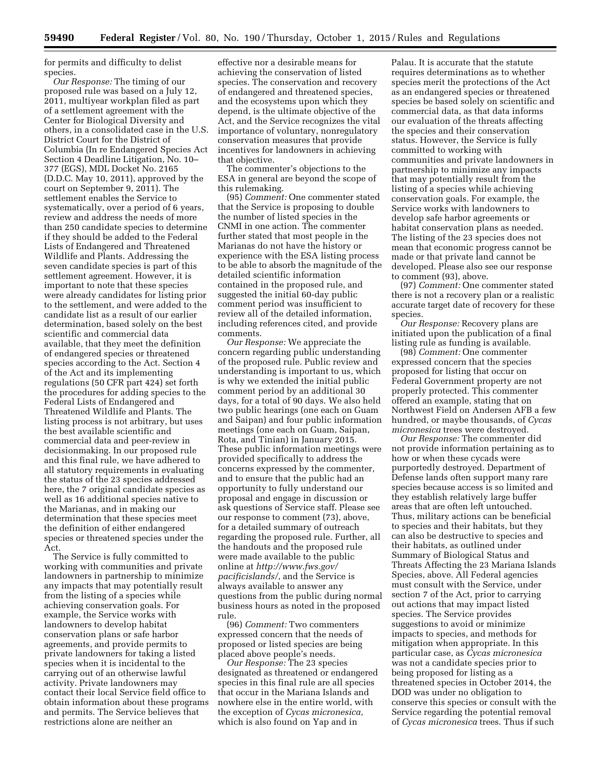for permits and difficulty to delist species.

*Our Response:* The timing of our proposed rule was based on a July 12, 2011, multiyear workplan filed as part of a settlement agreement with the Center for Biological Diversity and others, in a consolidated case in the U.S. District Court for the District of Columbia (In re Endangered Species Act Section 4 Deadline Litigation, No. 10– 377 (EGS), MDL Docket No. 2165 (D.D.C. May 10, 2011), approved by the court on September 9, 2011). The settlement enables the Service to systematically, over a period of 6 years, review and address the needs of more than 250 candidate species to determine if they should be added to the Federal Lists of Endangered and Threatened Wildlife and Plants. Addressing the seven candidate species is part of this settlement agreement. However, it is important to note that these species were already candidates for listing prior to the settlement, and were added to the candidate list as a result of our earlier determination, based solely on the best scientific and commercial data available, that they meet the definition of endangered species or threatened species according to the Act. Section 4 of the Act and its implementing regulations (50 CFR part 424) set forth the procedures for adding species to the Federal Lists of Endangered and Threatened Wildlife and Plants. The listing process is not arbitrary, but uses the best available scientific and commercial data and peer-review in decisionmaking. In our proposed rule and this final rule, we have adhered to all statutory requirements in evaluating the status of the 23 species addressed here, the 7 original candidate species as well as 16 additional species native to the Marianas, and in making our determination that these species meet the definition of either endangered species or threatened species under the Act.

The Service is fully committed to working with communities and private landowners in partnership to minimize any impacts that may potentially result from the listing of a species while achieving conservation goals. For example, the Service works with landowners to develop habitat conservation plans or safe harbor agreements, and provide permits to private landowners for taking a listed species when it is incidental to the carrying out of an otherwise lawful activity. Private landowners may contact their local Service field office to obtain information about these programs and permits. The Service believes that restrictions alone are neither an

effective nor a desirable means for achieving the conservation of listed species. The conservation and recovery of endangered and threatened species, and the ecosystems upon which they depend, is the ultimate objective of the Act, and the Service recognizes the vital importance of voluntary, nonregulatory conservation measures that provide incentives for landowners in achieving that objective.

The commenter's objections to the ESA in general are beyond the scope of this rulemaking.

(95) *Comment:* One commenter stated that the Service is proposing to double the number of listed species in the CNMI in one action. The commenter further stated that most people in the Marianas do not have the history or experience with the ESA listing process to be able to absorb the magnitude of the detailed scientific information contained in the proposed rule, and suggested the initial 60-day public comment period was insufficient to review all of the detailed information, including references cited, and provide comments.

*Our Response:* We appreciate the concern regarding public understanding of the proposed rule. Public review and understanding is important to us, which is why we extended the initial public comment period by an additional 30 days, for a total of 90 days. We also held two public hearings (one each on Guam and Saipan) and four public information meetings (one each on Guam, Saipan, Rota, and Tinian) in January 2015. These public information meetings were provided specifically to address the concerns expressed by the commenter, and to ensure that the public had an opportunity to fully understand our proposal and engage in discussion or ask questions of Service staff. Please see our response to comment (73), above, for a detailed summary of outreach regarding the proposed rule. Further, all the handouts and the proposed rule were made available to the public online at *[http://www.fws.gov/](http://www.fws.gov/pacificislands/) [pacificislands/](http://www.fws.gov/pacificislands/)*, and the Service is always available to answer any questions from the public during normal business hours as noted in the proposed rule.

(96) *Comment:* Two commenters expressed concern that the needs of proposed or listed species are being placed above people's needs.

*Our Response:* The 23 species designated as threatened or endangered species in this final rule are all species that occur in the Mariana Islands and nowhere else in the entire world, with the exception of *Cycas micronesica,*  which is also found on Yap and in

Palau. It is accurate that the statute requires determinations as to whether species merit the protections of the Act as an endangered species or threatened species be based solely on scientific and commercial data, as that data informs our evaluation of the threats affecting the species and their conservation status. However, the Service is fully committed to working with communities and private landowners in partnership to minimize any impacts that may potentially result from the listing of a species while achieving conservation goals. For example, the Service works with landowners to develop safe harbor agreements or habitat conservation plans as needed. The listing of the 23 species does not mean that economic progress cannot be made or that private land cannot be developed. Please also see our response to comment (93), above.

(97) *Comment:* One commenter stated there is not a recovery plan or a realistic accurate target date of recovery for these species.

*Our Response:* Recovery plans are initiated upon the publication of a final listing rule as funding is available.

(98) *Comment:* One commenter expressed concern that the species proposed for listing that occur on Federal Government property are not properly protected. This commenter offered an example, stating that on Northwest Field on Andersen AFB a few hundred, or maybe thousands, of *Cycas micronesica* trees were destroyed.

*Our Response:* The commenter did not provide information pertaining as to how or when these cycads were purportedly destroyed. Department of Defense lands often support many rare species because access is so limited and they establish relatively large buffer areas that are often left untouched. Thus, military actions can be beneficial to species and their habitats, but they can also be destructive to species and their habitats, as outlined under Summary of Biological Status and Threats Affecting the 23 Mariana Islands Species, above. All Federal agencies must consult with the Service, under section 7 of the Act, prior to carrying out actions that may impact listed species. The Service provides suggestions to avoid or minimize impacts to species, and methods for mitigation when appropriate. In this particular case, as *Cycas micronesica*  was not a candidate species prior to being proposed for listing as a threatened species in October 2014, the DOD was under no obligation to conserve this species or consult with the Service regarding the potential removal of *Cycas micronesica* trees. Thus if such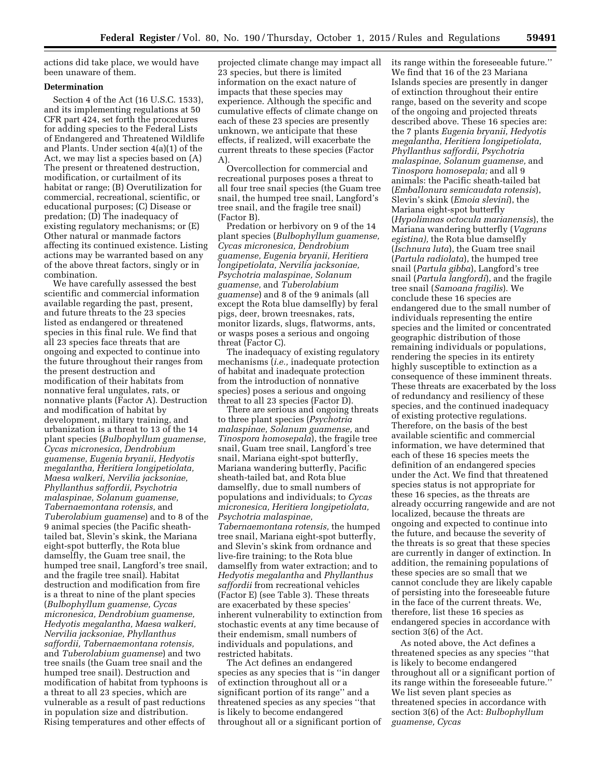actions did take place, we would have been unaware of them.

# **Determination**

Section 4 of the Act (16 U.S.C. 1533), and its implementing regulations at 50 CFR part 424, set forth the procedures for adding species to the Federal Lists of Endangered and Threatened Wildlife and Plants. Under section 4(a)(1) of the Act, we may list a species based on (A) The present or threatened destruction, modification, or curtailment of its habitat or range; (B) Overutilization for commercial, recreational, scientific, or educational purposes; (C) Disease or predation; (D) The inadequacy of existing regulatory mechanisms; or (E) Other natural or manmade factors affecting its continued existence. Listing actions may be warranted based on any of the above threat factors, singly or in combination.

We have carefully assessed the best scientific and commercial information available regarding the past, present, and future threats to the 23 species listed as endangered or threatened species in this final rule. We find that all 23 species face threats that are ongoing and expected to continue into the future throughout their ranges from the present destruction and modification of their habitats from nonnative feral ungulates, rats, or nonnative plants (Factor A). Destruction and modification of habitat by development, military training, and urbanization is a threat to 13 of the 14 plant species (*Bulbophyllum guamense, Cycas micronesica, Dendrobium guamense, Eugenia bryanii, Hedyotis megalantha, Heritiera longipetiolata, Maesa walkeri, Nervilia jacksoniae, Phyllanthus saffordii, Psychotria malaspinae, Solanum guamense, Tabernaemontana rotensis,* and *Tuberolabium guamense*) and to 8 of the 9 animal species (the Pacific sheathtailed bat, Slevin's skink, the Mariana eight-spot butterfly, the Rota blue damselfly, the Guam tree snail, the humped tree snail, Langford's tree snail, and the fragile tree snail). Habitat destruction and modification from fire is a threat to nine of the plant species (*Bulbophyllum guamense, Cycas micronesica, Dendrobium guamense, Hedyotis megalantha, Maesa walkeri, Nervilia jacksoniae, Phyllanthus saffordii, Tabernaemontana rotensis,*  and *Tuberolabium guamense*) and two tree snails (the Guam tree snail and the humped tree snail). Destruction and modification of habitat from typhoons is a threat to all 23 species, which are vulnerable as a result of past reductions in population size and distribution. Rising temperatures and other effects of

projected climate change may impact all 23 species, but there is limited information on the exact nature of impacts that these species may experience. Although the specific and cumulative effects of climate change on each of these 23 species are presently unknown, we anticipate that these effects, if realized, will exacerbate the current threats to these species (Factor A).

Overcollection for commercial and recreational purposes poses a threat to all four tree snail species (the Guam tree snail, the humped tree snail, Langford's tree snail, and the fragile tree snail) (Factor B).

Predation or herbivory on 9 of the 14 plant species (*Bulbophyllum guamense, Cycas micronesica, Dendrobium guamense, Eugenia bryanii, Heritiera longipetiolata, Nervilia jacksoniae, Psychotria malaspinae, Solanum guamense,* and *Tuberolabium guamense*) and 8 of the 9 animals (all except the Rota blue damselfly) by feral pigs, deer, brown treesnakes, rats, monitor lizards, slugs, flatworms, ants, or wasps poses a serious and ongoing threat (Factor C).

The inadequacy of existing regulatory mechanisms (*i.e.,* inadequate protection of habitat and inadequate protection from the introduction of nonnative species) poses a serious and ongoing threat to all 23 species (Factor D).

There are serious and ongoing threats to three plant species (*Psychotria malaspinae, Solanum guamense,* and *Tinospora homosepala*), the fragile tree snail, Guam tree snail, Langford's tree snail, Mariana eight-spot butterfly, Mariana wandering butterfly, Pacific sheath-tailed bat, and Rota blue damselfly, due to small numbers of populations and individuals; to *Cycas micronesica, Heritiera longipetiolata, Psychotria malaspinae, Tabernaemontana rotensis,* the humped tree snail, Mariana eight-spot butterfly, and Slevin's skink from ordnance and live-fire training; to the Rota blue damselfly from water extraction; and to *Hedyotis megalantha* and *Phyllanthus saffordii* from recreational vehicles (Factor E) (see Table 3). These threats are exacerbated by these species' inherent vulnerability to extinction from stochastic events at any time because of their endemism, small numbers of individuals and populations, and restricted habitats.

The Act defines an endangered species as any species that is ''in danger of extinction throughout all or a significant portion of its range'' and a threatened species as any species ''that is likely to become endangered throughout all or a significant portion of its range within the foreseeable future.'' We find that 16 of the 23 Mariana Islands species are presently in danger of extinction throughout their entire range, based on the severity and scope of the ongoing and projected threats described above. These 16 species are: the 7 plants *Eugenia bryanii, Hedyotis megalantha, Heritiera longipetiolata, Phyllanthus saffordii, Psychotria malaspinae, Solanum guamense,* and *Tinospora homosepala;* and all 9 animals: the Pacific sheath-tailed bat (*Emballonura semicaudata rotensis*), Slevin's skink (*Emoia slevini*), the Mariana eight-spot butterfly (*Hypolimnas octocula marianensis*), the Mariana wandering butterfly (*Vagrans egistina),* the Rota blue damselfly (*Ischnura luta*), the Guam tree snail (*Partula radiolata*), the humped tree snail (*Partula gibba*), Langford's tree snail (*Partula langfordi*), and the fragile tree snail (*Samoana fragilis*). We conclude these 16 species are endangered due to the small number of individuals representing the entire species and the limited or concentrated geographic distribution of those remaining individuals or populations, rendering the species in its entirety highly susceptible to extinction as a consequence of these imminent threats. These threats are exacerbated by the loss of redundancy and resiliency of these species, and the continued inadequacy of existing protective regulations. Therefore, on the basis of the best available scientific and commercial information, we have determined that each of these 16 species meets the definition of an endangered species under the Act. We find that threatened species status is not appropriate for these 16 species, as the threats are already occurring rangewide and are not localized, because the threats are ongoing and expected to continue into the future, and because the severity of the threats is so great that these species are currently in danger of extinction. In addition, the remaining populations of these species are so small that we cannot conclude they are likely capable of persisting into the foreseeable future in the face of the current threats. We, therefore, list these 16 species as endangered species in accordance with section 3(6) of the Act.

As noted above, the Act defines a threatened species as any species ''that is likely to become endangered throughout all or a significant portion of its range within the foreseeable future.'' We list seven plant species as threatened species in accordance with section 3(6) of the Act: *Bulbophyllum guamense, Cycas*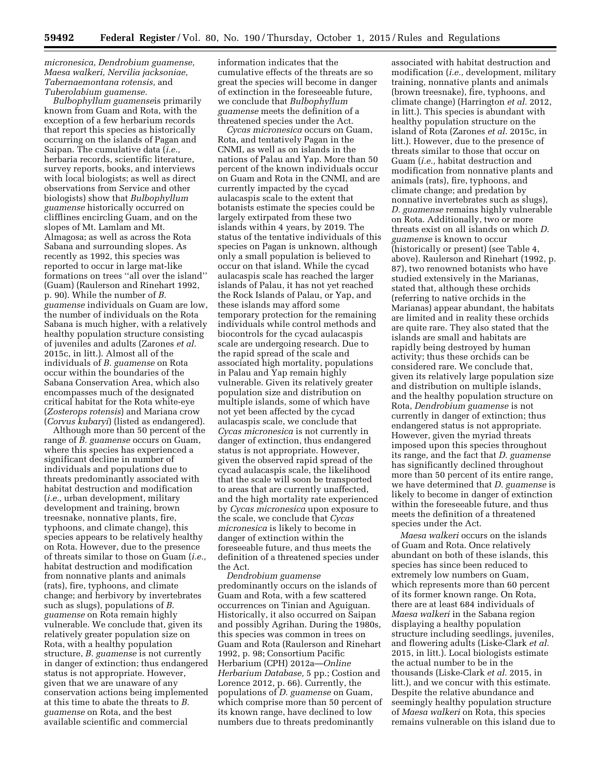*micronesica, Dendrobium guamense, Maesa walkeri, Nervilia jacksoniae, Tabernaemontana rotensis,* and *Tuberolabium guamense.* 

*Bulbophyllum guamense*is primarily known from Guam and Rota, with the exception of a few herbarium records that report this species as historically occurring on the islands of Pagan and Saipan. The cumulative data (*i.e.,*  herbaria records, scientific literature, survey reports, books, and interviews with local biologists; as well as direct observations from Service and other biologists) show that *Bulbophyllum guamense* historically occurred on clifflines encircling Guam, and on the slopes of Mt. Lamlam and Mt. Almagosa; as well as across the Rota Sabana and surrounding slopes. As recently as 1992, this species was reported to occur in large mat-like formations on trees ''all over the island'' (Guam) (Raulerson and Rinehart 1992, p. 90). While the number of *B. guamense* individuals on Guam are low, the number of individuals on the Rota Sabana is much higher, with a relatively healthy population structure consisting of juveniles and adults (Zarones *et al.*  2015c, in litt.). Almost all of the individuals of *B. guamense* on Rota occur within the boundaries of the Sabana Conservation Area, which also encompasses much of the designated critical habitat for the Rota white-eye (*Zosterops rotensis*) and Mariana crow (*Corvus kubaryi*) (listed as endangered).

Although more than 50 percent of the range of *B. guamense* occurs on Guam, where this species has experienced a significant decline in number of individuals and populations due to threats predominantly associated with habitat destruction and modification (*i.e.,* urban development, military development and training, brown treesnake, nonnative plants, fire, typhoons, and climate change), this species appears to be relatively healthy on Rota. However, due to the presence of threats similar to those on Guam (*i.e.,*  habitat destruction and modification from nonnative plants and animals (rats), fire, typhoons, and climate change; and herbivory by invertebrates such as slugs), populations of *B. guamense* on Rota remain highly vulnerable. We conclude that, given its relatively greater population size on Rota, with a healthy population structure, *B. guamense* is not currently in danger of extinction; thus endangered status is not appropriate. However, given that we are unaware of any conservation actions being implemented at this time to abate the threats to *B. guamense* on Rota, and the best available scientific and commercial

information indicates that the cumulative effects of the threats are so great the species will become in danger of extinction in the foreseeable future, we conclude that *Bulbophyllum guamense* meets the definition of a threatened species under the Act.

*Cycas micronesica* occurs on Guam, Rota, and tentatively Pagan in the CNMI, as well as on islands in the nations of Palau and Yap. More than 50 percent of the known individuals occur on Guam and Rota in the CNMI, and are currently impacted by the cycad aulacaspis scale to the extent that botanists estimate the species could be largely extirpated from these two islands within 4 years, by 2019. The status of the tentative individuals of this species on Pagan is unknown, although only a small population is believed to occur on that island. While the cycad aulacaspis scale has reached the larger islands of Palau, it has not yet reached the Rock Islands of Palau, or Yap, and these islands may afford some temporary protection for the remaining individuals while control methods and biocontrols for the cycad aulacaspis scale are undergoing research. Due to the rapid spread of the scale and associated high mortality, populations in Palau and Yap remain highly vulnerable. Given its relatively greater population size and distribution on multiple islands, some of which have not yet been affected by the cycad aulacaspis scale, we conclude that *Cycas micronesica* is not currently in danger of extinction, thus endangered status is not appropriate. However, given the observed rapid spread of the cycad aulacaspis scale, the likelihood that the scale will soon be transported to areas that are currently unaffected, and the high mortality rate experienced by *Cycas micronesica* upon exposure to the scale, we conclude that *Cycas micronesica* is likely to become in danger of extinction within the foreseeable future, and thus meets the definition of a threatened species under the Act.

*Dendrobium guamense*  predominantly occurs on the islands of Guam and Rota, with a few scattered occurrences on Tinian and Aguiguan. Historically, it also occurred on Saipan and possibly Agrihan. During the 1980s, this species was common in trees on Guam and Rota (Raulerson and Rinehart 1992, p. 98; Consortium Pacific Herbarium (CPH) 2012a—*Online Herbarium Database,* 5 pp.; Costion and Lorence 2012, p. 66). Currently, the populations of *D. guamense* on Guam, which comprise more than 50 percent of its known range, have declined to low numbers due to threats predominantly

associated with habitat destruction and modification (*i.e.,* development, military training, nonnative plants and animals (brown treesnake), fire, typhoons, and climate change) (Harrington *et al.* 2012, in litt.). This species is abundant with healthy population structure on the island of Rota (Zarones *et al.* 2015c, in litt.). However, due to the presence of threats similar to those that occur on Guam (*i.e.,* habitat destruction and modification from nonnative plants and animals (rats), fire, typhoons, and climate change; and predation by nonnative invertebrates such as slugs), *D. guamense* remains highly vulnerable on Rota. Additionally, two or more threats exist on all islands on which *D. guamense* is known to occur (historically or present) (see Table 4, above). Raulerson and Rinehart (1992, p. 87), two renowned botanists who have studied extensively in the Marianas, stated that, although these orchids (referring to native orchids in the Marianas) appear abundant, the habitats are limited and in reality these orchids are quite rare. They also stated that the islands are small and habitats are rapidly being destroyed by human activity; thus these orchids can be considered rare. We conclude that, given its relatively large population size and distribution on multiple islands, and the healthy population structure on Rota, *Dendrobium guamense* is not currently in danger of extinction; thus endangered status is not appropriate. However, given the myriad threats imposed upon this species throughout its range, and the fact that *D. guamense*  has significantly declined throughout more than 50 percent of its entire range, we have determined that *D. guamense* is likely to become in danger of extinction within the foreseeable future, and thus meets the definition of a threatened species under the Act.

*Maesa walkeri* occurs on the islands of Guam and Rota. Once relatively abundant on both of these islands, this species has since been reduced to extremely low numbers on Guam, which represents more than 60 percent of its former known range. On Rota, there are at least 684 individuals of *Maesa walkeri* in the Sabana region displaying a healthy population structure including seedlings, juveniles, and flowering adults (Liske-Clark *et al.*  2015, in litt.). Local biologists estimate the actual number to be in the thousands (Liske-Clark *et al.* 2015, in litt.), and we concur with this estimate. Despite the relative abundance and seemingly healthy population structure of *Maesa walkeri* on Rota, this species remains vulnerable on this island due to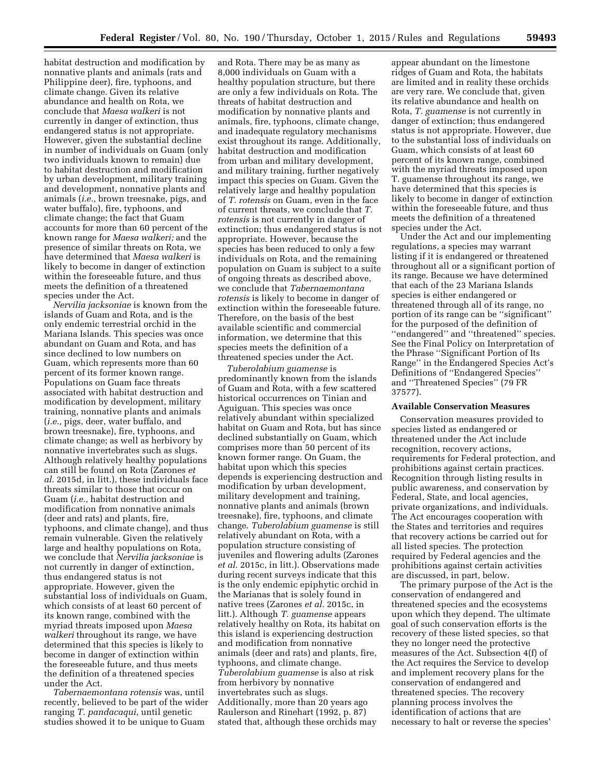habitat destruction and modification by nonnative plants and animals (rats and Philippine deer), fire, typhoons, and climate change. Given its relative abundance and health on Rota, we conclude that *Maesa walkeri* is not currently in danger of extinction, thus endangered status is not appropriate. However, given the substantial decline in number of individuals on Guam (only two individuals known to remain) due to habitat destruction and modification by urban development, military training and development, nonnative plants and animals (*i.e.,* brown treesnake, pigs, and water buffalo), fire, typhoons, and climate change; the fact that Guam accounts for more than 60 percent of the known range for *Maesa walkeri;* and the presence of similar threats on Rota, we have determined that *Maesa walkeri* is likely to become in danger of extinction within the foreseeable future, and thus meets the definition of a threatened species under the Act.

*Nervilia jacksoniae* is known from the islands of Guam and Rota, and is the only endemic terrestrial orchid in the Mariana Islands. This species was once abundant on Guam and Rota, and has since declined to low numbers on Guam, which represents more than 60 percent of its former known range. Populations on Guam face threats associated with habitat destruction and modification by development, military training, nonnative plants and animals (*i.e.,* pigs, deer, water buffalo, and brown treesnake), fire, typhoons, and climate change; as well as herbivory by nonnative invertebrates such as slugs. Although relatively healthy populations can still be found on Rota (Zarones *et al.* 2015d, in litt.), these individuals face threats similar to those that occur on Guam (*i.e.,* habitat destruction and modification from nonnative animals (deer and rats) and plants, fire, typhoons, and climate change), and thus remain vulnerable. Given the relatively large and healthy populations on Rota, we conclude that *Nervilia jacksoniae* is not currently in danger of extinction, thus endangered status is not appropriate. However, given the substantial loss of individuals on Guam, which consists of at least 60 percent of its known range, combined with the myriad threats imposed upon *Maesa walkeri* throughout its range, we have determined that this species is likely to become in danger of extinction within the foreseeable future, and thus meets the definition of a threatened species under the Act.

*Tabernaemontana rotensis* was, until recently, believed to be part of the wider ranging *T. pandacaqui,* until genetic studies showed it to be unique to Guam

and Rota. There may be as many as 8,000 individuals on Guam with a healthy population structure, but there are only a few individuals on Rota. The threats of habitat destruction and modification by nonnative plants and animals, fire, typhoons, climate change, and inadequate regulatory mechanisms exist throughout its range. Additionally, habitat destruction and modification from urban and military development, and military training, further negatively impact this species on Guam. Given the relatively large and healthy population of *T. rotensis* on Guam, even in the face of current threats, we conclude that *T. rotensis* is not currently in danger of extinction; thus endangered status is not appropriate. However, because the species has been reduced to only a few individuals on Rota, and the remaining population on Guam is subject to a suite of ongoing threats as described above, we conclude that *Tabernaemontana rotensis* is likely to become in danger of extinction within the foreseeable future. Therefore, on the basis of the best available scientific and commercial information, we determine that this species meets the definition of a threatened species under the Act.

*Tuberolabium guamense* is predominantly known from the islands of Guam and Rota, with a few scattered historical occurrences on Tinian and Aguiguan. This species was once relatively abundant within specialized habitat on Guam and Rota, but has since declined substantially on Guam, which comprises more than 50 percent of its known former range. On Guam, the habitat upon which this species depends is experiencing destruction and modification by urban development, military development and training, nonnative plants and animals (brown treesnake), fire, typhoons, and climate change. *Tuberolabium guamense* is still relatively abundant on Rota, with a population structure consisting of juveniles and flowering adults (Zarones *et al.* 2015c, in litt.). Observations made during recent surveys indicate that this is the only endemic epiphytic orchid in the Marianas that is solely found in native trees (Zarones *et al.* 2015c, in litt.). Although *T. guamense* appears relatively healthy on Rota, its habitat on this island is experiencing destruction and modification from nonnative animals (deer and rats) and plants, fire, typhoons, and climate change. *Tuberolabium guamense* is also at risk from herbivory by nonnative invertebrates such as slugs. Additionally, more than 20 years ago Raulerson and Rinehart (1992, p. 87) stated that, although these orchids may

appear abundant on the limestone ridges of Guam and Rota, the habitats are limited and in reality these orchids are very rare. We conclude that, given its relative abundance and health on Rota, *T. guamense* is not currently in danger of extinction; thus endangered status is not appropriate. However, due to the substantial loss of individuals on Guam, which consists of at least 60 percent of its known range, combined with the myriad threats imposed upon T. guamense throughout its range, we have determined that this species is likely to become in danger of extinction within the foreseeable future, and thus meets the definition of a threatened species under the Act.

Under the Act and our implementing regulations, a species may warrant listing if it is endangered or threatened throughout all or a significant portion of its range. Because we have determined that each of the 23 Mariana Islands species is either endangered or threatened through all of its range, no portion of its range can be ''significant'' for the purposed of the definition of ''endangered'' and ''threatened'' species. See the Final Policy on Interpretation of the Phrase ''Significant Portion of Its Range'' in the Endangered Species Act's Definitions of ''Endangered Species'' and ''Threatened Species'' (79 FR 37577).

#### **Available Conservation Measures**

Conservation measures provided to species listed as endangered or threatened under the Act include recognition, recovery actions, requirements for Federal protection, and prohibitions against certain practices. Recognition through listing results in public awareness, and conservation by Federal, State, and local agencies, private organizations, and individuals. The Act encourages cooperation with the States and territories and requires that recovery actions be carried out for all listed species. The protection required by Federal agencies and the prohibitions against certain activities are discussed, in part, below.

The primary purpose of the Act is the conservation of endangered and threatened species and the ecosystems upon which they depend. The ultimate goal of such conservation efforts is the recovery of these listed species, so that they no longer need the protective measures of the Act. Subsection 4(f) of the Act requires the Service to develop and implement recovery plans for the conservation of endangered and threatened species. The recovery planning process involves the identification of actions that are necessary to halt or reverse the species'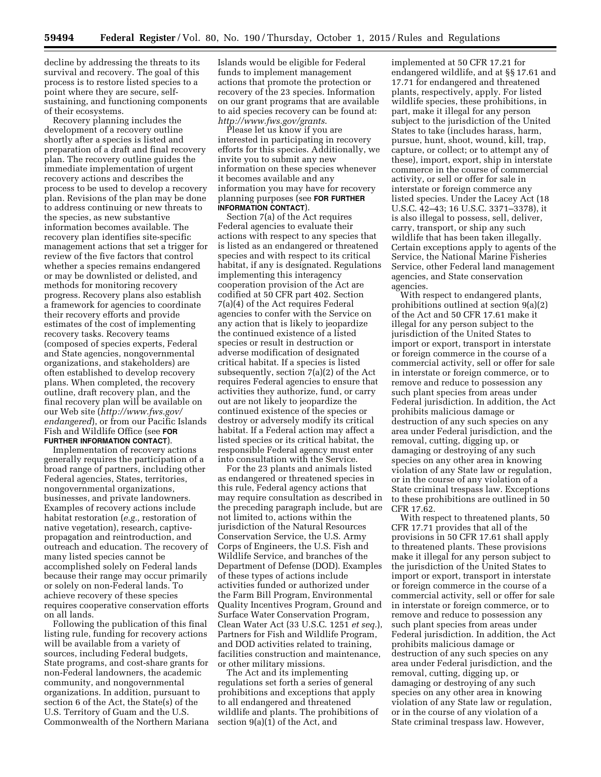decline by addressing the threats to its survival and recovery. The goal of this process is to restore listed species to a point where they are secure, selfsustaining, and functioning components of their ecosystems.

Recovery planning includes the development of a recovery outline shortly after a species is listed and preparation of a draft and final recovery plan. The recovery outline guides the immediate implementation of urgent recovery actions and describes the process to be used to develop a recovery plan. Revisions of the plan may be done to address continuing or new threats to the species, as new substantive information becomes available. The recovery plan identifies site-specific management actions that set a trigger for review of the five factors that control whether a species remains endangered or may be downlisted or delisted, and methods for monitoring recovery progress. Recovery plans also establish a framework for agencies to coordinate their recovery efforts and provide estimates of the cost of implementing recovery tasks. Recovery teams (composed of species experts, Federal and State agencies, nongovernmental organizations, and stakeholders) are often established to develop recovery plans. When completed, the recovery outline, draft recovery plan, and the final recovery plan will be available on our Web site (*[http://www.fws.gov/](http://www.fws.gov/endangered) [endangered](http://www.fws.gov/endangered)*), or from our Pacific Islands Fish and Wildlife Office (see **FOR FURTHER INFORMATION CONTACT**).

Implementation of recovery actions generally requires the participation of a broad range of partners, including other Federal agencies, States, territories, nongovernmental organizations, businesses, and private landowners. Examples of recovery actions include habitat restoration (*e.g.,* restoration of native vegetation), research, captivepropagation and reintroduction, and outreach and education. The recovery of many listed species cannot be accomplished solely on Federal lands because their range may occur primarily or solely on non-Federal lands. To achieve recovery of these species requires cooperative conservation efforts on all lands.

Following the publication of this final listing rule, funding for recovery actions will be available from a variety of sources, including Federal budgets, State programs, and cost-share grants for non-Federal landowners, the academic community, and nongovernmental organizations. In addition, pursuant to section 6 of the Act, the State(s) of the U.S. Territory of Guam and the U.S. Commonwealth of the Northern Mariana

Islands would be eligible for Federal funds to implement management actions that promote the protection or recovery of the 23 species. Information on our grant programs that are available to aid species recovery can be found at: *<http://www.fws.gov/grants>*.

Please let us know if you are interested in participating in recovery efforts for this species. Additionally, we invite you to submit any new information on these species whenever it becomes available and any information you may have for recovery planning purposes (see **FOR FURTHER INFORMATION CONTACT**).

Section 7(a) of the Act requires Federal agencies to evaluate their actions with respect to any species that is listed as an endangered or threatened species and with respect to its critical habitat, if any is designated. Regulations implementing this interagency cooperation provision of the Act are codified at 50 CFR part 402. Section 7(a)(4) of the Act requires Federal agencies to confer with the Service on any action that is likely to jeopardize the continued existence of a listed species or result in destruction or adverse modification of designated critical habitat. If a species is listed subsequently, section 7(a)(2) of the Act requires Federal agencies to ensure that activities they authorize, fund, or carry out are not likely to jeopardize the continued existence of the species or destroy or adversely modify its critical habitat. If a Federal action may affect a listed species or its critical habitat, the responsible Federal agency must enter into consultation with the Service.

For the 23 plants and animals listed as endangered or threatened species in this rule, Federal agency actions that may require consultation as described in the preceding paragraph include, but are not limited to, actions within the jurisdiction of the Natural Resources Conservation Service, the U.S. Army Corps of Engineers, the U.S. Fish and Wildlife Service, and branches of the Department of Defense (DOD). Examples of these types of actions include activities funded or authorized under the Farm Bill Program, Environmental Quality Incentives Program, Ground and Surface Water Conservation Program, Clean Water Act (33 U.S.C. 1251 *et seq.*), Partners for Fish and Wildlife Program, and DOD activities related to training, facilities construction and maintenance, or other military missions.

The Act and its implementing regulations set forth a series of general prohibitions and exceptions that apply to all endangered and threatened wildlife and plants. The prohibitions of section 9(a)(1) of the Act, and

implemented at 50 CFR 17.21 for endangered wildlife, and at §§ 17.61 and 17.71 for endangered and threatened plants, respectively, apply. For listed wildlife species, these prohibitions, in part, make it illegal for any person subject to the jurisdiction of the United States to take (includes harass, harm, pursue, hunt, shoot, wound, kill, trap, capture, or collect; or to attempt any of these), import, export, ship in interstate commerce in the course of commercial activity, or sell or offer for sale in interstate or foreign commerce any listed species. Under the Lacey Act (18 U.S.C. 42–43; 16 U.S.C. 3371–3378), it is also illegal to possess, sell, deliver, carry, transport, or ship any such wildlife that has been taken illegally. Certain exceptions apply to agents of the Service, the National Marine Fisheries Service, other Federal land management agencies, and State conservation agencies.

With respect to endangered plants, prohibitions outlined at section 9(a)(2) of the Act and 50 CFR 17.61 make it illegal for any person subject to the jurisdiction of the United States to import or export, transport in interstate or foreign commerce in the course of a commercial activity, sell or offer for sale in interstate or foreign commerce, or to remove and reduce to possession any such plant species from areas under Federal jurisdiction. In addition, the Act prohibits malicious damage or destruction of any such species on any area under Federal jurisdiction, and the removal, cutting, digging up, or damaging or destroying of any such species on any other area in knowing violation of any State law or regulation, or in the course of any violation of a State criminal trespass law. Exceptions to these prohibitions are outlined in 50 CFR 17.62.

With respect to threatened plants, 50 CFR 17.71 provides that all of the provisions in 50 CFR 17.61 shall apply to threatened plants. These provisions make it illegal for any person subject to the jurisdiction of the United States to import or export, transport in interstate or foreign commerce in the course of a commercial activity, sell or offer for sale in interstate or foreign commerce, or to remove and reduce to possession any such plant species from areas under Federal jurisdiction. In addition, the Act prohibits malicious damage or destruction of any such species on any area under Federal jurisdiction, and the removal, cutting, digging up, or damaging or destroying of any such species on any other area in knowing violation of any State law or regulation, or in the course of any violation of a State criminal trespass law. However,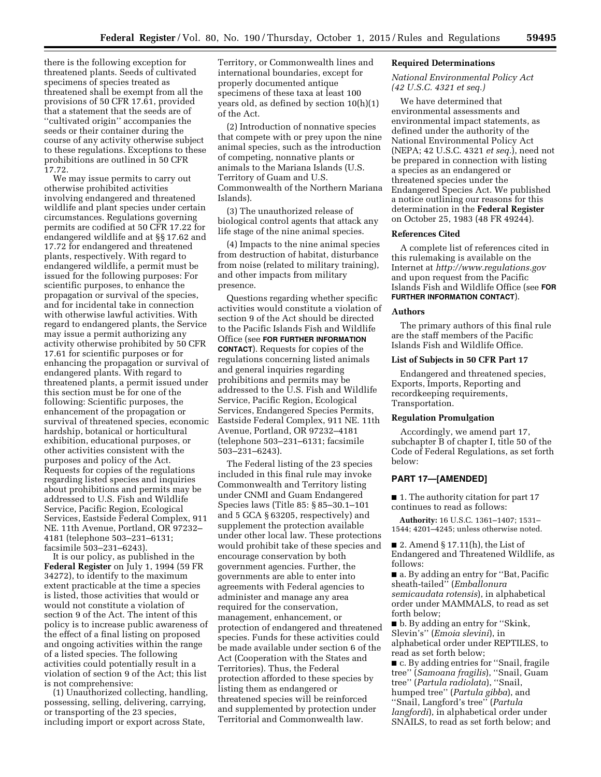there is the following exception for threatened plants. Seeds of cultivated specimens of species treated as threatened shall be exempt from all the provisions of 50 CFR 17.61, provided that a statement that the seeds are of ''cultivated origin'' accompanies the seeds or their container during the course of any activity otherwise subject to these regulations. Exceptions to these prohibitions are outlined in 50 CFR 17.72.

We may issue permits to carry out otherwise prohibited activities involving endangered and threatened wildlife and plant species under certain circumstances. Regulations governing permits are codified at 50 CFR 17.22 for endangered wildlife and at §§ 17.62 and 17.72 for endangered and threatened plants, respectively. With regard to endangered wildlife, a permit must be issued for the following purposes: For scientific purposes, to enhance the propagation or survival of the species, and for incidental take in connection with otherwise lawful activities. With regard to endangered plants, the Service may issue a permit authorizing any activity otherwise prohibited by 50 CFR 17.61 for scientific purposes or for enhancing the propagation or survival of endangered plants. With regard to threatened plants, a permit issued under this section must be for one of the following: Scientific purposes, the enhancement of the propagation or survival of threatened species, economic hardship, botanical or horticultural exhibition, educational purposes, or other activities consistent with the purposes and policy of the Act. Requests for copies of the regulations regarding listed species and inquiries about prohibitions and permits may be addressed to U.S. Fish and Wildlife Service, Pacific Region, Ecological Services, Eastside Federal Complex, 911 NE. 11th Avenue, Portland, OR 97232– 4181 (telephone 503–231–6131; facsimile 503–231–6243).

It is our policy, as published in the **Federal Register** on July 1, 1994 (59 FR 34272), to identify to the maximum extent practicable at the time a species is listed, those activities that would or would not constitute a violation of section 9 of the Act. The intent of this policy is to increase public awareness of the effect of a final listing on proposed and ongoing activities within the range of a listed species. The following activities could potentially result in a violation of section 9 of the Act; this list is not comprehensive:

(1) Unauthorized collecting, handling, possessing, selling, delivering, carrying, or transporting of the 23 species, including import or export across State,

Territory, or Commonwealth lines and international boundaries, except for properly documented antique specimens of these taxa at least 100 years old, as defined by section 10(h)(1) of the Act.

(2) Introduction of nonnative species that compete with or prey upon the nine animal species, such as the introduction of competing, nonnative plants or animals to the Mariana Islands (U.S. Territory of Guam and U.S. Commonwealth of the Northern Mariana Islands).

(3) The unauthorized release of biological control agents that attack any life stage of the nine animal species.

(4) Impacts to the nine animal species from destruction of habitat, disturbance from noise (related to military training), and other impacts from military presence.

Questions regarding whether specific activities would constitute a violation of section 9 of the Act should be directed to the Pacific Islands Fish and Wildlife Office (see **FOR FURTHER INFORMATION CONTACT**). Requests for copies of the regulations concerning listed animals and general inquiries regarding prohibitions and permits may be addressed to the U.S. Fish and Wildlife Service, Pacific Region, Ecological Services, Endangered Species Permits, Eastside Federal Complex, 911 NE. 11th Avenue, Portland, OR 97232–4181 (telephone 503–231–6131; facsimile 503–231–6243).

The Federal listing of the 23 species included in this final rule may invoke Commonwealth and Territory listing under CNMI and Guam Endangered Species laws (Title 85: § 85–30.1–101 and 5 GCA § 63205, respectively) and supplement the protection available under other local law. These protections would prohibit take of these species and encourage conservation by both government agencies. Further, the governments are able to enter into agreements with Federal agencies to administer and manage any area required for the conservation, management, enhancement, or protection of endangered and threatened species. Funds for these activities could be made available under section 6 of the Act (Cooperation with the States and Territories). Thus, the Federal protection afforded to these species by listing them as endangered or threatened species will be reinforced and supplemented by protection under Territorial and Commonwealth law.

#### **Required Determinations**

## *National Environmental Policy Act (42 U.S.C. 4321 et seq.)*

We have determined that environmental assessments and environmental impact statements, as defined under the authority of the National Environmental Policy Act (NEPA; 42 U.S.C. 4321 *et seq.*), need not be prepared in connection with listing a species as an endangered or threatened species under the Endangered Species Act. We published a notice outlining our reasons for this determination in the **Federal Register**  on October 25, 1983 (48 FR 49244).

#### **References Cited**

A complete list of references cited in this rulemaking is available on the Internet at *<http://www.regulations.gov>*  and upon request from the Pacific Islands Fish and Wildlife Office (see **FOR FURTHER INFORMATION CONTACT**).

## **Authors**

The primary authors of this final rule are the staff members of the Pacific Islands Fish and Wildlife Office.

# **List of Subjects in 50 CFR Part 17**

Endangered and threatened species, Exports, Imports, Reporting and recordkeeping requirements, Transportation.

## **Regulation Promulgation**

Accordingly, we amend part 17, subchapter B of chapter I, title 50 of the Code of Federal Regulations, as set forth below:

## **PART 17—[AMENDED]**

■ 1. The authority citation for part 17 continues to read as follows:

**Authority:** 16 U.S.C. 1361–1407; 1531– 1544; 4201–4245; unless otherwise noted.

■ 2. Amend § 17.11(h), the List of Endangered and Threatened Wildlife, as follows:

■ a. By adding an entry for "Bat, Pacific sheath-tailed'' (*Emballonura semicaudata rotensis*), in alphabetical order under MAMMALS, to read as set forth below;

■ b. By adding an entry for "Skink, Slevin's'' (*Emoia slevini*), in alphabetical order under REPTILES, to read as set forth below;

■ c. By adding entries for "Snail, fragile tree'' (*Samoana fragilis*), ''Snail, Guam tree'' (*Partula radiolata*), ''Snail, humped tree'' (*Partula gibba*), and ''Snail, Langford's tree'' (*Partula langfordi*), in alphabetical order under SNAILS, to read as set forth below; and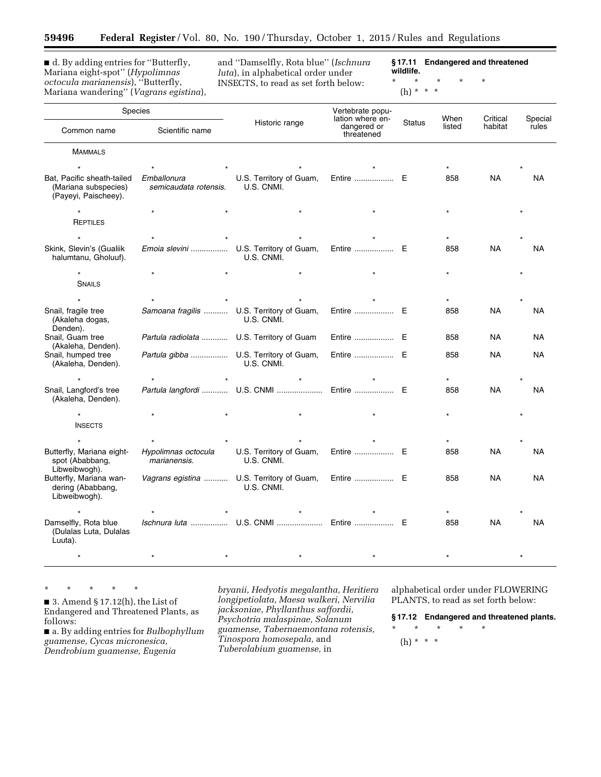■ d. By adding entries for "Butterfly, Mariana eight-spot'' (*Hypolimnas octocula marianensis*), ''Butterfly, Mariana wandering'' (*Vagrans egistina*),

—

and ''Damselfly, Rota blue'' (*Ischnura luta*), in alphabetical order under INSECTS, to read as set forth below:

**§ 17.11 Endangered and threatened wildlife.** 

\* \* \* \* \*

# (h) \* \* \*

| Species                                                                    |                                           |                                         | Vertebrate popu-<br>lation where en- | <b>Status</b> | When   | Critical  | Special   |
|----------------------------------------------------------------------------|-------------------------------------------|-----------------------------------------|--------------------------------------|---------------|--------|-----------|-----------|
| Common name                                                                | Scientific name                           | Historic range                          | dangered or<br>threatened            |               | listed | habitat   | rules     |
| <b>MAMMALS</b>                                                             |                                           |                                         |                                      |               |        |           |           |
|                                                                            |                                           |                                         |                                      |               |        |           |           |
| Bat, Pacific sheath-tailed<br>(Mariana subspecies)<br>(Payeyi, Paischeey). | Emballonura<br>semicaudata rotensis.      | U.S. Territory of Guam,<br>U.S. CNMI.   | Entire  E                            |               | 858    | <b>NA</b> | <b>NA</b> |
|                                                                            |                                           |                                         |                                      |               |        |           |           |
| REPTILES                                                                   |                                           |                                         |                                      |               |        |           |           |
|                                                                            |                                           |                                         |                                      |               |        |           |           |
| Skink, Slevin's (Gualiik<br>halumtanu, Gholuuf).                           | Emoia slevini                             | U.S. Territory of Guam,<br>U.S. CNMI.   | Entire  E                            |               | 858    | <b>NA</b> | <b>NA</b> |
|                                                                            |                                           |                                         |                                      |               |        |           |           |
| <b>SNAILS</b>                                                              |                                           |                                         |                                      |               |        |           |           |
|                                                                            |                                           |                                         |                                      |               |        |           |           |
| Snail, fragile tree<br>(Akaleha dogas,<br>Denden).                         | Samoana fragilis  U.S. Territory of Guam, | U.S. CNMI.                              | Entire  E                            |               | 858    | <b>NA</b> | NA        |
| Snail, Guam tree                                                           | Partula radiolata  U.S. Territory of Guam |                                         | Entire  E                            |               | 858    | NA.       | NA        |
| (Akaleha, Denden).<br>Snail, humped tree<br>(Akaleha, Denden).             | Partula gibba  U.S. Territory of Guam,    | U.S. CNMI.                              | Entire  E                            |               | 858    | <b>NA</b> | <b>NA</b> |
|                                                                            |                                           |                                         |                                      |               |        |           |           |
| Snail, Langford's tree<br>(Akaleha, Denden).                               |                                           | Partula langfordi  U.S. CNMI  Entire  E |                                      |               | 858    | <b>NA</b> | NA        |
|                                                                            |                                           |                                         |                                      |               |        |           |           |
| <b>INSECTS</b>                                                             |                                           |                                         |                                      |               |        |           |           |
|                                                                            |                                           |                                         |                                      |               |        |           |           |
| Butterfly, Mariana eight-<br>spot (Ababbang,<br>Libweibwogh).              | Hypolimnas octocula<br>marianensis.       | U.S. Territory of Guam,<br>U.S. CNMI.   | Entire  E                            |               | 858    | <b>NA</b> | <b>NA</b> |
| Butterfly, Mariana wan-<br>dering (Ababbang,<br>Libweibwogh).              | Vagrans egistina  U.S. Territory of Guam, | U.S. CNMI.                              | Entire  E                            |               | 858    | NA        | <b>NA</b> |
|                                                                            |                                           |                                         |                                      |               |        |           |           |
| Damselfly, Rota blue<br>(Dulalas Luta, Dulalas<br>Luuta).                  |                                           | Ischnura luta  U.S. CNMI  Entire  E     |                                      |               | 858    | <b>NA</b> | <b>NA</b> |
|                                                                            |                                           |                                         |                                      |               |        |           |           |

\* \* \* \* \*

■ 3. Amend § 17.12(h), the List of Endangered and Threatened Plants, as follows:

■ a. By adding entries for *Bulbophyllum guamense, Cycas micronesica, Dendrobium guamense, Eugenia* 

*bryanii, Hedyotis megalantha, Heritiera longipetiolata, Maesa walkeri, Nervilia jacksoniae, Phyllanthus saffordii, Psychotria malaspinae, Solanum guamense, Tabernaemontana rotensis, Tinospora homosepala,* and *Tuberolabium guamense,* in

alphabetical order under FLOWERING PLANTS, to read as set forth below:

**§ 17.12 Endangered and threatened plants.** 

\* \* \* \* \* (h) \* \* \*